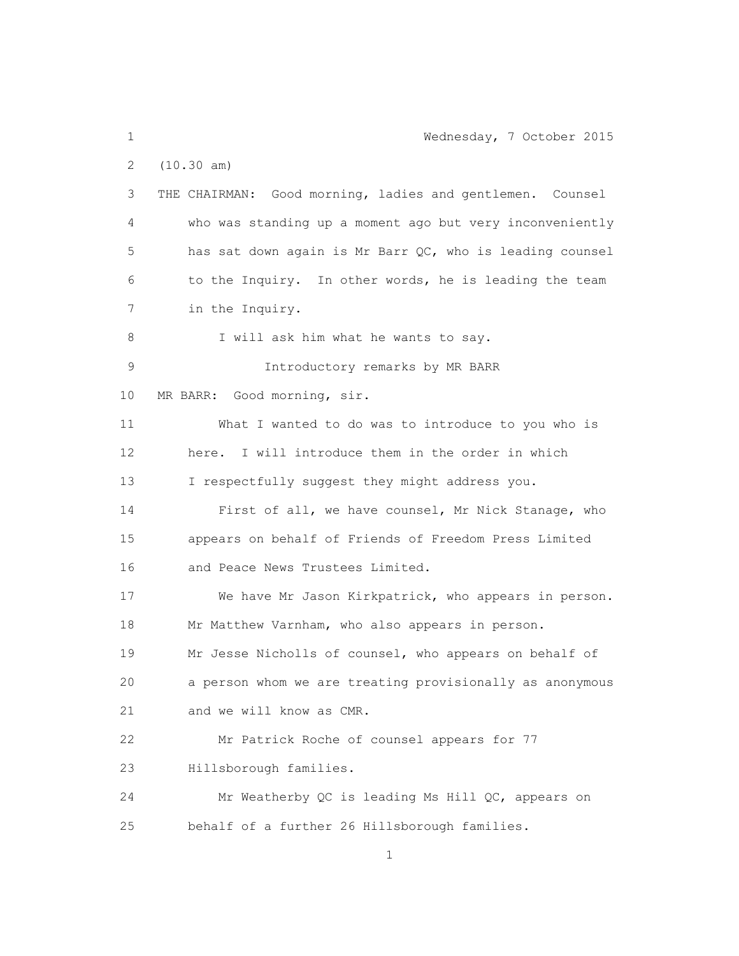1 Wednesday, 7 October 2015 2 (10.30 am) 3 THE CHAIRMAN: Good morning, ladies and gentlemen. Counsel 4 who was standing up a moment ago but very inconveniently 5 has sat down again is Mr Barr QC, who is leading counsel 6 to the Inquiry. In other words, he is leading the team 7 in the Inquiry. 8 I will ask him what he wants to say. 9 Introductory remarks by MR BARR 10 MR BARR: Good morning, sir. 11 What I wanted to do was to introduce to you who is 12 here. I will introduce them in the order in which 13 I respectfully suggest they might address you. 14 First of all, we have counsel, Mr Nick Stanage, who 15 appears on behalf of Friends of Freedom Press Limited 16 and Peace News Trustees Limited. 17 We have Mr Jason Kirkpatrick, who appears in person. 18 Mr Matthew Varnham, who also appears in person. 19 Mr Jesse Nicholls of counsel, who appears on behalf of 20 a person whom we are treating provisionally as anonymous 21 and we will know as CMR. 22 Mr Patrick Roche of counsel appears for 77 23 Hillsborough families. 24 Mr Weatherby QC is leading Ms Hill QC, appears on 25 behalf of a further 26 Hillsborough families.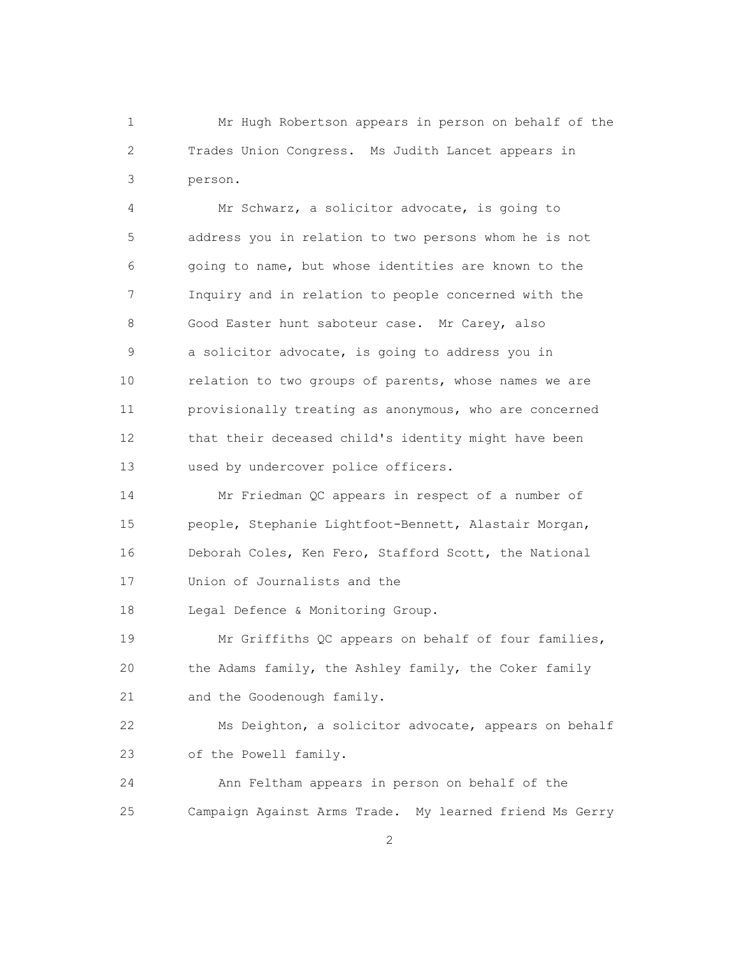1 Mr Hugh Robertson appears in person on behalf of the 2 Trades Union Congress. Ms Judith Lancet appears in 3 person.

 4 Mr Schwarz, a solicitor advocate, is going to 5 address you in relation to two persons whom he is not 6 going to name, but whose identities are known to the 7 Inquiry and in relation to people concerned with the 8 Good Easter hunt saboteur case. Mr Carey, also 9 a solicitor advocate, is going to address you in 10 relation to two groups of parents, whose names we are 11 provisionally treating as anonymous, who are concerned 12 that their deceased child's identity might have been 13 used by undercover police officers.

 14 Mr Friedman QC appears in respect of a number of 15 people, Stephanie Lightfoot-Bennett, Alastair Morgan, 16 Deborah Coles, Ken Fero, Stafford Scott, the National 17 Union of Journalists and the

18 Legal Defence & Monitoring Group.

 19 Mr Griffiths QC appears on behalf of four families, 20 the Adams family, the Ashley family, the Coker family 21 and the Goodenough family.

 22 Ms Deighton, a solicitor advocate, appears on behalf 23 of the Powell family.

 24 Ann Feltham appears in person on behalf of the 25 Campaign Against Arms Trade. My learned friend Ms Gerry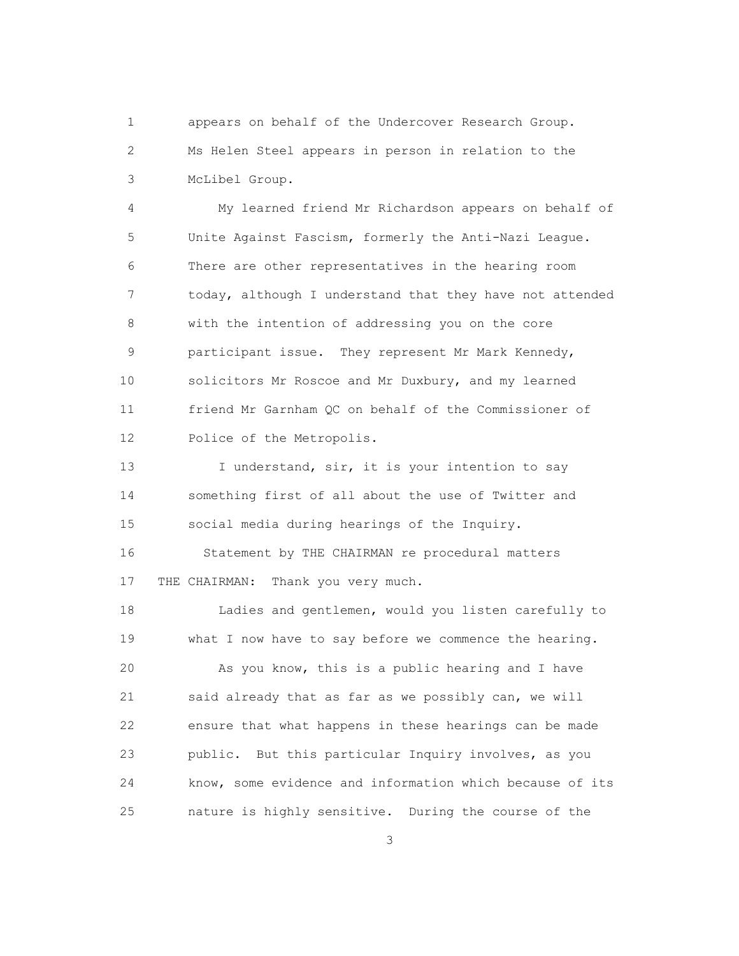1 appears on behalf of the Undercover Research Group. 2 Ms Helen Steel appears in person in relation to the 3 McLibel Group.

 4 My learned friend Mr Richardson appears on behalf of 5 Unite Against Fascism, formerly the Anti-Nazi League. 6 There are other representatives in the hearing room 7 today, although I understand that they have not attended 8 with the intention of addressing you on the core 9 participant issue. They represent Mr Mark Kennedy, 10 solicitors Mr Roscoe and Mr Duxbury, and my learned 11 friend Mr Garnham QC on behalf of the Commissioner of 12 Police of the Metropolis.

13 I understand, sir, it is your intention to say 14 something first of all about the use of Twitter and 15 social media during hearings of the Inquiry.

 16 Statement by THE CHAIRMAN re procedural matters 17 THE CHAIRMAN: Thank you very much.

 18 Ladies and gentlemen, would you listen carefully to 19 what I now have to say before we commence the hearing.

 20 As you know, this is a public hearing and I have 21 said already that as far as we possibly can, we will 22 ensure that what happens in these hearings can be made 23 public. But this particular Inquiry involves, as you 24 know, some evidence and information which because of its 25 nature is highly sensitive. During the course of the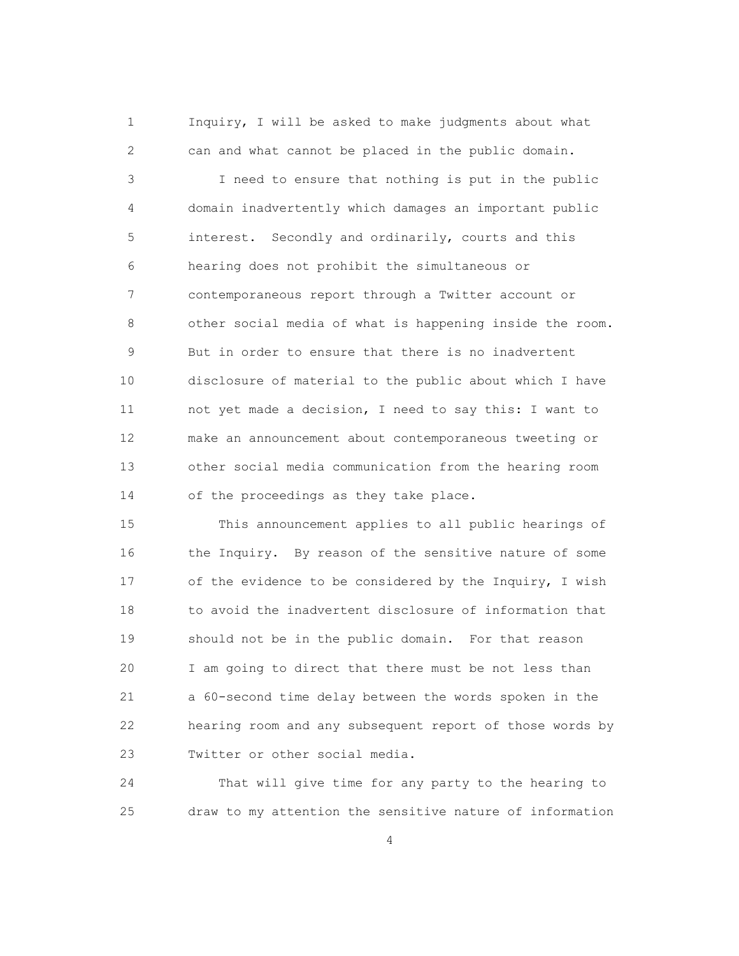1 Inquiry, I will be asked to make judgments about what 2 can and what cannot be placed in the public domain.

 3 I need to ensure that nothing is put in the public 4 domain inadvertently which damages an important public 5 interest. Secondly and ordinarily, courts and this 6 hearing does not prohibit the simultaneous or 7 contemporaneous report through a Twitter account or 8 other social media of what is happening inside the room. 9 But in order to ensure that there is no inadvertent 10 disclosure of material to the public about which I have 11 not yet made a decision, I need to say this: I want to 12 make an announcement about contemporaneous tweeting or 13 other social media communication from the hearing room 14 of the proceedings as they take place.

 15 This announcement applies to all public hearings of 16 the Inquiry. By reason of the sensitive nature of some 17 of the evidence to be considered by the Inquiry, I wish 18 to avoid the inadvertent disclosure of information that 19 should not be in the public domain. For that reason 20 I am going to direct that there must be not less than 21 a 60-second time delay between the words spoken in the 22 hearing room and any subsequent report of those words by 23 Twitter or other social media.

 24 That will give time for any party to the hearing to 25 draw to my attention the sensitive nature of information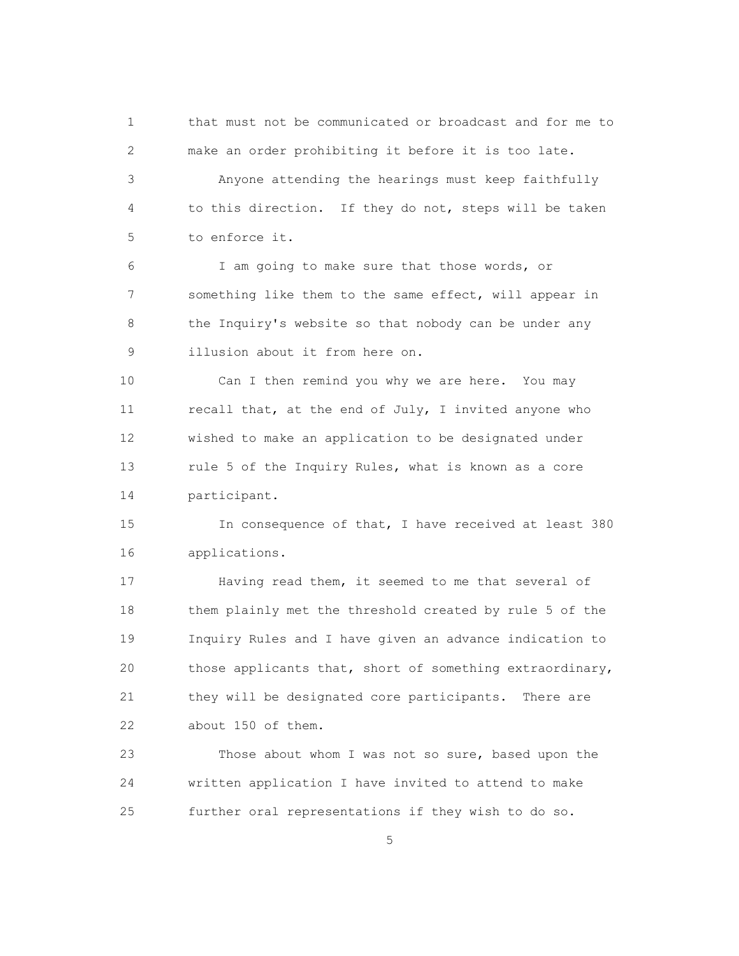1 that must not be communicated or broadcast and for me to 2 make an order prohibiting it before it is too late. 3 Anyone attending the hearings must keep faithfully 4 to this direction. If they do not, steps will be taken 5 to enforce it.

 6 I am going to make sure that those words, or 7 something like them to the same effect, will appear in 8 the Inquiry's website so that nobody can be under any 9 illusion about it from here on.

 10 Can I then remind you why we are here. You may 11 recall that, at the end of July, I invited anyone who 12 wished to make an application to be designated under 13 rule 5 of the Inquiry Rules, what is known as a core 14 participant.

 15 In consequence of that, I have received at least 380 16 applications.

 17 Having read them, it seemed to me that several of 18 them plainly met the threshold created by rule 5 of the 19 Inquiry Rules and I have given an advance indication to 20 those applicants that, short of something extraordinary, 21 they will be designated core participants. There are 22 about 150 of them.

 23 Those about whom I was not so sure, based upon the 24 written application I have invited to attend to make 25 further oral representations if they wish to do so.

 $\sim$  5  $\sim$  5  $\sim$  5  $\sim$  5  $\sim$  5  $\sim$  5  $\sim$  5  $\sim$  5  $\sim$  5  $\sim$  5  $\sim$  5  $\sim$  5  $\sim$  5  $\sim$  5  $\sim$  5  $\sim$  5  $\sim$  5  $\sim$  5  $\sim$  5  $\sim$  5  $\sim$  5  $\sim$  5  $\sim$  5  $\sim$  5  $\sim$  5  $\sim$  5  $\sim$  5  $\sim$  5  $\sim$  5  $\sim$  5  $\sim$  5  $\sim$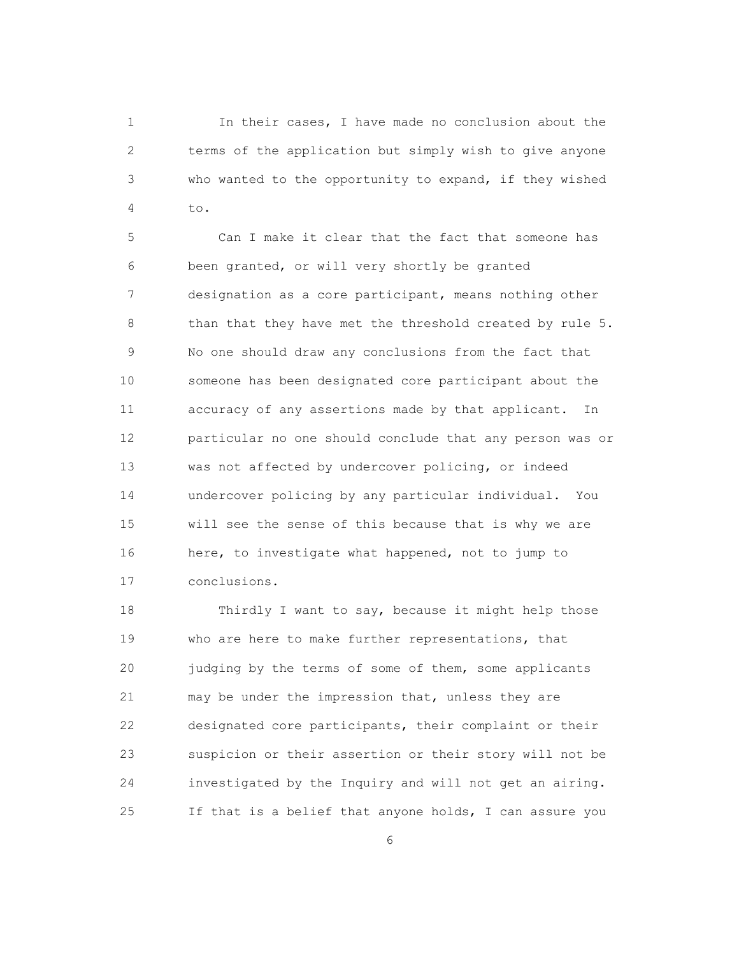1 In their cases, I have made no conclusion about the 2 terms of the application but simply wish to give anyone 3 who wanted to the opportunity to expand, if they wished 4 to.

 5 Can I make it clear that the fact that someone has 6 been granted, or will very shortly be granted 7 designation as a core participant, means nothing other 8 than that they have met the threshold created by rule 5. 9 No one should draw any conclusions from the fact that 10 someone has been designated core participant about the 11 accuracy of any assertions made by that applicant. In 12 particular no one should conclude that any person was or 13 was not affected by undercover policing, or indeed 14 undercover policing by any particular individual. You 15 will see the sense of this because that is why we are 16 here, to investigate what happened, not to jump to 17 conclusions.

 18 Thirdly I want to say, because it might help those 19 who are here to make further representations, that 20 judging by the terms of some of them, some applicants 21 may be under the impression that, unless they are 22 designated core participants, their complaint or their 23 suspicion or their assertion or their story will not be 24 investigated by the Inquiry and will not get an airing. 25 If that is a belief that anyone holds, I can assure you

 $\sim$  6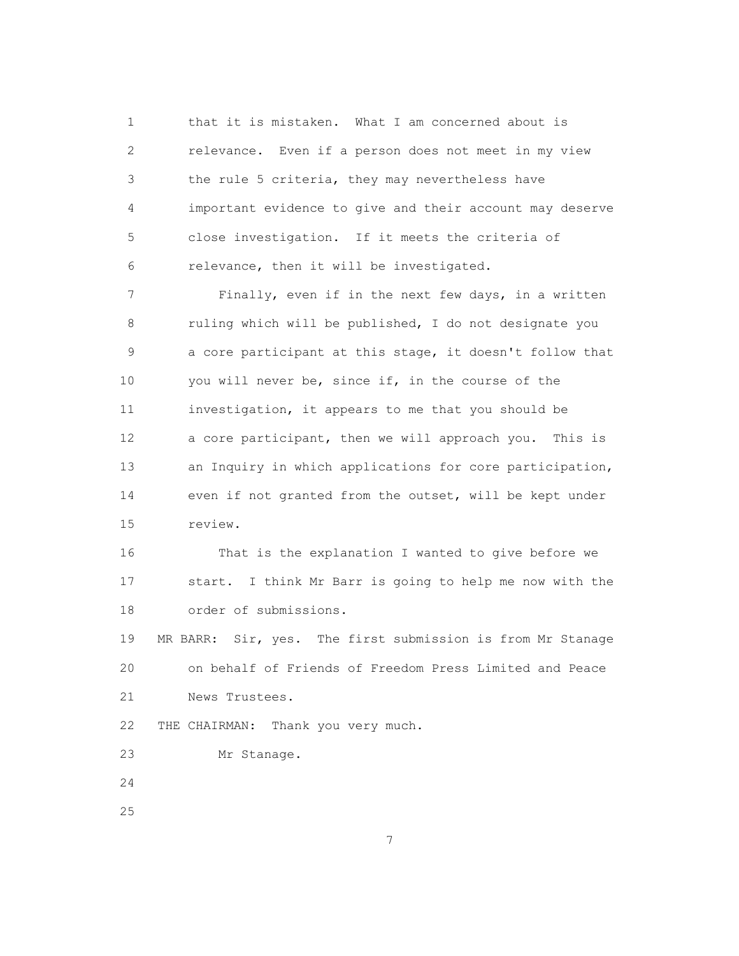1 that it is mistaken. What I am concerned about is 2 relevance. Even if a person does not meet in my view 3 the rule 5 criteria, they may nevertheless have 4 important evidence to give and their account may deserve 5 close investigation. If it meets the criteria of 6 relevance, then it will be investigated.

 7 Finally, even if in the next few days, in a written 8 ruling which will be published, I do not designate you 9 a core participant at this stage, it doesn't follow that 10 you will never be, since if, in the course of the 11 investigation, it appears to me that you should be 12 a core participant, then we will approach you. This is 13 an Inquiry in which applications for core participation, 14 even if not granted from the outset, will be kept under 15 review.

 16 That is the explanation I wanted to give before we 17 start. I think Mr Barr is going to help me now with the 18 order of submissions.

 19 MR BARR: Sir, yes. The first submission is from Mr Stanage 20 on behalf of Friends of Freedom Press Limited and Peace 21 News Trustees.

22 THE CHAIRMAN: Thank you very much.

23 Mr Stanage.

24

25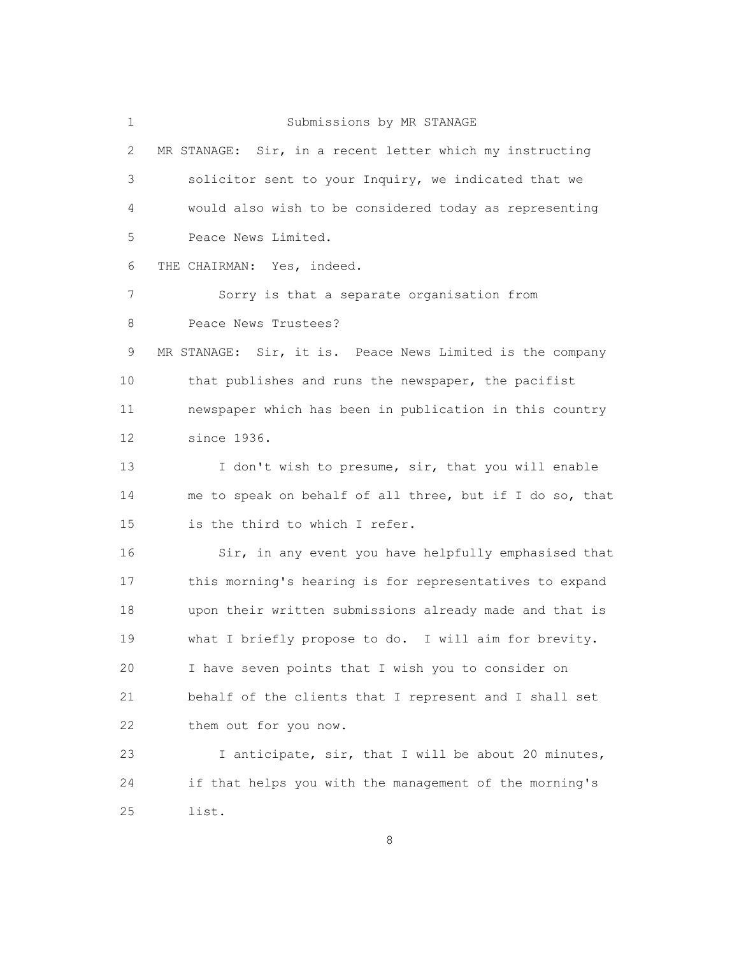1 Submissions by MR STANAGE

 2 MR STANAGE: Sir, in a recent letter which my instructing 3 solicitor sent to your Inquiry, we indicated that we 4 would also wish to be considered today as representing 5 Peace News Limited. 6 THE CHAIRMAN: Yes, indeed. 7 Sorry is that a separate organisation from 8 Peace News Trustees? 9 MR STANAGE: Sir, it is. Peace News Limited is the company 10 that publishes and runs the newspaper, the pacifist 11 newspaper which has been in publication in this country 12 since 1936. 13 I don't wish to presume, sir, that you will enable 14 me to speak on behalf of all three, but if I do so, that 15 is the third to which I refer. 16 Sir, in any event you have helpfully emphasised that 17 this morning's hearing is for representatives to expand 18 upon their written submissions already made and that is 19 what I briefly propose to do. I will aim for brevity. 20 I have seven points that I wish you to consider on 21 behalf of the clients that I represent and I shall set 22 them out for you now. 23 I anticipate, sir, that I will be about 20 minutes, 24 if that helps you with the management of the morning's 25 list.

en andere de la provincia de la provincia de la provincia de la provincia de la provincia de la provincia de<br>En la provincia de la provincia de la provincia de la provincia de la provincia de la provincia de la provinci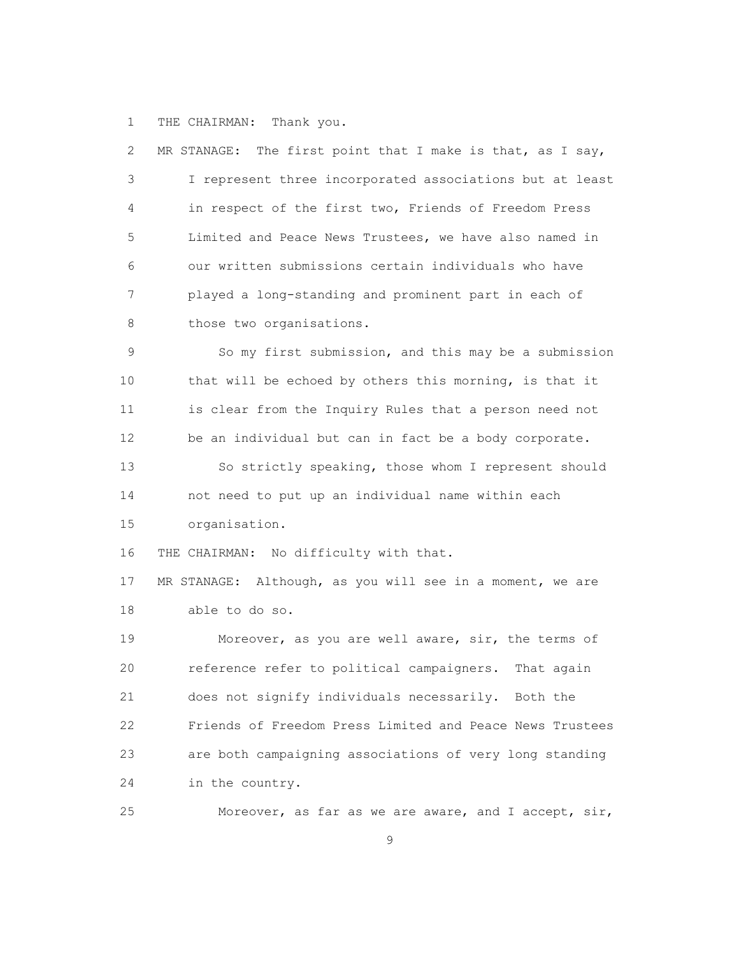1 THE CHAIRMAN: Thank you.

| 2              | The first point that I make is that, as I say,<br>MR STANAGE: |
|----------------|---------------------------------------------------------------|
| 3              | I represent three incorporated associations but at least      |
| $\overline{4}$ | in respect of the first two, Friends of Freedom Press         |
| 5              | Limited and Peace News Trustees, we have also named in        |
| 6              | our written submissions certain individuals who have          |
| 7              | played a long-standing and prominent part in each of          |
| 8              | those two organisations.                                      |
| 9              | So my first submission, and this may be a submission          |
| 10             | that will be echoed by others this morning, is that it        |
| 11             | is clear from the Inquiry Rules that a person need not        |
| 12             | be an individual but can in fact be a body corporate.         |
| 13             | So strictly speaking, those whom I represent should           |
| 14             | not need to put up an individual name within each             |
| 15             | organisation.                                                 |
| 16             | THE CHAIRMAN: No difficulty with that.                        |
| 17             | MR STANAGE: Although, as you will see in a moment, we are     |
| 18             | able to do so.                                                |
| 19             | Moreover, as you are well aware, sir, the terms of            |
| 20             | reference refer to political campaigners. That again          |
| 21             | does not signify individuals necessarily. Both the            |
| 22             | Friends of Freedom Press Limited and Peace News Trustees      |
| 23             | are both campaigning associations of very long standing       |
| 24             | in the country.                                               |
| 25             | Moreover, as far as we are aware, and I accept, sir,          |

9 and 2012 and 2013 and 2014 and 2014 and 2014 and 2014 and 2014 and 2014 and 2014 and 2014 and 2014 and 2014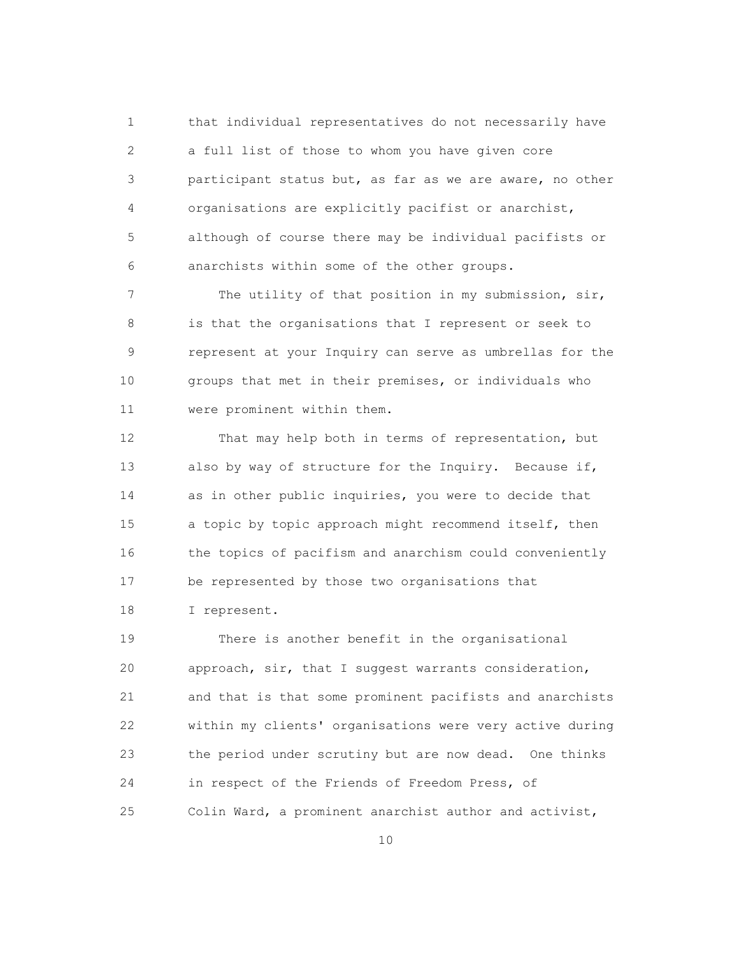1 that individual representatives do not necessarily have 2 a full list of those to whom you have given core 3 participant status but, as far as we are aware, no other 4 organisations are explicitly pacifist or anarchist, 5 although of course there may be individual pacifists or 6 anarchists within some of the other groups.

 7 The utility of that position in my submission, sir, 8 is that the organisations that I represent or seek to 9 represent at your Inquiry can serve as umbrellas for the 10 groups that met in their premises, or individuals who 11 were prominent within them.

 12 That may help both in terms of representation, but 13 also by way of structure for the Inquiry. Because if, 14 as in other public inquiries, you were to decide that 15 a topic by topic approach might recommend itself, then 16 the topics of pacifism and anarchism could conveniently 17 be represented by those two organisations that 18 I represent.

 19 There is another benefit in the organisational 20 approach, sir, that I suggest warrants consideration, 21 and that is that some prominent pacifists and anarchists 22 within my clients' organisations were very active during 23 the period under scrutiny but are now dead. One thinks 24 in respect of the Friends of Freedom Press, of 25 Colin Ward, a prominent anarchist author and activist,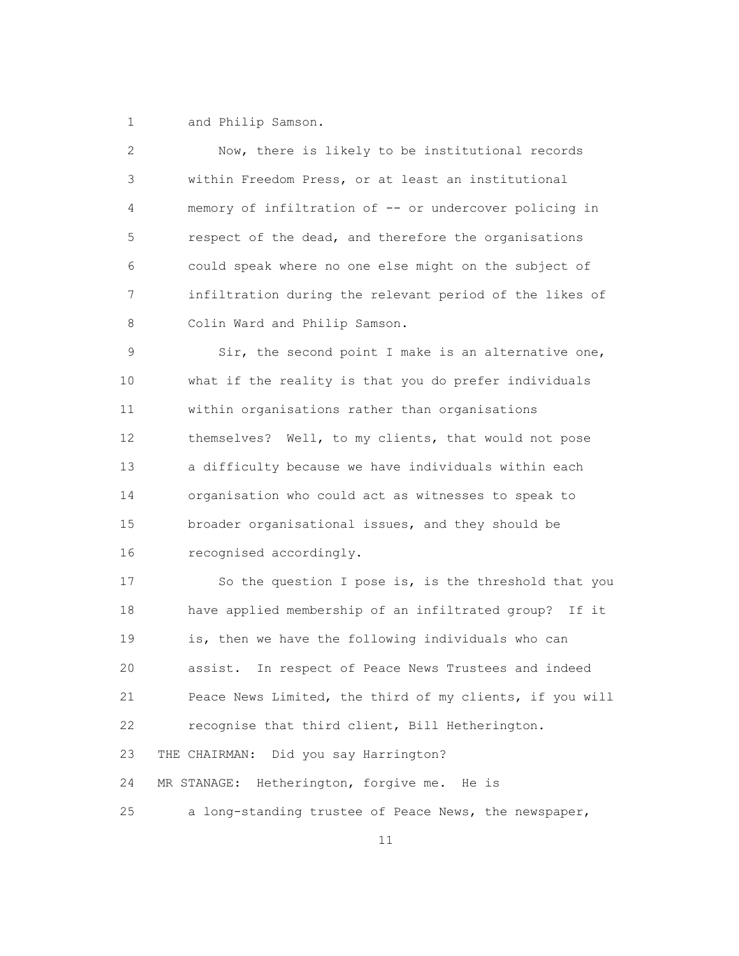1 and Philip Samson.

 2 Now, there is likely to be institutional records 3 within Freedom Press, or at least an institutional 4 memory of infiltration of -- or undercover policing in 5 respect of the dead, and therefore the organisations 6 could speak where no one else might on the subject of 7 infiltration during the relevant period of the likes of 8 Colin Ward and Philip Samson.

 9 Sir, the second point I make is an alternative one, 10 what if the reality is that you do prefer individuals 11 within organisations rather than organisations 12 themselves? Well, to my clients, that would not pose 13 a difficulty because we have individuals within each 14 organisation who could act as witnesses to speak to 15 broader organisational issues, and they should be 16 recognised accordingly.

 17 So the question I pose is, is the threshold that you 18 have applied membership of an infiltrated group? If it 19 is, then we have the following individuals who can 20 assist. In respect of Peace News Trustees and indeed 21 Peace News Limited, the third of my clients, if you will 22 recognise that third client, Bill Hetherington. 23 THE CHAIRMAN: Did you say Harrington? 24 MR STANAGE: Hetherington, forgive me. He is 25 a long-standing trustee of Peace News, the newspaper,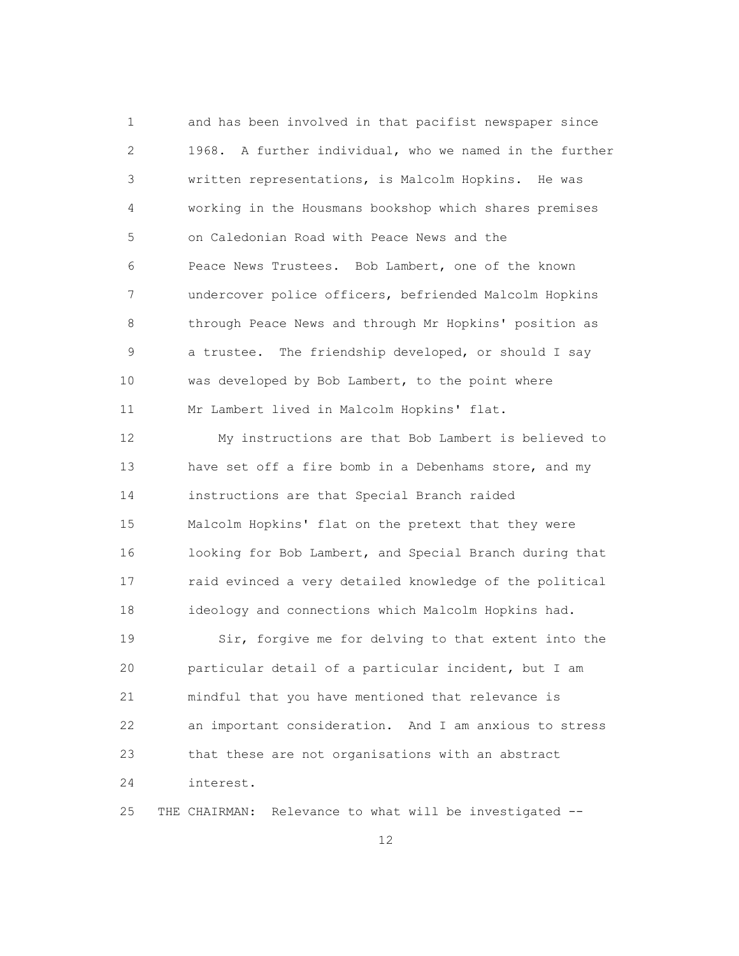1 and has been involved in that pacifist newspaper since 2 1968. A further individual, who we named in the further 3 written representations, is Malcolm Hopkins. He was 4 working in the Housmans bookshop which shares premises 5 on Caledonian Road with Peace News and the 6 Peace News Trustees. Bob Lambert, one of the known 7 undercover police officers, befriended Malcolm Hopkins 8 through Peace News and through Mr Hopkins' position as 9 a trustee. The friendship developed, or should I say 10 was developed by Bob Lambert, to the point where 11 Mr Lambert lived in Malcolm Hopkins' flat.

 12 My instructions are that Bob Lambert is believed to 13 have set off a fire bomb in a Debenhams store, and my 14 instructions are that Special Branch raided 15 Malcolm Hopkins' flat on the pretext that they were 16 looking for Bob Lambert, and Special Branch during that 17 raid evinced a very detailed knowledge of the political 18 ideology and connections which Malcolm Hopkins had.

 19 Sir, forgive me for delving to that extent into the 20 particular detail of a particular incident, but I am 21 mindful that you have mentioned that relevance is 22 an important consideration. And I am anxious to stress 23 that these are not organisations with an abstract 24 interest.

25 THE CHAIRMAN: Relevance to what will be investigated --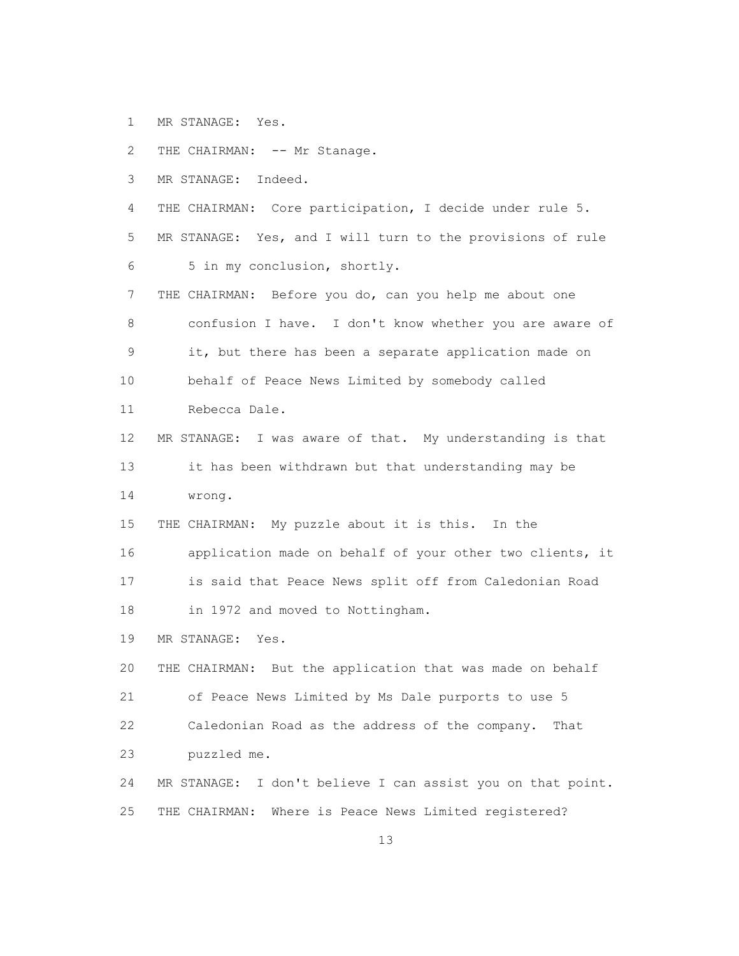- 1 MR STANAGE: Yes.
- 2 THE CHAIRMAN: -- Mr Stanage.
- 3 MR STANAGE: Indeed.
- 4 THE CHAIRMAN: Core participation, I decide under rule 5.
- 5 MR STANAGE: Yes, and I will turn to the provisions of rule 6 5 in my conclusion, shortly.
- 7 THE CHAIRMAN: Before you do, can you help me about one 8 confusion I have. I don't know whether you are aware of 9 it, but there has been a separate application made on 10 behalf of Peace News Limited by somebody called 11 Rebecca Dale.
- 12 MR STANAGE: I was aware of that. My understanding is that 13 it has been withdrawn but that understanding may be 14 wrong.
- 15 THE CHAIRMAN: My puzzle about it is this. In the
- 16 application made on behalf of your other two clients, it 17 is said that Peace News split off from Caledonian Road
- 18 in 1972 and moved to Nottingham.
- 19 MR STANAGE: Yes.

 20 THE CHAIRMAN: But the application that was made on behalf 21 of Peace News Limited by Ms Dale purports to use 5 22 Caledonian Road as the address of the company. That 23 puzzled me.

 24 MR STANAGE: I don't believe I can assist you on that point. 25 THE CHAIRMAN: Where is Peace News Limited registered?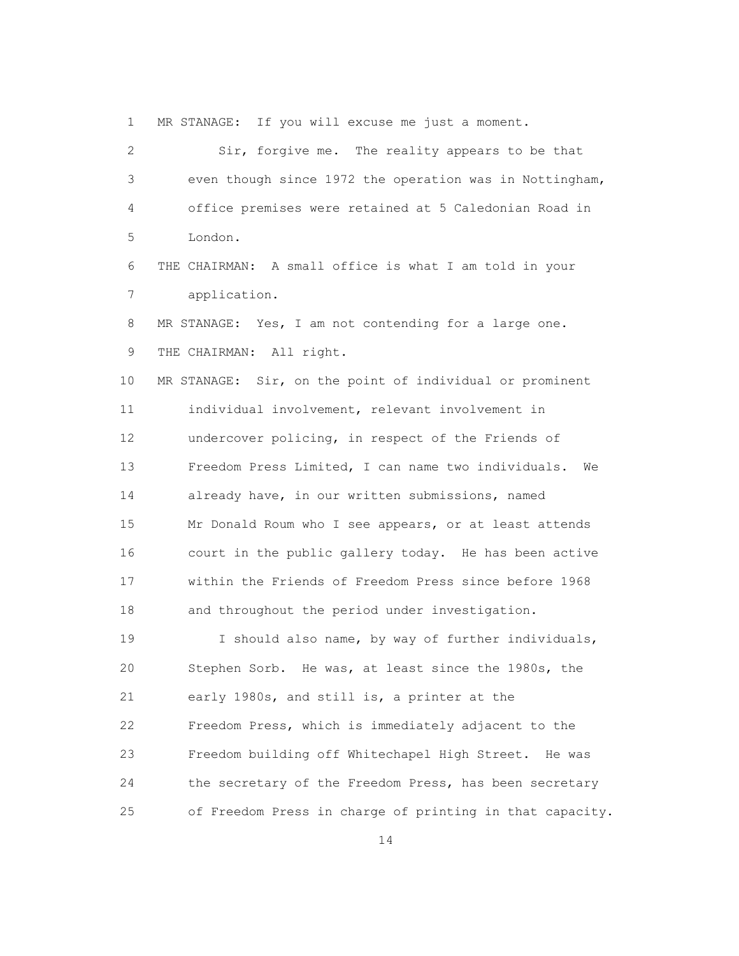1 MR STANAGE: If you will excuse me just a moment.

| $\sqrt{2}$  | Sir, forgive me. The reality appears to be that          |
|-------------|----------------------------------------------------------|
| 3           | even though since 1972 the operation was in Nottingham,  |
| 4           | office premises were retained at 5 Caledonian Road in    |
| 5           | London.                                                  |
| 6           | THE CHAIRMAN: A small office is what I am told in your   |
| 7           | application.                                             |
| 8           | MR STANAGE: Yes, I am not contending for a large one.    |
| $\mathsf 9$ | THE CHAIRMAN: All right.                                 |
| 10          | MR STANAGE: Sir, on the point of individual or prominent |
| 11          | individual involvement, relevant involvement in          |
| 12          | undercover policing, in respect of the Friends of        |
| 13          | Freedom Press Limited, I can name two individuals.<br>We |
| 14          | already have, in our written submissions, named          |
| 15          | Mr Donald Roum who I see appears, or at least attends    |
| 16          | court in the public gallery today. He has been active    |
| 17          | within the Friends of Freedom Press since before 1968    |
| 18          | and throughout the period under investigation.           |
| 19          | I should also name, by way of further individuals,       |
| 20          | Stephen Sorb. He was, at least since the 1980s, the      |
| 21          | early 1980s, and still is, a printer at the              |
| 22          | Freedom Press, which is immediately adjacent to the      |
| 23          | Freedom building off Whitechapel High Street.<br>He was  |
| 24          | the secretary of the Freedom Press, has been secretary   |
| 25          | of Freedom Press in charge of printing in that capacity. |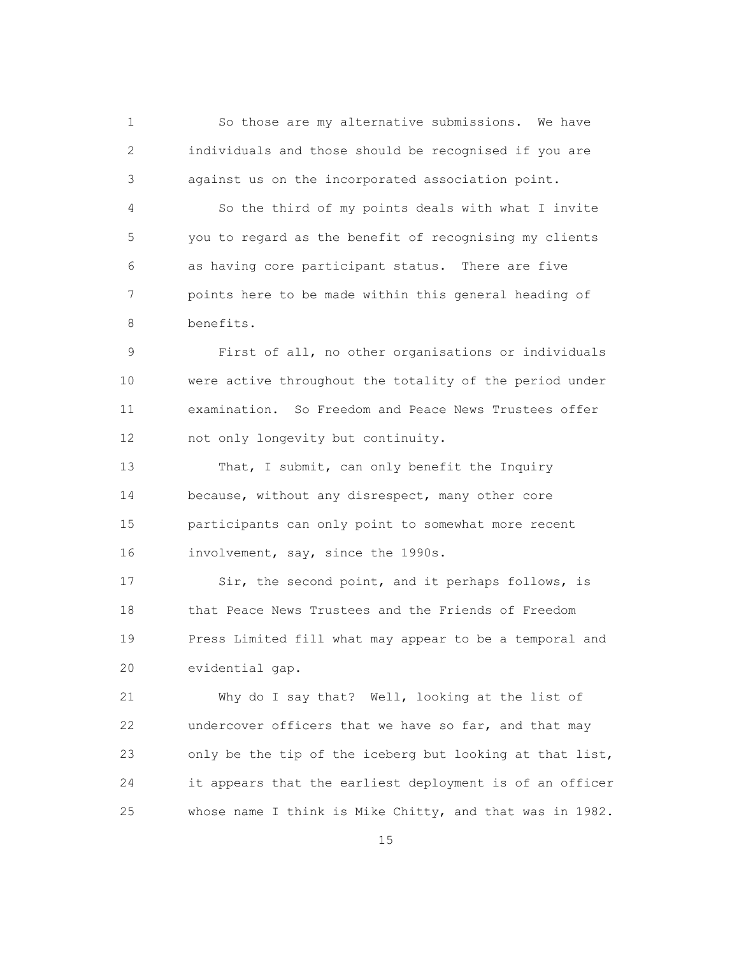1 So those are my alternative submissions. We have 2 individuals and those should be recognised if you are 3 against us on the incorporated association point.

 4 So the third of my points deals with what I invite 5 you to regard as the benefit of recognising my clients 6 as having core participant status. There are five 7 points here to be made within this general heading of 8 benefits.

 9 First of all, no other organisations or individuals 10 were active throughout the totality of the period under 11 examination. So Freedom and Peace News Trustees offer 12 not only longevity but continuity.

13 That, I submit, can only benefit the Inquiry 14 because, without any disrespect, many other core 15 participants can only point to somewhat more recent 16 involvement, say, since the 1990s.

 17 Sir, the second point, and it perhaps follows, is 18 that Peace News Trustees and the Friends of Freedom 19 Press Limited fill what may appear to be a temporal and 20 evidential gap.

 21 Why do I say that? Well, looking at the list of 22 undercover officers that we have so far, and that may 23 only be the tip of the iceberg but looking at that list, 24 it appears that the earliest deployment is of an officer 25 whose name I think is Mike Chitty, and that was in 1982.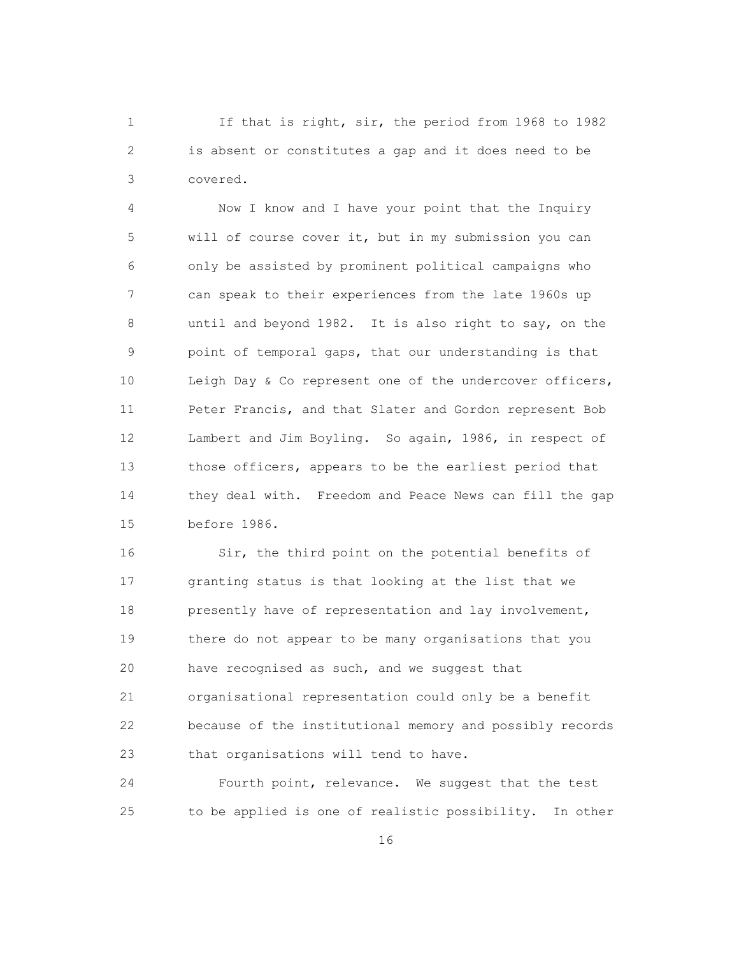1 If that is right, sir, the period from 1968 to 1982 2 is absent or constitutes a gap and it does need to be 3 covered.

 4 Now I know and I have your point that the Inquiry 5 will of course cover it, but in my submission you can 6 only be assisted by prominent political campaigns who 7 can speak to their experiences from the late 1960s up 8 until and beyond 1982. It is also right to say, on the 9 point of temporal gaps, that our understanding is that 10 Leigh Day & Co represent one of the undercover officers, 11 Peter Francis, and that Slater and Gordon represent Bob 12 Lambert and Jim Boyling. So again, 1986, in respect of 13 those officers, appears to be the earliest period that 14 they deal with. Freedom and Peace News can fill the gap 15 before 1986.

 16 Sir, the third point on the potential benefits of 17 granting status is that looking at the list that we 18 presently have of representation and lay involvement, 19 there do not appear to be many organisations that you 20 have recognised as such, and we suggest that 21 organisational representation could only be a benefit 22 because of the institutional memory and possibly records 23 that organisations will tend to have.

 24 Fourth point, relevance. We suggest that the test 25 to be applied is one of realistic possibility. In other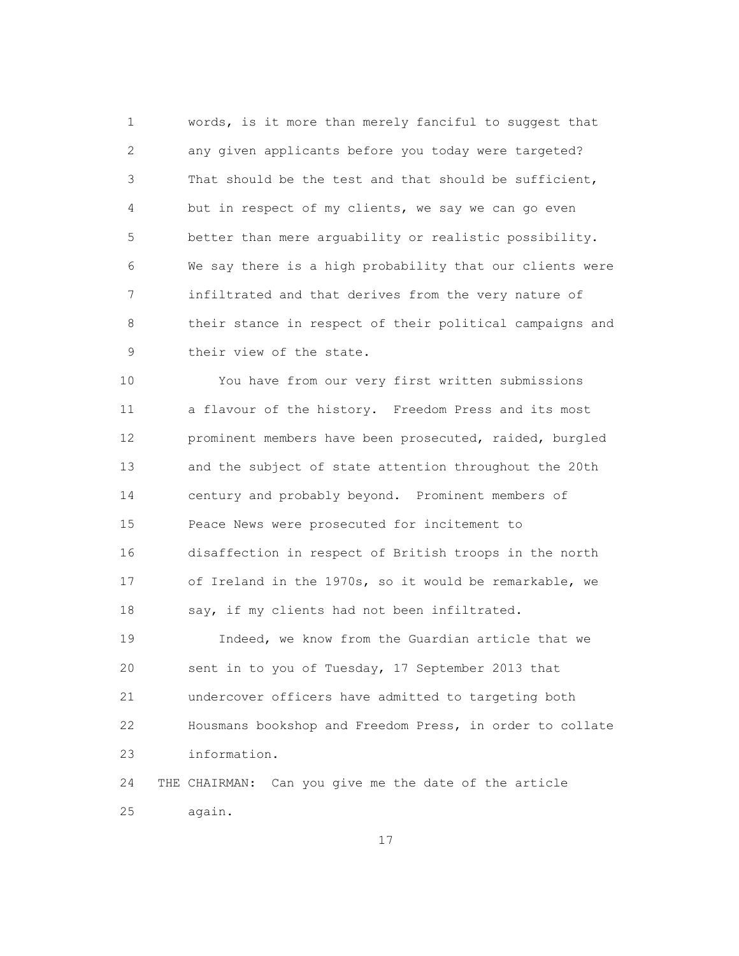1 words, is it more than merely fanciful to suggest that 2 any given applicants before you today were targeted? 3 That should be the test and that should be sufficient, 4 but in respect of my clients, we say we can go even 5 better than mere arguability or realistic possibility. 6 We say there is a high probability that our clients were 7 infiltrated and that derives from the very nature of 8 their stance in respect of their political campaigns and 9 their view of the state.

 10 You have from our very first written submissions 11 a flavour of the history. Freedom Press and its most 12 prominent members have been prosecuted, raided, burgled 13 and the subject of state attention throughout the 20th 14 century and probably beyond. Prominent members of 15 Peace News were prosecuted for incitement to 16 disaffection in respect of British troops in the north 17 of Ireland in the 1970s, so it would be remarkable, we 18 say, if my clients had not been infiltrated.

 19 Indeed, we know from the Guardian article that we 20 sent in to you of Tuesday, 17 September 2013 that 21 undercover officers have admitted to targeting both 22 Housmans bookshop and Freedom Press, in order to collate 23 information.

 24 THE CHAIRMAN: Can you give me the date of the article 25 again.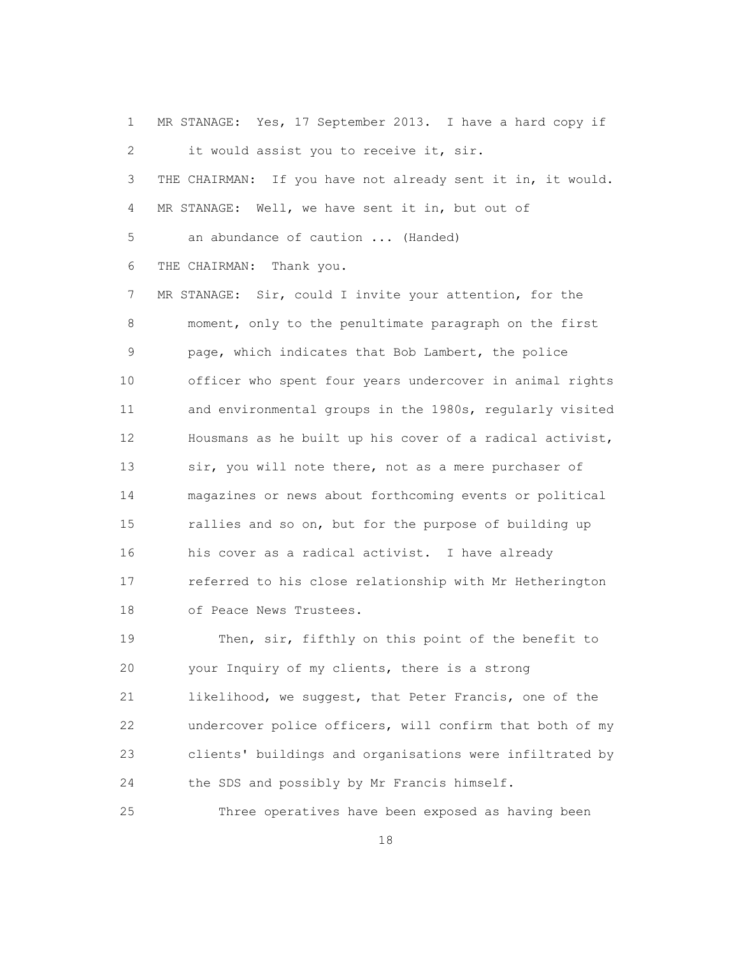1 MR STANAGE: Yes, 17 September 2013. I have a hard copy if 2 it would assist you to receive it, sir. 3 THE CHAIRMAN: If you have not already sent it in, it would. 4 MR STANAGE: Well, we have sent it in, but out of 5 an abundance of caution ... (Handed) 6 THE CHAIRMAN: Thank you. 7 MR STANAGE: Sir, could I invite your attention, for the 8 moment, only to the penultimate paragraph on the first 9 page, which indicates that Bob Lambert, the police 10 officer who spent four years undercover in animal rights 11 and environmental groups in the 1980s, regularly visited 12 Housmans as he built up his cover of a radical activist, 13 sir, you will note there, not as a mere purchaser of 14 magazines or news about forthcoming events or political 15 rallies and so on, but for the purpose of building up 16 his cover as a radical activist. I have already 17 referred to his close relationship with Mr Hetherington 18 of Peace News Trustees. 19 Then, sir, fifthly on this point of the benefit to

 20 your Inquiry of my clients, there is a strong 21 likelihood, we suggest, that Peter Francis, one of the 22 undercover police officers, will confirm that both of my 23 clients' buildings and organisations were infiltrated by 24 the SDS and possibly by Mr Francis himself.

25 Three operatives have been exposed as having been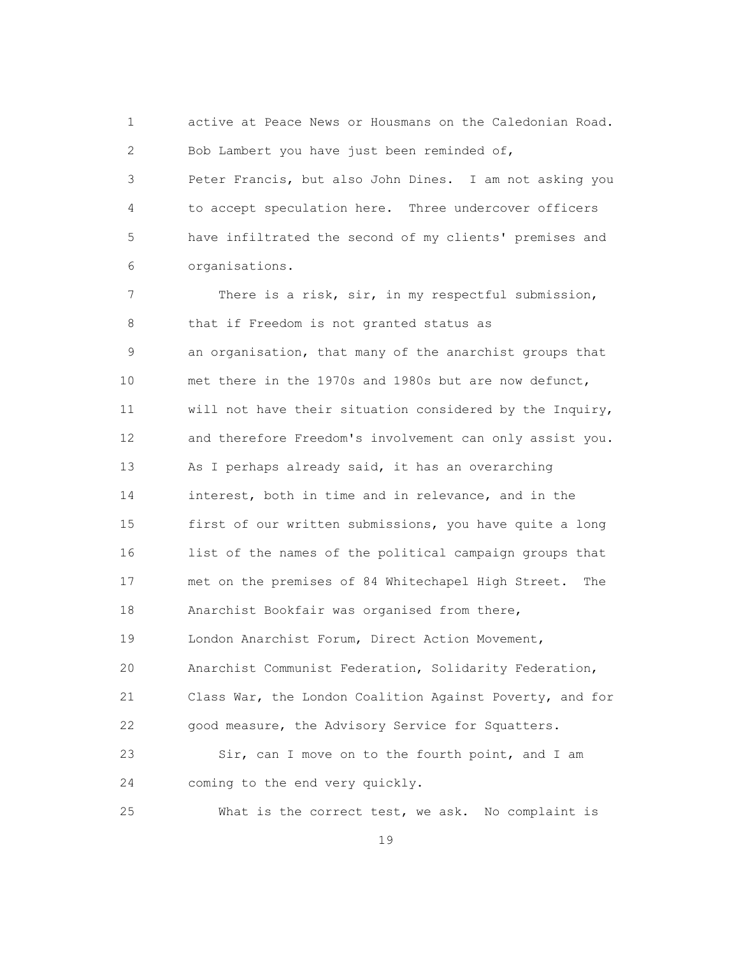1 active at Peace News or Housmans on the Caledonian Road. 2 Bob Lambert you have just been reminded of, 3 Peter Francis, but also John Dines. I am not asking you 4 to accept speculation here. Three undercover officers 5 have infiltrated the second of my clients' premises and 6 organisations.

 7 There is a risk, sir, in my respectful submission, 8 that if Freedom is not granted status as 9 an organisation, that many of the anarchist groups that 10 met there in the 1970s and 1980s but are now defunct, 11 will not have their situation considered by the Inquiry, 12 and therefore Freedom's involvement can only assist you. 13 As I perhaps already said, it has an overarching 14 interest, both in time and in relevance, and in the 15 first of our written submissions, you have quite a long 16 list of the names of the political campaign groups that 17 met on the premises of 84 Whitechapel High Street. The 18 Anarchist Bookfair was organised from there, 19 London Anarchist Forum, Direct Action Movement, 20 Anarchist Communist Federation, Solidarity Federation, 21 Class War, the London Coalition Against Poverty, and for 22 good measure, the Advisory Service for Squatters. 23 Sir, can I move on to the fourth point, and I am 24 coming to the end very quickly.

25 What is the correct test, we ask. No complaint is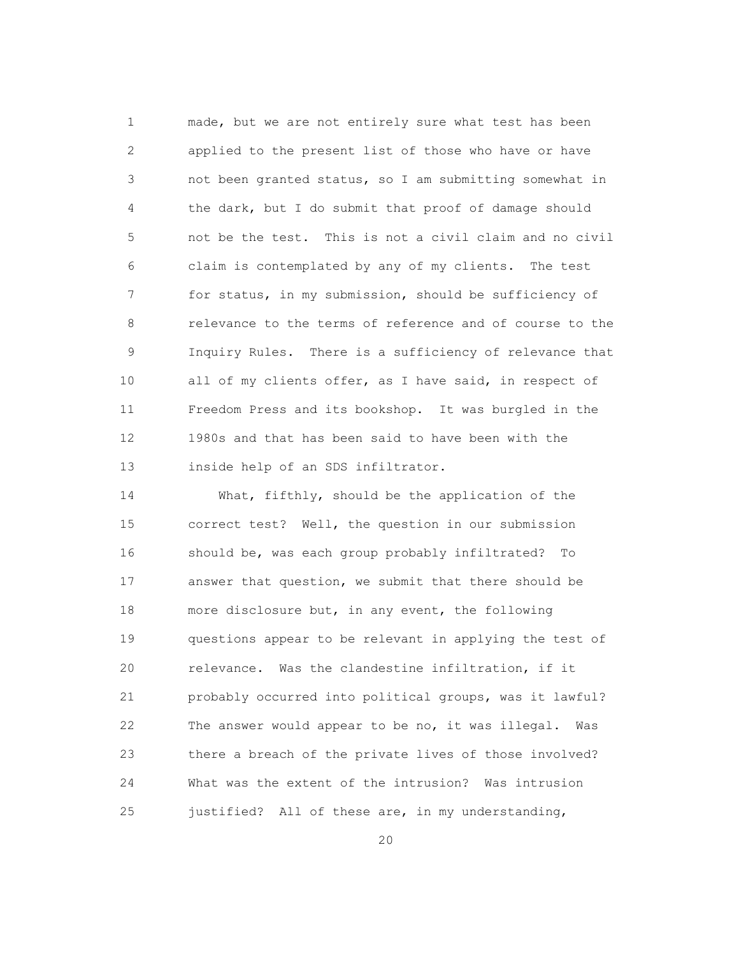1 made, but we are not entirely sure what test has been 2 applied to the present list of those who have or have 3 not been granted status, so I am submitting somewhat in 4 the dark, but I do submit that proof of damage should 5 not be the test. This is not a civil claim and no civil 6 claim is contemplated by any of my clients. The test 7 for status, in my submission, should be sufficiency of 8 relevance to the terms of reference and of course to the 9 Inquiry Rules. There is a sufficiency of relevance that 10 all of my clients offer, as I have said, in respect of 11 Freedom Press and its bookshop. It was burgled in the 12 1980s and that has been said to have been with the 13 inside help of an SDS infiltrator.

 14 What, fifthly, should be the application of the 15 correct test? Well, the question in our submission 16 should be, was each group probably infiltrated? To 17 answer that question, we submit that there should be 18 more disclosure but, in any event, the following 19 questions appear to be relevant in applying the test of 20 relevance. Was the clandestine infiltration, if it 21 probably occurred into political groups, was it lawful? 22 The answer would appear to be no, it was illegal. Was 23 there a breach of the private lives of those involved? 24 What was the extent of the intrusion? Was intrusion 25 justified? All of these are, in my understanding,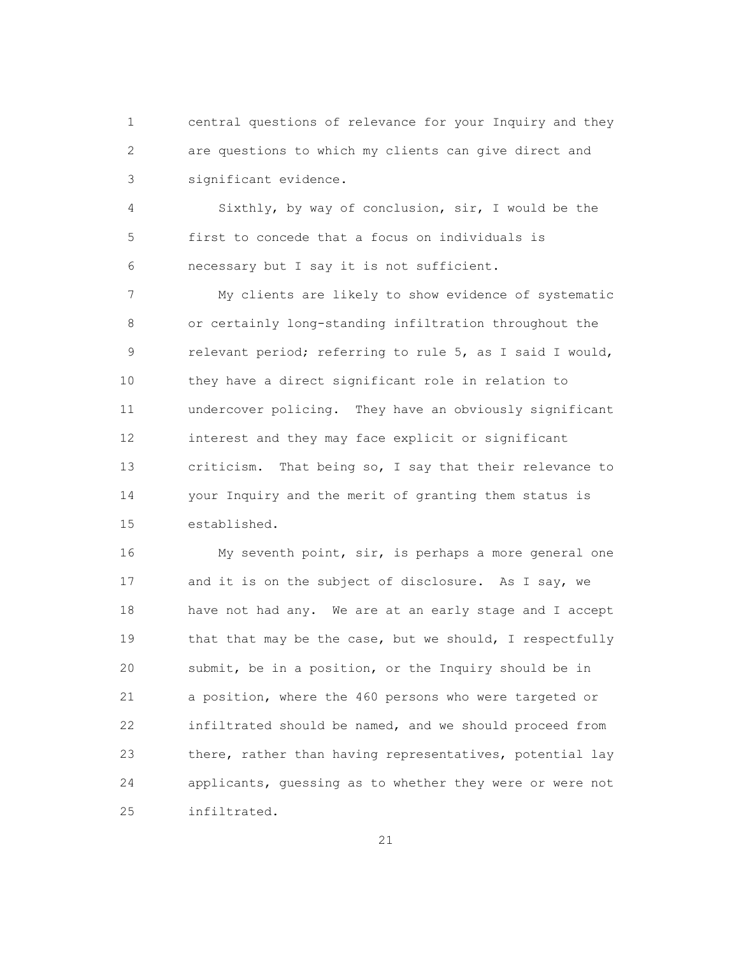1 central questions of relevance for your Inquiry and they 2 are questions to which my clients can give direct and 3 significant evidence.

 4 Sixthly, by way of conclusion, sir, I would be the 5 first to concede that a focus on individuals is 6 necessary but I say it is not sufficient.

 7 My clients are likely to show evidence of systematic 8 or certainly long-standing infiltration throughout the 9 relevant period; referring to rule 5, as I said I would, 10 they have a direct significant role in relation to 11 undercover policing. They have an obviously significant 12 interest and they may face explicit or significant 13 criticism. That being so, I say that their relevance to 14 your Inquiry and the merit of granting them status is 15 established.

 16 My seventh point, sir, is perhaps a more general one 17 and it is on the subject of disclosure. As I say, we 18 have not had any. We are at an early stage and I accept 19 that that may be the case, but we should, I respectfully 20 submit, be in a position, or the Inquiry should be in 21 a position, where the 460 persons who were targeted or 22 infiltrated should be named, and we should proceed from 23 there, rather than having representatives, potential lay 24 applicants, guessing as to whether they were or were not 25 infiltrated.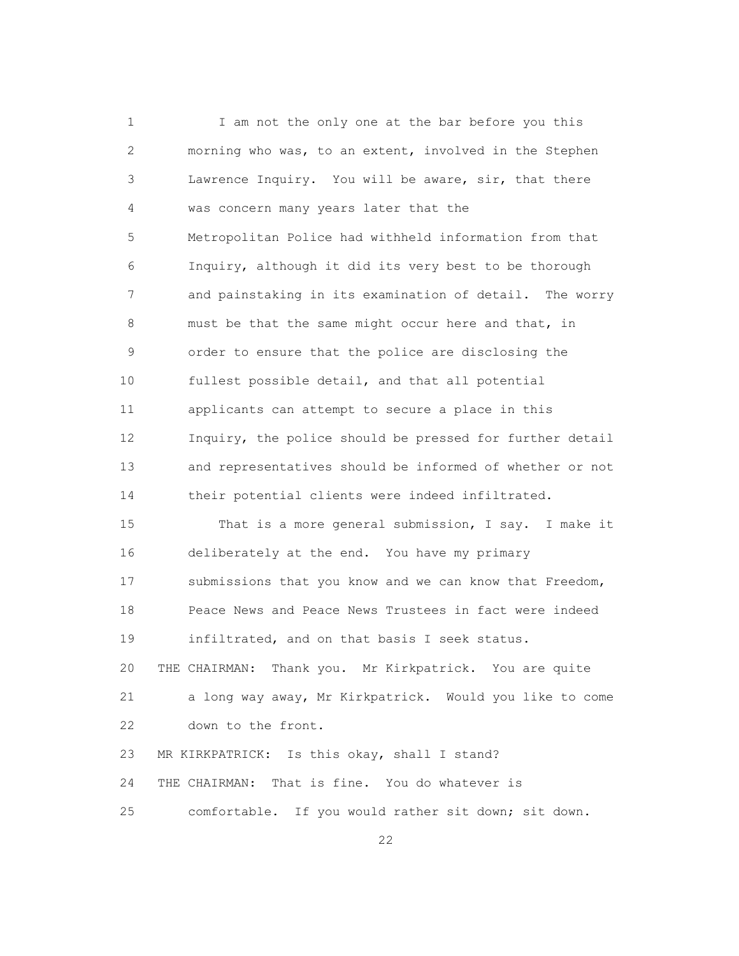1 I am not the only one at the bar before you this 2 morning who was, to an extent, involved in the Stephen 3 Lawrence Inquiry. You will be aware, sir, that there 4 was concern many years later that the 5 Metropolitan Police had withheld information from that 6 Inquiry, although it did its very best to be thorough 7 and painstaking in its examination of detail. The worry 8 must be that the same might occur here and that, in 9 order to ensure that the police are disclosing the 10 fullest possible detail, and that all potential 11 applicants can attempt to secure a place in this 12 Inquiry, the police should be pressed for further detail 13 and representatives should be informed of whether or not 14 their potential clients were indeed infiltrated.

 15 That is a more general submission, I say. I make it 16 deliberately at the end. You have my primary 17 submissions that you know and we can know that Freedom, 18 Peace News and Peace News Trustees in fact were indeed 19 infiltrated, and on that basis I seek status. 20 THE CHAIRMAN: Thank you. Mr Kirkpatrick. You are quite 21 a long way away, Mr Kirkpatrick. Would you like to come 22 down to the front. 23 MR KIRKPATRICK: Is this okay, shall I stand? 24 THE CHAIRMAN: That is fine. You do whatever is

22

25 comfortable. If you would rather sit down; sit down.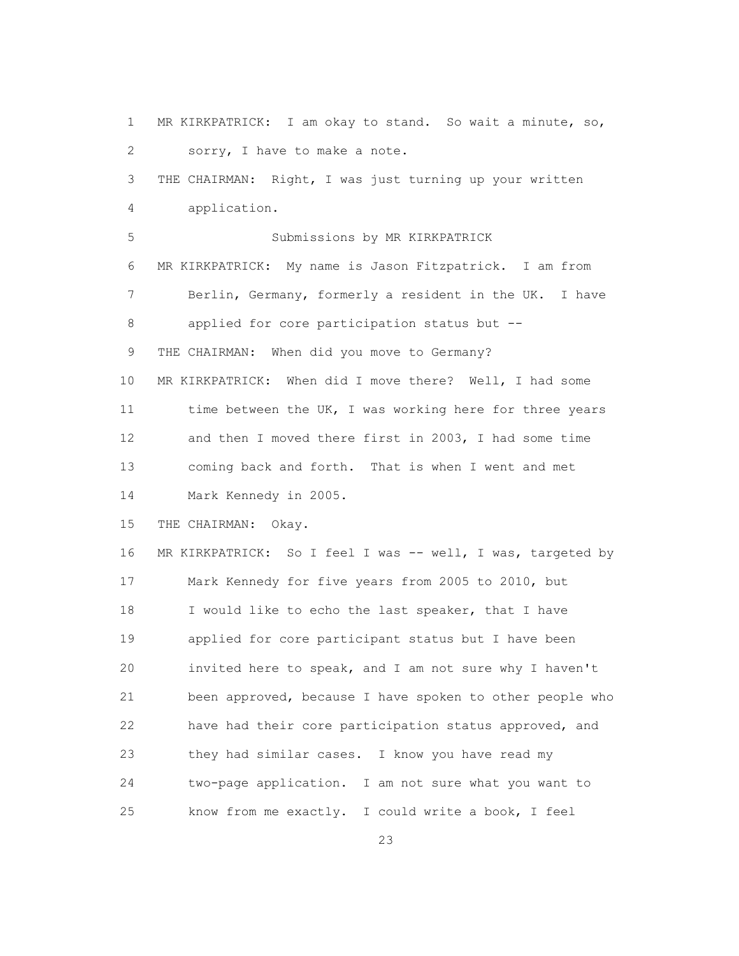1 MR KIRKPATRICK: I am okay to stand. So wait a minute, so, 2 sorry, I have to make a note. 3 THE CHAIRMAN: Right, I was just turning up your written 4 application. 5 Submissions by MR KIRKPATRICK 6 MR KIRKPATRICK: My name is Jason Fitzpatrick. I am from 7 Berlin, Germany, formerly a resident in the UK. I have 8 applied for core participation status but -- 9 THE CHAIRMAN: When did you move to Germany? 10 MR KIRKPATRICK: When did I move there? Well, I had some 11 time between the UK, I was working here for three years 12 and then I moved there first in 2003, I had some time 13 coming back and forth. That is when I went and met 14 Mark Kennedy in 2005. 15 THE CHAIRMAN: Okay. 16 MR KIRKPATRICK: So I feel I was -- well, I was, targeted by 17 Mark Kennedy for five years from 2005 to 2010, but 18 I would like to echo the last speaker, that I have 19 applied for core participant status but I have been 20 invited here to speak, and I am not sure why I haven't 21 been approved, because I have spoken to other people who 22 have had their core participation status approved, and 23 they had similar cases. I know you have read my 24 two-page application. I am not sure what you want to 25 know from me exactly. I could write a book, I feel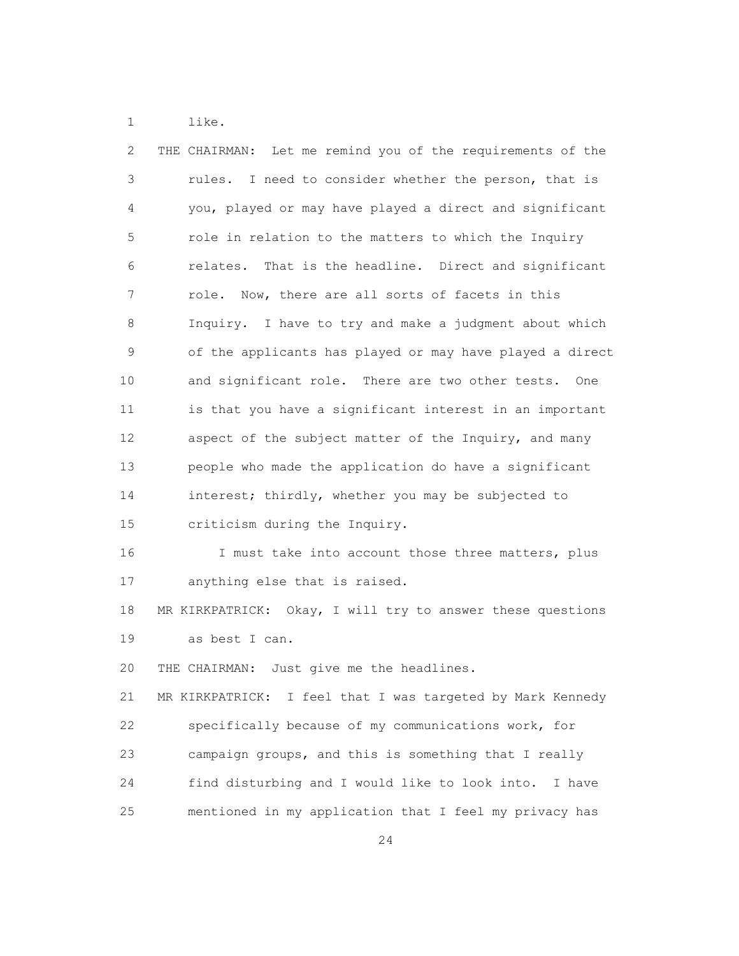1 like.

| 2             | THE CHAIRMAN: Let me remind you of the requirements of the     |
|---------------|----------------------------------------------------------------|
| 3             | rules.<br>I need to consider whether the person, that is       |
| 4             | you, played or may have played a direct and significant        |
| 5             | role in relation to the matters to which the Inquiry           |
| 6             | That is the headline. Direct and significant<br>relates.       |
| 7             | Now, there are all sorts of facets in this<br>role.            |
| 8             | Inquiry. I have to try and make a judgment about which         |
| $\mathcal{G}$ | of the applicants has played or may have played a direct       |
| 10            | and significant role. There are two other tests.<br><b>One</b> |
| 11            | is that you have a significant interest in an important        |
| 12            | aspect of the subject matter of the Inquiry, and many          |
| 13            | people who made the application do have a significant          |
| 14            | interest; thirdly, whether you may be subjected to             |
| 15            | criticism during the Inquiry.                                  |
| 16            | I must take into account those three matters, plus             |
| 17            | anything else that is raised.                                  |
| 18            | MR KIRKPATRICK: Okay, I will try to answer these questions     |
| 19            | as best I can.                                                 |
| 20            | THE CHAIRMAN: Just give me the headlines.                      |
| 21            | MR KIRKPATRICK: I feel that I was targeted by Mark Kennedy     |
| 22            | specifically because of my communications work, for            |
| 23            | campaign groups, and this is something that I really           |
| 24            | find disturbing and I would like to look into.<br>I have       |
| 25            | mentioned in my application that I feel my privacy has         |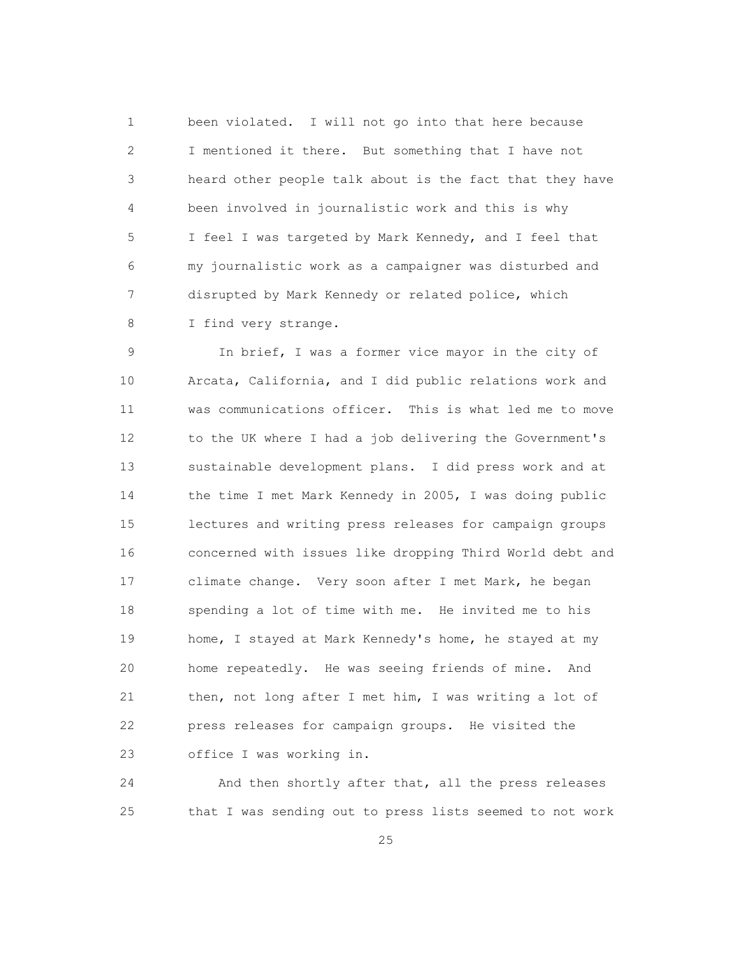1 been violated. I will not go into that here because 2 I mentioned it there. But something that I have not 3 heard other people talk about is the fact that they have 4 been involved in journalistic work and this is why 5 I feel I was targeted by Mark Kennedy, and I feel that 6 my journalistic work as a campaigner was disturbed and 7 disrupted by Mark Kennedy or related police, which 8 I find very strange.

 9 In brief, I was a former vice mayor in the city of 10 Arcata, California, and I did public relations work and 11 was communications officer. This is what led me to move 12 to the UK where I had a job delivering the Government's 13 sustainable development plans. I did press work and at 14 the time I met Mark Kennedy in 2005, I was doing public 15 lectures and writing press releases for campaign groups 16 concerned with issues like dropping Third World debt and 17 climate change. Very soon after I met Mark, he began 18 spending a lot of time with me. He invited me to his 19 home, I stayed at Mark Kennedy's home, he stayed at my 20 home repeatedly. He was seeing friends of mine. And 21 then, not long after I met him, I was writing a lot of 22 press releases for campaign groups. He visited the 23 office I was working in.

 24 And then shortly after that, all the press releases 25 that I was sending out to press lists seemed to not work

<u>25</u>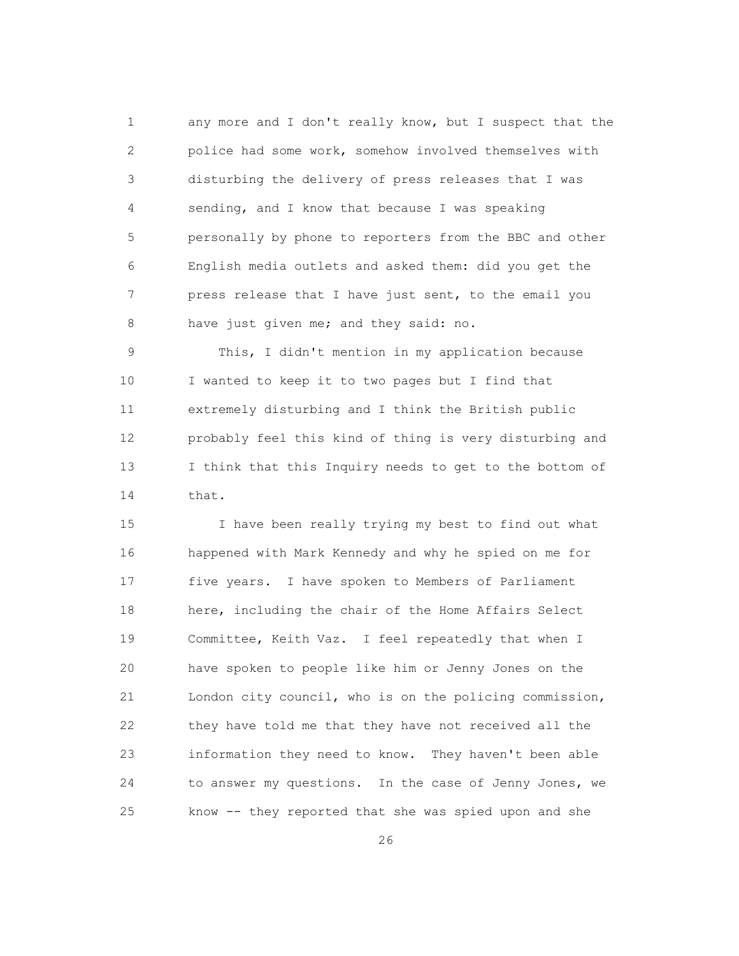1 any more and I don't really know, but I suspect that the 2 police had some work, somehow involved themselves with 3 disturbing the delivery of press releases that I was 4 sending, and I know that because I was speaking 5 personally by phone to reporters from the BBC and other 6 English media outlets and asked them: did you get the 7 press release that I have just sent, to the email you 8 have just given me; and they said: no.

 9 This, I didn't mention in my application because 10 I wanted to keep it to two pages but I find that 11 extremely disturbing and I think the British public 12 probably feel this kind of thing is very disturbing and 13 I think that this Inquiry needs to get to the bottom of 14 that.

 15 I have been really trying my best to find out what 16 happened with Mark Kennedy and why he spied on me for 17 five years. I have spoken to Members of Parliament 18 here, including the chair of the Home Affairs Select 19 Committee, Keith Vaz. I feel repeatedly that when I 20 have spoken to people like him or Jenny Jones on the 21 London city council, who is on the policing commission, 22 they have told me that they have not received all the 23 information they need to know. They haven't been able 24 to answer my questions. In the case of Jenny Jones, we 25 know -- they reported that she was spied upon and she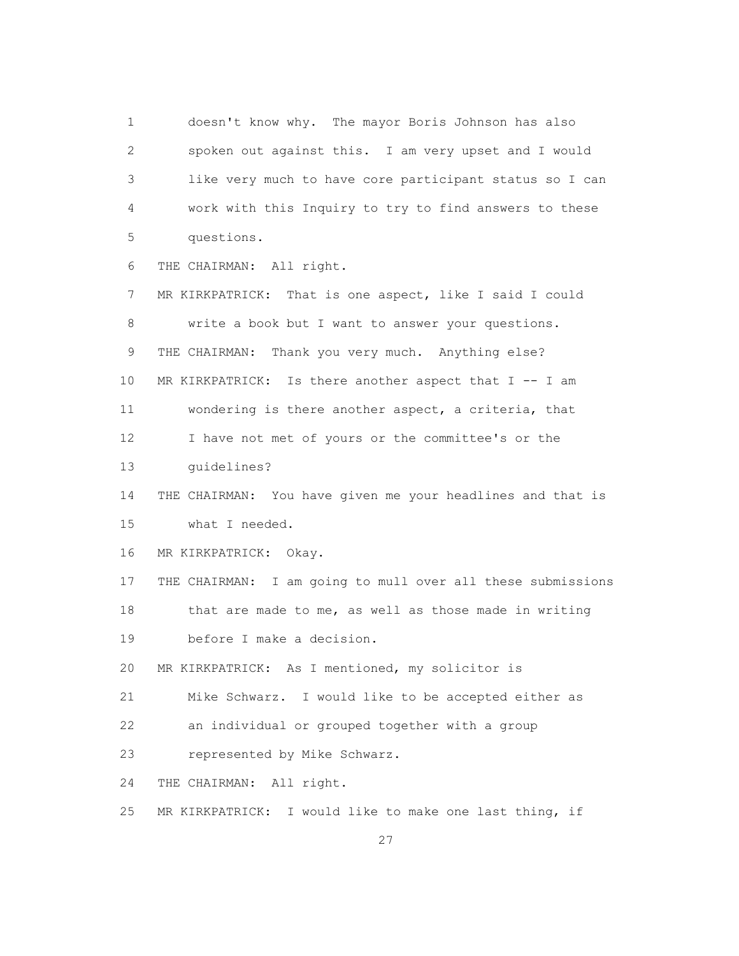1 doesn't know why. The mayor Boris Johnson has also 2 spoken out against this. I am very upset and I would 3 like very much to have core participant status so I can 4 work with this Inquiry to try to find answers to these 5 questions.

6 THE CHAIRMAN: All right.

 7 MR KIRKPATRICK: That is one aspect, like I said I could 8 write a book but I want to answer your questions. 9 THE CHAIRMAN: Thank you very much. Anything else? 10 MR KIRKPATRICK: Is there another aspect that I -- I am 11 wondering is there another aspect, a criteria, that 12 I have not met of yours or the committee's or the 13 guidelines? 14 THE CHAIRMAN: You have given me your headlines and that is 15 what I needed. 16 MR KIRKPATRICK: Okay. 17 THE CHAIRMAN: I am going to mull over all these submissions 18 that are made to me, as well as those made in writing 19 before I make a decision. 20 MR KIRKPATRICK: As I mentioned, my solicitor is 21 Mike Schwarz. I would like to be accepted either as 22 an individual or grouped together with a group 23 represented by Mike Schwarz. 24 THE CHAIRMAN: All right. 25 MR KIRKPATRICK: I would like to make one last thing, if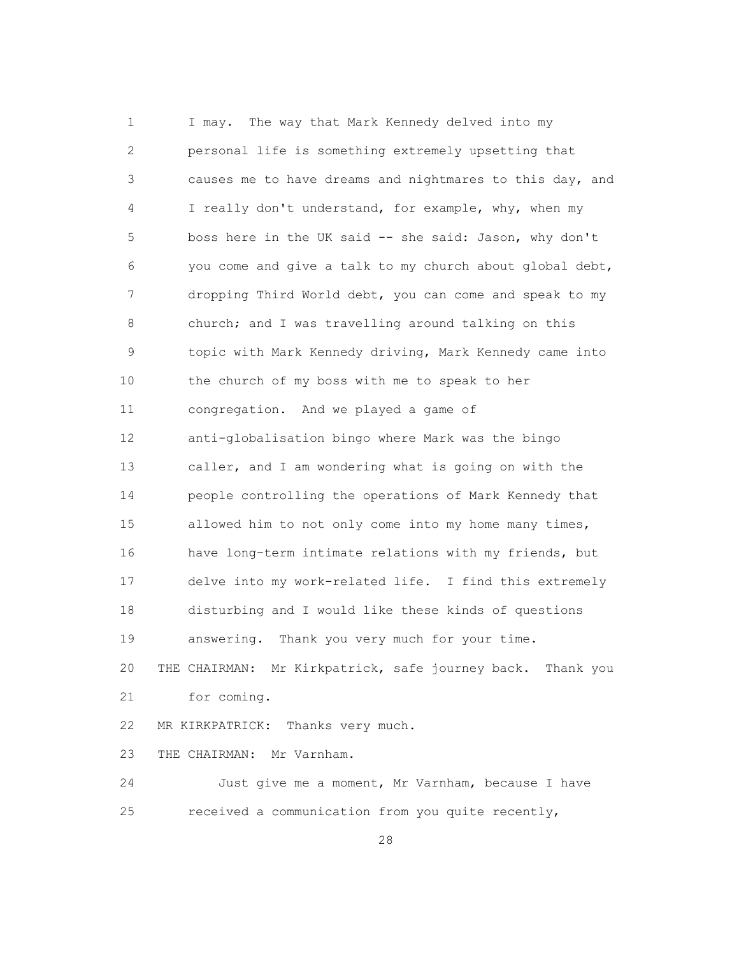1 I may. The way that Mark Kennedy delved into my 2 personal life is something extremely upsetting that 3 causes me to have dreams and nightmares to this day, and 4 I really don't understand, for example, why, when my 5 boss here in the UK said -- she said: Jason, why don't 6 you come and give a talk to my church about global debt, 7 dropping Third World debt, you can come and speak to my 8 church; and I was travelling around talking on this 9 topic with Mark Kennedy driving, Mark Kennedy came into 10 the church of my boss with me to speak to her 11 congregation. And we played a game of 12 anti-globalisation bingo where Mark was the bingo 13 caller, and I am wondering what is going on with the 14 people controlling the operations of Mark Kennedy that 15 allowed him to not only come into my home many times, 16 have long-term intimate relations with my friends, but 17 delve into my work-related life. I find this extremely 18 disturbing and I would like these kinds of questions 19 answering. Thank you very much for your time. 20 THE CHAIRMAN: Mr Kirkpatrick, safe journey back. Thank you 21 for coming. 22 MR KIRKPATRICK: Thanks very much. 23 THE CHAIRMAN: Mr Varnham. 24 Just give me a moment, Mr Varnham, because I have

25 received a communication from you quite recently,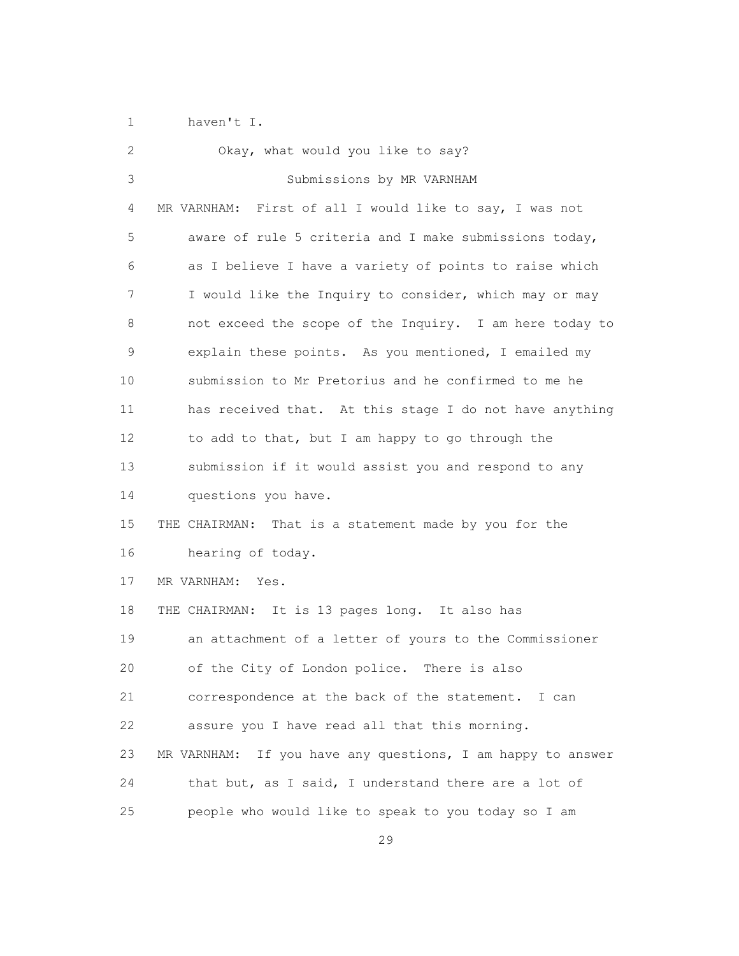1 haven't I.

| $\overline{2}$ | Okay, what would you like to say?                              |
|----------------|----------------------------------------------------------------|
| 3              | Submissions by MR VARNHAM                                      |
| 4              | MR VARNHAM: First of all I would like to say, I was not        |
| 5              | aware of rule 5 criteria and I make submissions today,         |
| 6              | as I believe I have a variety of points to raise which         |
| 7              | I would like the Inquiry to consider, which may or may         |
| 8              | not exceed the scope of the Inquiry. I am here today to        |
| 9              | explain these points. As you mentioned, I emailed my           |
| 10             | submission to Mr Pretorius and he confirmed to me he           |
| 11             | has received that. At this stage I do not have anything        |
| 12             | to add to that, but I am happy to go through the               |
| 13             | submission if it would assist you and respond to any           |
| 14             | questions you have.                                            |
| 15             | THE CHAIRMAN: That is a statement made by you for the          |
| 16             | hearing of today.                                              |
| 17             | MR VARNHAM:<br>Yes.                                            |
| 18             | THE CHAIRMAN: It is 13 pages long. It also has                 |
| 19             | an attachment of a letter of yours to the Commissioner         |
| 20             | of the City of London police. There is also                    |
| 21             | correspondence at the back of the statement. I can             |
| 22             | assure you I have read all that this morning.                  |
| 23             | If you have any questions, I am happy to answer<br>MR VARNHAM: |
| 24             | that but, as I said, I understand there are a lot of           |
| 25             | people who would like to speak to you today so I am            |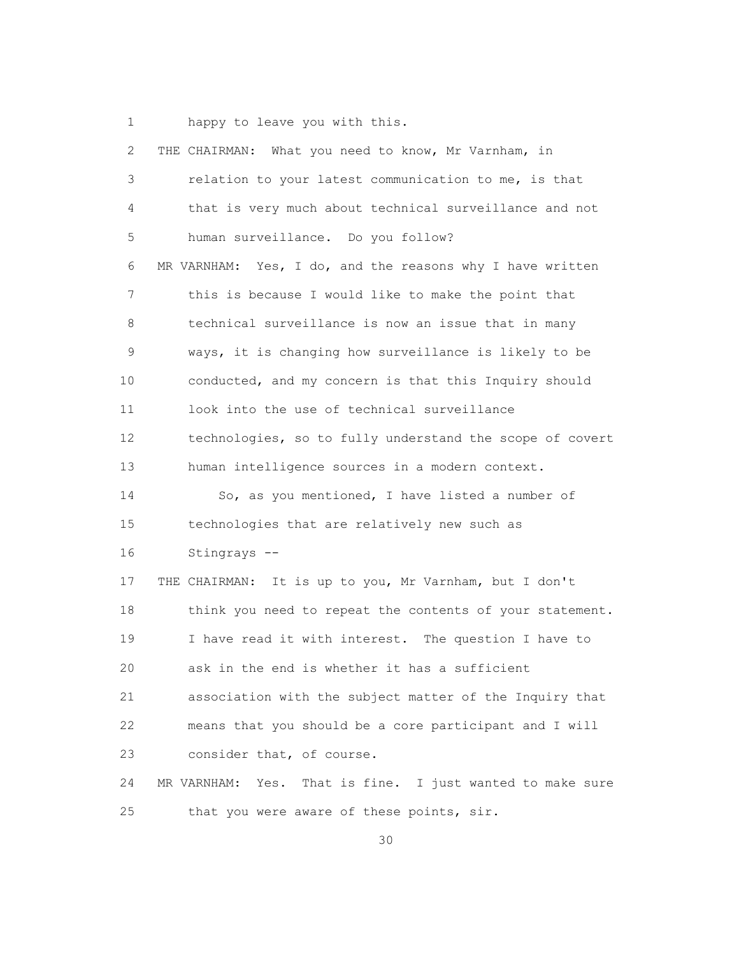1 happy to leave you with this.

| $\mathbf{2}$  | THE CHAIRMAN: What you need to know, Mr Varnham, in             |
|---------------|-----------------------------------------------------------------|
| 3             | relation to your latest communication to me, is that            |
| 4             | that is very much about technical surveillance and not          |
| 5             | human surveillance. Do you follow?                              |
| 6             | MR VARNHAM: Yes, I do, and the reasons why I have written       |
| 7             | this is because I would like to make the point that             |
| 8             | technical surveillance is now an issue that in many             |
| $\mathcal{G}$ | ways, it is changing how surveillance is likely to be           |
| 10            | conducted, and my concern is that this Inquiry should           |
| 11            | look into the use of technical surveillance                     |
| 12            | technologies, so to fully understand the scope of covert        |
| 13            | human intelligence sources in a modern context.                 |
| 14            | So, as you mentioned, I have listed a number of                 |
| 15            | technologies that are relatively new such as                    |
| 16            | Stingrays --                                                    |
| 17            | THE CHAIRMAN: It is up to you, Mr Varnham, but I don't          |
| 18            | think you need to repeat the contents of your statement.        |
| 19            | I have read it with interest. The question I have to            |
| 20            | ask in the end is whether it has a sufficient                   |
| 21            | association with the subject matter of the Inquiry that         |
| 22            | means that you should be a core participant and I will          |
| 23            | consider that, of course.                                       |
| 24            | That is fine. I just wanted to make sure<br>MR VARNHAM:<br>Yes. |
| 25            | that you were aware of these points, sir.                       |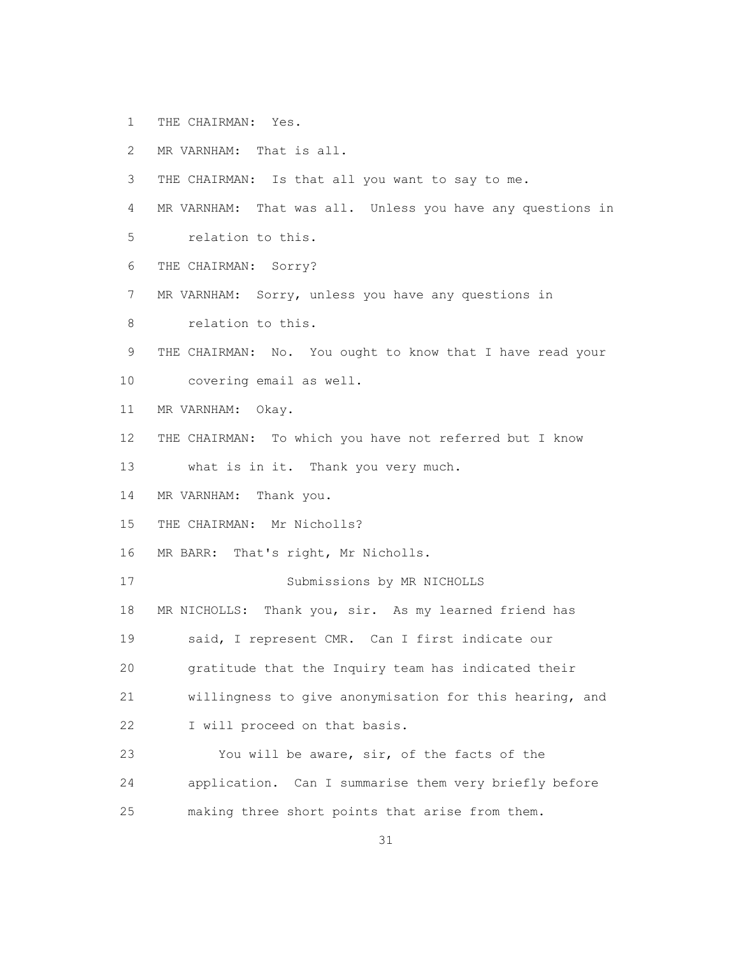- 1 THE CHAIRMAN: Yes.
- 2 MR VARNHAM: That is all.
- 3 THE CHAIRMAN: Is that all you want to say to me.
- 4 MR VARNHAM: That was all. Unless you have any questions in
- 5 relation to this.
- 6 THE CHAIRMAN: Sorry?
- 7 MR VARNHAM: Sorry, unless you have any questions in
- 8 relation to this.
- 9 THE CHAIRMAN: No. You ought to know that I have read your
- 10 covering email as well.
- 11 MR VARNHAM: Okay.
- 12 THE CHAIRMAN: To which you have not referred but I know
- 13 what is in it. Thank you very much.
- 14 MR VARNHAM: Thank you.
- 15 THE CHAIRMAN: Mr Nicholls?
- 16 MR BARR: That's right, Mr Nicholls.
- 17 Submissions by MR NICHOLLS
- 18 MR NICHOLLS: Thank you, sir. As my learned friend has
- 19 said, I represent CMR. Can I first indicate our
- 20 gratitude that the Inquiry team has indicated their
- 21 willingness to give anonymisation for this hearing, and
- 22 I will proceed on that basis.
- 23 You will be aware, sir, of the facts of the 24 application. Can I summarise them very briefly before 25 making three short points that arise from them.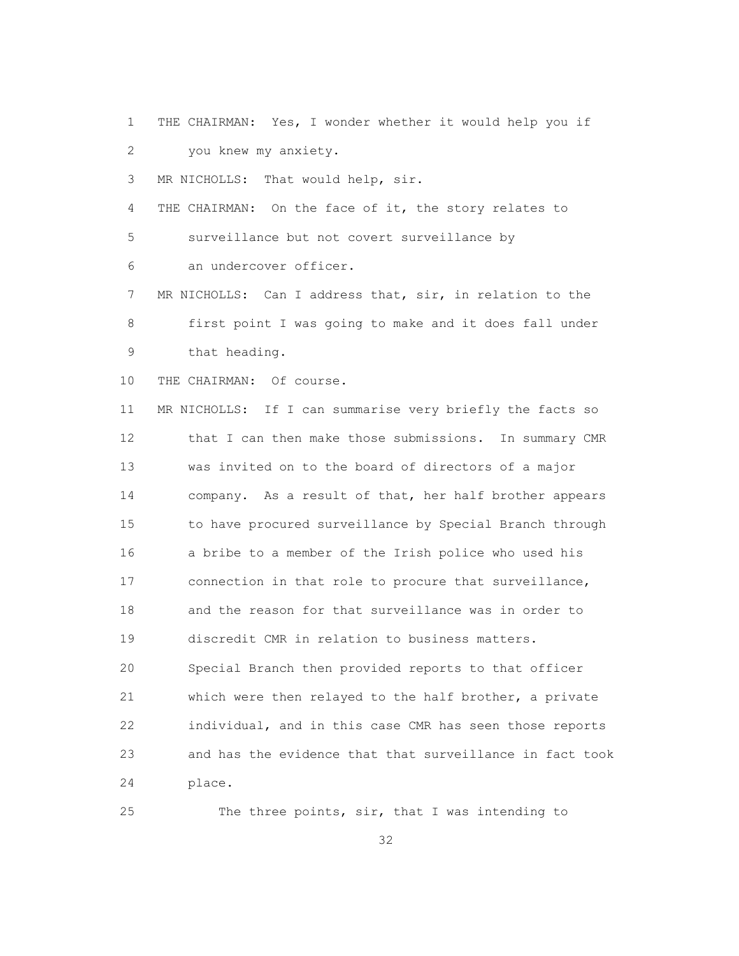1 THE CHAIRMAN: Yes, I wonder whether it would help you if 2 you knew my anxiety.

3 MR NICHOLLS: That would help, sir.

4 THE CHAIRMAN: On the face of it, the story relates to 5 surveillance but not covert surveillance by 6 an undercover officer.

 7 MR NICHOLLS: Can I address that, sir, in relation to the 8 first point I was going to make and it does fall under 9 that heading.

10 THE CHAIRMAN: Of course.

 11 MR NICHOLLS: If I can summarise very briefly the facts so 12 that I can then make those submissions. In summary CMR 13 was invited on to the board of directors of a major 14 company. As a result of that, her half brother appears 15 to have procured surveillance by Special Branch through 16 a bribe to a member of the Irish police who used his 17 connection in that role to procure that surveillance, 18 and the reason for that surveillance was in order to 19 discredit CMR in relation to business matters. 20 Special Branch then provided reports to that officer 21 which were then relayed to the half brother, a private 22 individual, and in this case CMR has seen those reports 23 and has the evidence that that surveillance in fact took 24 place.

25 The three points, sir, that I was intending to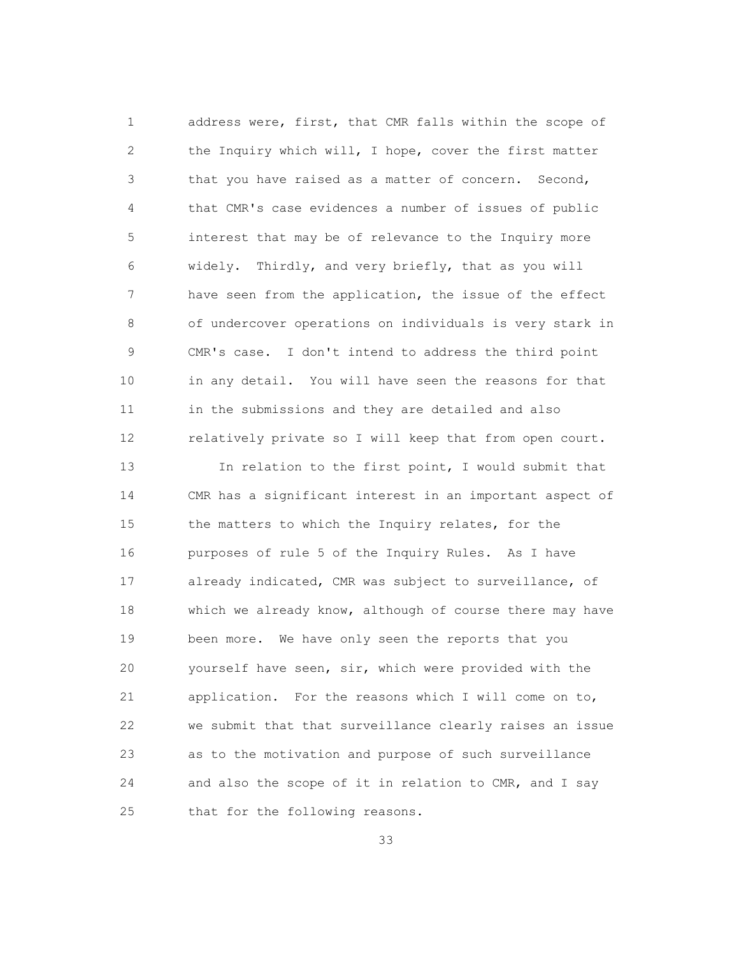1 address were, first, that CMR falls within the scope of 2 the Inquiry which will, I hope, cover the first matter 3 that you have raised as a matter of concern. Second, 4 that CMR's case evidences a number of issues of public 5 interest that may be of relevance to the Inquiry more 6 widely. Thirdly, and very briefly, that as you will 7 have seen from the application, the issue of the effect 8 of undercover operations on individuals is very stark in 9 CMR's case. I don't intend to address the third point 10 in any detail. You will have seen the reasons for that 11 in the submissions and they are detailed and also 12 relatively private so I will keep that from open court.

 13 In relation to the first point, I would submit that 14 CMR has a significant interest in an important aspect of 15 the matters to which the Inquiry relates, for the 16 purposes of rule 5 of the Inquiry Rules. As I have 17 already indicated, CMR was subject to surveillance, of 18 which we already know, although of course there may have 19 been more. We have only seen the reports that you 20 yourself have seen, sir, which were provided with the 21 application. For the reasons which I will come on to, 22 we submit that that surveillance clearly raises an issue 23 as to the motivation and purpose of such surveillance 24 and also the scope of it in relation to CMR, and I say 25 that for the following reasons.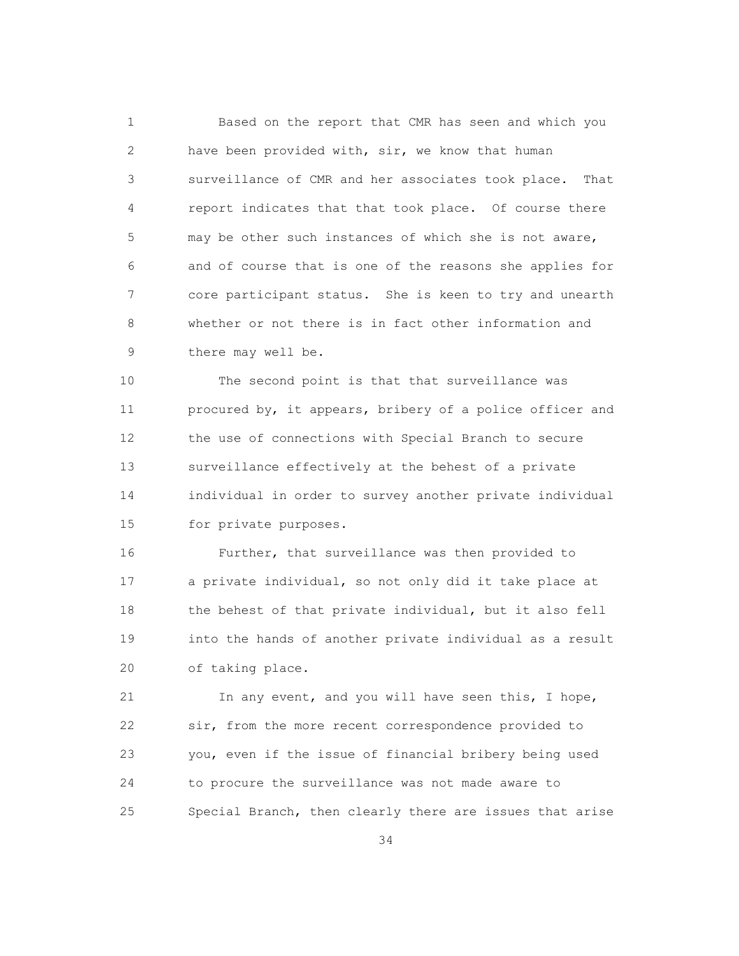1 Based on the report that CMR has seen and which you 2 have been provided with, sir, we know that human 3 surveillance of CMR and her associates took place. That 4 report indicates that that took place. Of course there 5 may be other such instances of which she is not aware, 6 and of course that is one of the reasons she applies for 7 core participant status. She is keen to try and unearth 8 whether or not there is in fact other information and 9 there may well be.

 10 The second point is that that surveillance was 11 procured by, it appears, bribery of a police officer and 12 the use of connections with Special Branch to secure 13 surveillance effectively at the behest of a private 14 individual in order to survey another private individual 15 for private purposes.

 16 Further, that surveillance was then provided to 17 a private individual, so not only did it take place at 18 the behest of that private individual, but it also fell 19 into the hands of another private individual as a result 20 of taking place.

 21 In any event, and you will have seen this, I hope, 22 sir, from the more recent correspondence provided to 23 you, even if the issue of financial bribery being used 24 to procure the surveillance was not made aware to 25 Special Branch, then clearly there are issues that arise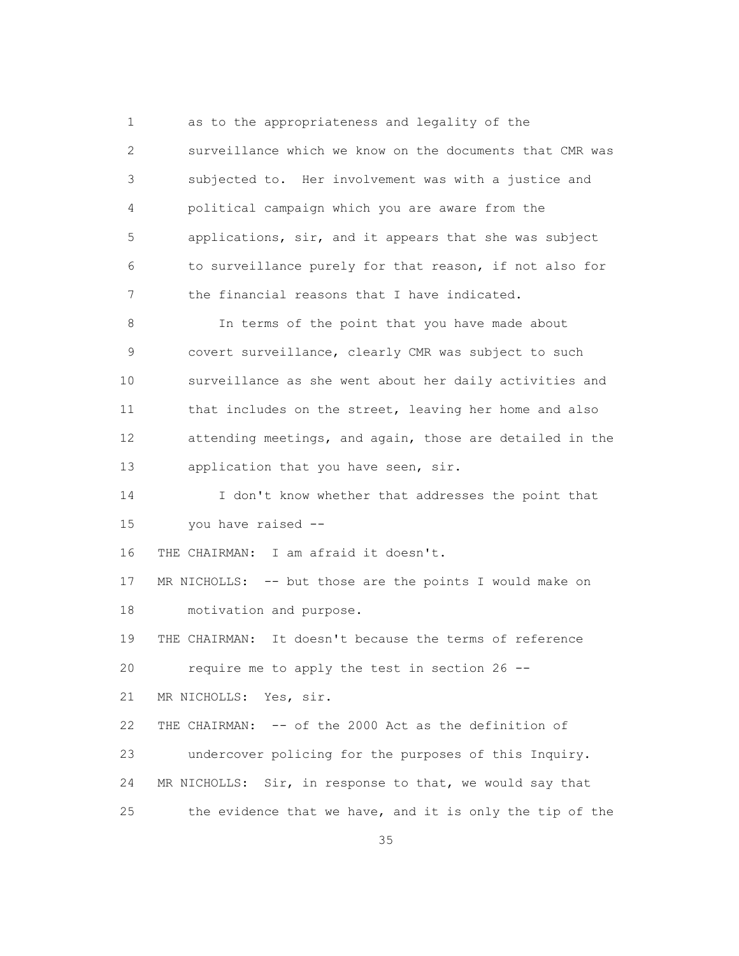1 as to the appropriateness and legality of the 2 surveillance which we know on the documents that CMR was 3 subjected to. Her involvement was with a justice and 4 political campaign which you are aware from the 5 applications, sir, and it appears that she was subject 6 to surveillance purely for that reason, if not also for 7 the financial reasons that I have indicated.

 8 In terms of the point that you have made about 9 covert surveillance, clearly CMR was subject to such 10 surveillance as she went about her daily activities and 11 that includes on the street, leaving her home and also 12 attending meetings, and again, those are detailed in the 13 application that you have seen, sir.

 14 I don't know whether that addresses the point that 15 you have raised --

16 THE CHAIRMAN: I am afraid it doesn't.

 17 MR NICHOLLS: -- but those are the points I would make on 18 motivation and purpose.

 19 THE CHAIRMAN: It doesn't because the terms of reference 20 require me to apply the test in section 26 --

21 MR NICHOLLS: Yes, sir.

 22 THE CHAIRMAN: -- of the 2000 Act as the definition of 23 undercover policing for the purposes of this Inquiry. 24 MR NICHOLLS: Sir, in response to that, we would say that 25 the evidence that we have, and it is only the tip of the

<u>35 and 2012 and 2013</u>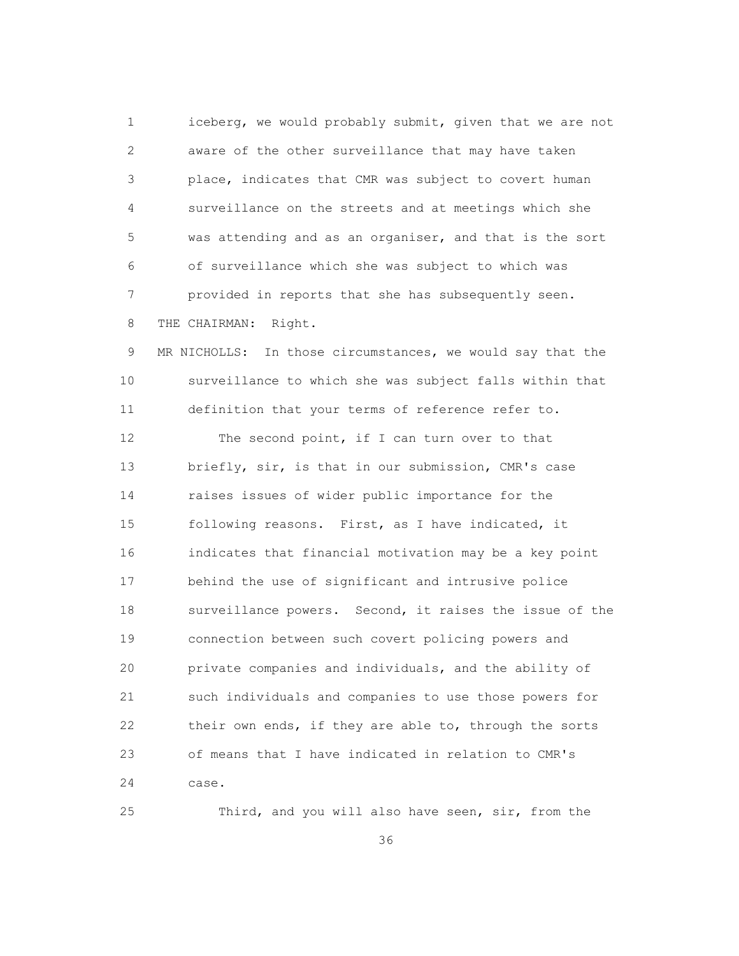1 iceberg, we would probably submit, given that we are not 2 aware of the other surveillance that may have taken 3 place, indicates that CMR was subject to covert human 4 surveillance on the streets and at meetings which she 5 was attending and as an organiser, and that is the sort 6 of surveillance which she was subject to which was 7 provided in reports that she has subsequently seen. 8 THE CHAIRMAN: Right.

 9 MR NICHOLLS: In those circumstances, we would say that the 10 surveillance to which she was subject falls within that 11 definition that your terms of reference refer to.

12 The second point, if I can turn over to that 13 briefly, sir, is that in our submission, CMR's case 14 raises issues of wider public importance for the 15 following reasons. First, as I have indicated, it 16 indicates that financial motivation may be a key point 17 behind the use of significant and intrusive police 18 surveillance powers. Second, it raises the issue of the 19 connection between such covert policing powers and 20 private companies and individuals, and the ability of 21 such individuals and companies to use those powers for 22 their own ends, if they are able to, through the sorts 23 of means that I have indicated in relation to CMR's 24 case.

25 Third, and you will also have seen, sir, from the

<u>36 and 36</u>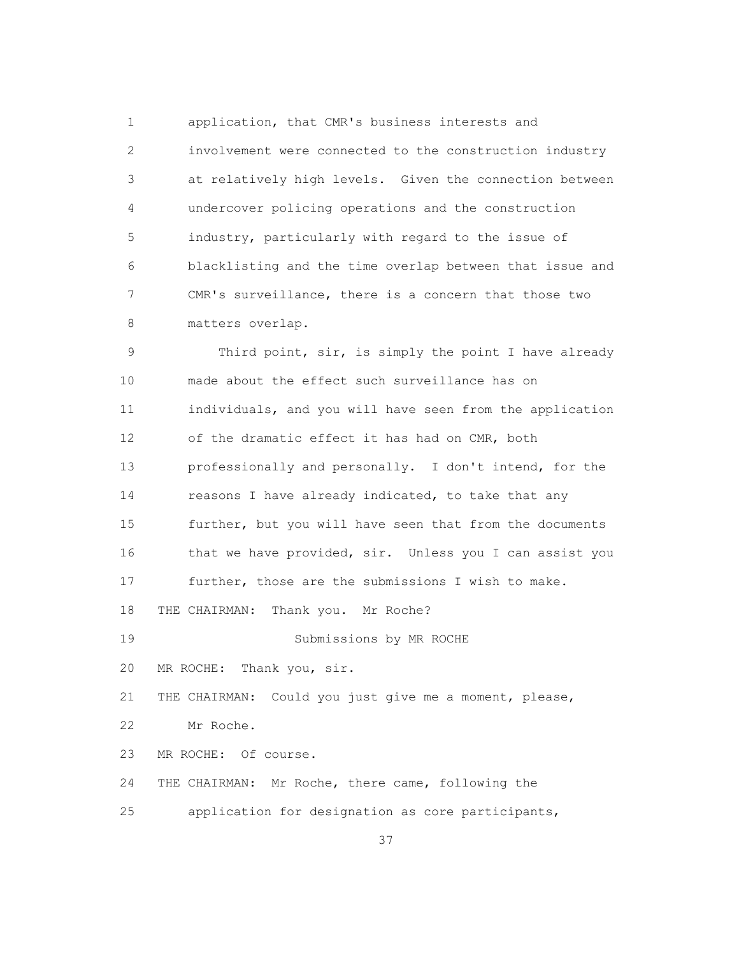1 application, that CMR's business interests and 2 involvement were connected to the construction industry 3 at relatively high levels. Given the connection between 4 undercover policing operations and the construction 5 industry, particularly with regard to the issue of 6 blacklisting and the time overlap between that issue and 7 CMR's surveillance, there is a concern that those two 8 matters overlap.

 9 Third point, sir, is simply the point I have already 10 made about the effect such surveillance has on 11 individuals, and you will have seen from the application 12 of the dramatic effect it has had on CMR, both 13 professionally and personally. I don't intend, for the 14 reasons I have already indicated, to take that any 15 further, but you will have seen that from the documents 16 that we have provided, sir. Unless you I can assist you 17 further, those are the submissions I wish to make. 18 THE CHAIRMAN: Thank you. Mr Roche? 19 Submissions by MR ROCHE 20 MR ROCHE: Thank you, sir. 21 THE CHAIRMAN: Could you just give me a moment, please, 22 Mr Roche. 23 MR ROCHE: Of course. 24 THE CHAIRMAN: Mr Roche, there came, following the 25 application for designation as core participants,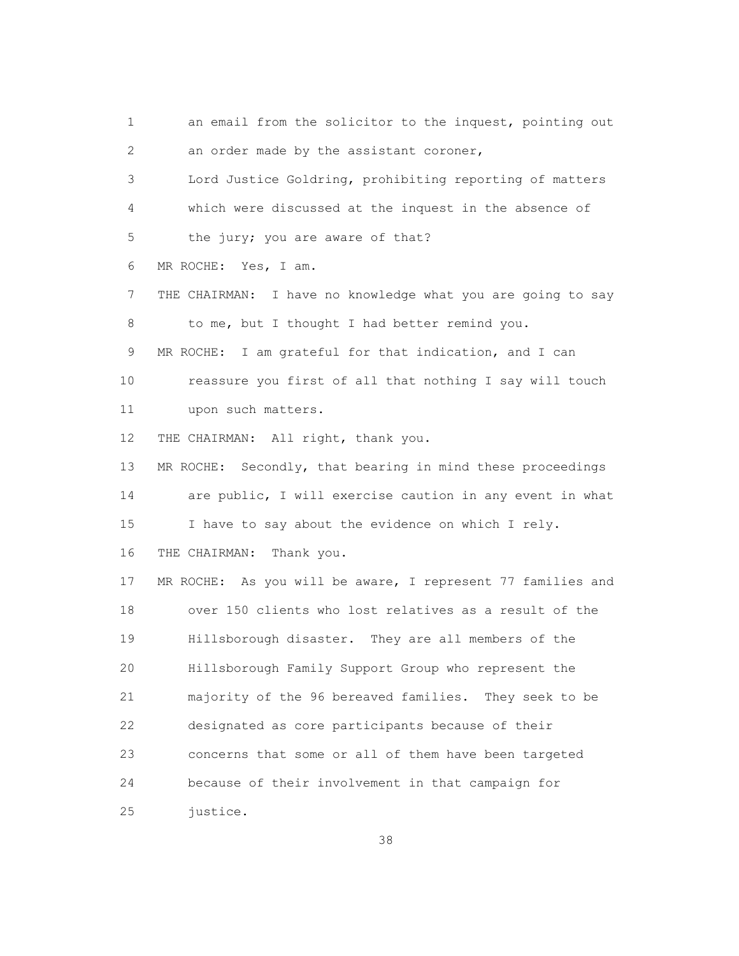1 an email from the solicitor to the inquest, pointing out 2 an order made by the assistant coroner, 3 Lord Justice Goldring, prohibiting reporting of matters 4 which were discussed at the inquest in the absence of 5 the jury; you are aware of that? 6 MR ROCHE: Yes, I am. 7 THE CHAIRMAN: I have no knowledge what you are going to say 8 to me, but I thought I had better remind you. 9 MR ROCHE: I am grateful for that indication, and I can 10 reassure you first of all that nothing I say will touch 11 upon such matters. 12 THE CHAIRMAN: All right, thank you. 13 MR ROCHE: Secondly, that bearing in mind these proceedings 14 are public, I will exercise caution in any event in what 15 I have to say about the evidence on which I rely. 16 THE CHAIRMAN: Thank you. 17 MR ROCHE: As you will be aware, I represent 77 families and 18 over 150 clients who lost relatives as a result of the 19 Hillsborough disaster. They are all members of the 20 Hillsborough Family Support Group who represent the 21 majority of the 96 bereaved families. They seek to be 22 designated as core participants because of their 23 concerns that some or all of them have been targeted 24 because of their involvement in that campaign for 25 justice.

<u>38 and 38 and 38 and 38 and 38 and 38 and 38 and 38 and 38 and 38 and 38 and 38 and 38 and 38 and 38 and 38 and 38 and 38 and 38 and 38 and 38 and 38 and 38 and 38 and 38 and 38 and 38 and 38 and 38 and 38 and 38 and 38 a</u>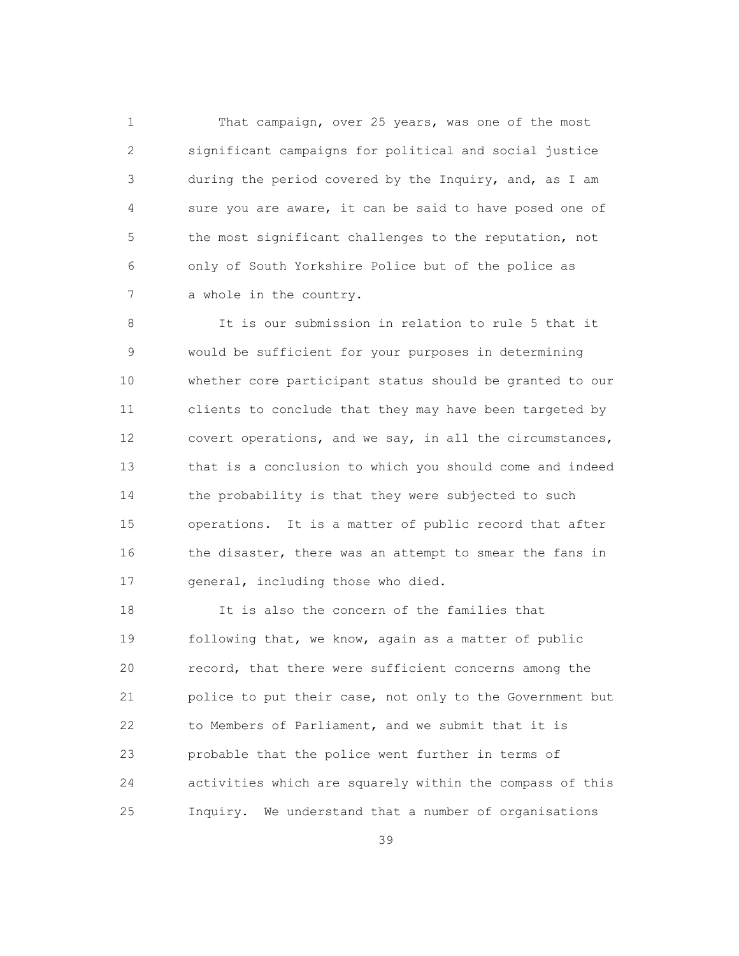1 That campaign, over 25 years, was one of the most 2 significant campaigns for political and social justice 3 during the period covered by the Inquiry, and, as I am 4 sure you are aware, it can be said to have posed one of 5 the most significant challenges to the reputation, not 6 only of South Yorkshire Police but of the police as 7 a whole in the country.

 8 It is our submission in relation to rule 5 that it 9 would be sufficient for your purposes in determining 10 whether core participant status should be granted to our 11 clients to conclude that they may have been targeted by 12 covert operations, and we say, in all the circumstances, 13 that is a conclusion to which you should come and indeed 14 the probability is that they were subjected to such 15 operations. It is a matter of public record that after 16 the disaster, there was an attempt to smear the fans in 17 general, including those who died.

 18 It is also the concern of the families that 19 following that, we know, again as a matter of public 20 record, that there were sufficient concerns among the 21 police to put their case, not only to the Government but 22 to Members of Parliament, and we submit that it is 23 probable that the police went further in terms of 24 activities which are squarely within the compass of this 25 Inquiry. We understand that a number of organisations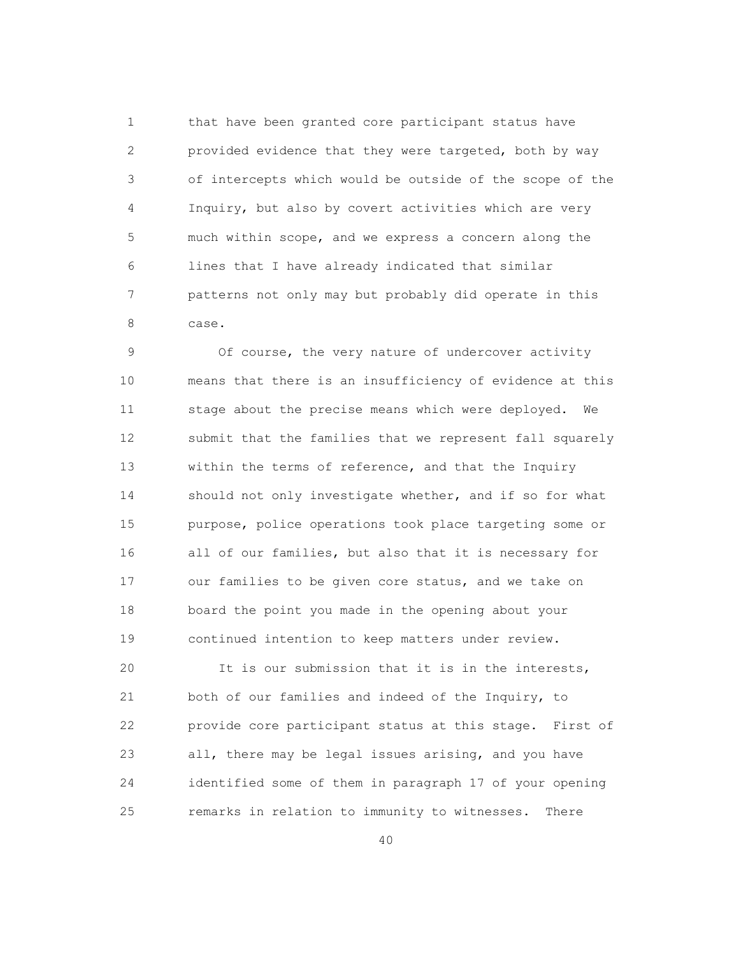1 that have been granted core participant status have 2 provided evidence that they were targeted, both by way 3 of intercepts which would be outside of the scope of the 4 Inquiry, but also by covert activities which are very 5 much within scope, and we express a concern along the 6 lines that I have already indicated that similar 7 patterns not only may but probably did operate in this 8 case.

 9 Of course, the very nature of undercover activity 10 means that there is an insufficiency of evidence at this 11 stage about the precise means which were deployed. We 12 submit that the families that we represent fall squarely 13 within the terms of reference, and that the Inquiry 14 should not only investigate whether, and if so for what 15 purpose, police operations took place targeting some or 16 all of our families, but also that it is necessary for 17 our families to be given core status, and we take on 18 board the point you made in the opening about your 19 continued intention to keep matters under review.

 20 It is our submission that it is in the interests, 21 both of our families and indeed of the Inquiry, to 22 provide core participant status at this stage. First of 23 all, there may be legal issues arising, and you have 24 identified some of them in paragraph 17 of your opening 25 remarks in relation to immunity to witnesses. There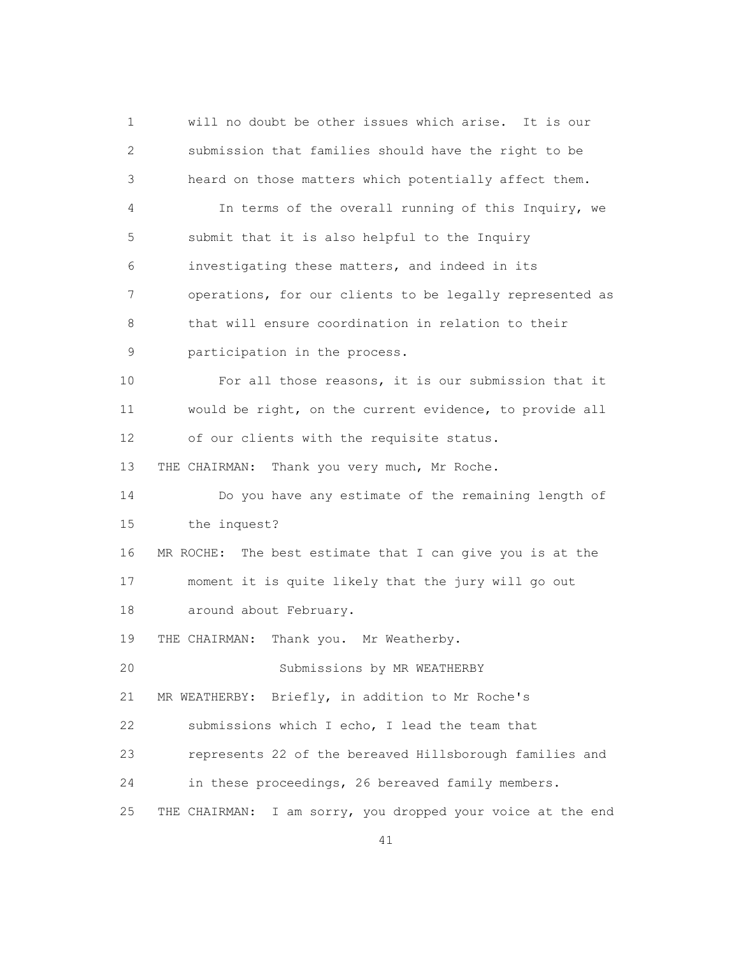1 will no doubt be other issues which arise. It is our 2 submission that families should have the right to be 3 heard on those matters which potentially affect them. 4 In terms of the overall running of this Inquiry, we 5 submit that it is also helpful to the Inquiry 6 investigating these matters, and indeed in its 7 operations, for our clients to be legally represented as 8 that will ensure coordination in relation to their 9 participation in the process. 10 For all those reasons, it is our submission that it 11 would be right, on the current evidence, to provide all 12 of our clients with the requisite status. 13 THE CHAIRMAN: Thank you very much, Mr Roche. 14 Do you have any estimate of the remaining length of 15 the inquest? 16 MR ROCHE: The best estimate that I can give you is at the 17 moment it is quite likely that the jury will go out 18 around about February. 19 THE CHAIRMAN: Thank you. Mr Weatherby. 20 Submissions by MR WEATHERBY 21 MR WEATHERBY: Briefly, in addition to Mr Roche's 22 submissions which I echo, I lead the team that 23 represents 22 of the bereaved Hillsborough families and 24 in these proceedings, 26 bereaved family members. 25 THE CHAIRMAN: I am sorry, you dropped your voice at the end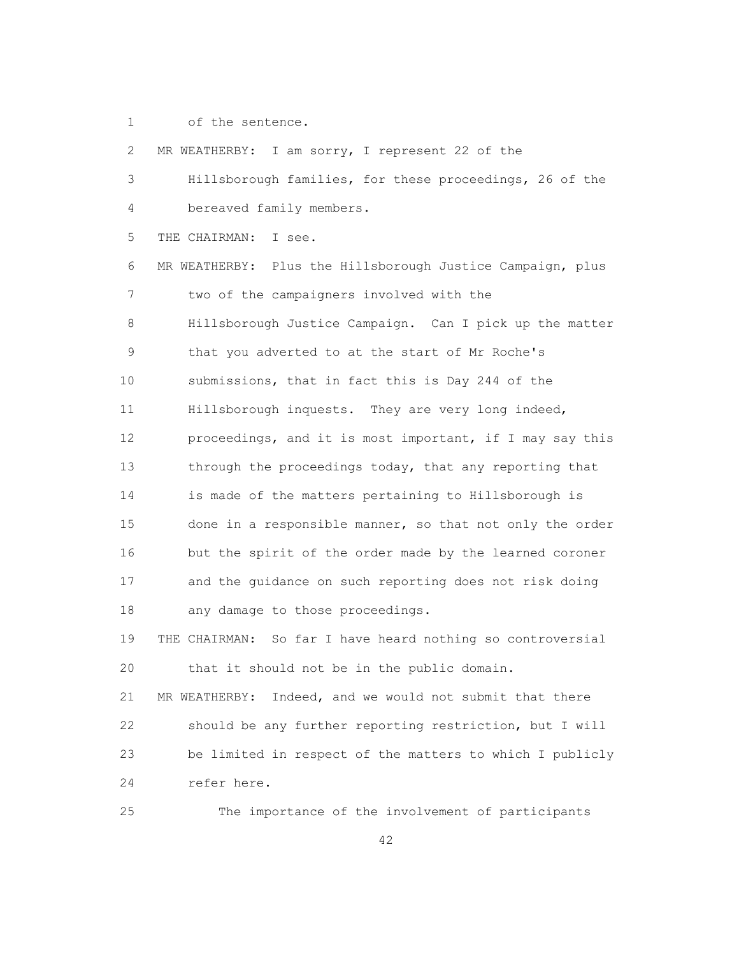1 of the sentence.

 2 MR WEATHERBY: I am sorry, I represent 22 of the 3 Hillsborough families, for these proceedings, 26 of the 4 bereaved family members. 5 THE CHAIRMAN: I see. 6 MR WEATHERBY: Plus the Hillsborough Justice Campaign, plus 7 two of the campaigners involved with the 8 Hillsborough Justice Campaign. Can I pick up the matter 9 that you adverted to at the start of Mr Roche's 10 submissions, that in fact this is Day 244 of the 11 Hillsborough inquests. They are very long indeed, 12 proceedings, and it is most important, if I may say this 13 through the proceedings today, that any reporting that 14 is made of the matters pertaining to Hillsborough is 15 done in a responsible manner, so that not only the order 16 but the spirit of the order made by the learned coroner 17 and the guidance on such reporting does not risk doing 18 any damage to those proceedings. 19 THE CHAIRMAN: So far I have heard nothing so controversial 20 that it should not be in the public domain. 21 MR WEATHERBY: Indeed, and we would not submit that there 22 should be any further reporting restriction, but I will 23 be limited in respect of the matters to which I publicly 24 refer here.

25 The importance of the involvement of participants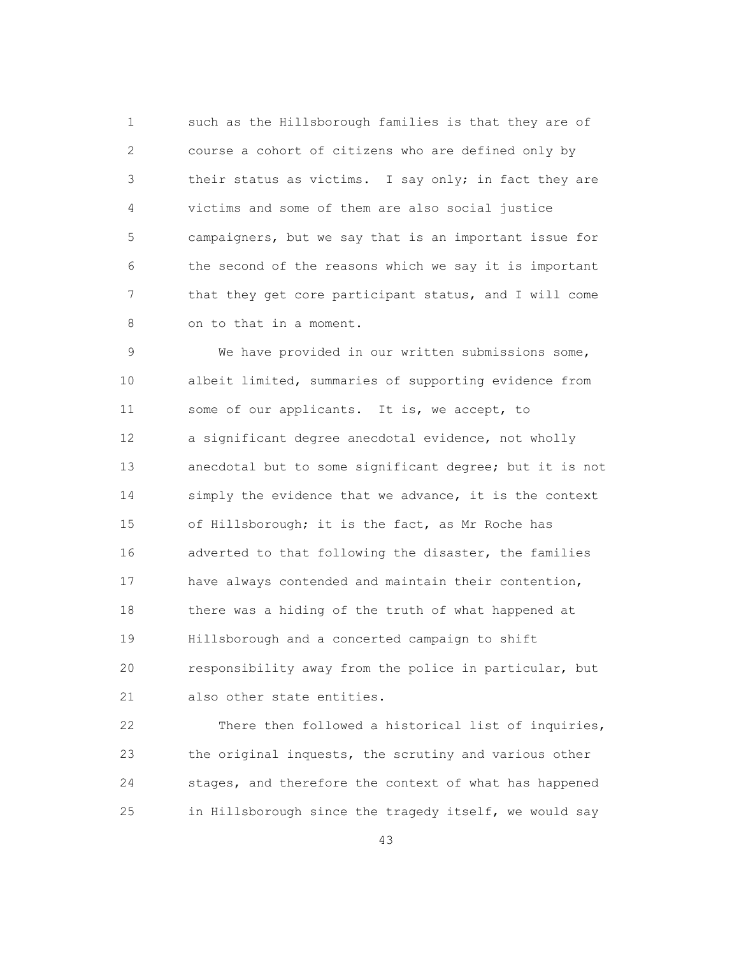1 such as the Hillsborough families is that they are of 2 course a cohort of citizens who are defined only by 3 their status as victims. I say only; in fact they are 4 victims and some of them are also social justice 5 campaigners, but we say that is an important issue for 6 the second of the reasons which we say it is important 7 that they get core participant status, and I will come 8 on to that in a moment.

 9 We have provided in our written submissions some, 10 albeit limited, summaries of supporting evidence from 11 some of our applicants. It is, we accept, to 12 a significant degree anecdotal evidence, not wholly 13 anecdotal but to some significant degree; but it is not 14 simply the evidence that we advance, it is the context 15 of Hillsborough; it is the fact, as Mr Roche has 16 adverted to that following the disaster, the families 17 have always contended and maintain their contention, 18 there was a hiding of the truth of what happened at 19 Hillsborough and a concerted campaign to shift 20 responsibility away from the police in particular, but 21 also other state entities.

 22 There then followed a historical list of inquiries, 23 the original inquests, the scrutiny and various other 24 stages, and therefore the context of what has happened 25 in Hillsborough since the tragedy itself, we would say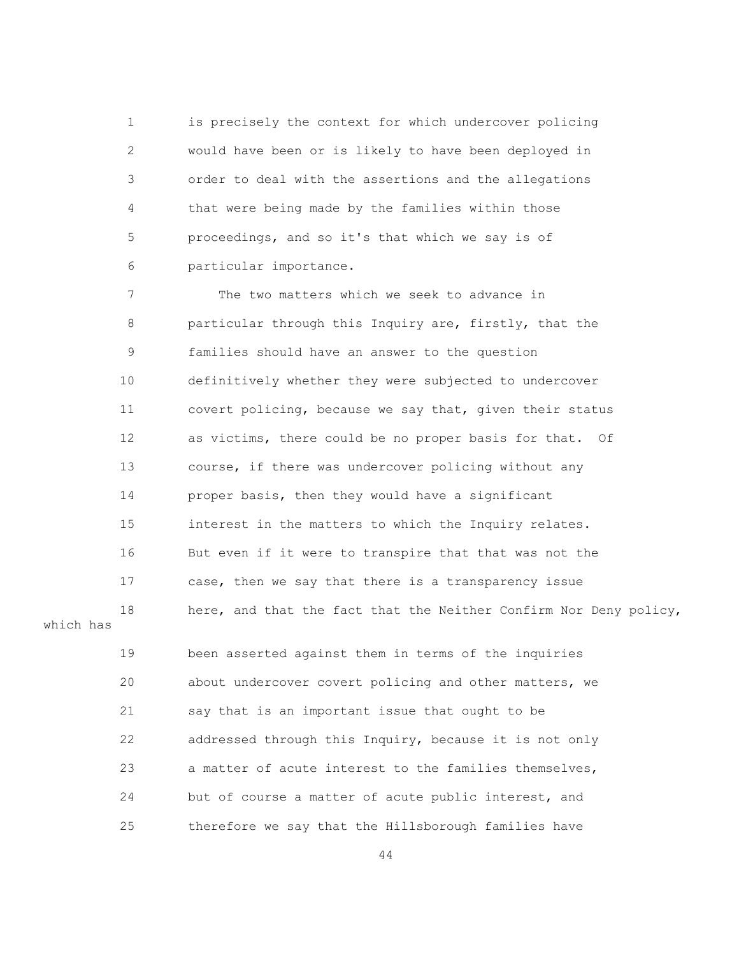1 is precisely the context for which undercover policing 2 would have been or is likely to have been deployed in 3 order to deal with the assertions and the allegations 4 that were being made by the families within those 5 proceedings, and so it's that which we say is of 6 particular importance.

 7 The two matters which we seek to advance in 8 particular through this Inquiry are, firstly, that the 9 families should have an answer to the question 10 definitively whether they were subjected to undercover 11 covert policing, because we say that, given their status 12 as victims, there could be no proper basis for that. Of 13 course, if there was undercover policing without any 14 proper basis, then they would have a significant 15 interest in the matters to which the Inquiry relates. 16 But even if it were to transpire that that was not the 17 case, then we say that there is a transparency issue 18 here, and that the fact that the Neither Confirm Nor Deny policy, which has 19 been asserted against them in terms of the inquiries 20 about undercover covert policing and other matters, we 21 say that is an important issue that ought to be 22 addressed through this Inquiry, because it is not only 23 a matter of acute interest to the families themselves, 24 but of course a matter of acute public interest, and 25 therefore we say that the Hillsborough families have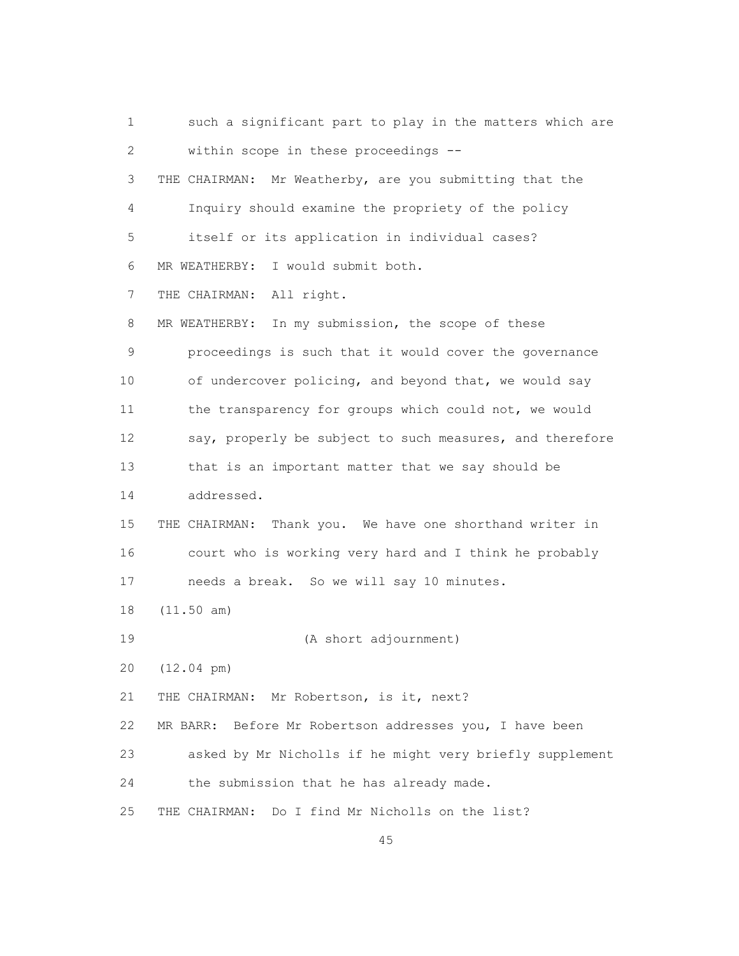1 such a significant part to play in the matters which are 2 within scope in these proceedings -- 3 THE CHAIRMAN: Mr Weatherby, are you submitting that the 4 Inquiry should examine the propriety of the policy 5 itself or its application in individual cases? 6 MR WEATHERBY: I would submit both. 7 THE CHAIRMAN: All right. 8 MR WEATHERBY: In my submission, the scope of these 9 proceedings is such that it would cover the governance 10 of undercover policing, and beyond that, we would say 11 the transparency for groups which could not, we would 12 say, properly be subject to such measures, and therefore 13 that is an important matter that we say should be 14 addressed. 15 THE CHAIRMAN: Thank you. We have one shorthand writer in 16 court who is working very hard and I think he probably 17 needs a break. So we will say 10 minutes. 18 (11.50 am) 19 (A short adjournment) 20 (12.04 pm) 21 THE CHAIRMAN: Mr Robertson, is it, next? 22 MR BARR: Before Mr Robertson addresses you, I have been 23 asked by Mr Nicholls if he might very briefly supplement 24 the submission that he has already made. 25 THE CHAIRMAN: Do I find Mr Nicholls on the list?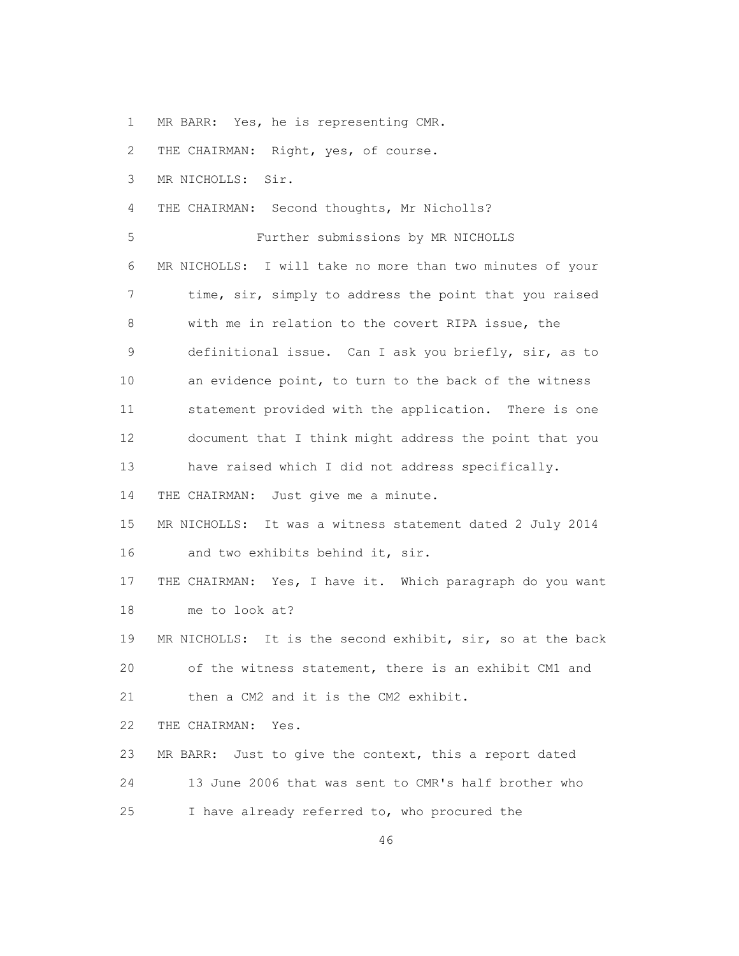1 MR BARR: Yes, he is representing CMR.

2 THE CHAIRMAN: Right, yes, of course.

3 MR NICHOLLS: Sir.

4 THE CHAIRMAN: Second thoughts, Mr Nicholls?

5 Further submissions by MR NICHOLLS

 6 MR NICHOLLS: I will take no more than two minutes of your 7 time, sir, simply to address the point that you raised 8 with me in relation to the covert RIPA issue, the 9 definitional issue. Can I ask you briefly, sir, as to 10 an evidence point, to turn to the back of the witness 11 statement provided with the application. There is one 12 document that I think might address the point that you 13 have raised which I did not address specifically.

14 THE CHAIRMAN: Just give me a minute.

 15 MR NICHOLLS: It was a witness statement dated 2 July 2014 16 and two exhibits behind it, sir.

 17 THE CHAIRMAN: Yes, I have it. Which paragraph do you want 18 me to look at?

 19 MR NICHOLLS: It is the second exhibit, sir, so at the back 20 of the witness statement, there is an exhibit CM1 and 21 then a CM2 and it is the CM2 exhibit.

22 THE CHAIRMAN: Yes.

 23 MR BARR: Just to give the context, this a report dated 24 13 June 2006 that was sent to CMR's half brother who 25 I have already referred to, who procured the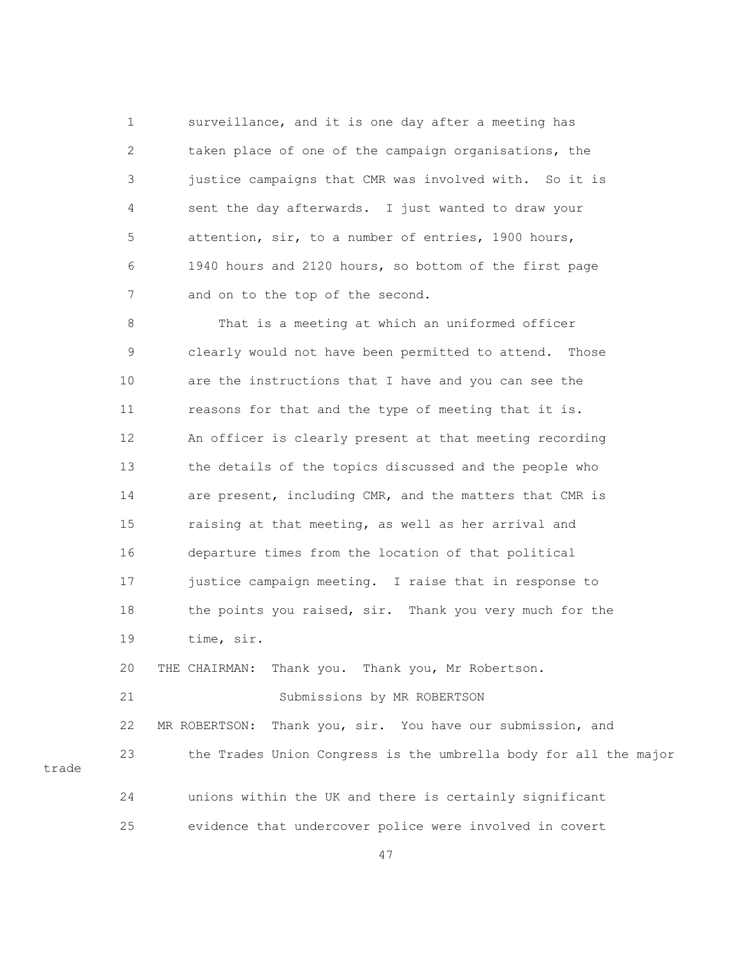1 surveillance, and it is one day after a meeting has 2 taken place of one of the campaign organisations, the 3 justice campaigns that CMR was involved with. So it is 4 sent the day afterwards. I just wanted to draw your 5 attention, sir, to a number of entries, 1900 hours, 6 1940 hours and 2120 hours, so bottom of the first page 7 and on to the top of the second.

 8 That is a meeting at which an uniformed officer 9 clearly would not have been permitted to attend. Those 10 are the instructions that I have and you can see the 11 reasons for that and the type of meeting that it is. 12 An officer is clearly present at that meeting recording 13 the details of the topics discussed and the people who 14 are present, including CMR, and the matters that CMR is 15 raising at that meeting, as well as her arrival and 16 departure times from the location of that political 17 justice campaign meeting. I raise that in response to 18 the points you raised, sir. Thank you very much for the 19 time, sir.

20 THE CHAIRMAN: Thank you. Thank you, Mr Robertson.

21 Submissions by MR ROBERTSON

 22 MR ROBERTSON: Thank you, sir. You have our submission, and 23 the Trades Union Congress is the umbrella body for all the major trade 24 unions within the UK and there is certainly significant

25 evidence that undercover police were involved in covert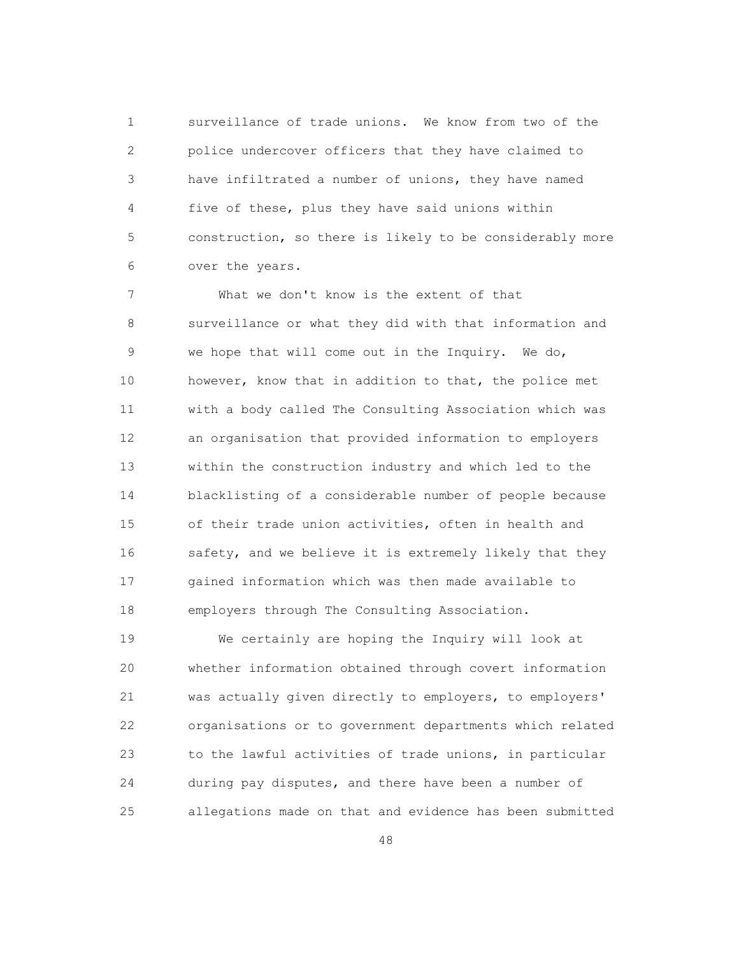1 surveillance of trade unions. We know from two of the 2 police undercover officers that they have claimed to 3 have infiltrated a number of unions, they have named 4 five of these, plus they have said unions within 5 construction, so there is likely to be considerably more 6 over the years.

 7 What we don't know is the extent of that 8 surveillance or what they did with that information and 9 we hope that will come out in the Inquiry. We do, 10 however, know that in addition to that, the police met 11 with a body called The Consulting Association which was 12 an organisation that provided information to employers 13 within the construction industry and which led to the 14 blacklisting of a considerable number of people because 15 of their trade union activities, often in health and 16 safety, and we believe it is extremely likely that they 17 gained information which was then made available to 18 employers through The Consulting Association.

 19 We certainly are hoping the Inquiry will look at 20 whether information obtained through covert information 21 was actually given directly to employers, to employers' 22 organisations or to government departments which related 23 to the lawful activities of trade unions, in particular 24 during pay disputes, and there have been a number of 25 allegations made on that and evidence has been submitted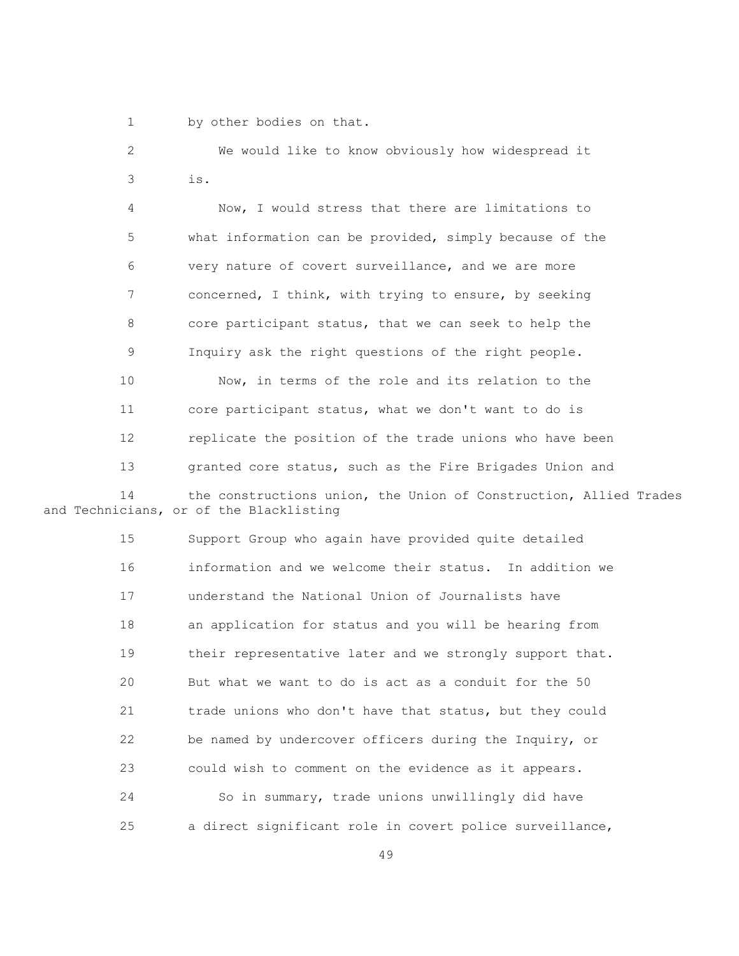1 by other bodies on that.

 2 We would like to know obviously how widespread it 3 is.

 4 Now, I would stress that there are limitations to 5 what information can be provided, simply because of the 6 very nature of covert surveillance, and we are more 7 concerned, I think, with trying to ensure, by seeking 8 core participant status, that we can seek to help the 9 Inquiry ask the right questions of the right people.

 10 Now, in terms of the role and its relation to the 11 core participant status, what we don't want to do is 12 replicate the position of the trade unions who have been 13 granted core status, such as the Fire Brigades Union and 14 the constructions union, the Union of Construction, Allied Trades

and Technicians, or of the Blacklisting

 15 Support Group who again have provided quite detailed 16 information and we welcome their status. In addition we 17 understand the National Union of Journalists have 18 an application for status and you will be hearing from 19 their representative later and we strongly support that. 20 But what we want to do is act as a conduit for the 50 21 trade unions who don't have that status, but they could 22 be named by undercover officers during the Inquiry, or 23 could wish to comment on the evidence as it appears. 24 So in summary, trade unions unwillingly did have 25 a direct significant role in covert police surveillance,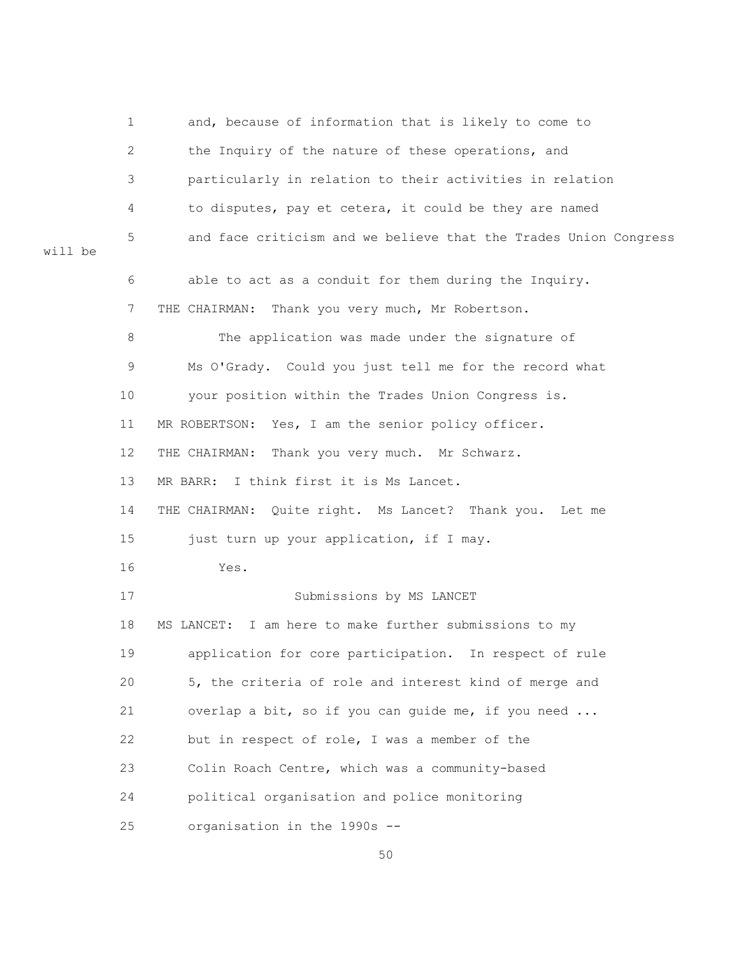1 and, because of information that is likely to come to 2 the Inquiry of the nature of these operations, and 3 particularly in relation to their activities in relation 4 to disputes, pay et cetera, it could be they are named 5 and face criticism and we believe that the Trades Union Congress will be 6 able to act as a conduit for them during the Inquiry. 7 THE CHAIRMAN: Thank you very much, Mr Robertson. 8 The application was made under the signature of 9 Ms O'Grady. Could you just tell me for the record what 10 your position within the Trades Union Congress is. 11 MR ROBERTSON: Yes, I am the senior policy officer. 12 THE CHAIRMAN: Thank you very much. Mr Schwarz. 13 MR BARR: I think first it is Ms Lancet. 14 THE CHAIRMAN: Quite right. Ms Lancet? Thank you. Let me 15 just turn up your application, if I may. 16 Yes. 17 Submissions by MS LANCET 18 MS LANCET: I am here to make further submissions to my 19 application for core participation. In respect of rule 20 5, the criteria of role and interest kind of merge and 21 overlap a bit, so if you can guide me, if you need ... 22 but in respect of role, I was a member of the 23 Colin Roach Centre, which was a community-based 24 political organisation and police monitoring 25 organisation in the 1990s --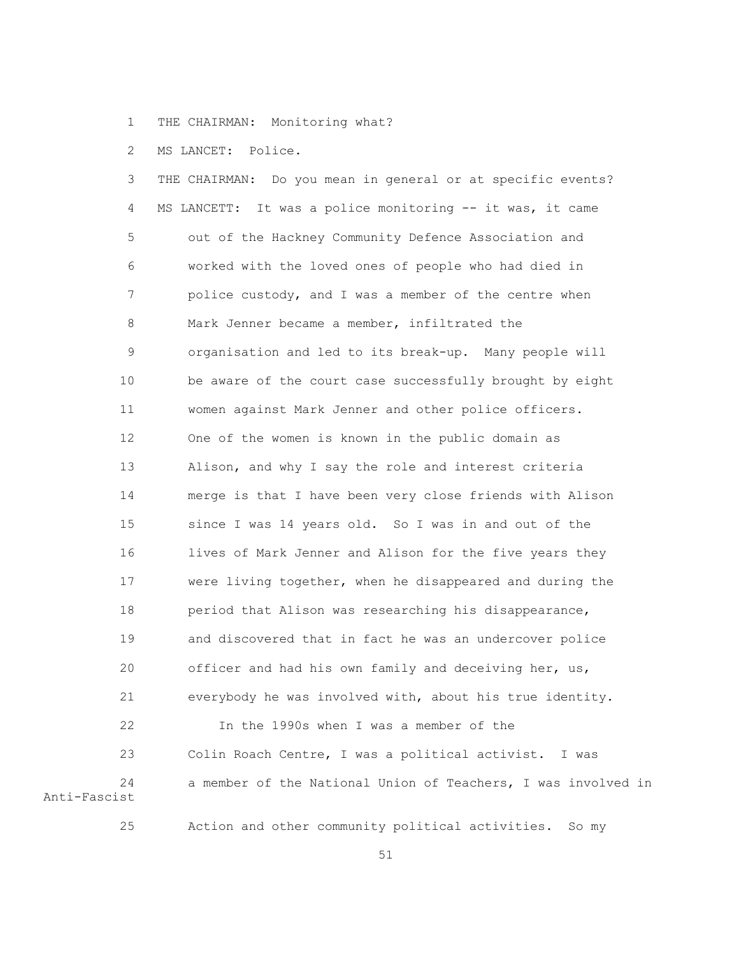1 THE CHAIRMAN: Monitoring what?

2 MS LANCET: Police.

 3 THE CHAIRMAN: Do you mean in general or at specific events? 4 MS LANCETT: It was a police monitoring -- it was, it came 5 out of the Hackney Community Defence Association and 6 worked with the loved ones of people who had died in 7 police custody, and I was a member of the centre when 8 Mark Jenner became a member, infiltrated the 9 organisation and led to its break-up. Many people will 10 be aware of the court case successfully brought by eight 11 women against Mark Jenner and other police officers. 12 One of the women is known in the public domain as 13 Alison, and why I say the role and interest criteria 14 merge is that I have been very close friends with Alison 15 since I was 14 years old. So I was in and out of the 16 lives of Mark Jenner and Alison for the five years they 17 were living together, when he disappeared and during the 18 period that Alison was researching his disappearance, 19 and discovered that in fact he was an undercover police 20 officer and had his own family and deceiving her, us, 21 everybody he was involved with, about his true identity. 22 In the 1990s when I was a member of the

 23 Colin Roach Centre, I was a political activist. I was 24 a member of the National Union of Teachers, I was involved in Anti-Fascist

25 Action and other community political activities. So my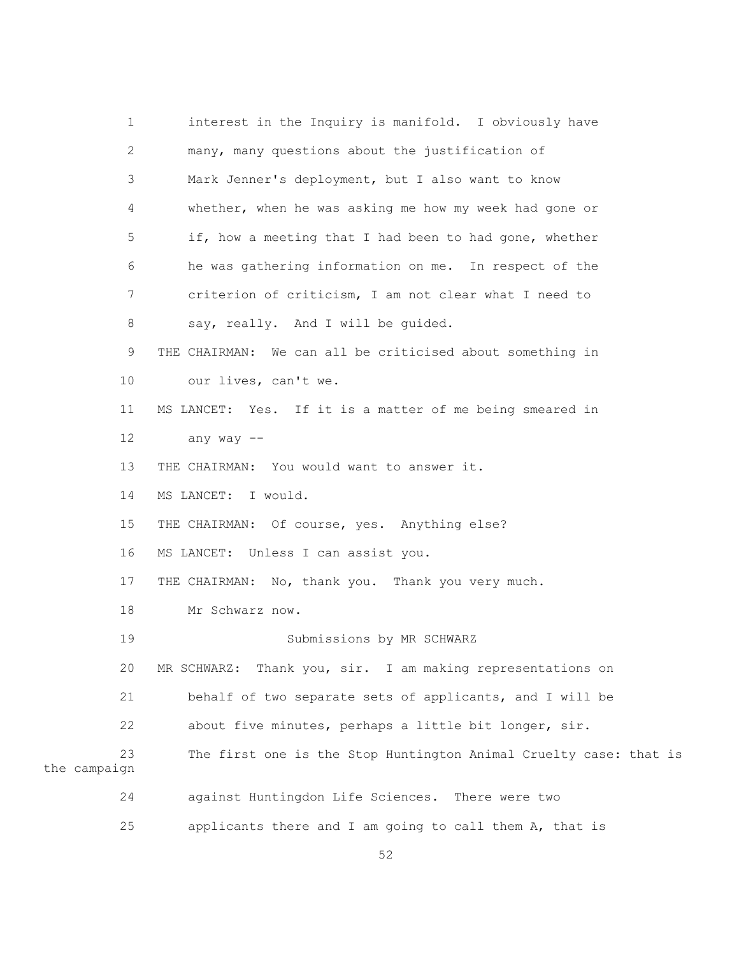1 interest in the Inquiry is manifold. I obviously have 2 many, many questions about the justification of 3 Mark Jenner's deployment, but I also want to know 4 whether, when he was asking me how my week had gone or 5 if, how a meeting that I had been to had gone, whether 6 he was gathering information on me. In respect of the 7 criterion of criticism, I am not clear what I need to 8 say, really. And I will be quided. 9 THE CHAIRMAN: We can all be criticised about something in 10 our lives, can't we. 11 MS LANCET: Yes. If it is a matter of me being smeared in 12 any way -- 13 THE CHAIRMAN: You would want to answer it. 14 MS LANCET: I would. 15 THE CHAIRMAN: Of course, yes. Anything else? 16 MS LANCET: Unless I can assist you. 17 THE CHAIRMAN: No, thank you. Thank you very much. 18 Mr Schwarz now. 19 Submissions by MR SCHWARZ 20 MR SCHWARZ: Thank you, sir. I am making representations on 21 behalf of two separate sets of applicants, and I will be 22 about five minutes, perhaps a little bit longer, sir. 23 The first one is the Stop Huntington Animal Cruelty case: that is the campaign 24 against Huntingdon Life Sciences. There were two 25 applicants there and I am going to call them A, that is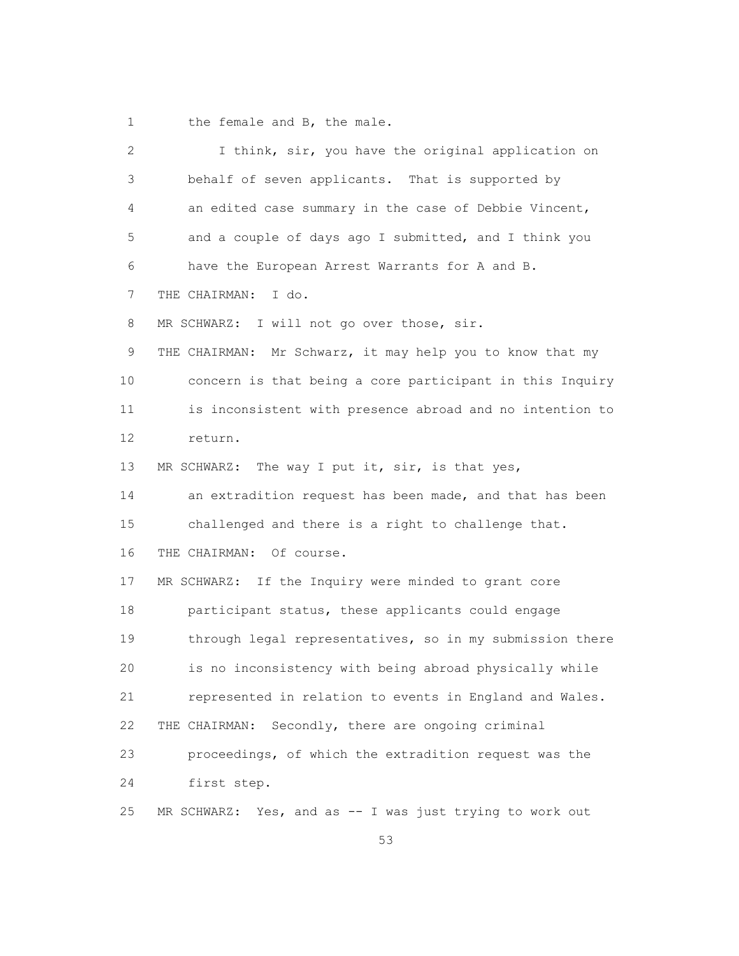1 the female and B, the male.

| $\overline{c}$ | I think, sir, you have the original application on          |
|----------------|-------------------------------------------------------------|
| 3              | behalf of seven applicants. That is supported by            |
| 4              | an edited case summary in the case of Debbie Vincent,       |
| 5              | and a couple of days ago I submitted, and I think you       |
| 6              | have the European Arrest Warrants for A and B.              |
| 7              | I do.<br>THE CHAIRMAN:                                      |
| 8              | MR SCHWARZ: I will not go over those, sir.                  |
| 9              | THE CHAIRMAN: Mr Schwarz, it may help you to know that my   |
| 10             | concern is that being a core participant in this Inquiry    |
| 11             | is inconsistent with presence abroad and no intention to    |
| 12             | return.                                                     |
| 13             | MR SCHWARZ: The way I put it, sir, is that yes,             |
| 14             | an extradition request has been made, and that has been     |
| 15             | challenged and there is a right to challenge that.          |
| 16             | Of course.<br>THE CHAIRMAN:                                 |
| 17             | If the Inquiry were minded to grant core<br>MR SCHWARZ:     |
| 18             | participant status, these applicants could engage           |
| 19             | through legal representatives, so in my submission there    |
| 20             | is no inconsistency with being abroad physically while      |
| 21             | represented in relation to events in England and Wales.     |
| 22             | Secondly, there are ongoing criminal<br>THE CHAIRMAN:       |
| 23             | proceedings, of which the extradition request was the       |
| 24             | first step.                                                 |
| 25             | Yes, and as -- I was just trying to work out<br>MR SCHWARZ: |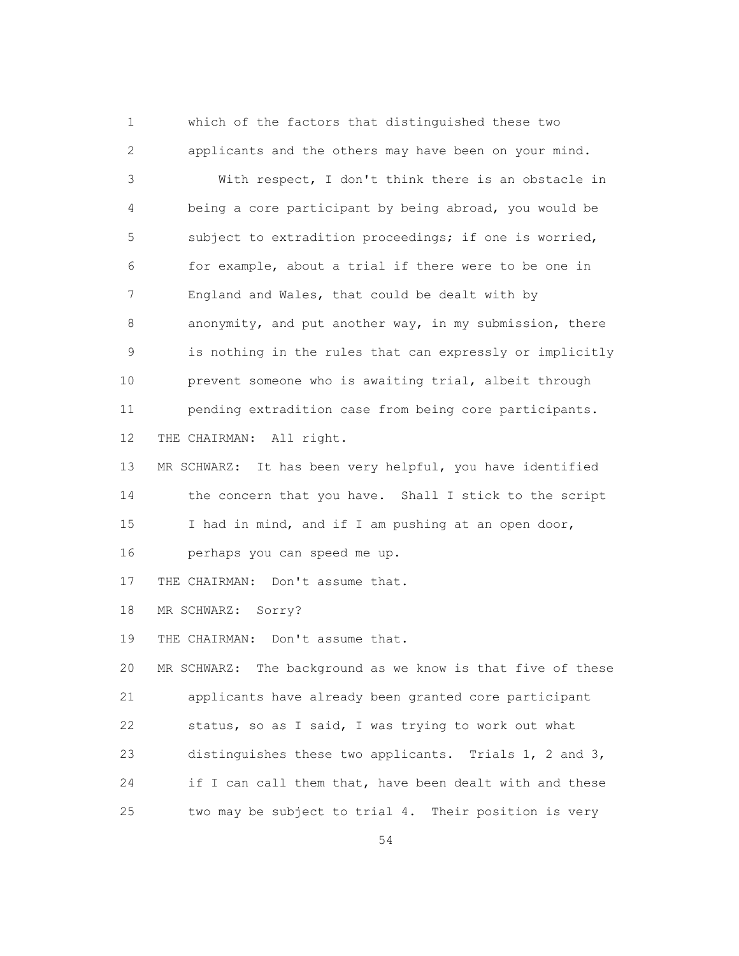1 which of the factors that distinguished these two 2 applicants and the others may have been on your mind.

 3 With respect, I don't think there is an obstacle in 4 being a core participant by being abroad, you would be 5 subject to extradition proceedings; if one is worried, 6 for example, about a trial if there were to be one in 7 England and Wales, that could be dealt with by 8 anonymity, and put another way, in my submission, there 9 is nothing in the rules that can expressly or implicitly 10 prevent someone who is awaiting trial, albeit through 11 pending extradition case from being core participants. 12 THE CHAIRMAN: All right.

 13 MR SCHWARZ: It has been very helpful, you have identified 14 the concern that you have. Shall I stick to the script 15 I had in mind, and if I am pushing at an open door, 16 perhaps you can speed me up.

17 THE CHAIRMAN: Don't assume that.

18 MR SCHWARZ: Sorry?

19 THE CHAIRMAN: Don't assume that.

 20 MR SCHWARZ: The background as we know is that five of these 21 applicants have already been granted core participant 22 status, so as I said, I was trying to work out what 23 distinguishes these two applicants. Trials 1, 2 and 3, 24 if I can call them that, have been dealt with and these 25 two may be subject to trial 4. Their position is very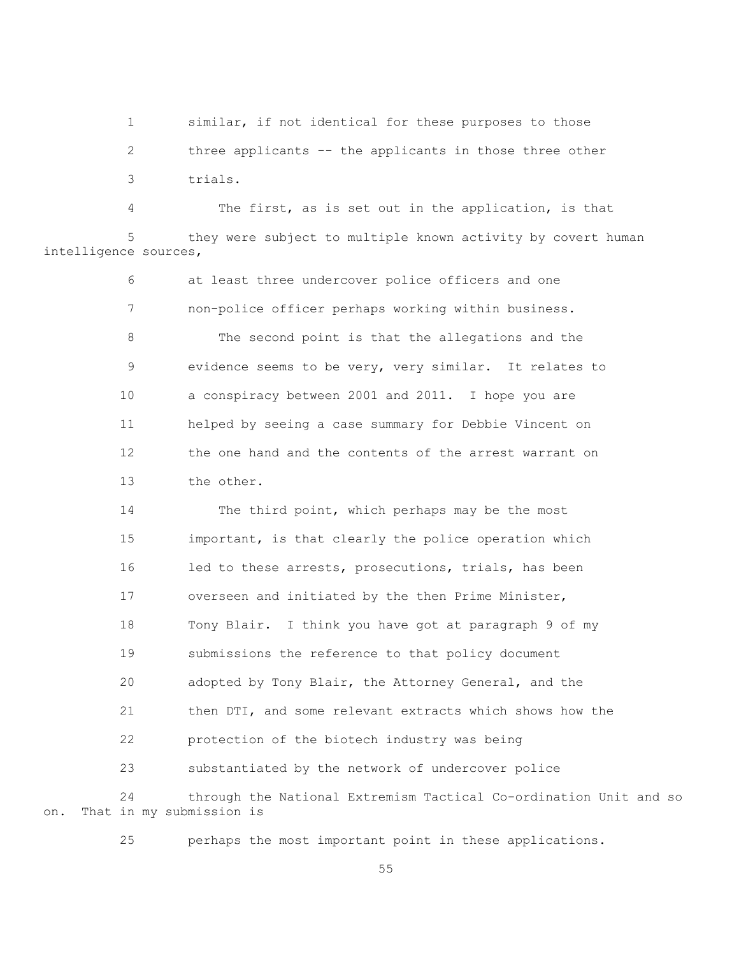1 similar, if not identical for these purposes to those 2 three applicants -- the applicants in those three other 3 trials.

 4 The first, as is set out in the application, is that they were subject to multiple known activity by covert human intelligence sources,

> 6 at least three undercover police officers and one 7 non-police officer perhaps working within business. 8 The second point is that the allegations and the 9 evidence seems to be very, very similar. It relates to 10 a conspiracy between 2001 and 2011. I hope you are 11 helped by seeing a case summary for Debbie Vincent on 12 the one hand and the contents of the arrest warrant on 13 the other.

 14 The third point, which perhaps may be the most 15 important, is that clearly the police operation which 16 led to these arrests, prosecutions, trials, has been 17 overseen and initiated by the then Prime Minister, 18 Tony Blair. I think you have got at paragraph 9 of my 19 submissions the reference to that policy document 20 adopted by Tony Blair, the Attorney General, and the 21 then DTI, and some relevant extracts which shows how the 22 protection of the biotech industry was being 23 substantiated by the network of undercover police 24 through the National Extremism Tactical Co-ordination Unit and so on. That in my submission is

25 perhaps the most important point in these applications.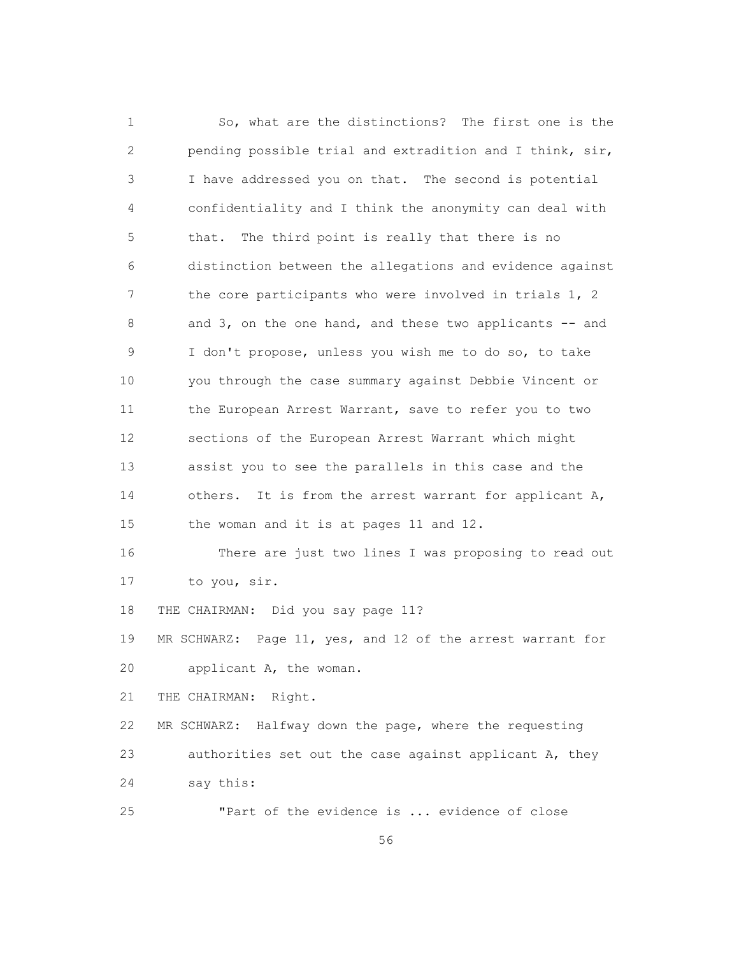1 So, what are the distinctions? The first one is the 2 pending possible trial and extradition and I think, sir, 3 I have addressed you on that. The second is potential 4 confidentiality and I think the anonymity can deal with 5 that. The third point is really that there is no 6 distinction between the allegations and evidence against 7 the core participants who were involved in trials 1, 2 8 and 3, on the one hand, and these two applicants -- and 9 I don't propose, unless you wish me to do so, to take 10 you through the case summary against Debbie Vincent or 11 the European Arrest Warrant, save to refer you to two 12 sections of the European Arrest Warrant which might 13 assist you to see the parallels in this case and the 14 others. It is from the arrest warrant for applicant A, 15 the woman and it is at pages 11 and 12. 16 There are just two lines I was proposing to read out 17 to you, sir. 18 THE CHAIRMAN: Did you say page 11? 19 MR SCHWARZ: Page 11, yes, and 12 of the arrest warrant for 20 applicant A, the woman. 21 THE CHAIRMAN: Right. 22 MR SCHWARZ: Halfway down the page, where the requesting 23 authorities set out the case against applicant A, they 24 say this: 25 "Part of the evidence is ... evidence of close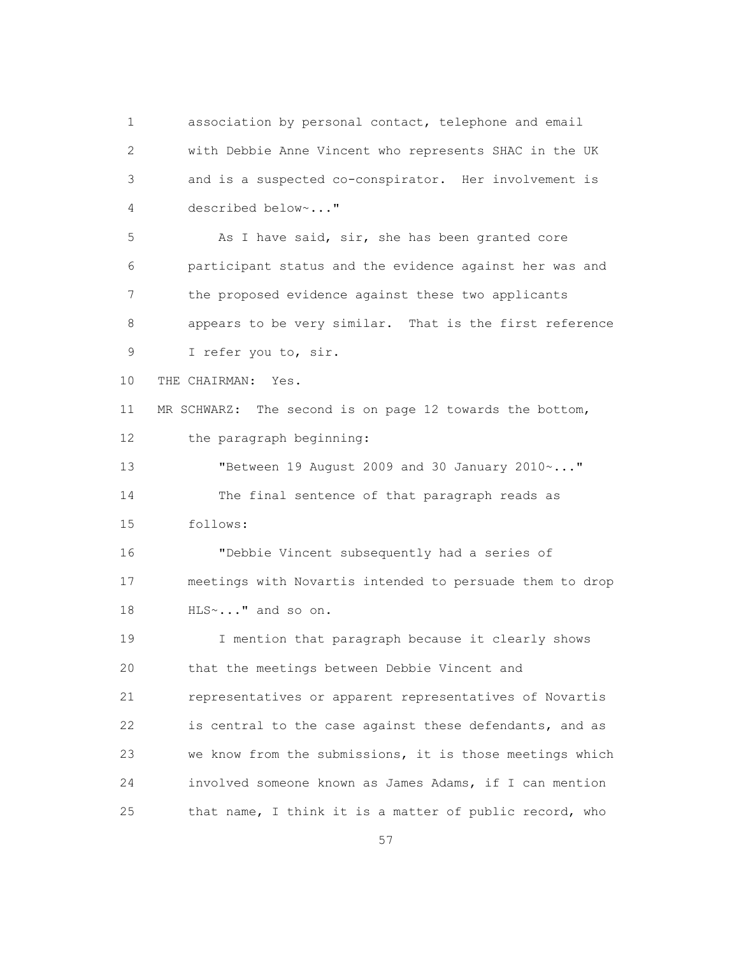1 association by personal contact, telephone and email 2 with Debbie Anne Vincent who represents SHAC in the UK 3 and is a suspected co-conspirator. Her involvement is 4 described below~..."

5 As I have said, sir, she has been granted core 6 participant status and the evidence against her was and 7 the proposed evidence against these two applicants 8 appears to be very similar. That is the first reference 9 I refer you to, sir.

10 THE CHAIRMAN: Yes.

 11 MR SCHWARZ: The second is on page 12 towards the bottom, 12 the paragraph beginning:

 13 "Between 19 August 2009 and 30 January 2010~..." 14 The final sentence of that paragraph reads as 15 follows:

 16 "Debbie Vincent subsequently had a series of 17 meetings with Novartis intended to persuade them to drop 18 HLS~..." and so on.

 19 I mention that paragraph because it clearly shows 20 that the meetings between Debbie Vincent and 21 representatives or apparent representatives of Novartis 22 is central to the case against these defendants, and as 23 we know from the submissions, it is those meetings which 24 involved someone known as James Adams, if I can mention 25 that name, I think it is a matter of public record, who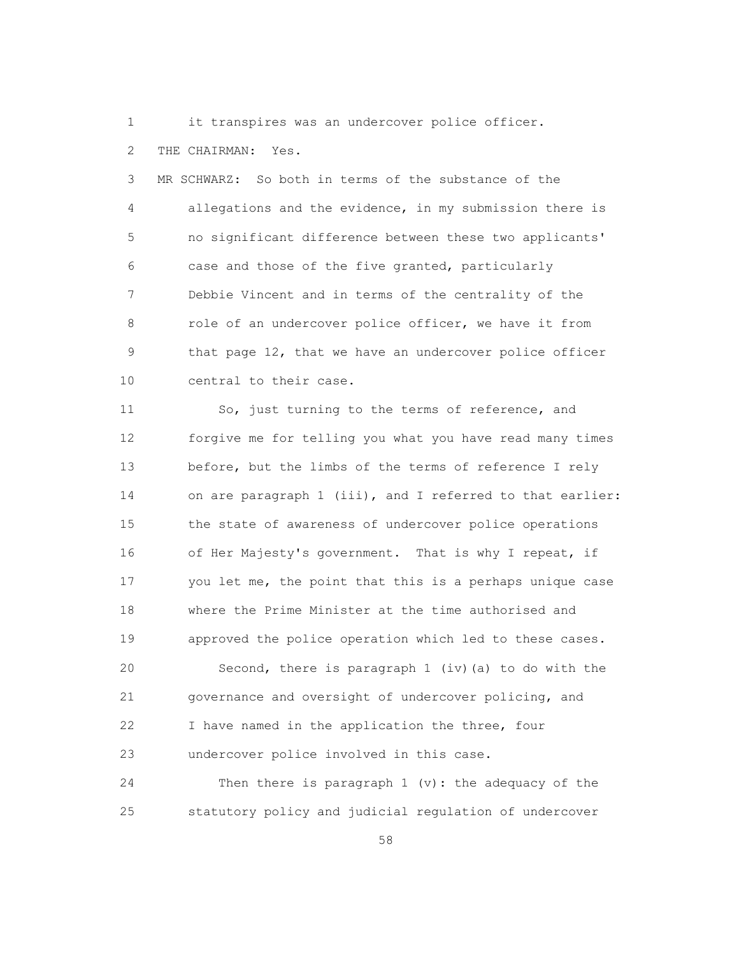1 it transpires was an undercover police officer.

2 THE CHAIRMAN: Yes.

 3 MR SCHWARZ: So both in terms of the substance of the 4 allegations and the evidence, in my submission there is 5 no significant difference between these two applicants' 6 case and those of the five granted, particularly 7 Debbie Vincent and in terms of the centrality of the 8 role of an undercover police officer, we have it from 9 that page 12, that we have an undercover police officer 10 central to their case.

 11 So, just turning to the terms of reference, and 12 forgive me for telling you what you have read many times 13 before, but the limbs of the terms of reference I rely 14 on are paragraph 1 (iii), and I referred to that earlier: 15 the state of awareness of undercover police operations 16 of Her Majesty's government. That is why I repeat, if 17 you let me, the point that this is a perhaps unique case 18 where the Prime Minister at the time authorised and 19 approved the police operation which led to these cases.

 20 Second, there is paragraph 1 (iv)(a) to do with the 21 governance and oversight of undercover policing, and 22 I have named in the application the three, four 23 undercover police involved in this case.

 24 Then there is paragraph 1 (v): the adequacy of the 25 statutory policy and judicial regulation of undercover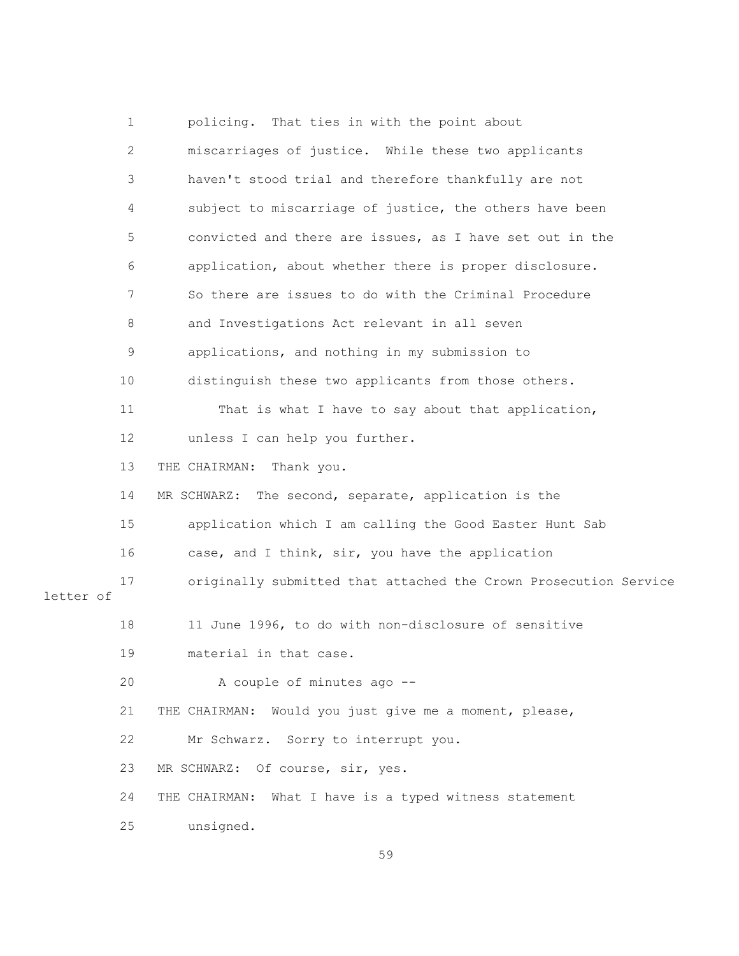1 policing. That ties in with the point about 2 miscarriages of justice. While these two applicants 3 haven't stood trial and therefore thankfully are not 4 subject to miscarriage of justice, the others have been 5 convicted and there are issues, as I have set out in the 6 application, about whether there is proper disclosure. 7 So there are issues to do with the Criminal Procedure 8 and Investigations Act relevant in all seven 9 applications, and nothing in my submission to 10 distinguish these two applicants from those others. 11 That is what I have to say about that application, 12 unless I can help you further. 13 THE CHAIRMAN: Thank you. 14 MR SCHWARZ: The second, separate, application is the 15 application which I am calling the Good Easter Hunt Sab 16 case, and I think, sir, you have the application 17 originally submitted that attached the Crown Prosecution Service letter of 18 11 June 1996, to do with non-disclosure of sensitive 19 material in that case. 20 A couple of minutes ago -- 21 THE CHAIRMAN: Would you just give me a moment, please, 22 Mr Schwarz. Sorry to interrupt you. 23 MR SCHWARZ: Of course, sir, yes. 24 THE CHAIRMAN: What I have is a typed witness statement 25 unsigned. <u>59</u>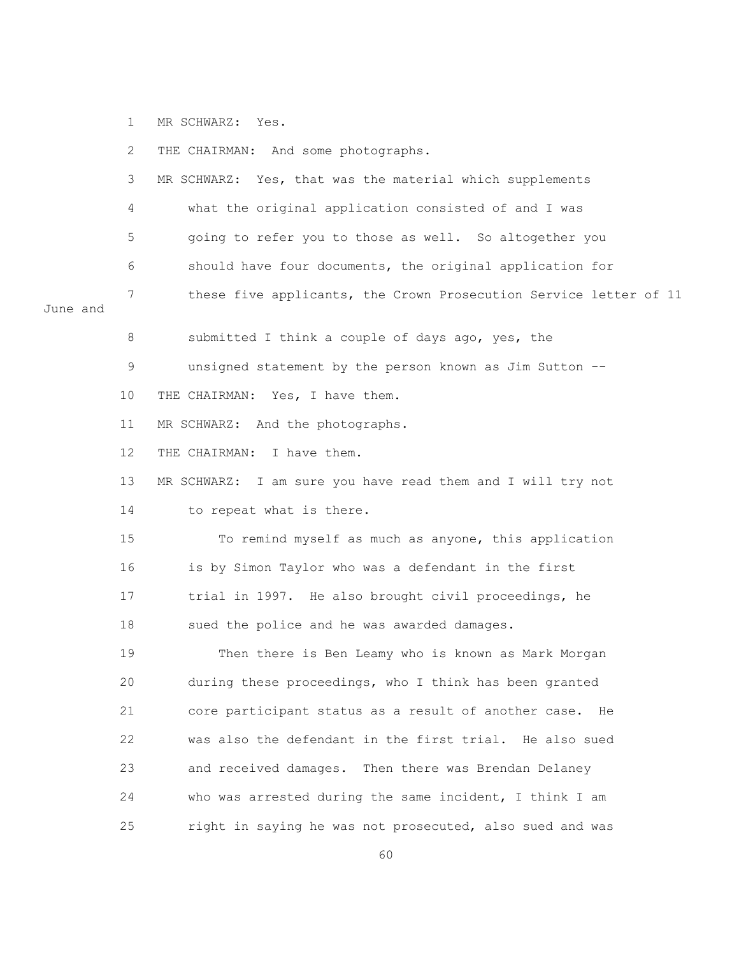1 MR SCHWARZ: Yes.

 2 THE CHAIRMAN: And some photographs. 3 MR SCHWARZ: Yes, that was the material which supplements 4 what the original application consisted of and I was 5 going to refer you to those as well. So altogether you 6 should have four documents, the original application for 7 these five applicants, the Crown Prosecution Service letter of 11 June and 8 submitted I think a couple of days ago, yes, the 9 unsigned statement by the person known as Jim Sutton -- 10 THE CHAIRMAN: Yes, I have them. 11 MR SCHWARZ: And the photographs. 12 THE CHAIRMAN: I have them. 13 MR SCHWARZ: I am sure you have read them and I will try not 14 to repeat what is there. 15 To remind myself as much as anyone, this application 16 is by Simon Taylor who was a defendant in the first 17 trial in 1997. He also brought civil proceedings, he 18 sued the police and he was awarded damages. 19 Then there is Ben Leamy who is known as Mark Morgan 20 during these proceedings, who I think has been granted 21 core participant status as a result of another case. He 22 was also the defendant in the first trial. He also sued 23 and received damages. Then there was Brendan Delaney 24 who was arrested during the same incident, I think I am 25 right in saying he was not prosecuted, also sued and was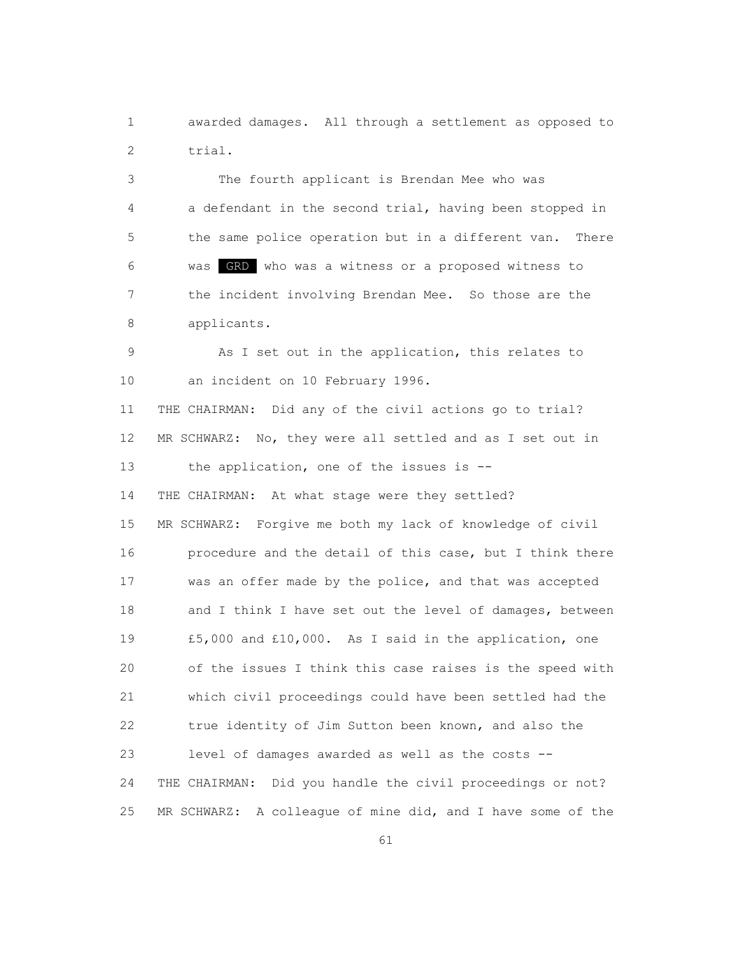1 awarded damages. All through a settlement as opposed to 2 trial.

 3 The fourth applicant is Brendan Mee who was 4 a defendant in the second trial, having been stopped in 5 the same police operation but in a different van. There 6 was GRD who was a witness or a proposed witness to 7 the incident involving Brendan Mee. So those are the 8 applicants.

 9 As I set out in the application, this relates to 10 an incident on 10 February 1996.

 11 THE CHAIRMAN: Did any of the civil actions go to trial? 12 MR SCHWARZ: No, they were all settled and as I set out in 13 the application, one of the issues is --14 THE CHAIRMAN: At what stage were they settled? 15 MR SCHWARZ: Forgive me both my lack of knowledge of civil 16 procedure and the detail of this case, but I think there 17 was an offer made by the police, and that was accepted 18 and I think I have set out the level of damages, between 19 £5,000 and £10,000. As I said in the application, one 20 of the issues I think this case raises is the speed with 21 which civil proceedings could have been settled had the 22 true identity of Jim Sutton been known, and also the 23 level of damages awarded as well as the costs -- 24 THE CHAIRMAN: Did you handle the civil proceedings or not? 25 MR SCHWARZ: A colleague of mine did, and I have some of the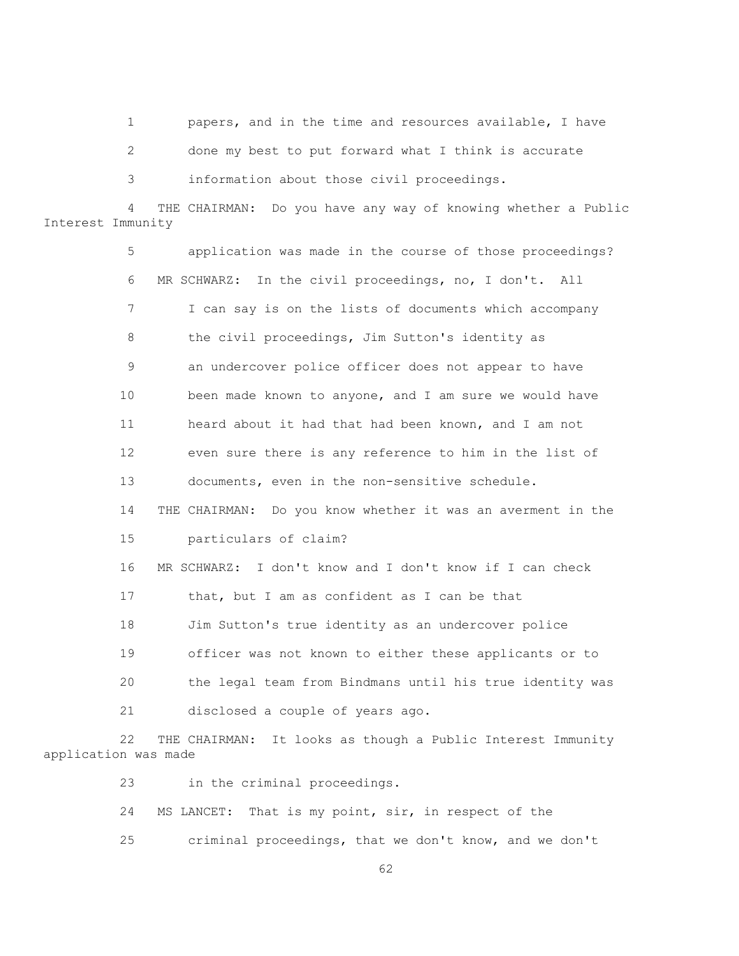1 papers, and in the time and resources available, I have

2 done my best to put forward what I think is accurate

3 information about those civil proceedings.

 4 THE CHAIRMAN: Do you have any way of knowing whether a Public Interest Immunity

> 5 application was made in the course of those proceedings? 6 MR SCHWARZ: In the civil proceedings, no, I don't. All 7 I can say is on the lists of documents which accompany 8 the civil proceedings, Jim Sutton's identity as 9 an undercover police officer does not appear to have 10 been made known to anyone, and I am sure we would have 11 heard about it had that had been known, and I am not 12 even sure there is any reference to him in the list of 13 documents, even in the non-sensitive schedule. 14 THE CHAIRMAN: Do you know whether it was an averment in the 15 particulars of claim? 16 MR SCHWARZ: I don't know and I don't know if I can check 17 that, but I am as confident as I can be that 18 Jim Sutton's true identity as an undercover police 19 officer was not known to either these applicants or to 20 the legal team from Bindmans until his true identity was 21 disclosed a couple of years ago.

 22 THE CHAIRMAN: It looks as though a Public Interest Immunity application was made

23 in the criminal proceedings.

- 24 MS LANCET: That is my point, sir, in respect of the
- 25 criminal proceedings, that we don't know, and we don't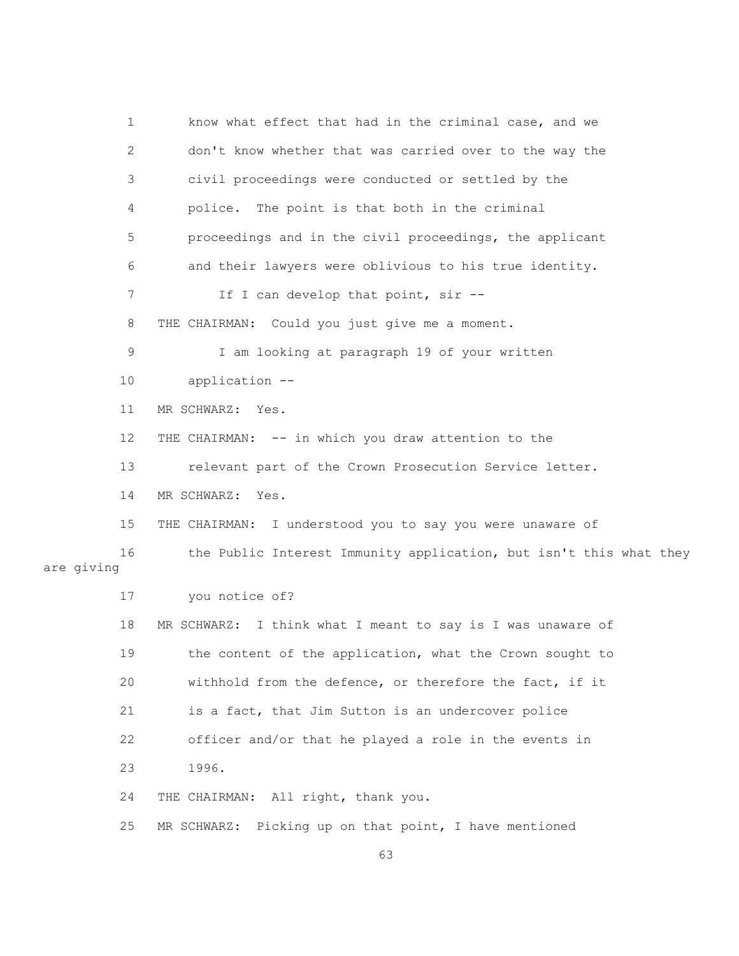1 know what effect that had in the criminal case, and we 2 don't know whether that was carried over to the way the 3 civil proceedings were conducted or settled by the 4 police. The point is that both in the criminal 5 proceedings and in the civil proceedings, the applicant 6 and their lawyers were oblivious to his true identity. 7 If I can develop that point, sir -- 8 THE CHAIRMAN: Could you just give me a moment. 9 I am looking at paragraph 19 of your written 10 application -- 11 MR SCHWARZ: Yes. 12 THE CHAIRMAN: -- in which you draw attention to the 13 relevant part of the Crown Prosecution Service letter. 14 MR SCHWARZ: Yes. 15 THE CHAIRMAN: I understood you to say you were unaware of 16 the Public Interest Immunity application, but isn't this what they are giving 17 you notice of? 18 MR SCHWARZ: I think what I meant to say is I was unaware of 19 the content of the application, what the Crown sought to 20 withhold from the defence, or therefore the fact, if it 21 is a fact, that Jim Sutton is an undercover police 22 officer and/or that he played a role in the events in 23 1996. 24 THE CHAIRMAN: All right, thank you. 25 MR SCHWARZ: Picking up on that point, I have mentioned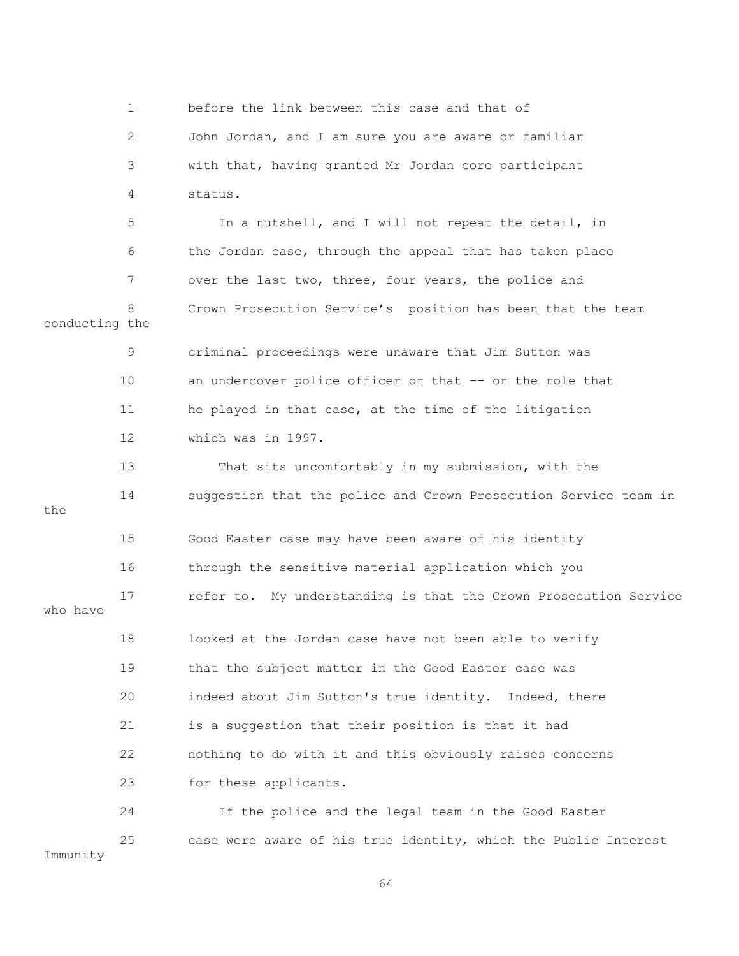1 before the link between this case and that of 2 John Jordan, and I am sure you are aware or familiar 3 with that, having granted Mr Jordan core participant 4 status. 5 In a nutshell, and I will not repeat the detail, in 6 the Jordan case, through the appeal that has taken place 7 over the last two, three, four years, the police and 8 Crown Prosecution Service's position has been that the team conducting the 9 criminal proceedings were unaware that Jim Sutton was 10 an undercover police officer or that -- or the role that 11 he played in that case, at the time of the litigation 12 which was in 1997. 13 That sits uncomfortably in my submission, with the 14 suggestion that the police and Crown Prosecution Service team in the 15 Good Easter case may have been aware of his identity 16 through the sensitive material application which you 17 refer to. My understanding is that the Crown Prosecution Service who have 18 looked at the Jordan case have not been able to verify 19 that the subject matter in the Good Easter case was 20 indeed about Jim Sutton's true identity. Indeed, there 21 is a suggestion that their position is that it had 22 nothing to do with it and this obviously raises concerns 23 for these applicants. 24 If the police and the legal team in the Good Easter 25 case were aware of his true identity, which the Public Interest Immunity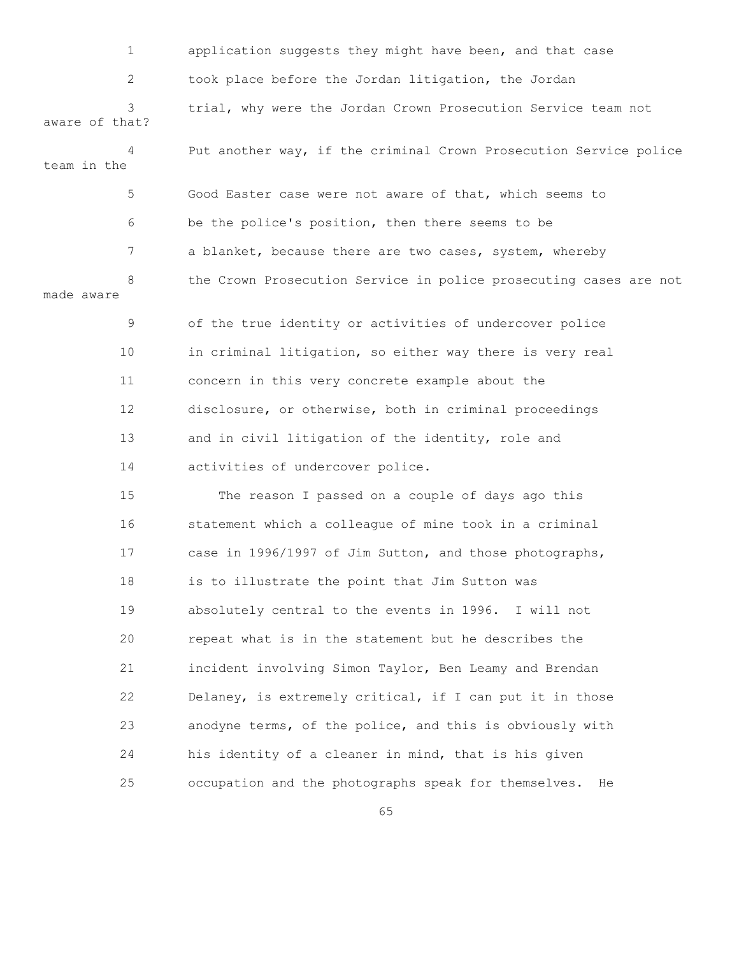| $\mathbf 1$         | application suggests they might have been, and that case          |
|---------------------|-------------------------------------------------------------------|
| 2                   | took place before the Jordan litigation, the Jordan               |
| 3<br>aware of that? | trial, why were the Jordan Crown Prosecution Service team not     |
| 4<br>team in the    | Put another way, if the criminal Crown Prosecution Service police |
| 5                   | Good Easter case were not aware of that, which seems to           |
| 6                   | be the police's position, then there seems to be                  |
| 7                   | a blanket, because there are two cases, system, whereby           |
| 8<br>made aware     | the Crown Prosecution Service in police prosecuting cases are not |
| 9                   | of the true identity or activities of undercover police           |
| 10                  | in criminal litigation, so either way there is very real          |
| 11                  | concern in this very concrete example about the                   |
| 12                  | disclosure, or otherwise, both in criminal proceedings            |
| 13                  | and in civil litigation of the identity, role and                 |
| 14                  | activities of undercover police.                                  |
| 15                  | The reason I passed on a couple of days ago this                  |
| 16                  | statement which a colleague of mine took in a criminal            |
| 17                  | case in 1996/1997 of Jim Sutton, and those photographs,           |
| 18                  | is to illustrate the point that Jim Sutton was                    |
| 19                  | absolutely central to the events in 1996. I will not              |
| 20                  | repeat what is in the statement but he describes the              |
| 21                  | incident involving Simon Taylor, Ben Leamy and Brendan            |
| 22                  | Delaney, is extremely critical, if I can put it in those          |
| 23                  | anodyne terms, of the police, and this is obviously with          |
| 24                  | his identity of a cleaner in mind, that is his given              |
| 25                  | occupation and the photographs speak for themselves.<br>He        |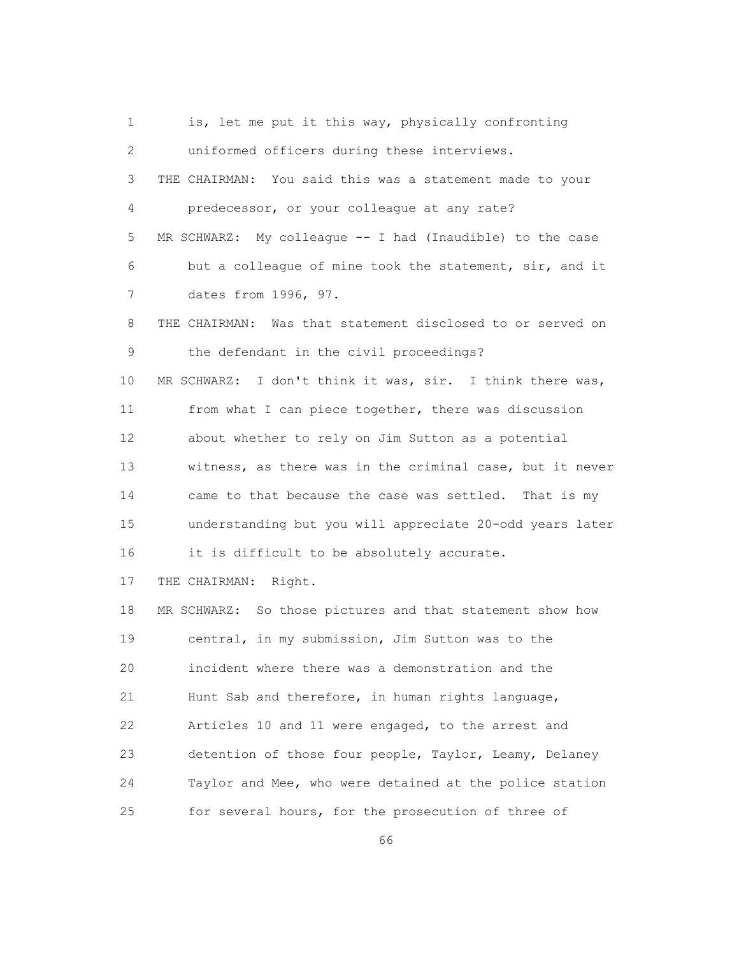1 is, let me put it this way, physically confronting 2 uniformed officers during these interviews. 3 THE CHAIRMAN: You said this was a statement made to your 4 predecessor, or your colleague at any rate? 5 MR SCHWARZ: My colleague -- I had (Inaudible) to the case 6 but a colleague of mine took the statement, sir, and it 7 dates from 1996, 97. 8 THE CHAIRMAN: Was that statement disclosed to or served on 9 the defendant in the civil proceedings? 10 MR SCHWARZ: I don't think it was, sir. I think there was, 11 from what I can piece together, there was discussion 12 about whether to rely on Jim Sutton as a potential 13 witness, as there was in the criminal case, but it never 14 came to that because the case was settled. That is my 15 understanding but you will appreciate 20-odd years later 16 it is difficult to be absolutely accurate. 17 THE CHAIRMAN: Right. 18 MR SCHWARZ: So those pictures and that statement show how 19 central, in my submission, Jim Sutton was to the 20 incident where there was a demonstration and the 21 Hunt Sab and therefore, in human rights language, 22 Articles 10 and 11 were engaged, to the arrest and 23 detention of those four people, Taylor, Leamy, Delaney 24 Taylor and Mee, who were detained at the police station 25 for several hours, for the prosecution of three of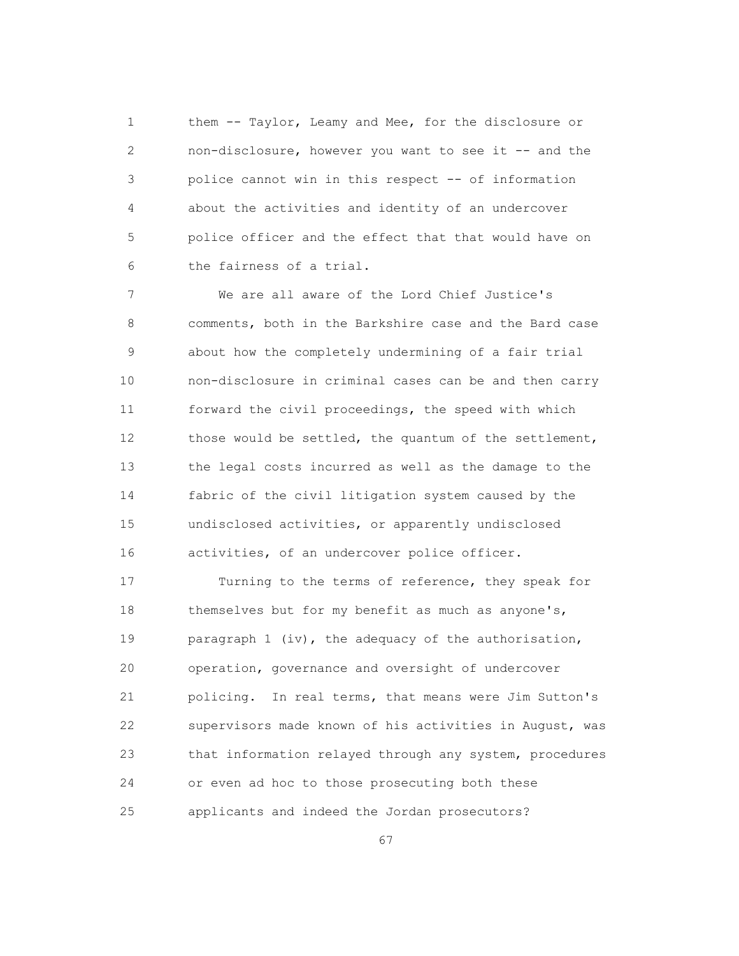1 them -- Taylor, Leamy and Mee, for the disclosure or 2 non-disclosure, however you want to see it -- and the 3 police cannot win in this respect -- of information 4 about the activities and identity of an undercover 5 police officer and the effect that that would have on 6 the fairness of a trial.

 7 We are all aware of the Lord Chief Justice's 8 comments, both in the Barkshire case and the Bard case 9 about how the completely undermining of a fair trial 10 non-disclosure in criminal cases can be and then carry 11 forward the civil proceedings, the speed with which 12 those would be settled, the quantum of the settlement, 13 the legal costs incurred as well as the damage to the 14 fabric of the civil litigation system caused by the 15 undisclosed activities, or apparently undisclosed 16 activities, of an undercover police officer.

 17 Turning to the terms of reference, they speak for 18 themselves but for my benefit as much as anyone's, 19 paragraph 1 (iv), the adequacy of the authorisation, 20 operation, governance and oversight of undercover 21 policing. In real terms, that means were Jim Sutton's 22 supervisors made known of his activities in August, was 23 that information relayed through any system, procedures 24 or even ad hoc to those prosecuting both these 25 applicants and indeed the Jordan prosecutors?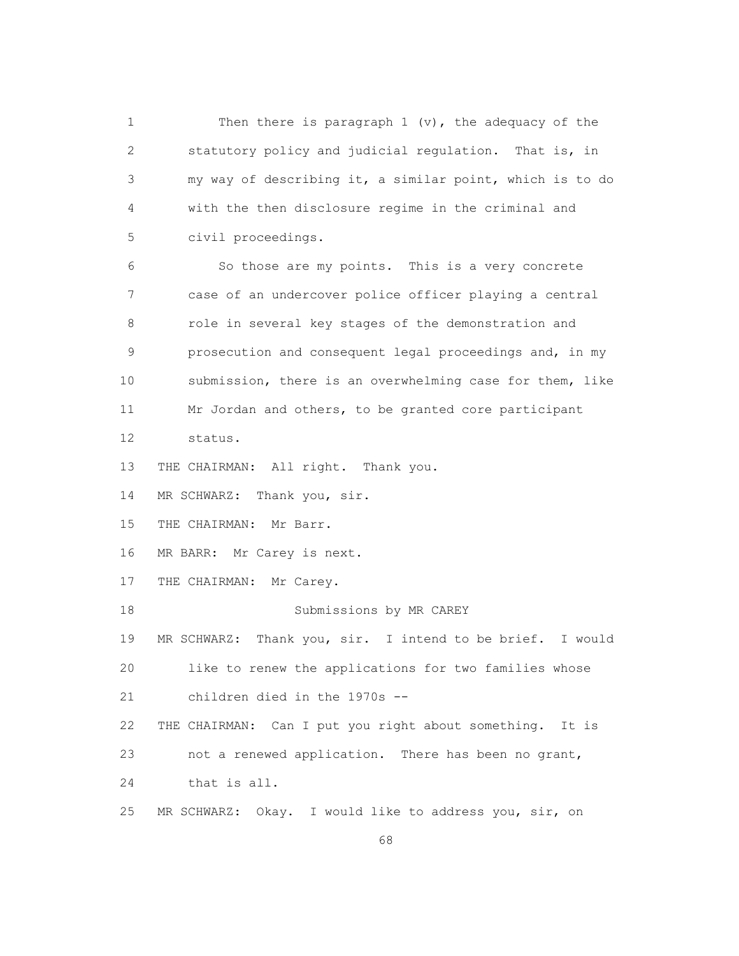1 Then there is paragraph 1 (v), the adequacy of the 2 statutory policy and judicial regulation. That is, in 3 my way of describing it, a similar point, which is to do 4 with the then disclosure regime in the criminal and 5 civil proceedings. 6 So those are my points. This is a very concrete 7 case of an undercover police officer playing a central 8 role in several key stages of the demonstration and 9 prosecution and consequent legal proceedings and, in my 10 submission, there is an overwhelming case for them, like 11 Mr Jordan and others, to be granted core participant 12 status. 13 THE CHAIRMAN: All right. Thank you. 14 MR SCHWARZ: Thank you, sir. 15 THE CHAIRMAN: Mr Barr. 16 MR BARR: Mr Carey is next. 17 THE CHAIRMAN: Mr Carey. 18 Submissions by MR CAREY 19 MR SCHWARZ: Thank you, sir. I intend to be brief. I would 20 like to renew the applications for two families whose 21 children died in the 1970s -- 22 THE CHAIRMAN: Can I put you right about something. It is 23 not a renewed application. There has been no grant, 24 that is all. 25 MR SCHWARZ: Okay. I would like to address you, sir, on

 $\sim$  68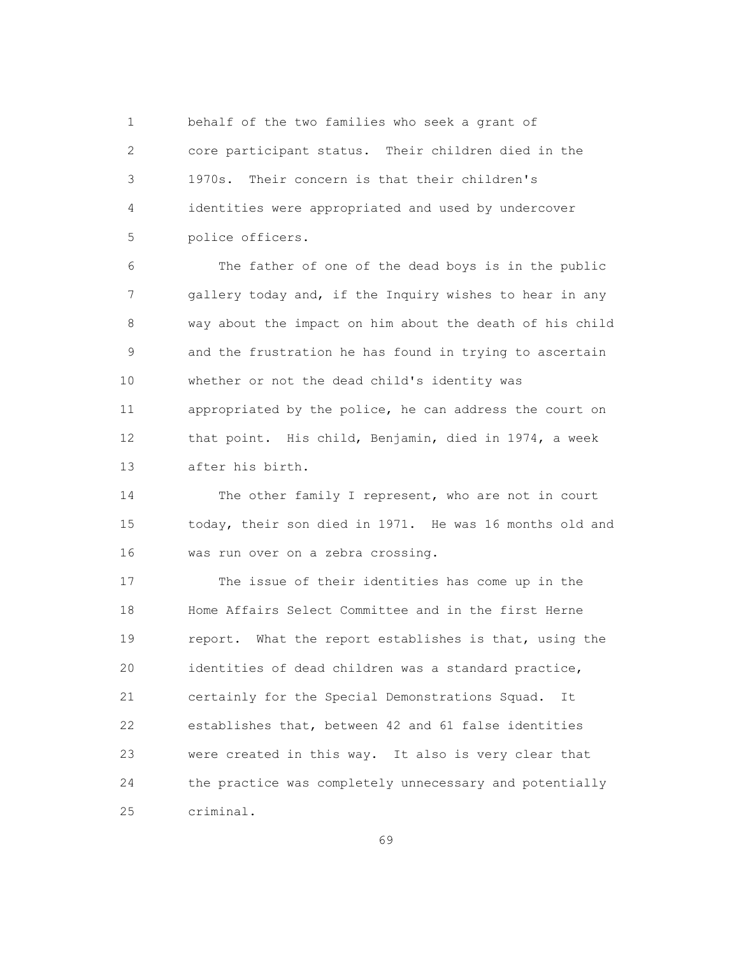1 behalf of the two families who seek a grant of 2 core participant status. Their children died in the 3 1970s. Their concern is that their children's 4 identities were appropriated and used by undercover 5 police officers.

 6 The father of one of the dead boys is in the public 7 gallery today and, if the Inquiry wishes to hear in any 8 way about the impact on him about the death of his child 9 and the frustration he has found in trying to ascertain 10 whether or not the dead child's identity was 11 appropriated by the police, he can address the court on 12 that point. His child, Benjamin, died in 1974, a week 13 after his birth.

 14 The other family I represent, who are not in court 15 today, their son died in 1971. He was 16 months old and 16 was run over on a zebra crossing.

 17 The issue of their identities has come up in the 18 Home Affairs Select Committee and in the first Herne 19 report. What the report establishes is that, using the 20 identities of dead children was a standard practice, 21 certainly for the Special Demonstrations Squad. It 22 establishes that, between 42 and 61 false identities 23 were created in this way. It also is very clear that 24 the practice was completely unnecessary and potentially 25 criminal.

 $\sim$  69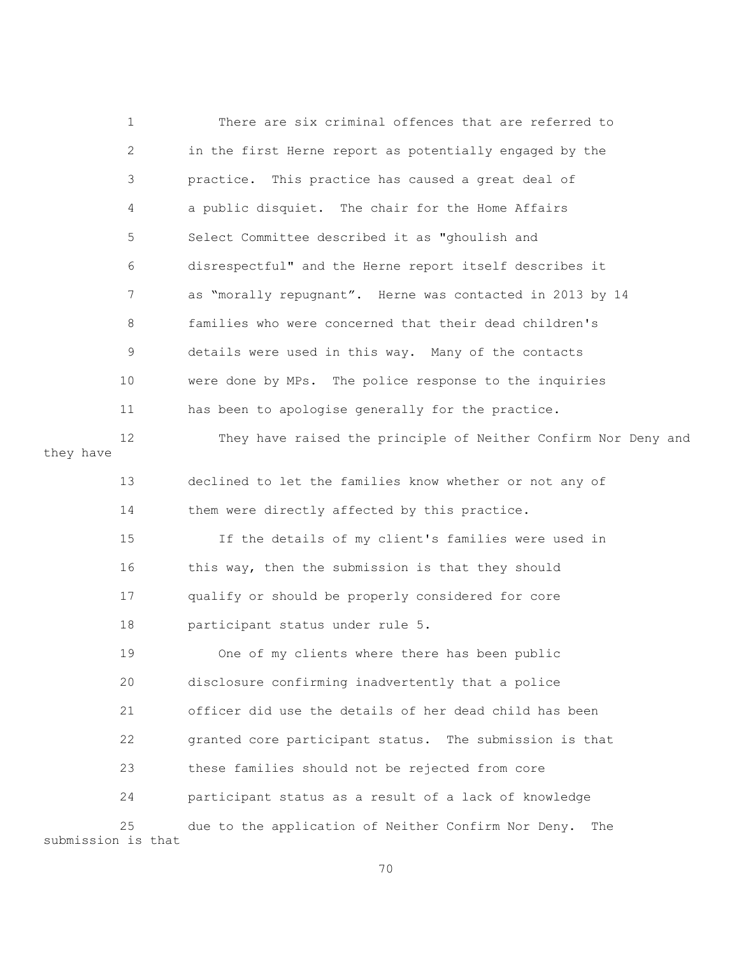|                    | $\mathbf 1$  | There are six criminal offences that are referred to           |
|--------------------|--------------|----------------------------------------------------------------|
| they have          | $\mathbf{2}$ | in the first Herne report as potentially engaged by the        |
|                    | 3            | practice. This practice has caused a great deal of             |
|                    | 4            | a public disquiet. The chair for the Home Affairs              |
|                    | 5            | Select Committee described it as "ghoulish and                 |
|                    | 6            | disrespectful" and the Herne report itself describes it        |
|                    | 7            | as "morally repugnant". Herne was contacted in 2013 by 14      |
|                    | 8            | families who were concerned that their dead children's         |
|                    | 9            | details were used in this way. Many of the contacts            |
|                    | 10           | were done by MPs. The police response to the inquiries         |
|                    | 11           | has been to apologise generally for the practice.              |
|                    | 12           | They have raised the principle of Neither Confirm Nor Deny and |
|                    | 13           | declined to let the families know whether or not any of        |
|                    | 14           | them were directly affected by this practice.                  |
|                    | 15           | If the details of my client's families were used in            |
|                    | 16           | this way, then the submission is that they should              |
|                    | 17           | qualify or should be properly considered for core              |
|                    | 18           | participant status under rule 5.                               |
|                    | 19           | One of my clients where there has been public                  |
|                    | 20           | disclosure confirming inadvertently that a police              |
|                    | 21           | officer did use the details of her dead child has been         |
|                    | 22           | granted core participant status. The submission is that        |
|                    | 23           | these families should not be rejected from core                |
|                    | 24           | participant status as a result of a lack of knowledge          |
| submission is that | 25           | due to the application of Neither Confirm Nor Deny.<br>The     |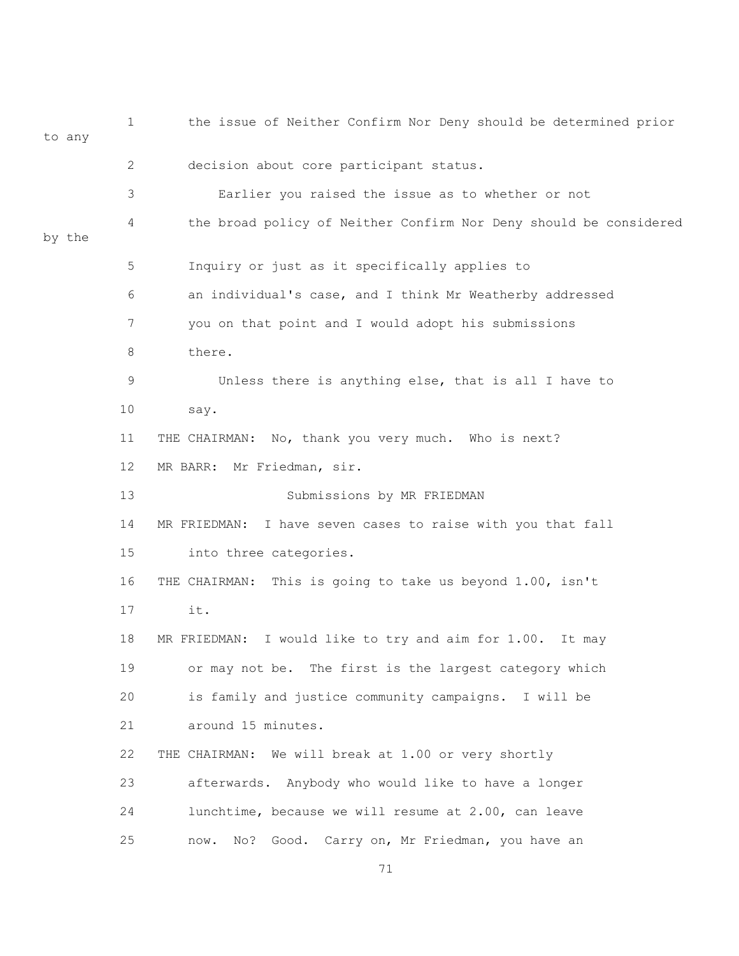1 the issue of Neither Confirm Nor Deny should be determined prior to any 2 decision about core participant status. 3 Earlier you raised the issue as to whether or not 4 the broad policy of Neither Confirm Nor Deny should be considered by the 5 Inquiry or just as it specifically applies to 6 an individual's case, and I think Mr Weatherby addressed 7 you on that point and I would adopt his submissions 8 there. 9 Unless there is anything else, that is all I have to 10 say. 11 THE CHAIRMAN: No, thank you very much. Who is next? 12 MR BARR: Mr Friedman, sir. 13 Submissions by MR FRIEDMAN 14 MR FRIEDMAN: I have seven cases to raise with you that fall 15 into three categories. 16 THE CHAIRMAN: This is going to take us beyond 1.00, isn't 17 it. 18 MR FRIEDMAN: I would like to try and aim for 1.00. It may 19 or may not be. The first is the largest category which 20 is family and justice community campaigns. I will be 21 around 15 minutes. 22 THE CHAIRMAN: We will break at 1.00 or very shortly 23 afterwards. Anybody who would like to have a longer 24 lunchtime, because we will resume at 2.00, can leave 25 now. No? Good. Carry on, Mr Friedman, you have an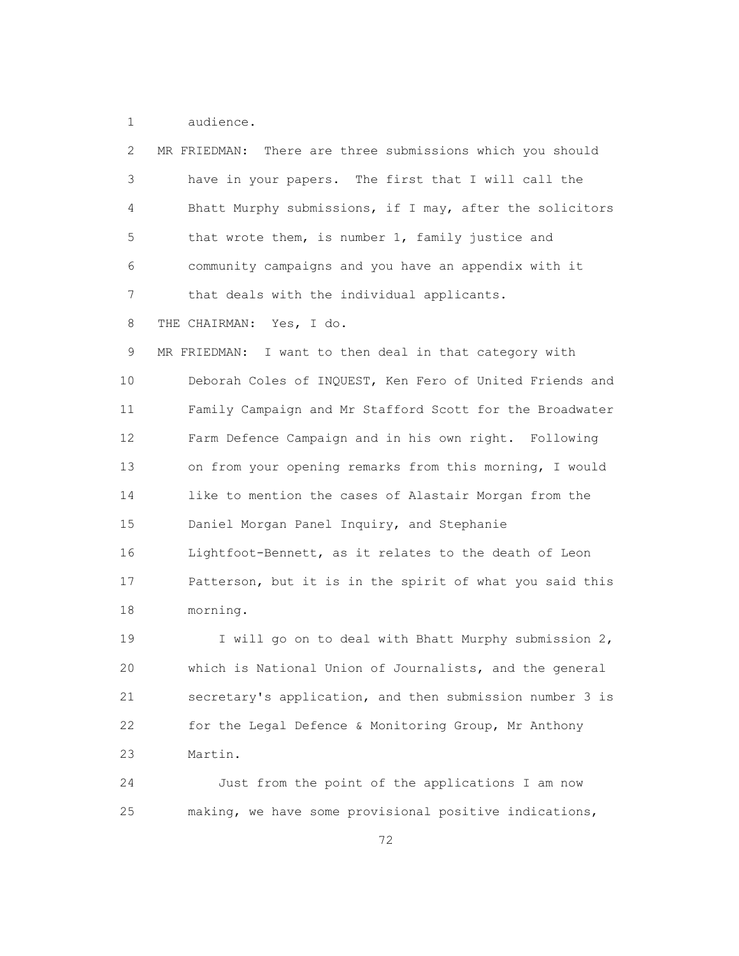1 audience.

| 2  | There are three submissions which you should<br>MR FRIEDMAN: |
|----|--------------------------------------------------------------|
| 3  | have in your papers. The first that I will call the          |
| 4  | Bhatt Murphy submissions, if I may, after the solicitors     |
| 5  | that wrote them, is number 1, family justice and             |
| 6  | community campaigns and you have an appendix with it         |
| 7  | that deals with the individual applicants.                   |
| 8  | THE CHAIRMAN: Yes, I do.                                     |
| 9  | MR FRIEDMAN:<br>I want to then deal in that category with    |
| 10 | Deborah Coles of INQUEST, Ken Fero of United Friends and     |
| 11 | Family Campaign and Mr Stafford Scott for the Broadwater     |
| 12 | Farm Defence Campaign and in his own right. Following        |
| 13 | on from your opening remarks from this morning, I would      |
| 14 | like to mention the cases of Alastair Morgan from the        |
| 15 | Daniel Morgan Panel Inquiry, and Stephanie                   |
| 16 | Lightfoot-Bennett, as it relates to the death of Leon        |
| 17 | Patterson, but it is in the spirit of what you said this     |
| 18 | morning.                                                     |
| 19 | I will go on to deal with Bhatt Murphy submission 2,         |
| 20 | which is National Union of Journalists, and the general      |
| 21 | secretary's application, and then submission number 3 is     |
| 22 | for the Legal Defence & Monitoring Group, Mr Anthony         |
| 23 | Martin.                                                      |

 24 Just from the point of the applications I am now 25 making, we have some provisional positive indications,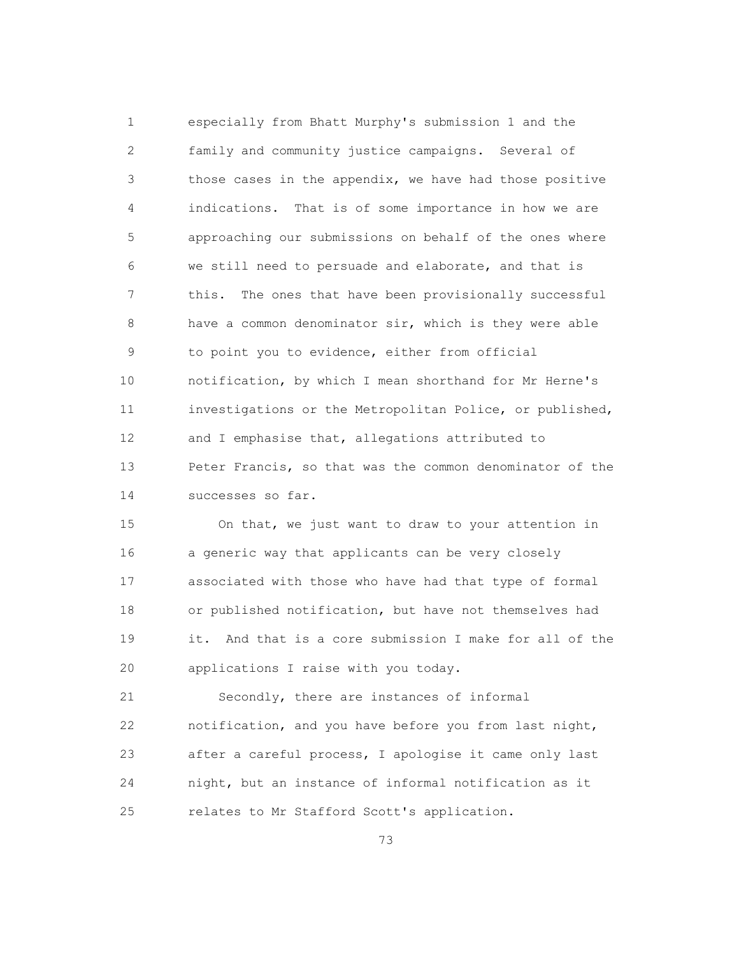1 especially from Bhatt Murphy's submission 1 and the 2 family and community justice campaigns. Several of 3 those cases in the appendix, we have had those positive 4 indications. That is of some importance in how we are 5 approaching our submissions on behalf of the ones where 6 we still need to persuade and elaborate, and that is 7 this. The ones that have been provisionally successful 8 have a common denominator sir, which is they were able 9 to point you to evidence, either from official 10 notification, by which I mean shorthand for Mr Herne's 11 investigations or the Metropolitan Police, or published, 12 and I emphasise that, allegations attributed to 13 Peter Francis, so that was the common denominator of the 14 successes so far.

 15 On that, we just want to draw to your attention in 16 a generic way that applicants can be very closely 17 associated with those who have had that type of formal 18 or published notification, but have not themselves had 19 it. And that is a core submission I make for all of the 20 applications I raise with you today.

 21 Secondly, there are instances of informal 22 notification, and you have before you from last night, 23 after a careful process, I apologise it came only last 24 night, but an instance of informal notification as it 25 relates to Mr Stafford Scott's application.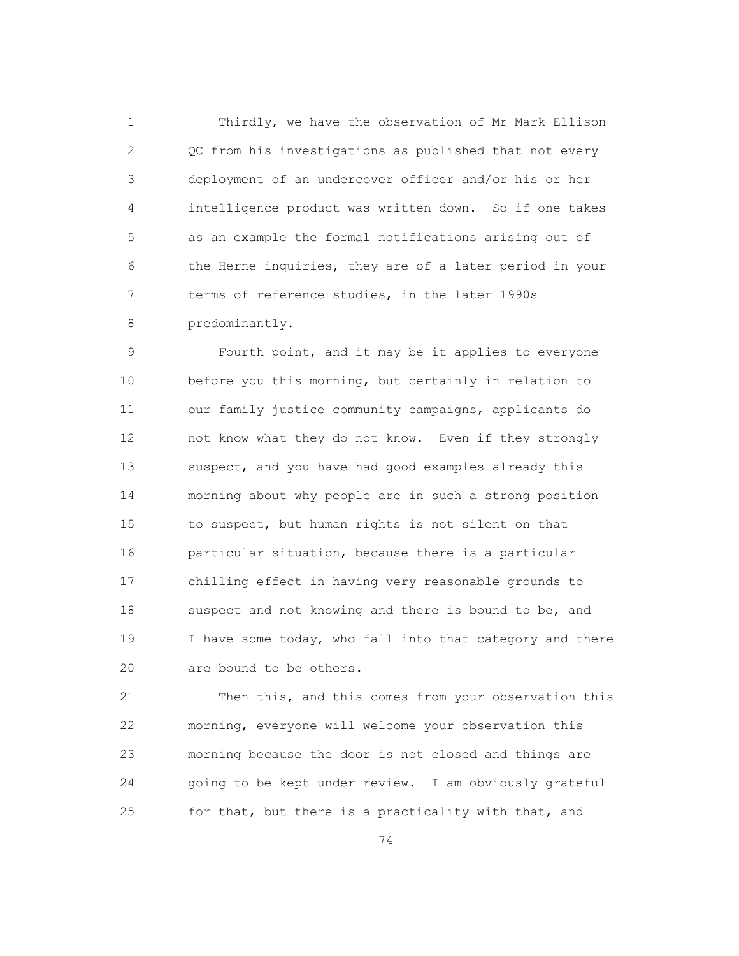1 Thirdly, we have the observation of Mr Mark Ellison 2 QC from his investigations as published that not every 3 deployment of an undercover officer and/or his or her 4 intelligence product was written down. So if one takes 5 as an example the formal notifications arising out of 6 the Herne inquiries, they are of a later period in your 7 terms of reference studies, in the later 1990s 8 predominantly.

 9 Fourth point, and it may be it applies to everyone 10 before you this morning, but certainly in relation to 11 our family justice community campaigns, applicants do 12 not know what they do not know. Even if they strongly 13 suspect, and you have had good examples already this 14 morning about why people are in such a strong position 15 to suspect, but human rights is not silent on that 16 **particular situation, because there is a particular**  17 chilling effect in having very reasonable grounds to 18 suspect and not knowing and there is bound to be, and 19 I have some today, who fall into that category and there 20 are bound to be others.

 21 Then this, and this comes from your observation this 22 morning, everyone will welcome your observation this 23 morning because the door is not closed and things are 24 going to be kept under review. I am obviously grateful 25 for that, but there is a practicality with that, and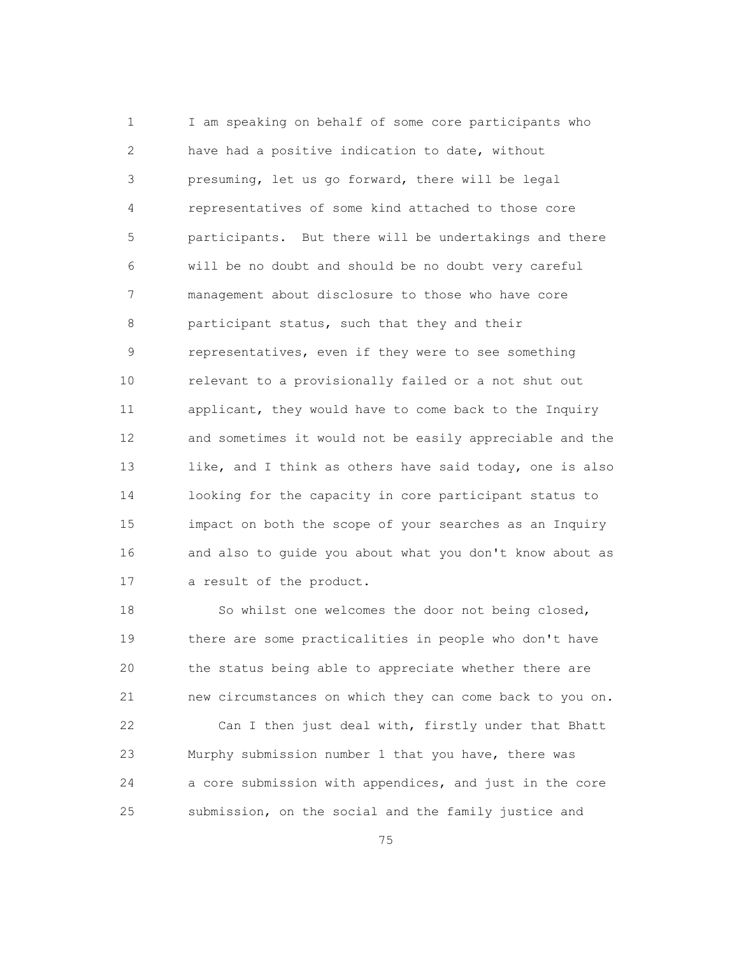1 I am speaking on behalf of some core participants who 2 have had a positive indication to date, without 3 presuming, let us go forward, there will be legal 4 representatives of some kind attached to those core 5 participants. But there will be undertakings and there 6 will be no doubt and should be no doubt very careful 7 management about disclosure to those who have core 8 participant status, such that they and their 9 representatives, even if they were to see something 10 relevant to a provisionally failed or a not shut out 11 applicant, they would have to come back to the Inquiry 12 and sometimes it would not be easily appreciable and the 13 like, and I think as others have said today, one is also 14 looking for the capacity in core participant status to 15 impact on both the scope of your searches as an Inquiry 16 and also to guide you about what you don't know about as 17 a result of the product.

18 So whilst one welcomes the door not being closed, 19 there are some practicalities in people who don't have 20 the status being able to appreciate whether there are 21 new circumstances on which they can come back to you on.

 22 Can I then just deal with, firstly under that Bhatt 23 Murphy submission number 1 that you have, there was 24 a core submission with appendices, and just in the core 25 submission, on the social and the family justice and

<u>75</u>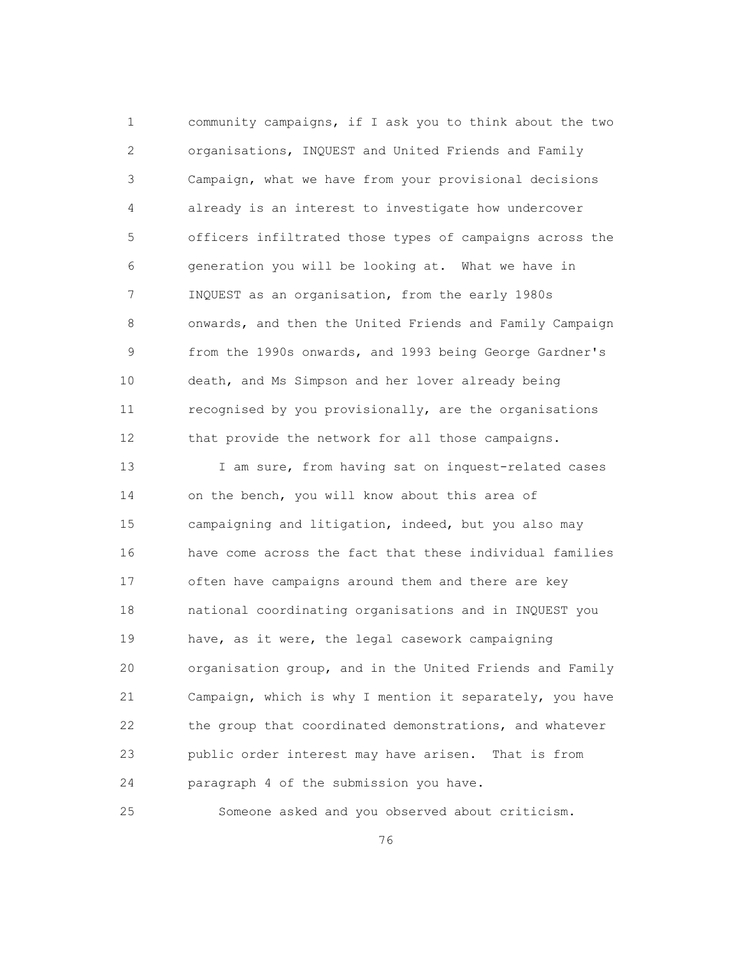1 community campaigns, if I ask you to think about the two 2 organisations, INQUEST and United Friends and Family 3 Campaign, what we have from your provisional decisions 4 already is an interest to investigate how undercover 5 officers infiltrated those types of campaigns across the 6 generation you will be looking at. What we have in 7 INQUEST as an organisation, from the early 1980s 8 onwards, and then the United Friends and Family Campaign 9 from the 1990s onwards, and 1993 being George Gardner's 10 death, and Ms Simpson and her lover already being 11 recognised by you provisionally, are the organisations 12 that provide the network for all those campaigns.

13 I am sure, from having sat on inquest-related cases 14 on the bench, you will know about this area of 15 campaigning and litigation, indeed, but you also may 16 have come across the fact that these individual families 17 often have campaigns around them and there are key 18 national coordinating organisations and in INQUEST you 19 have, as it were, the legal casework campaigning 20 organisation group, and in the United Friends and Family 21 Campaign, which is why I mention it separately, you have 22 the group that coordinated demonstrations, and whatever 23 public order interest may have arisen. That is from 24 paragraph 4 of the submission you have.

25 Someone asked and you observed about criticism.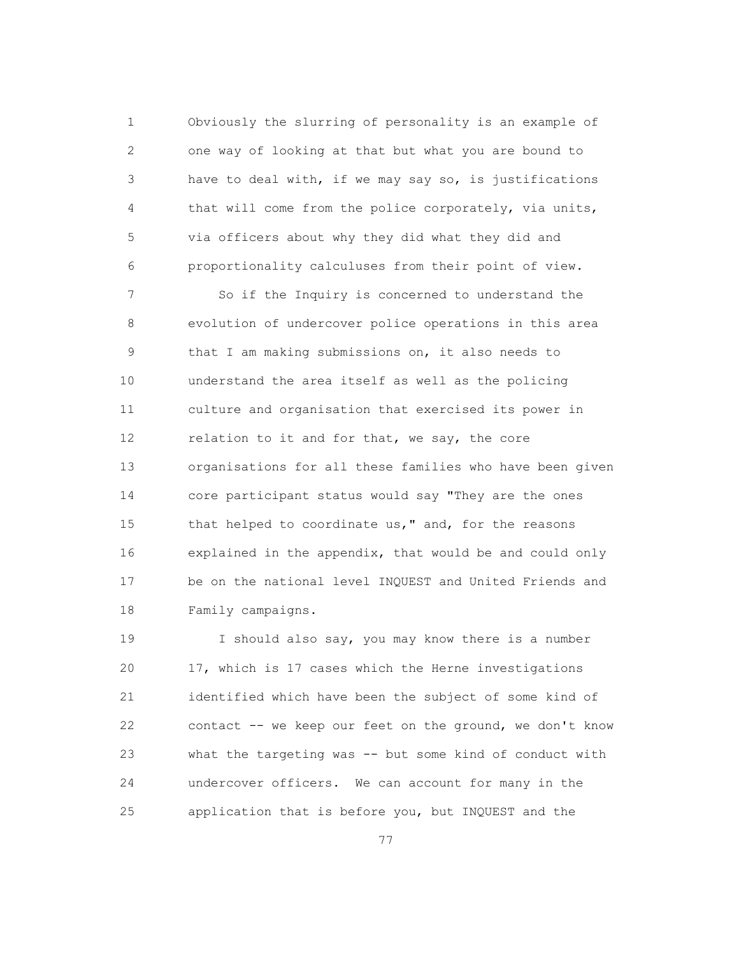1 Obviously the slurring of personality is an example of 2 one way of looking at that but what you are bound to 3 have to deal with, if we may say so, is justifications 4 that will come from the police corporately, via units, 5 via officers about why they did what they did and 6 proportionality calculuses from their point of view.

 7 So if the Inquiry is concerned to understand the 8 evolution of undercover police operations in this area 9 that I am making submissions on, it also needs to 10 understand the area itself as well as the policing 11 culture and organisation that exercised its power in 12 relation to it and for that, we say, the core 13 organisations for all these families who have been given 14 core participant status would say "They are the ones 15 that helped to coordinate us," and, for the reasons 16 explained in the appendix, that would be and could only 17 be on the national level INQUEST and United Friends and 18 Family campaigns.

 19 I should also say, you may know there is a number 20 17, which is 17 cases which the Herne investigations 21 identified which have been the subject of some kind of 22 contact -- we keep our feet on the ground, we don't know 23 what the targeting was -- but some kind of conduct with 24 undercover officers. We can account for many in the 25 application that is before you, but INQUEST and the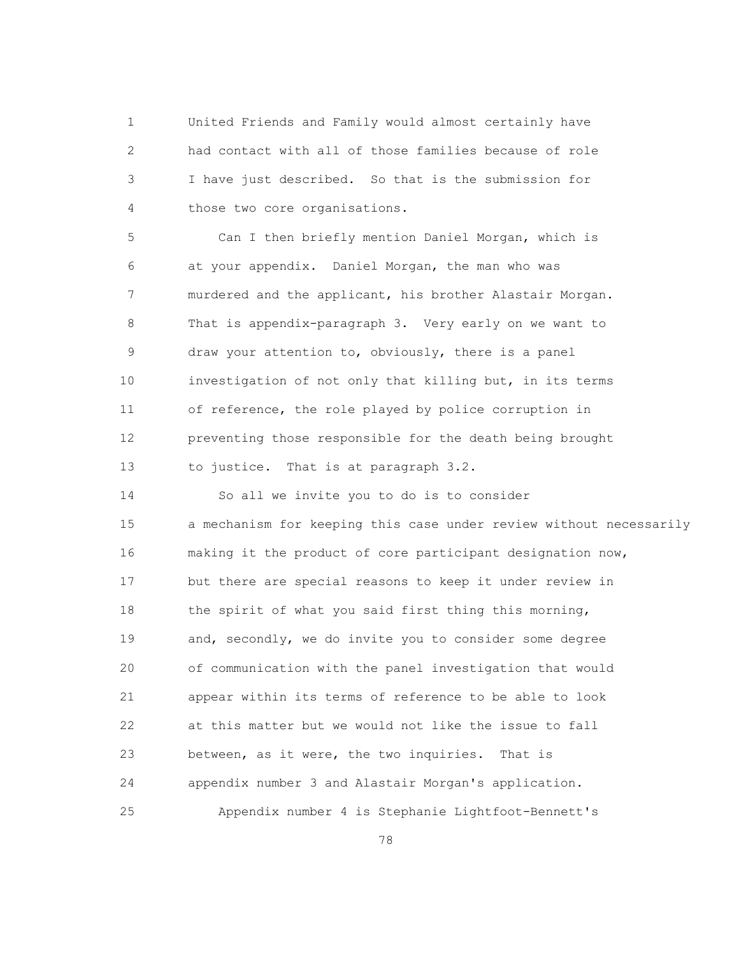1 United Friends and Family would almost certainly have 2 had contact with all of those families because of role 3 I have just described. So that is the submission for 4 those two core organisations.

 5 Can I then briefly mention Daniel Morgan, which is 6 at your appendix. Daniel Morgan, the man who was 7 murdered and the applicant, his brother Alastair Morgan. 8 That is appendix-paragraph 3. Very early on we want to 9 draw your attention to, obviously, there is a panel 10 investigation of not only that killing but, in its terms 11 of reference, the role played by police corruption in 12 preventing those responsible for the death being brought 13 to justice. That is at paragraph 3.2.

 14 So all we invite you to do is to consider 15 a mechanism for keeping this case under review without necessarily 16 making it the product of core participant designation now, 17 but there are special reasons to keep it under review in 18 the spirit of what you said first thing this morning, 19 and, secondly, we do invite you to consider some degree 20 of communication with the panel investigation that would 21 appear within its terms of reference to be able to look 22 at this matter but we would not like the issue to fall 23 between, as it were, the two inquiries. That is 24 appendix number 3 and Alastair Morgan's application. 25 Appendix number 4 is Stephanie Lightfoot-Bennett's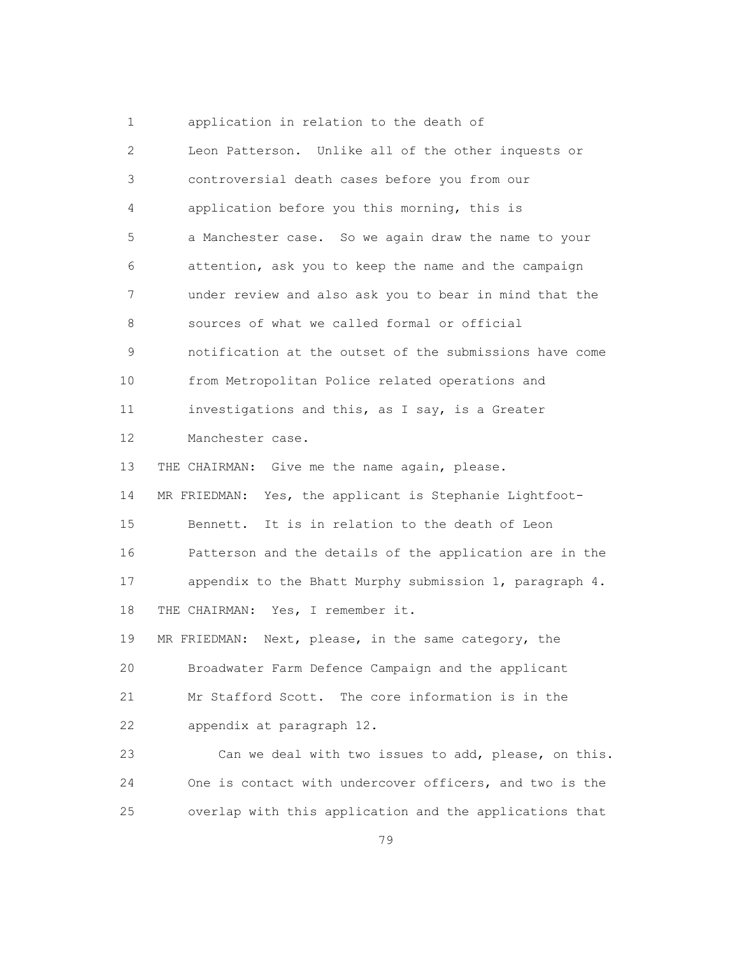1 application in relation to the death of 2 Leon Patterson. Unlike all of the other inquests or 3 controversial death cases before you from our 4 application before you this morning, this is 5 a Manchester case. So we again draw the name to your 6 attention, ask you to keep the name and the campaign 7 under review and also ask you to bear in mind that the 8 sources of what we called formal or official 9 notification at the outset of the submissions have come 10 from Metropolitan Police related operations and 11 investigations and this, as I say, is a Greater 12 Manchester case. 13 THE CHAIRMAN: Give me the name again, please. 14 MR FRIEDMAN: Yes, the applicant is Stephanie Lightfoot- 15 Bennett. It is in relation to the death of Leon 16 Patterson and the details of the application are in the 17 appendix to the Bhatt Murphy submission 1, paragraph 4. 18 THE CHAIRMAN: Yes, I remember it. 19 MR FRIEDMAN: Next, please, in the same category, the 20 Broadwater Farm Defence Campaign and the applicant 21 Mr Stafford Scott. The core information is in the 22 appendix at paragraph 12. 23 Can we deal with two issues to add, please, on this. 24 One is contact with undercover officers, and two is the 25 overlap with this application and the applications that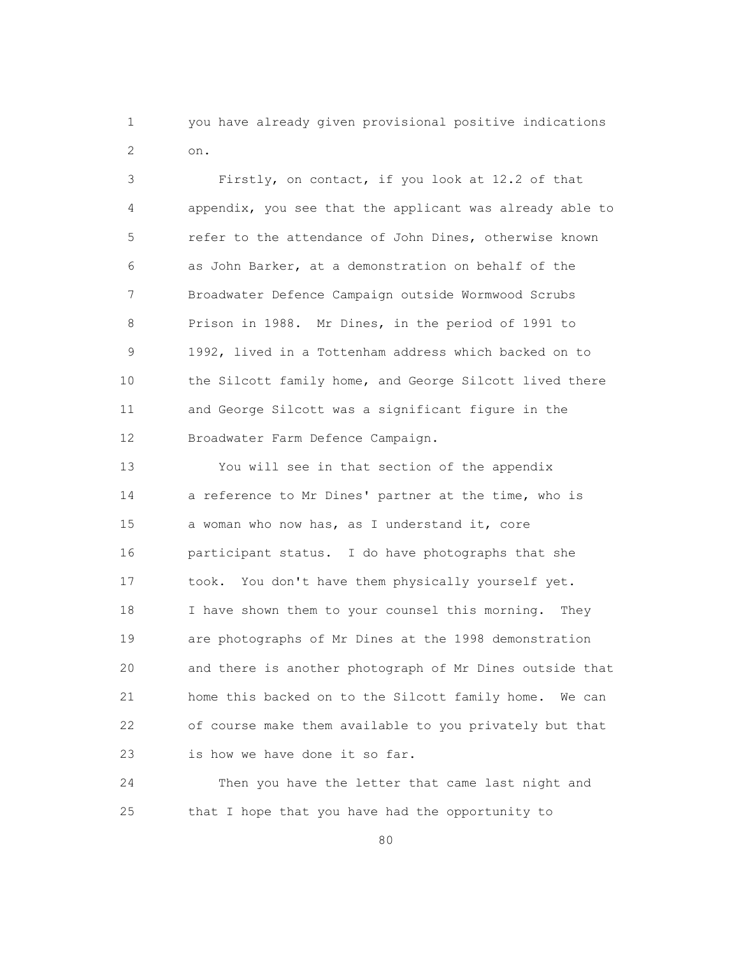1 you have already given provisional positive indications 2 on.

> 3 Firstly, on contact, if you look at 12.2 of that 4 appendix, you see that the applicant was already able to 5 refer to the attendance of John Dines, otherwise known 6 as John Barker, at a demonstration on behalf of the 7 Broadwater Defence Campaign outside Wormwood Scrubs 8 Prison in 1988. Mr Dines, in the period of 1991 to 9 1992, lived in a Tottenham address which backed on to 10 the Silcott family home, and George Silcott lived there 11 and George Silcott was a significant figure in the 12 Broadwater Farm Defence Campaign.

> 13 You will see in that section of the appendix 14 a reference to Mr Dines' partner at the time, who is 15 a woman who now has, as I understand it, core 16 participant status. I do have photographs that she 17 took. You don't have them physically yourself yet. 18 I have shown them to your counsel this morning. They 19 are photographs of Mr Dines at the 1998 demonstration 20 and there is another photograph of Mr Dines outside that 21 home this backed on to the Silcott family home. We can 22 of course make them available to you privately but that 23 is how we have done it so far.

 24 Then you have the letter that came last night and 25 that I hope that you have had the opportunity to

en and the state of the state of the state of the state of the state of the state of the state of the state of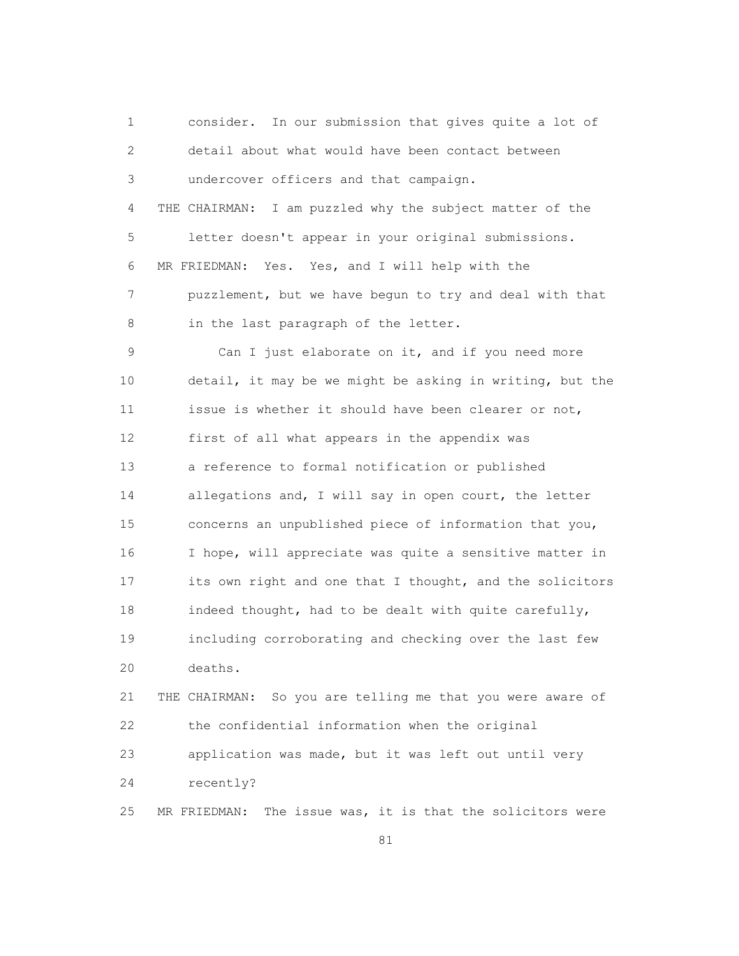1 consider. In our submission that gives quite a lot of 2 detail about what would have been contact between 3 undercover officers and that campaign. 4 THE CHAIRMAN: I am puzzled why the subject matter of the 5 letter doesn't appear in your original submissions. 6 MR FRIEDMAN: Yes. Yes, and I will help with the 7 puzzlement, but we have begun to try and deal with that 8 in the last paragraph of the letter.

 9 Can I just elaborate on it, and if you need more 10 detail, it may be we might be asking in writing, but the 11 issue is whether it should have been clearer or not, 12 first of all what appears in the appendix was 13 a reference to formal notification or published 14 allegations and, I will say in open court, the letter 15 concerns an unpublished piece of information that you, 16 I hope, will appreciate was quite a sensitive matter in 17 its own right and one that I thought, and the solicitors 18 indeed thought, had to be dealt with quite carefully, 19 including corroborating and checking over the last few 20 deaths.

 21 THE CHAIRMAN: So you are telling me that you were aware of 22 the confidential information when the original 23 application was made, but it was left out until very 24 recently?

25 MR FRIEDMAN: The issue was, it is that the solicitors were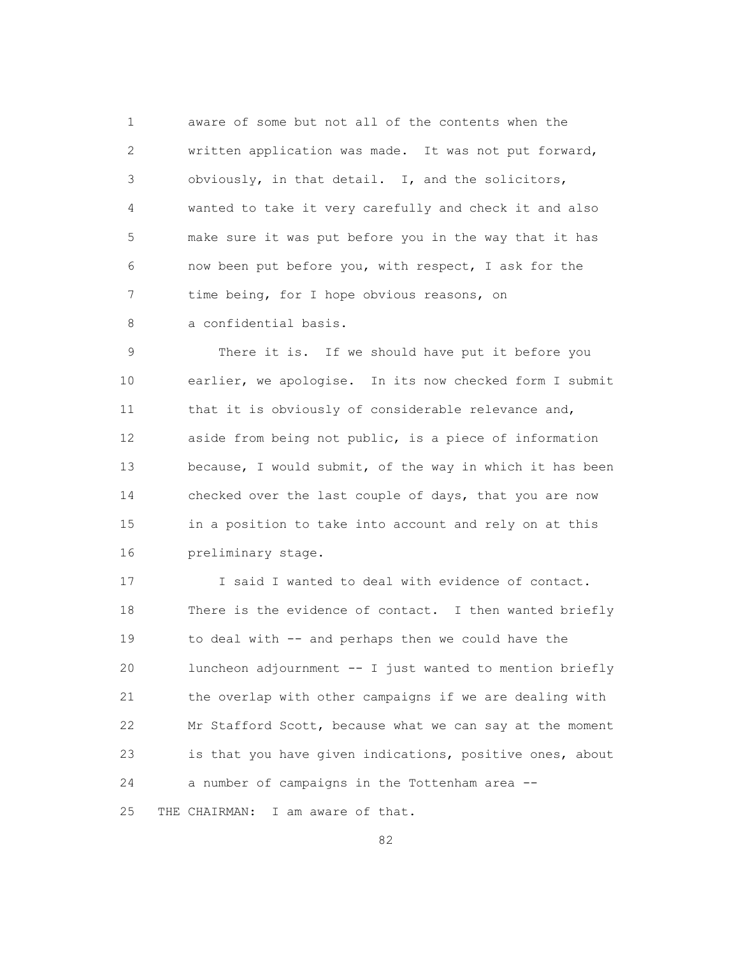1 aware of some but not all of the contents when the 2 written application was made. It was not put forward, 3 obviously, in that detail. I, and the solicitors, 4 wanted to take it very carefully and check it and also 5 make sure it was put before you in the way that it has 6 now been put before you, with respect, I ask for the 7 time being, for I hope obvious reasons, on 8 a confidential basis.

 9 There it is. If we should have put it before you 10 earlier, we apologise. In its now checked form I submit 11 that it is obviously of considerable relevance and, 12 aside from being not public, is a piece of information 13 because, I would submit, of the way in which it has been 14 checked over the last couple of days, that you are now 15 in a position to take into account and rely on at this 16 preliminary stage.

 17 I said I wanted to deal with evidence of contact. 18 There is the evidence of contact. I then wanted briefly 19 to deal with -- and perhaps then we could have the 20 luncheon adjournment -- I just wanted to mention briefly 21 the overlap with other campaigns if we are dealing with 22 Mr Stafford Scott, because what we can say at the moment 23 is that you have given indications, positive ones, about 24 a number of campaigns in the Tottenham area -- 25 THE CHAIRMAN: I am aware of that.

<u>82</u>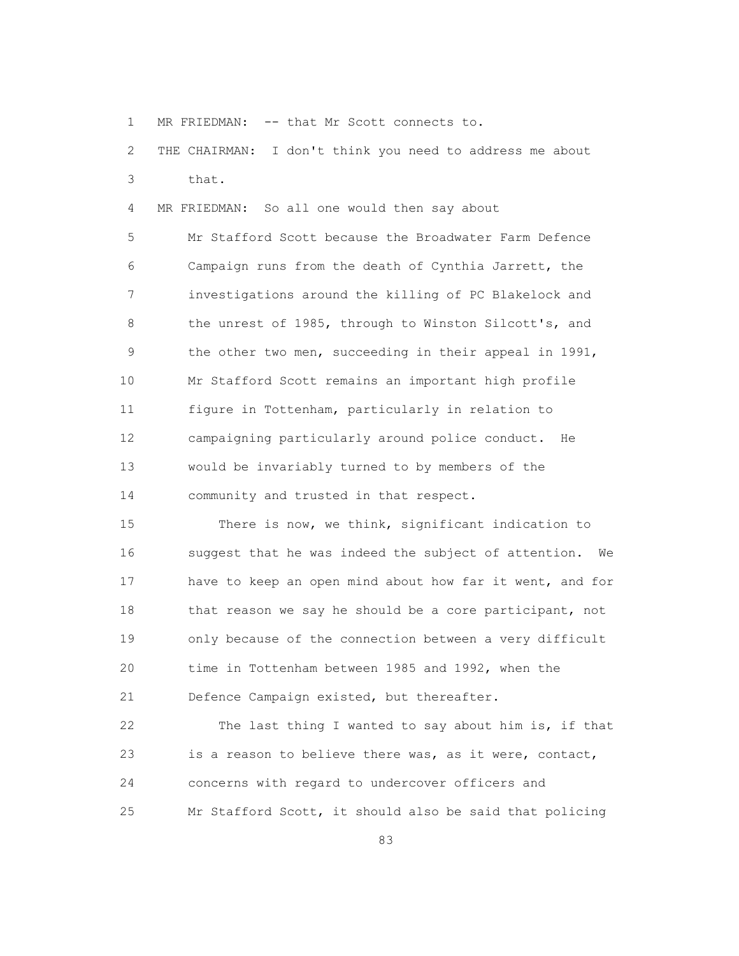1 MR FRIEDMAN: -- that Mr Scott connects to.

 2 THE CHAIRMAN: I don't think you need to address me about 3 that.

4 MR FRIEDMAN: So all one would then say about

 5 Mr Stafford Scott because the Broadwater Farm Defence 6 Campaign runs from the death of Cynthia Jarrett, the 7 investigations around the killing of PC Blakelock and 8 the unrest of 1985, through to Winston Silcott's, and 9 the other two men, succeeding in their appeal in 1991, 10 Mr Stafford Scott remains an important high profile 11 figure in Tottenham, particularly in relation to 12 campaigning particularly around police conduct. He 13 would be invariably turned to by members of the 14 community and trusted in that respect.

 15 There is now, we think, significant indication to 16 suggest that he was indeed the subject of attention. We 17 have to keep an open mind about how far it went, and for 18 that reason we say he should be a core participant, not 19 only because of the connection between a very difficult 20 time in Tottenham between 1985 and 1992, when the 21 Defence Campaign existed, but thereafter.

 22 The last thing I wanted to say about him is, if that 23 is a reason to believe there was, as it were, contact, 24 concerns with regard to undercover officers and 25 Mr Stafford Scott, it should also be said that policing

<u>83</u>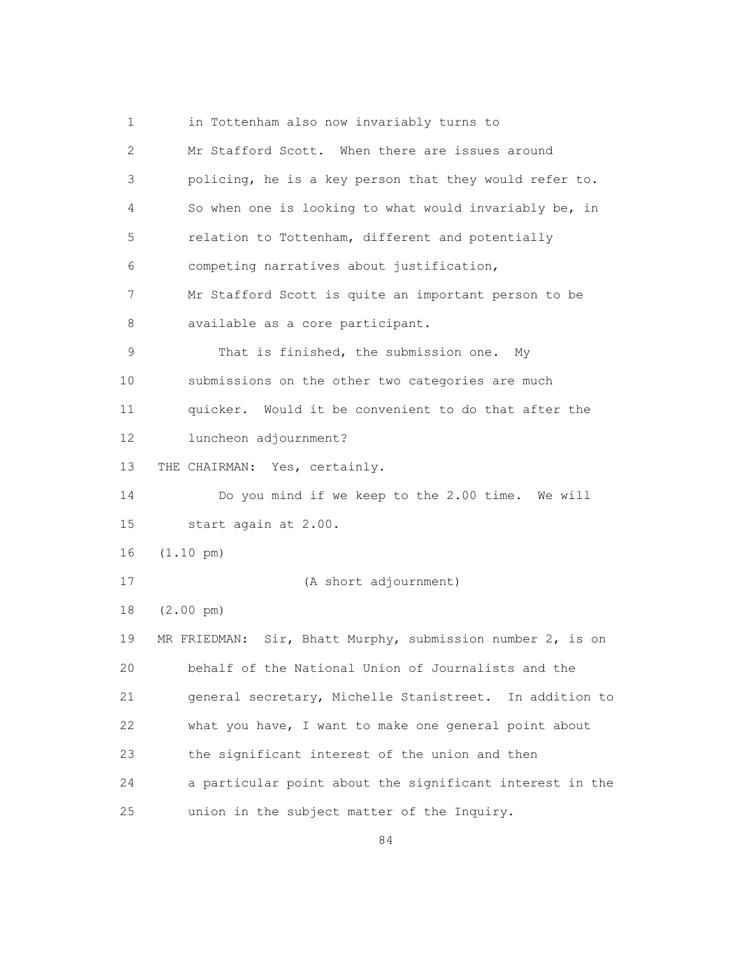1 in Tottenham also now invariably turns to 2 Mr Stafford Scott. When there are issues around 3 policing, he is a key person that they would refer to. 4 So when one is looking to what would invariably be, in 5 relation to Tottenham, different and potentially 6 competing narratives about justification, 7 Mr Stafford Scott is quite an important person to be 8 available as a core participant. 9 That is finished, the submission one. My 10 submissions on the other two categories are much 11 quicker. Would it be convenient to do that after the 12 luncheon adjournment? 13 THE CHAIRMAN: Yes, certainly. 14 Do you mind if we keep to the 2.00 time. We will 15 start again at 2.00. 16 (1.10 pm) 17 (A short adjournment) 18 (2.00 pm) 19 MR FRIEDMAN: Sir, Bhatt Murphy, submission number 2, is on 20 behalf of the National Union of Journalists and the 21 general secretary, Michelle Stanistreet. In addition to 22 what you have, I want to make one general point about 23 the significant interest of the union and then 24 a particular point about the significant interest in the 25 union in the subject matter of the Inquiry.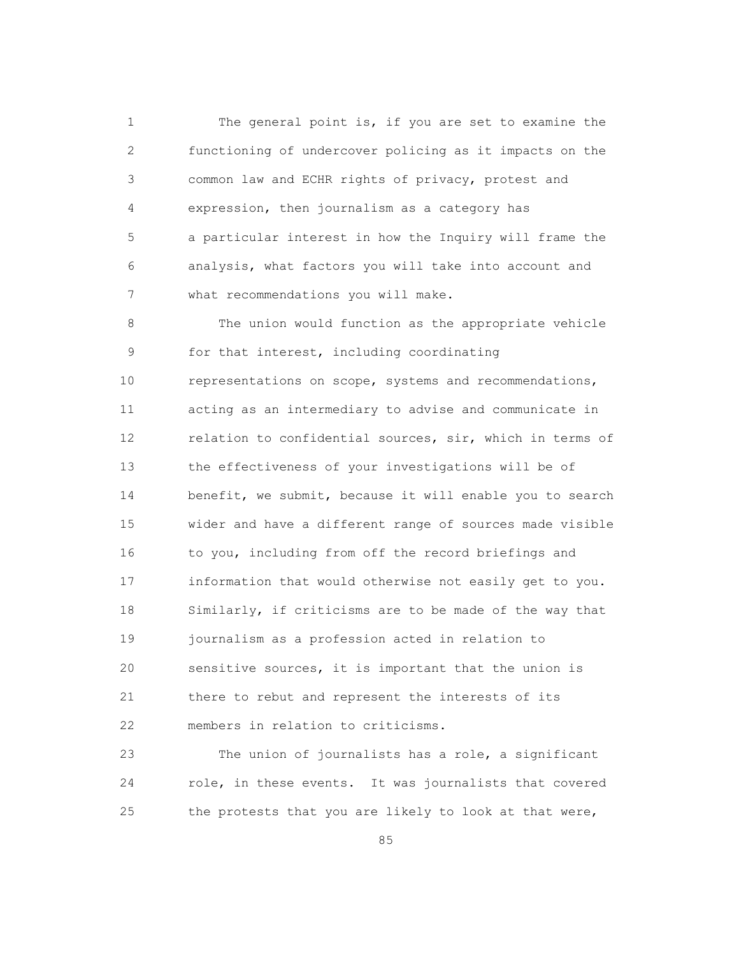1 The general point is, if you are set to examine the 2 functioning of undercover policing as it impacts on the 3 common law and ECHR rights of privacy, protest and 4 expression, then journalism as a category has 5 a particular interest in how the Inquiry will frame the 6 analysis, what factors you will take into account and 7 what recommendations you will make.

 8 The union would function as the appropriate vehicle 9 for that interest, including coordinating 10 representations on scope, systems and recommendations, 11 acting as an intermediary to advise and communicate in 12 relation to confidential sources, sir, which in terms of 13 the effectiveness of your investigations will be of 14 benefit, we submit, because it will enable you to search 15 wider and have a different range of sources made visible 16 to you, including from off the record briefings and 17 information that would otherwise not easily get to you. 18 Similarly, if criticisms are to be made of the way that 19 journalism as a profession acted in relation to 20 sensitive sources, it is important that the union is 21 there to rebut and represent the interests of its 22 members in relation to criticisms.

 23 The union of journalists has a role, a significant 24 role, in these events. It was journalists that covered 25 the protests that you are likely to look at that were,

<u>85 and 2001 and 2002 and 2003 and 2003 and 2003 and 2003 and 2003 and 2003 and 2003 and 2003 and 2003 and 200</u>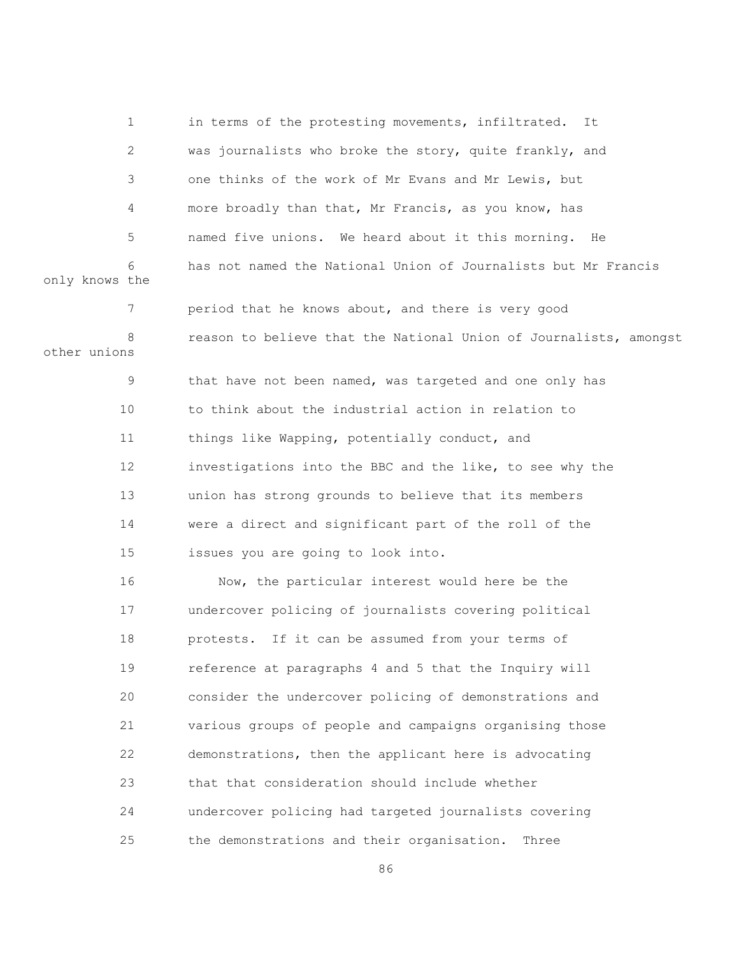1 in terms of the protesting movements, infiltrated. It 2 was journalists who broke the story, quite frankly, and 3 one thinks of the work of Mr Evans and Mr Lewis, but 4 more broadly than that, Mr Francis, as you know, has 5 named five unions. We heard about it this morning. He 6 has not named the National Union of Journalists but Mr Francis only knows the 7 period that he knows about, and there is very good 8 reason to believe that the National Union of Journalists, amongst other unions 9 that have not been named, was targeted and one only has 10 to think about the industrial action in relation to 11 things like Wapping, potentially conduct, and 12 investigations into the BBC and the like, to see why the 13 union has strong grounds to believe that its members 14 were a direct and significant part of the roll of the 15 issues you are going to look into. 16 Now, the particular interest would here be the 17 undercover policing of journalists covering political 18 protests. If it can be assumed from your terms of 19 reference at paragraphs 4 and 5 that the Inquiry will 20 consider the undercover policing of demonstrations and 21 various groups of people and campaigns organising those 22 demonstrations, then the applicant here is advocating 23 that that consideration should include whether 24 undercover policing had targeted journalists covering 25 the demonstrations and their organisation. Three

<u>86 and 2001 and 2002 and 2003 and 2003 and 2004 and 2004 and 2005 and 2006 and 2006 and 2006 and 2006 and 200</u>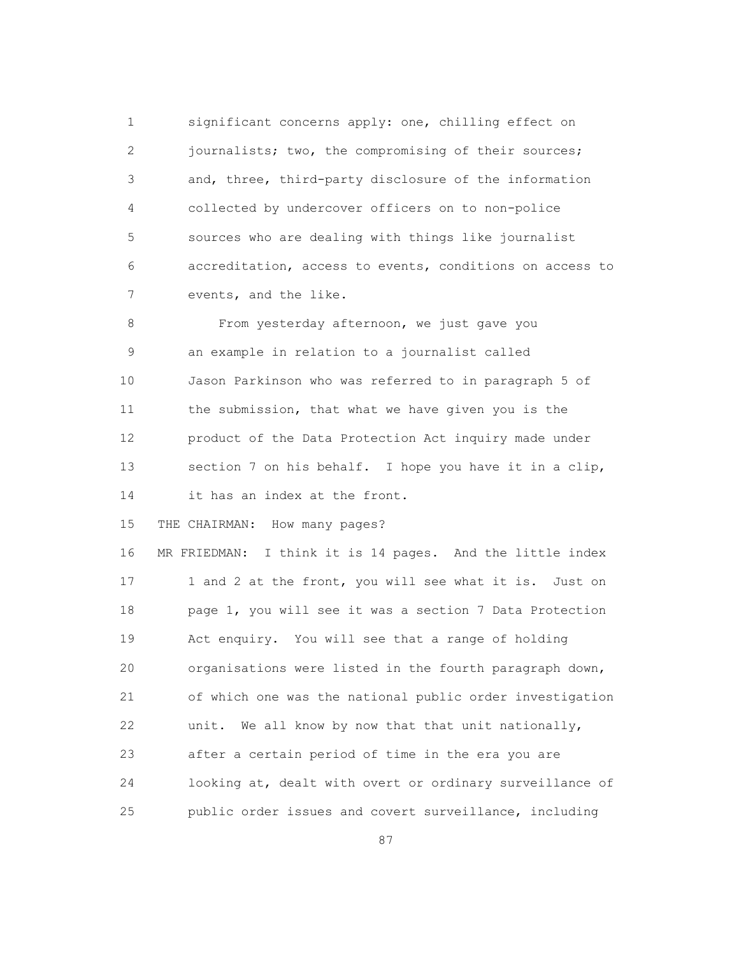1 significant concerns apply: one, chilling effect on 2 journalists; two, the compromising of their sources; 3 and, three, third-party disclosure of the information 4 collected by undercover officers on to non-police 5 sources who are dealing with things like journalist 6 accreditation, access to events, conditions on access to 7 events, and the like.

8 From yesterday afternoon, we just gave you 9 an example in relation to a journalist called 10 Jason Parkinson who was referred to in paragraph 5 of 11 the submission, that what we have given you is the 12 product of the Data Protection Act inquiry made under 13 section 7 on his behalf. I hope you have it in a clip, 14 it has an index at the front.

15 THE CHAIRMAN: How many pages?

 16 MR FRIEDMAN: I think it is 14 pages. And the little index 17 1 and 2 at the front, you will see what it is. Just on 18 page 1, you will see it was a section 7 Data Protection 19 Act enquiry. You will see that a range of holding 20 organisations were listed in the fourth paragraph down, 21 of which one was the national public order investigation 22 unit. We all know by now that that unit nationally, 23 after a certain period of time in the era you are 24 looking at, dealt with overt or ordinary surveillance of 25 public order issues and covert surveillance, including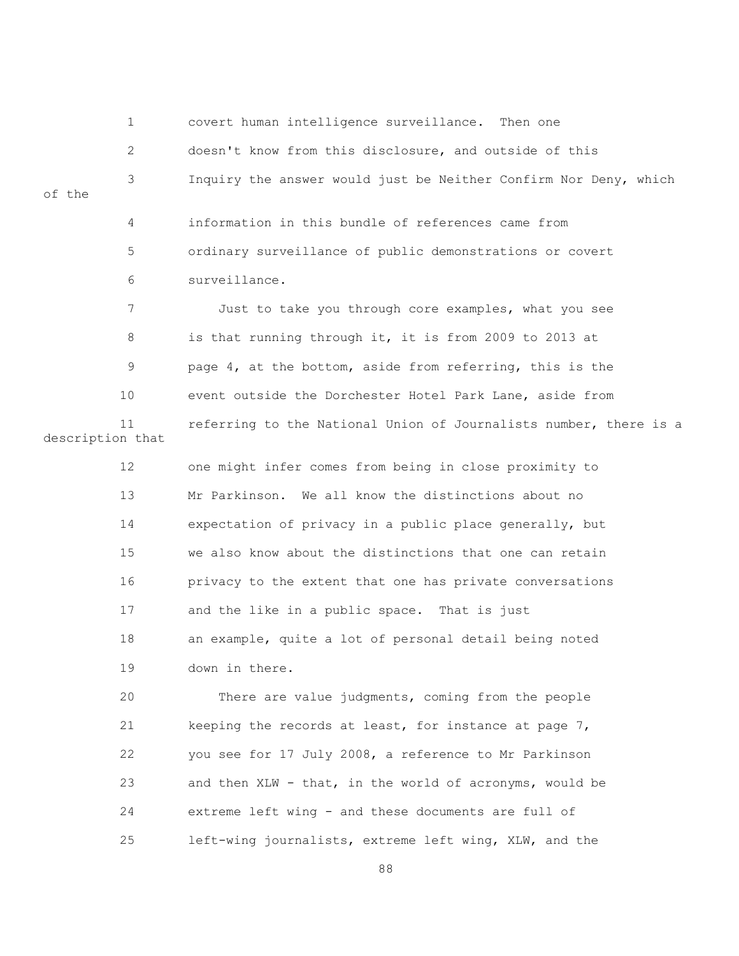1 covert human intelligence surveillance. Then one 2 doesn't know from this disclosure, and outside of this 3 Inquiry the answer would just be Neither Confirm Nor Deny, which of the 4 information in this bundle of references came from 5 ordinary surveillance of public demonstrations or covert 6 surveillance. 7 Just to take you through core examples, what you see 8 is that running through it, it is from 2009 to 2013 at 9 page 4, at the bottom, aside from referring, this is the 10 event outside the Dorchester Hotel Park Lane, aside from 11 referring to the National Union of Journalists number, there is a description that 12 one might infer comes from being in close proximity to

 13 Mr Parkinson. We all know the distinctions about no 14 expectation of privacy in a public place generally, but 15 we also know about the distinctions that one can retain 16 privacy to the extent that one has private conversations 17 and the like in a public space. That is just 18 an example, quite a lot of personal detail being noted 19 down in there.

 20 There are value judgments, coming from the people 21 keeping the records at least, for instance at page 7, 22 you see for 17 July 2008, a reference to Mr Parkinson 23 and then XLW - that, in the world of acronyms, would be 24 extreme left wing - and these documents are full of 25 left-wing journalists, extreme left wing, XLW, and the

en and the state of the state of the state of the state of the state of the state of the state of the state of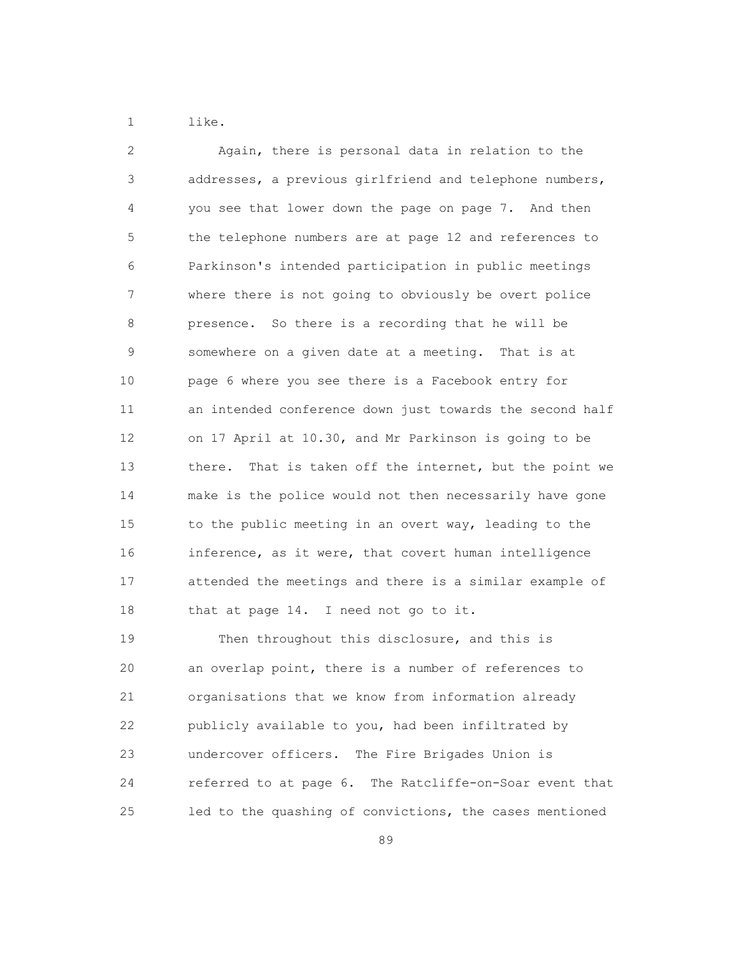1 like.

| $\overline{2}$ | Again, there is personal data in relation to the           |
|----------------|------------------------------------------------------------|
| 3              | addresses, a previous girlfriend and telephone numbers,    |
| 4              | you see that lower down the page on page 7. And then       |
| 5              | the telephone numbers are at page 12 and references to     |
| 6              | Parkinson's intended participation in public meetings      |
| 7              | where there is not going to obviously be overt police      |
| 8              | presence. So there is a recording that he will be          |
| 9              | somewhere on a given date at a meeting. That is at         |
| 10             | page 6 where you see there is a Facebook entry for         |
| 11             | an intended conference down just towards the second half   |
| 12             | on 17 April at 10.30, and Mr Parkinson is going to be      |
| 13             | That is taken off the internet, but the point we<br>there. |
| 14             | make is the police would not then necessarily have gone    |
| 15             | to the public meeting in an overt way, leading to the      |
| 16             | inference, as it were, that covert human intelligence      |
| 17             | attended the meetings and there is a similar example of    |
| 18             | that at page 14. I need not go to it.                      |
| 19             | Then throughout this disclosure, and this is               |
|                |                                                            |

 20 an overlap point, there is a number of references to 21 organisations that we know from information already 22 publicly available to you, had been infiltrated by 23 undercover officers. The Fire Brigades Union is 24 referred to at page 6. The Ratcliffe-on-Soar event that 25 led to the quashing of convictions, the cases mentioned

<u>89 and 200 and 200 and 200 and 200 and 200 and 200 and 200 and 200 and 200 and 200 and 200 and 200 and 200 and 200 and 200 and 200 and 200 and 200 and 200 and 200 and 200 and 200 and 200 and 200 and 200 and 200 and 200 an</u>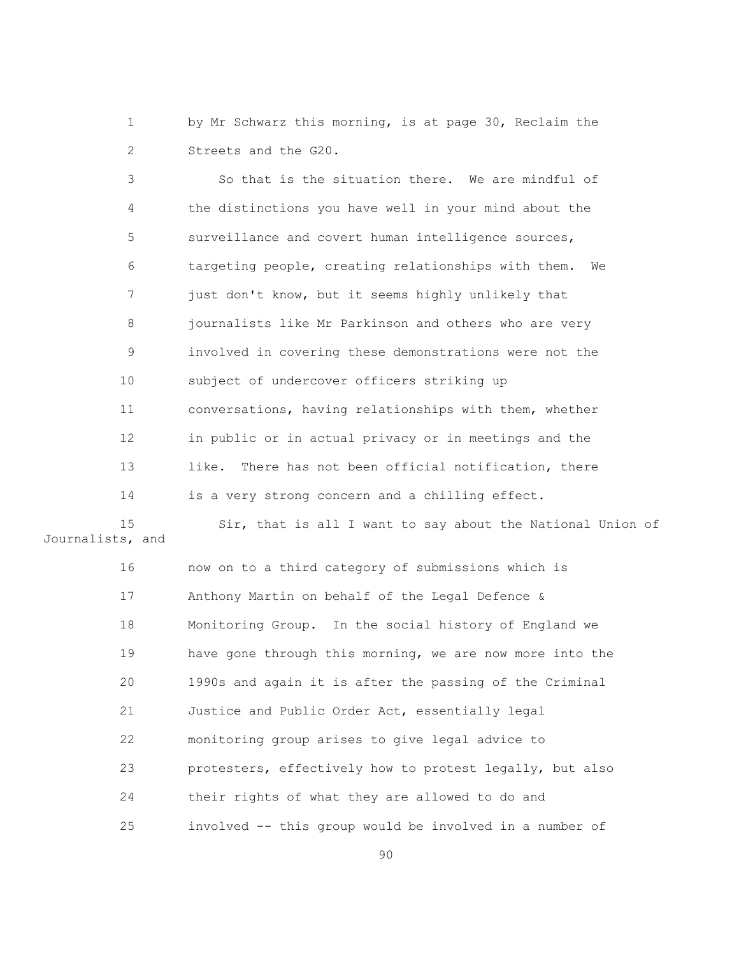1 by Mr Schwarz this morning, is at page 30, Reclaim the 2 Streets and the G20.

 3 So that is the situation there. We are mindful of 4 the distinctions you have well in your mind about the 5 surveillance and covert human intelligence sources, 6 targeting people, creating relationships with them. We 7 just don't know, but it seems highly unlikely that 8 journalists like Mr Parkinson and others who are very 9 involved in covering these demonstrations were not the 10 subject of undercover officers striking up 11 conversations, having relationships with them, whether 12 in public or in actual privacy or in meetings and the 13 like. There has not been official notification, there 14 is a very strong concern and a chilling effect.

 15 Sir, that is all I want to say about the National Union of Journalists, and

> 16 now on to a third category of submissions which is 17 Anthony Martin on behalf of the Legal Defence & 18 Monitoring Group. In the social history of England we 19 have gone through this morning, we are now more into the 20 1990s and again it is after the passing of the Criminal 21 Justice and Public Order Act, essentially legal 22 monitoring group arises to give legal advice to 23 protesters, effectively how to protest legally, but also 24 their rights of what they are allowed to do and 25 involved -- this group would be involved in a number of

<u>90</u>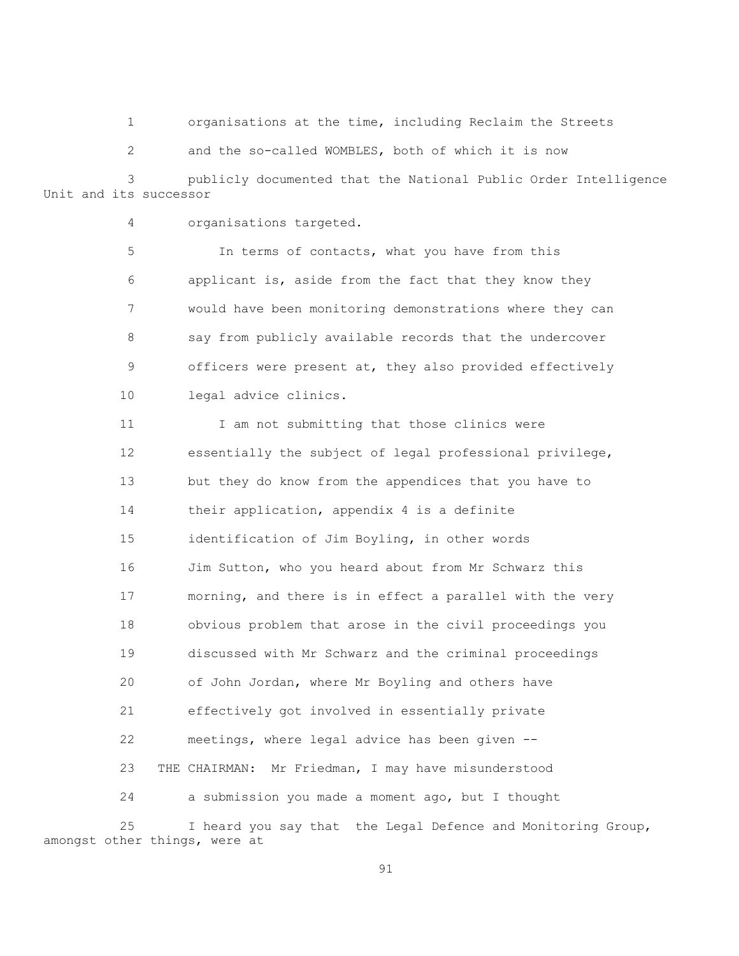1 organisations at the time, including Reclaim the Streets

2 and the so-called WOMBLES, both of which it is now

 3 publicly documented that the National Public Order Intelligence Unit and its successor

4 organisations targeted.

 5 In terms of contacts, what you have from this 6 applicant is, aside from the fact that they know they 7 would have been monitoring demonstrations where they can 8 say from publicly available records that the undercover 9 officers were present at, they also provided effectively 10 legal advice clinics.

11 I am not submitting that those clinics were 12 essentially the subject of legal professional privilege, 13 but they do know from the appendices that you have to 14 their application, appendix 4 is a definite 15 identification of Jim Boyling, in other words 16 Jim Sutton, who you heard about from Mr Schwarz this 17 morning, and there is in effect a parallel with the very 18 obvious problem that arose in the civil proceedings you 19 discussed with Mr Schwarz and the criminal proceedings 20 of John Jordan, where Mr Boyling and others have 21 effectively got involved in essentially private 22 meetings, where legal advice has been given -- 23 THE CHAIRMAN: Mr Friedman, I may have misunderstood 24 a submission you made a moment ago, but I thought

 25 I heard you say that the Legal Defence and Monitoring Group, amongst other things, were at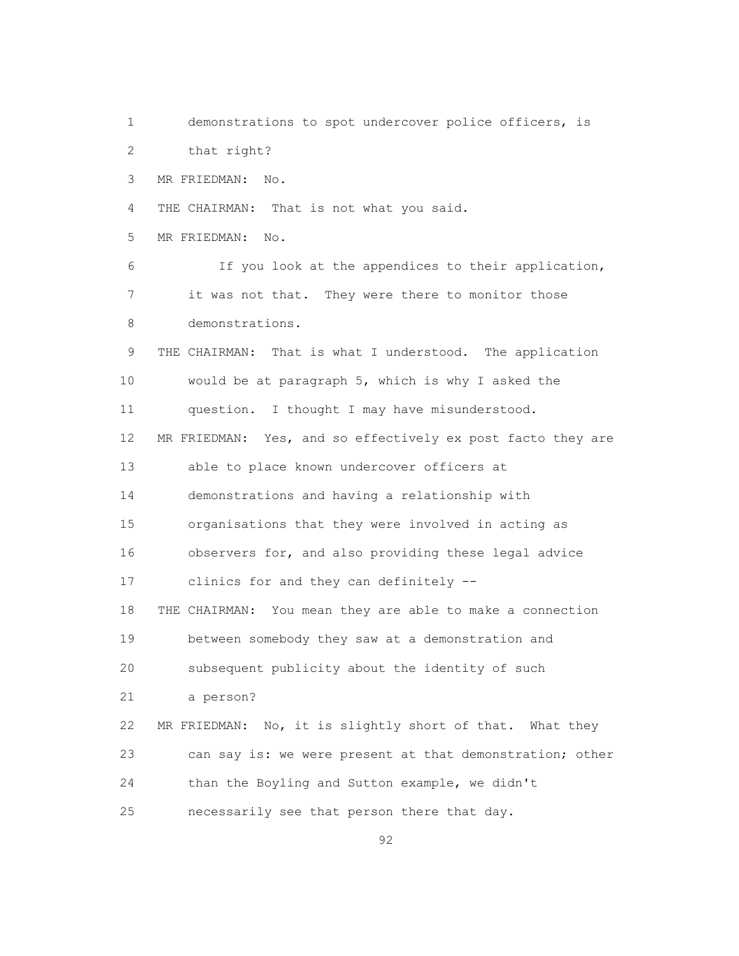1 demonstrations to spot undercover police officers, is 2 that right? 3 MR FRIEDMAN: No. 4 THE CHAIRMAN: That is not what you said. 5 MR FRIEDMAN: No. 6 If you look at the appendices to their application, 7 it was not that. They were there to monitor those 8 demonstrations. 9 THE CHAIRMAN: That is what I understood. The application 10 would be at paragraph 5, which is why I asked the 11 question. I thought I may have misunderstood. 12 MR FRIEDMAN: Yes, and so effectively ex post facto they are 13 able to place known undercover officers at 14 demonstrations and having a relationship with 15 organisations that they were involved in acting as 16 observers for, and also providing these legal advice 17 clinics for and they can definitely -- 18 THE CHAIRMAN: You mean they are able to make a connection 19 between somebody they saw at a demonstration and 20 subsequent publicity about the identity of such 21 a person? 22 MR FRIEDMAN: No, it is slightly short of that. What they 23 can say is: we were present at that demonstration; other 24 than the Boyling and Sutton example, we didn't 25 necessarily see that person there that day.

<u>92</u>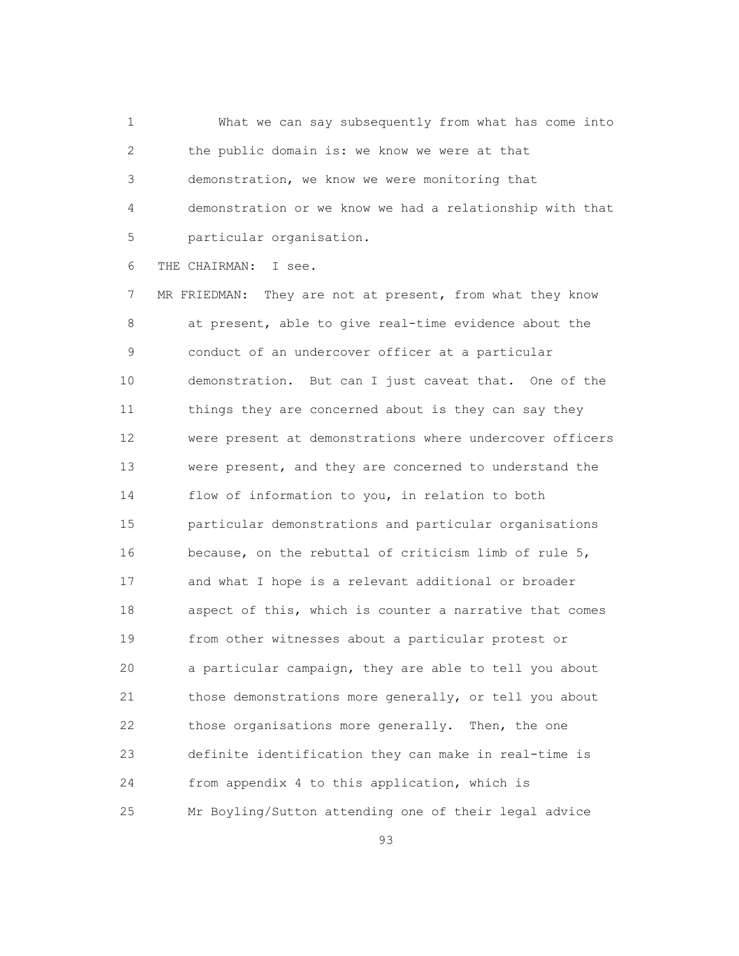1 What we can say subsequently from what has come into 2 the public domain is: we know we were at that 3 demonstration, we know we were monitoring that 4 demonstration or we know we had a relationship with that 5 particular organisation.

6 THE CHAIRMAN: I see.

 7 MR FRIEDMAN: They are not at present, from what they know 8 at present, able to give real-time evidence about the 9 conduct of an undercover officer at a particular 10 demonstration. But can I just caveat that. One of the 11 things they are concerned about is they can say they 12 were present at demonstrations where undercover officers 13 were present, and they are concerned to understand the 14 flow of information to you, in relation to both 15 particular demonstrations and particular organisations 16 because, on the rebuttal of criticism limb of rule 5, 17 and what I hope is a relevant additional or broader 18 aspect of this, which is counter a narrative that comes 19 from other witnesses about a particular protest or 20 a particular campaign, they are able to tell you about 21 those demonstrations more generally, or tell you about 22 those organisations more generally. Then, the one 23 definite identification they can make in real-time is 24 from appendix 4 to this application, which is 25 Mr Boyling/Sutton attending one of their legal advice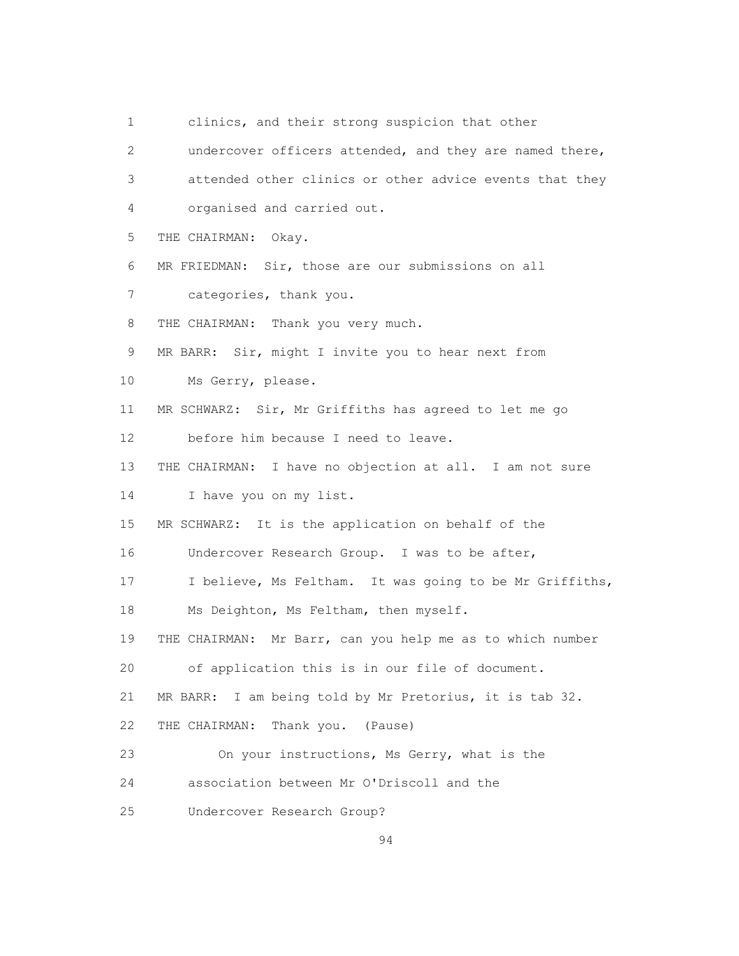1 clinics, and their strong suspicion that other

 2 undercover officers attended, and they are named there, 3 attended other clinics or other advice events that they 4 organised and carried out. 5 THE CHAIRMAN: Okay. 6 MR FRIEDMAN: Sir, those are our submissions on all 7 categories, thank you. 8 THE CHAIRMAN: Thank you very much. 9 MR BARR: Sir, might I invite you to hear next from 10 Ms Gerry, please. 11 MR SCHWARZ: Sir, Mr Griffiths has agreed to let me go 12 before him because I need to leave. 13 THE CHAIRMAN: I have no objection at all. I am not sure 14 I have you on my list. 15 MR SCHWARZ: It is the application on behalf of the 16 Undercover Research Group. I was to be after, 17 I believe, Ms Feltham. It was going to be Mr Griffiths, 18 Ms Deighton, Ms Feltham, then myself. 19 THE CHAIRMAN: Mr Barr, can you help me as to which number 20 of application this is in our file of document. 21 MR BARR: I am being told by Mr Pretorius, it is tab 32. 22 THE CHAIRMAN: Thank you. (Pause) 23 On your instructions, Ms Gerry, what is the 24 association between Mr O'Driscoll and the 25 Undercover Research Group?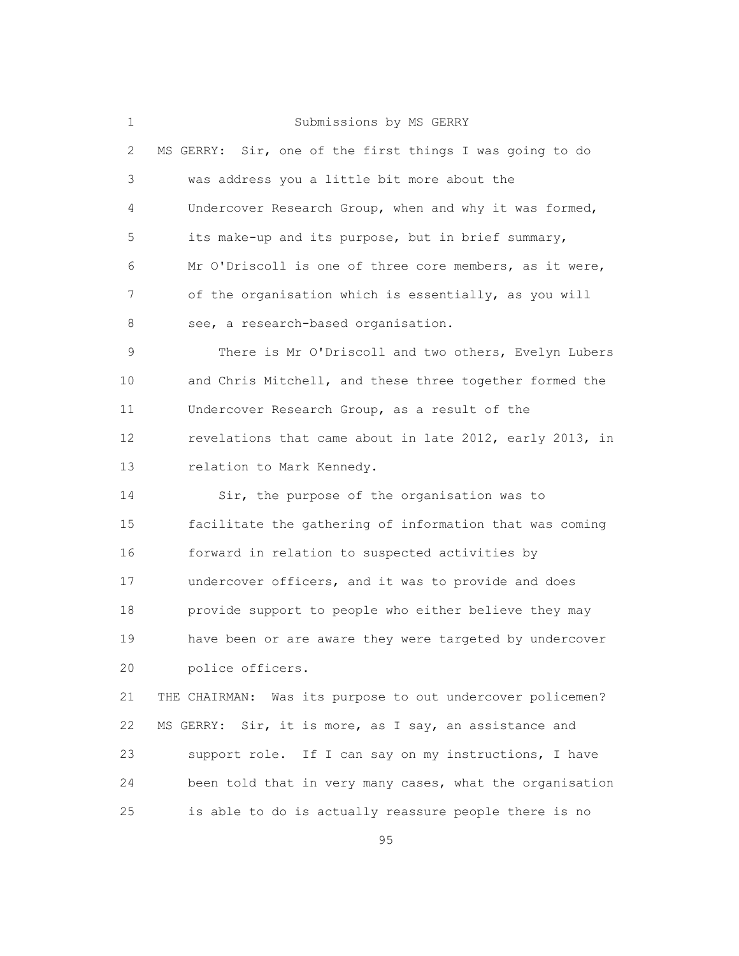1 Submissions by MS GERRY

| $\mathbf{2}$  | MS GERRY: Sir, one of the first things I was going to do |
|---------------|----------------------------------------------------------|
| 3             | was address you a little bit more about the              |
| 4             | Undercover Research Group, when and why it was formed,   |
| 5             | its make-up and its purpose, but in brief summary,       |
| 6             | Mr O'Driscoll is one of three core members, as it were,  |
| 7             | of the organisation which is essentially, as you will    |
| 8             | see, a research-based organisation.                      |
| $\mathcal{G}$ | There is Mr O'Driscoll and two others, Evelyn Lubers     |
| 10            | and Chris Mitchell, and these three together formed the  |
| 11            | Undercover Research Group, as a result of the            |
| 12            | revelations that came about in late 2012, early 2013, in |
| 13            | relation to Mark Kennedy.                                |
| 14            | Sir, the purpose of the organisation was to              |
| 15            | facilitate the gathering of information that was coming  |
| 16            | forward in relation to suspected activities by           |
| 17            | undercover officers, and it was to provide and does      |
| 18            | provide support to people who either believe they may    |
| 19            | have been or are aware they were targeted by undercover  |

20 police officers.

 21 THE CHAIRMAN: Was its purpose to out undercover policemen? 22 MS GERRY: Sir, it is more, as I say, an assistance and 23 support role. If I can say on my instructions, I have 24 been told that in very many cases, what the organisation 25 is able to do is actually reassure people there is no

<u>95 and 2001 and 2001 and 2001 and 2001 and 2001 and 2001 and 2001 and 2001 and 2001 and 2001 and 2001 and 200</u>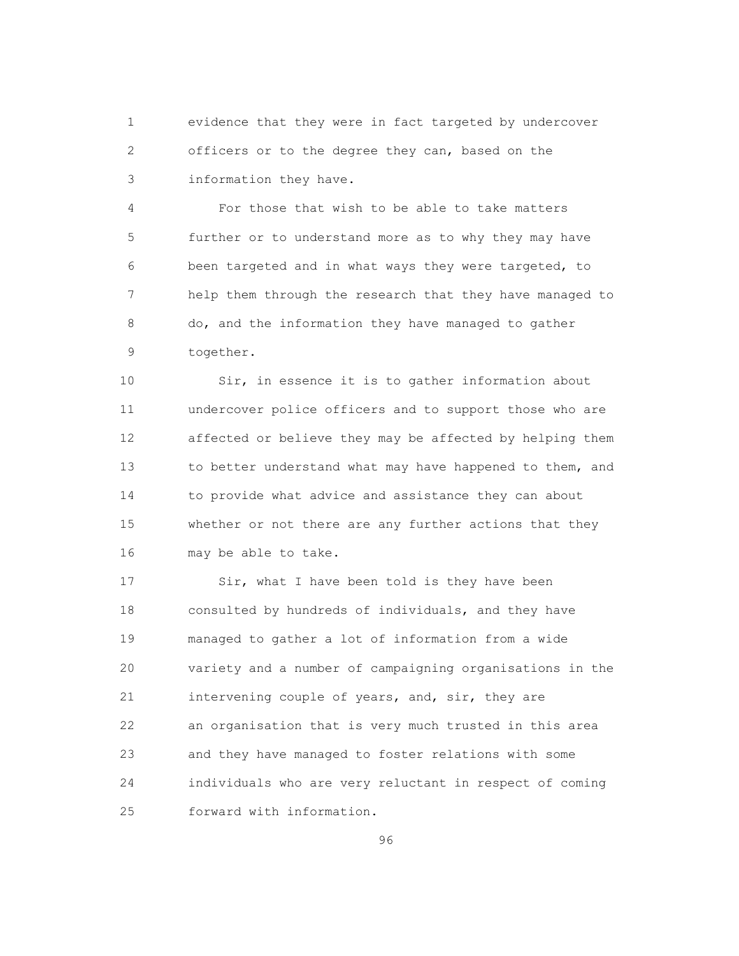1 evidence that they were in fact targeted by undercover 2 officers or to the degree they can, based on the 3 information they have.

 4 For those that wish to be able to take matters 5 further or to understand more as to why they may have 6 been targeted and in what ways they were targeted, to 7 help them through the research that they have managed to 8 do, and the information they have managed to gather 9 together.

 10 Sir, in essence it is to gather information about 11 undercover police officers and to support those who are 12 affected or believe they may be affected by helping them 13 to better understand what may have happened to them, and 14 to provide what advice and assistance they can about 15 whether or not there are any further actions that they 16 may be able to take.

17 Sir, what I have been told is they have been 18 consulted by hundreds of individuals, and they have 19 managed to gather a lot of information from a wide 20 variety and a number of campaigning organisations in the 21 intervening couple of years, and, sir, they are 22 an organisation that is very much trusted in this area 23 and they have managed to foster relations with some 24 individuals who are very reluctant in respect of coming 25 forward with information.

<u>96 - Paris Alexander Alexander Alexander Alexander Alexander Alexander Alexander Alexander Alexander Alexander</u>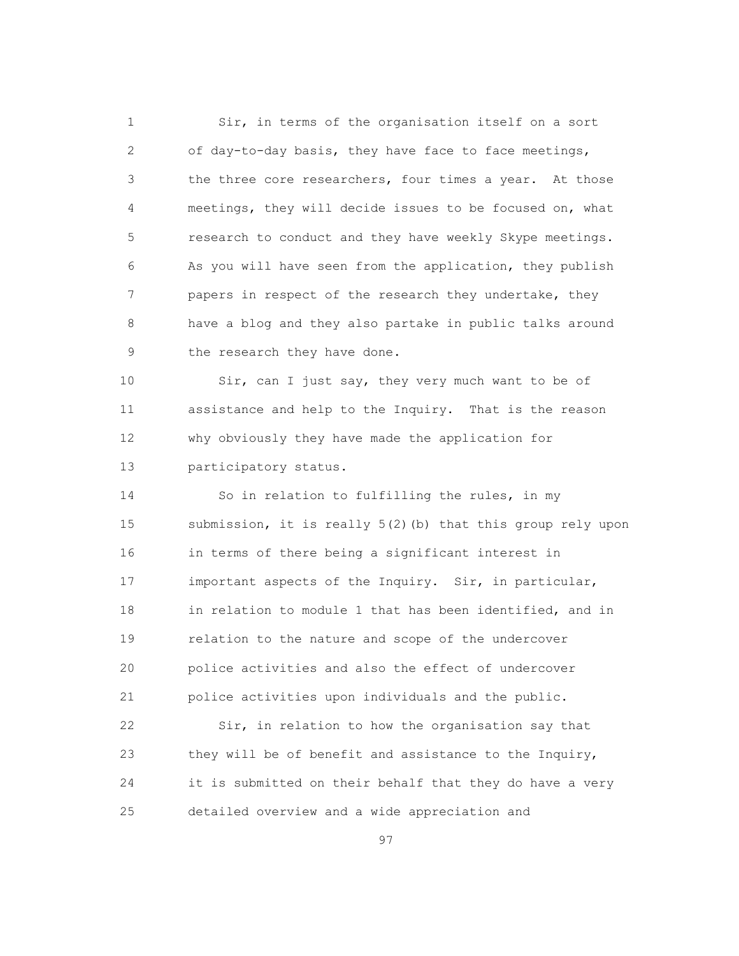1 Sir, in terms of the organisation itself on a sort 2 of day-to-day basis, they have face to face meetings, 3 the three core researchers, four times a year. At those 4 meetings, they will decide issues to be focused on, what 5 research to conduct and they have weekly Skype meetings. 6 As you will have seen from the application, they publish 7 papers in respect of the research they undertake, they 8 have a blog and they also partake in public talks around 9 the research they have done.

 10 Sir, can I just say, they very much want to be of 11 assistance and help to the Inquiry. That is the reason 12 why obviously they have made the application for 13 participatory status.

 14 So in relation to fulfilling the rules, in my 15 submission, it is really 5(2)(b) that this group rely upon 16 in terms of there being a significant interest in 17 important aspects of the Inquiry. Sir, in particular, 18 in relation to module 1 that has been identified, and in 19 relation to the nature and scope of the undercover 20 police activities and also the effect of undercover 21 police activities upon individuals and the public.

 22 Sir, in relation to how the organisation say that 23 they will be of benefit and assistance to the Inquiry, 24 it is submitted on their behalf that they do have a very 25 detailed overview and a wide appreciation and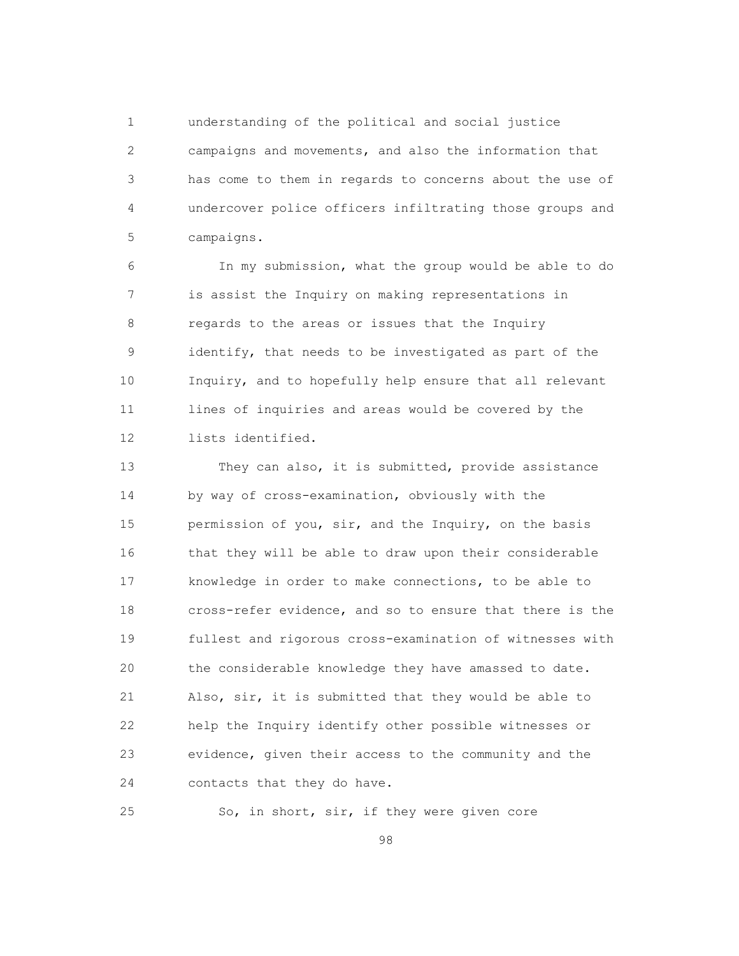1 understanding of the political and social justice 2 campaigns and movements, and also the information that 3 has come to them in regards to concerns about the use of 4 undercover police officers infiltrating those groups and 5 campaigns.

 6 In my submission, what the group would be able to do 7 is assist the Inquiry on making representations in 8 regards to the areas or issues that the Inquiry 9 identify, that needs to be investigated as part of the 10 Inquiry, and to hopefully help ensure that all relevant 11 lines of inquiries and areas would be covered by the 12 lists identified.

 13 They can also, it is submitted, provide assistance 14 by way of cross-examination, obviously with the 15 permission of you, sir, and the Inquiry, on the basis 16 that they will be able to draw upon their considerable 17 knowledge in order to make connections, to be able to 18 cross-refer evidence, and so to ensure that there is the 19 fullest and rigorous cross-examination of witnesses with 20 the considerable knowledge they have amassed to date. 21 Also, sir, it is submitted that they would be able to 22 help the Inquiry identify other possible witnesses or 23 evidence, given their access to the community and the 24 contacts that they do have.

25 So, in short, sir, if they were given core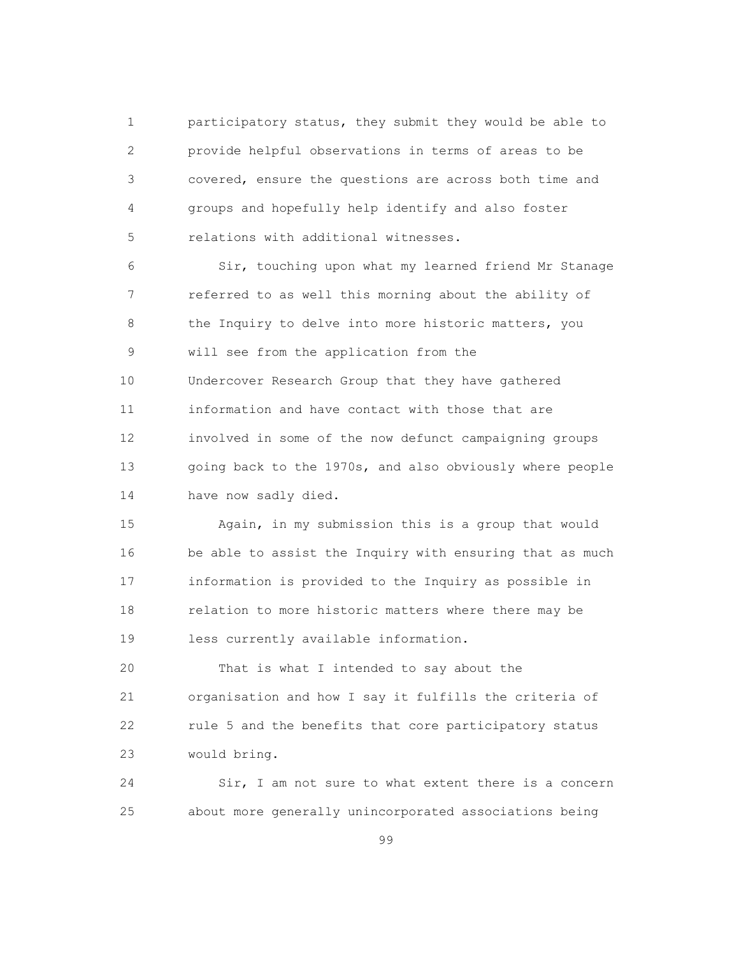1 participatory status, they submit they would be able to 2 provide helpful observations in terms of areas to be 3 covered, ensure the questions are across both time and 4 groups and hopefully help identify and also foster 5 relations with additional witnesses.

 6 Sir, touching upon what my learned friend Mr Stanage 7 referred to as well this morning about the ability of 8 the Inquiry to delve into more historic matters, you 9 will see from the application from the 10 Undercover Research Group that they have gathered 11 information and have contact with those that are 12 involved in some of the now defunct campaigning groups 13 going back to the 1970s, and also obviously where people 14 have now sadly died.

 15 Again, in my submission this is a group that would 16 be able to assist the Inquiry with ensuring that as much 17 information is provided to the Inquiry as possible in 18 relation to more historic matters where there may be 19 less currently available information.

 20 That is what I intended to say about the 21 organisation and how I say it fulfills the criteria of 22 rule 5 and the benefits that core participatory status 23 would bring.

 24 Sir, I am not sure to what extent there is a concern 25 about more generally unincorporated associations being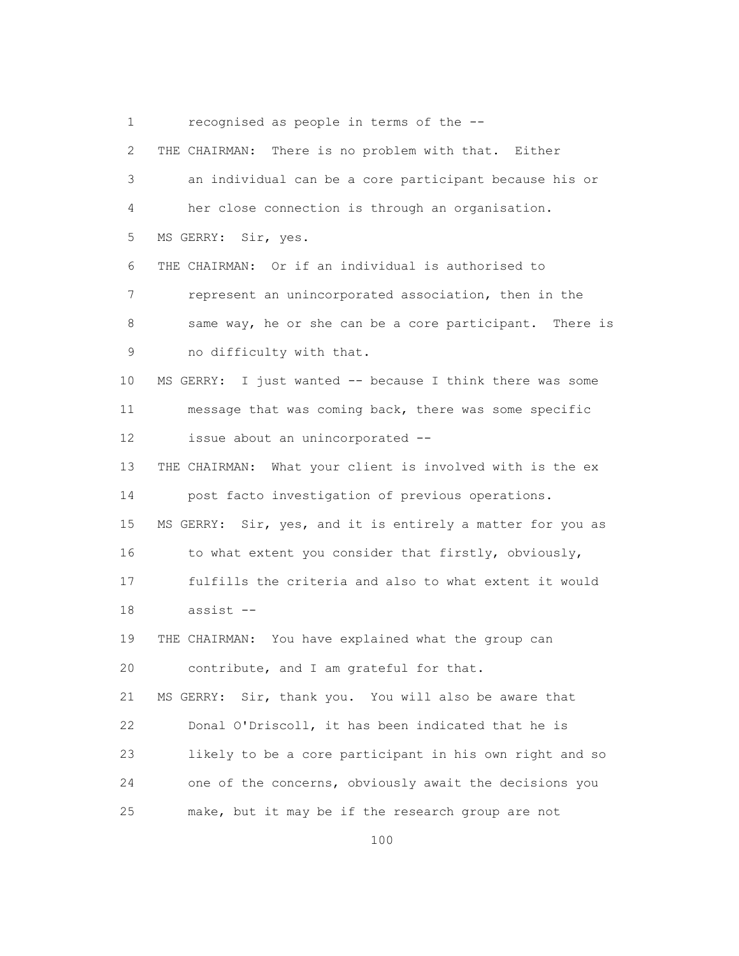1 recognised as people in terms of the --

| $\mathbf{2}$ | There is no problem with that. Either<br>THE CHAIRMAN:       |
|--------------|--------------------------------------------------------------|
| 3            | an individual can be a core participant because his or       |
| 4            | her close connection is through an organisation.             |
| 5            | MS GERRY:<br>Sir, yes.                                       |
| 6            | THE CHAIRMAN: Or if an individual is authorised to           |
| 7            | represent an unincorporated association, then in the         |
| 8            | same way, he or she can be a core participant. There is      |
| $\mathsf 9$  | no difficulty with that.                                     |
| 10           | I just wanted -- because I think there was some<br>MS GERRY: |
| 11           | message that was coming back, there was some specific        |
| 12           | issue about an unincorporated --                             |
| 13           | THE CHAIRMAN: What your client is involved with is the ex    |
| 14           | post facto investigation of previous operations.             |
| 15           | MS GERRY: Sir, yes, and it is entirely a matter for you as   |
| 16           | to what extent you consider that firstly, obviously,         |
| 17           | fulfills the criteria and also to what extent it would       |
| 18           | assist --                                                    |
| 19           | THE CHAIRMAN: You have explained what the group can          |
| 20           | contribute, and I am grateful for that.                      |
| 21           | MS GERRY: Sir, thank you. You will also be aware that        |
| 22           | Donal O'Driscoll, it has been indicated that he is           |
| 23           | likely to be a core participant in his own right and so      |
| 24           | one of the concerns, obviously await the decisions you       |
| 25           | make, but it may be if the research group are not            |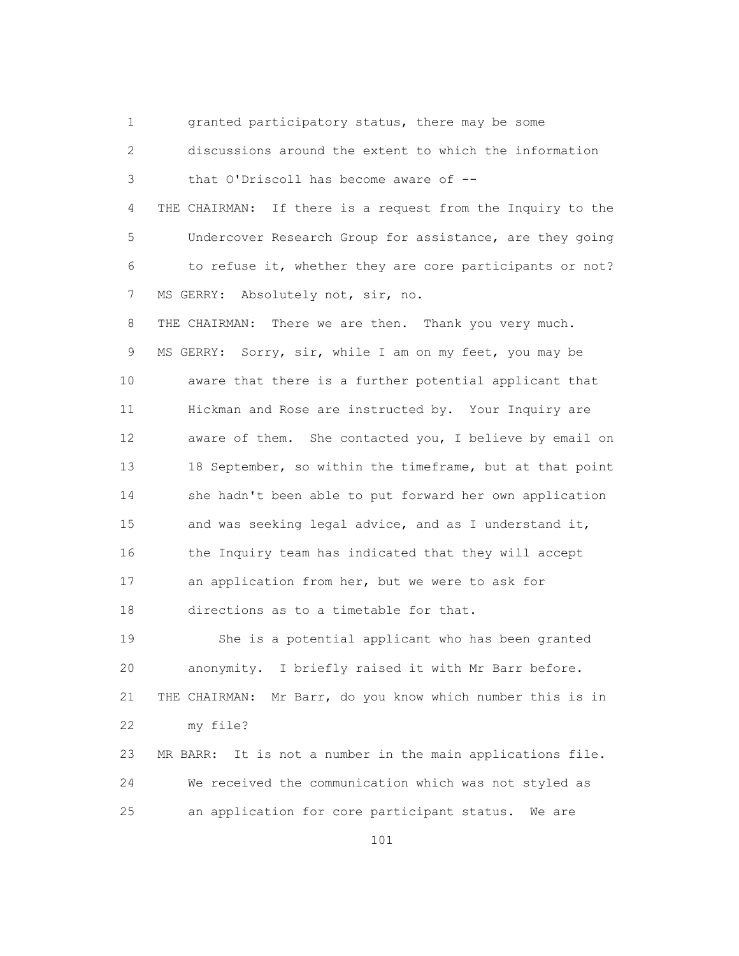1 granted participatory status, there may be some 2 discussions around the extent to which the information 3 that O'Driscoll has become aware of -- 4 THE CHAIRMAN: If there is a request from the Inquiry to the 5 Undercover Research Group for assistance, are they going 6 to refuse it, whether they are core participants or not? 7 MS GERRY: Absolutely not, sir, no. 8 THE CHAIRMAN: There we are then. Thank you very much. 9 MS GERRY: Sorry, sir, while I am on my feet, you may be 10 aware that there is a further potential applicant that 11 Hickman and Rose are instructed by. Your Inquiry are 12 aware of them. She contacted you, I believe by email on 13 18 September, so within the timeframe, but at that point 14 she hadn't been able to put forward her own application 15 and was seeking legal advice, and as I understand it, 16 the Inquiry team has indicated that they will accept 17 an application from her, but we were to ask for 18 directions as to a timetable for that. 19 She is a potential applicant who has been granted 20 anonymity. I briefly raised it with Mr Barr before.

 21 THE CHAIRMAN: Mr Barr, do you know which number this is in 22 my file?

 23 MR BARR: It is not a number in the main applications file. 24 We received the communication which was not styled as 25 an application for core participant status. We are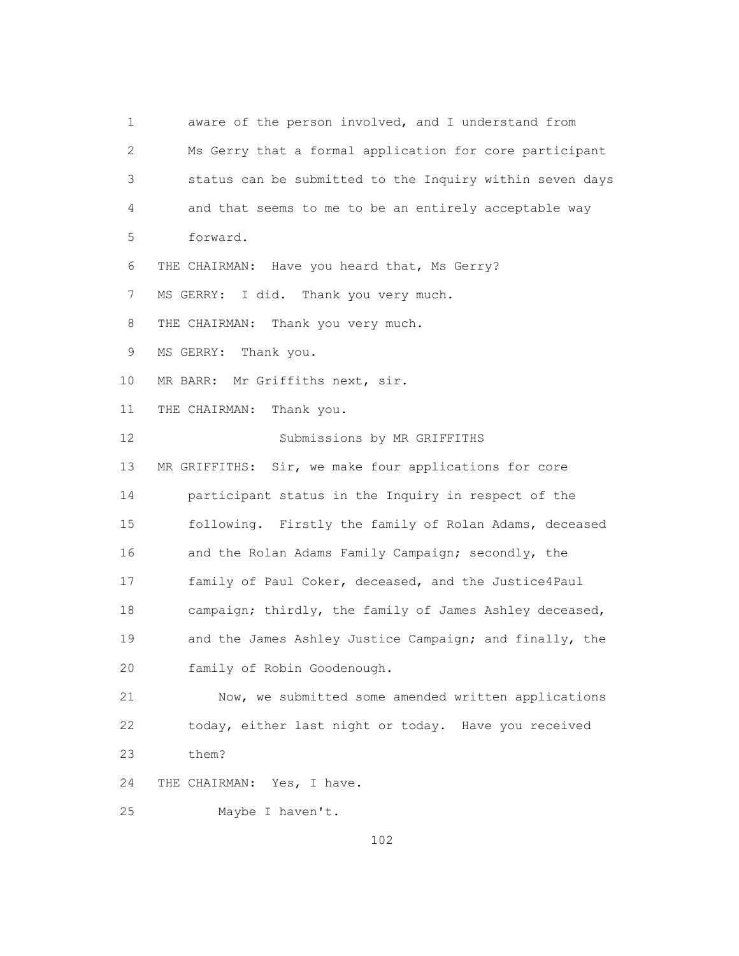1 aware of the person involved, and I understand from 2 Ms Gerry that a formal application for core participant 3 status can be submitted to the Inquiry within seven days 4 and that seems to me to be an entirely acceptable way 5 forward. 6 THE CHAIRMAN: Have you heard that, Ms Gerry? 7 MS GERRY: I did. Thank you very much. 8 THE CHAIRMAN: Thank you very much. 9 MS GERRY: Thank you. 10 MR BARR: Mr Griffiths next, sir. 11 THE CHAIRMAN: Thank you. 12 Submissions by MR GRIFFITHS 13 MR GRIFFITHS: Sir, we make four applications for core 14 participant status in the Inquiry in respect of the 15 following. Firstly the family of Rolan Adams, deceased 16 and the Rolan Adams Family Campaign; secondly, the 17 family of Paul Coker, deceased, and the Justice4Paul 18 campaign; thirdly, the family of James Ashley deceased, 19 and the James Ashley Justice Campaign; and finally, the 20 family of Robin Goodenough. 21 Now, we submitted some amended written applications 22 today, either last night or today. Have you received 23 them? 24 THE CHAIRMAN: Yes, I have. 25 Maybe I haven't.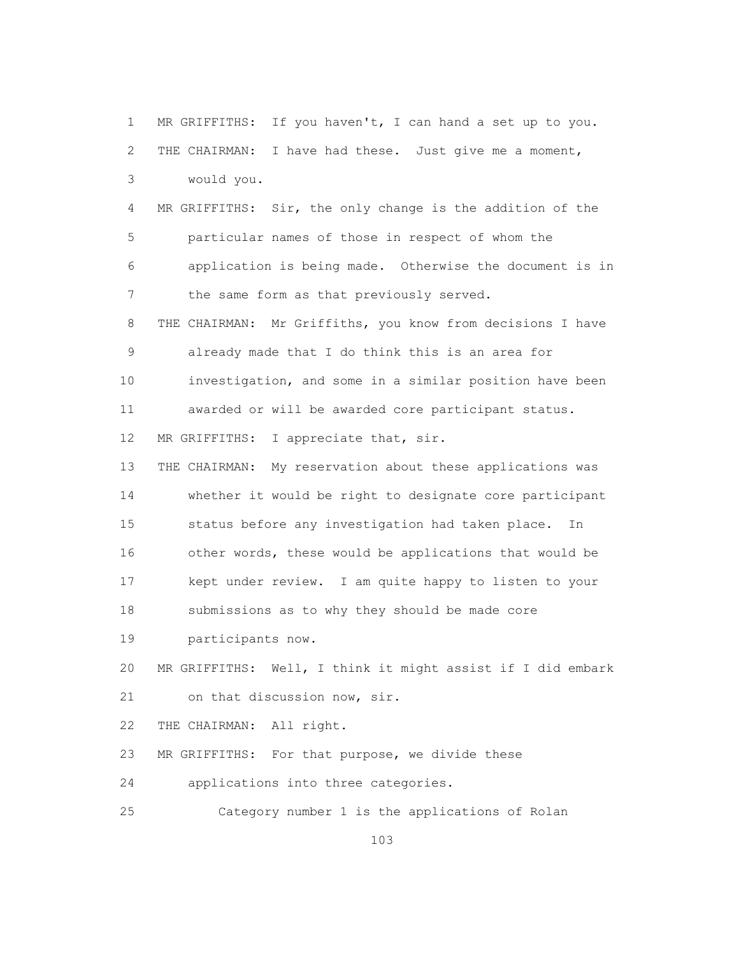1 MR GRIFFITHS: If you haven't, I can hand a set up to you. 2 THE CHAIRMAN: I have had these. Just give me a moment, 3 would you. 4 MR GRIFFITHS: Sir, the only change is the addition of the 5 particular names of those in respect of whom the 6 application is being made. Otherwise the document is in 7 the same form as that previously served. 8 THE CHAIRMAN: Mr Griffiths, you know from decisions I have 9 already made that I do think this is an area for 10 investigation, and some in a similar position have been 11 awarded or will be awarded core participant status. 12 MR GRIFFITHS: I appreciate that, sir. 13 THE CHAIRMAN: My reservation about these applications was 14 whether it would be right to designate core participant 15 status before any investigation had taken place. In 16 other words, these would be applications that would be 17 kept under review. I am quite happy to listen to your 18 submissions as to why they should be made core 19 participants now. 20 MR GRIFFITHS: Well, I think it might assist if I did embark 21 on that discussion now, sir. 22 THE CHAIRMAN: All right. 23 MR GRIFFITHS: For that purpose, we divide these 24 applications into three categories. 25 Category number 1 is the applications of Rolan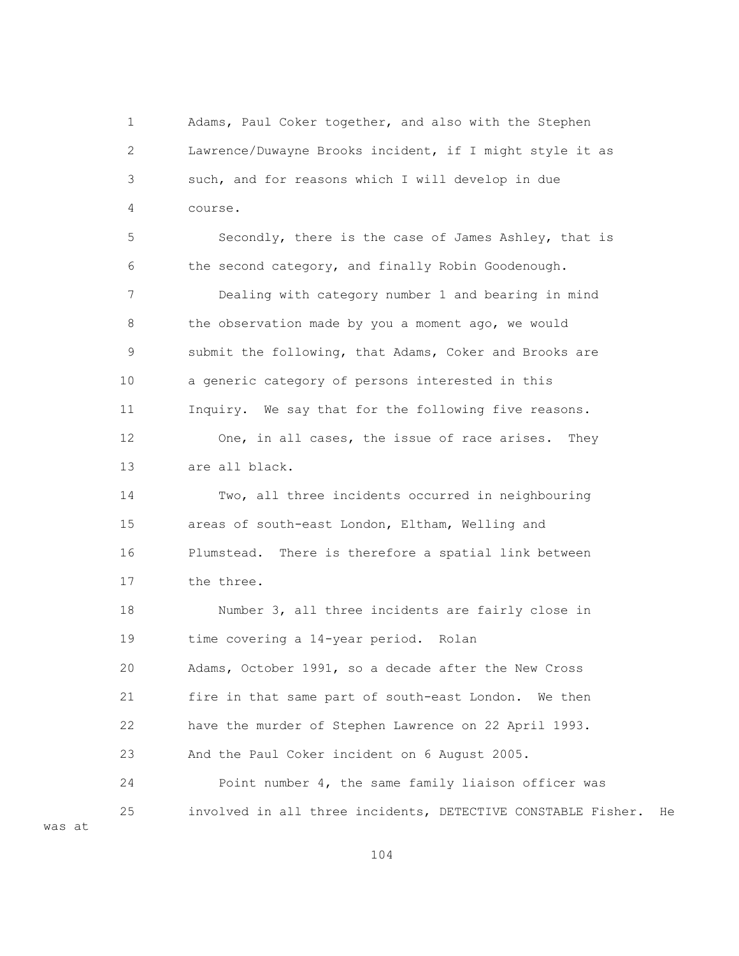1 Adams, Paul Coker together, and also with the Stephen 2 Lawrence/Duwayne Brooks incident, if I might style it as 3 such, and for reasons which I will develop in due 4 course.

 5 Secondly, there is the case of James Ashley, that is 6 the second category, and finally Robin Goodenough. 7 Dealing with category number 1 and bearing in mind 8 the observation made by you a moment ago, we would 9 submit the following, that Adams, Coker and Brooks are 10 a generic category of persons interested in this 11 Inquiry. We say that for the following five reasons. 12 One, in all cases, the issue of race arises. They 13 are all black. 14 Two, all three incidents occurred in neighbouring 15 areas of south-east London, Eltham, Welling and 16 Plumstead. There is therefore a spatial link between 17 the three. 18 Number 3, all three incidents are fairly close in 19 time covering a 14-year period. Rolan 20 Adams, October 1991, so a decade after the New Cross 21 fire in that same part of south-east London. We then 22 have the murder of Stephen Lawrence on 22 April 1993. 23 And the Paul Coker incident on 6 August 2005. 24 Point number 4, the same family liaison officer was 25 involved in all three incidents, DETECTIVE CONSTABLE Fisher. He

104

was at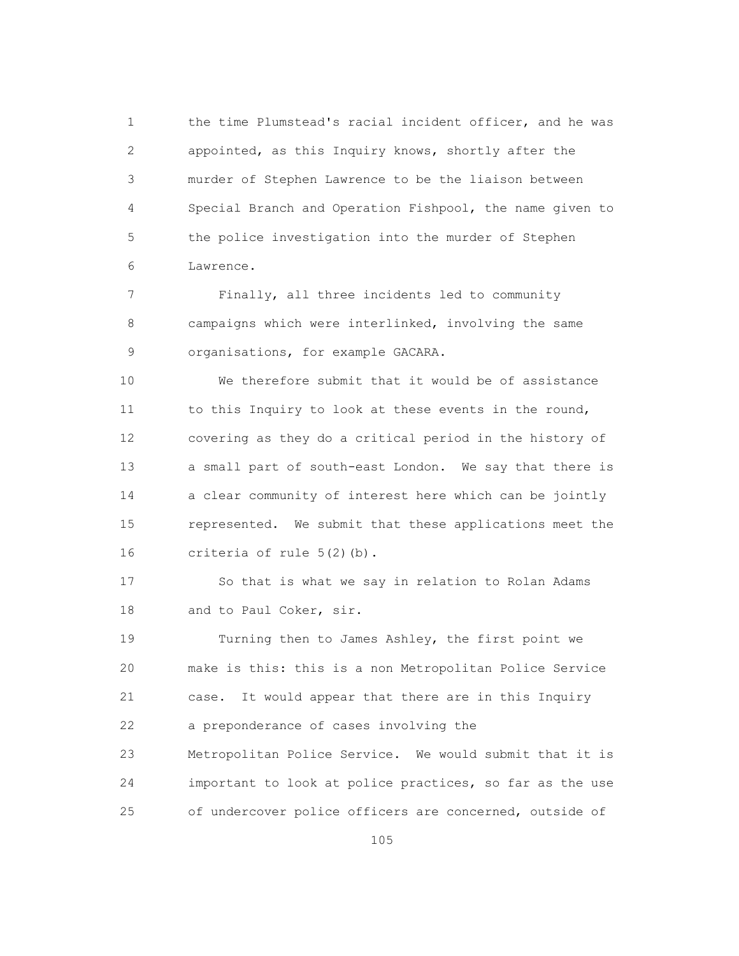1 the time Plumstead's racial incident officer, and he was 2 appointed, as this Inquiry knows, shortly after the 3 murder of Stephen Lawrence to be the liaison between 4 Special Branch and Operation Fishpool, the name given to 5 the police investigation into the murder of Stephen 6 Lawrence.

 7 Finally, all three incidents led to community 8 campaigns which were interlinked, involving the same 9 organisations, for example GACARA.

 10 We therefore submit that it would be of assistance 11 to this Inquiry to look at these events in the round, 12 covering as they do a critical period in the history of 13 a small part of south-east London. We say that there is 14 a clear community of interest here which can be jointly 15 represented. We submit that these applications meet the 16 criteria of rule 5(2)(b).

 17 So that is what we say in relation to Rolan Adams 18 and to Paul Coker, sir.

 19 Turning then to James Ashley, the first point we 20 make is this: this is a non Metropolitan Police Service 21 case. It would appear that there are in this Inquiry 22 a preponderance of cases involving the 23 Metropolitan Police Service. We would submit that it is 24 important to look at police practices, so far as the use 25 of undercover police officers are concerned, outside of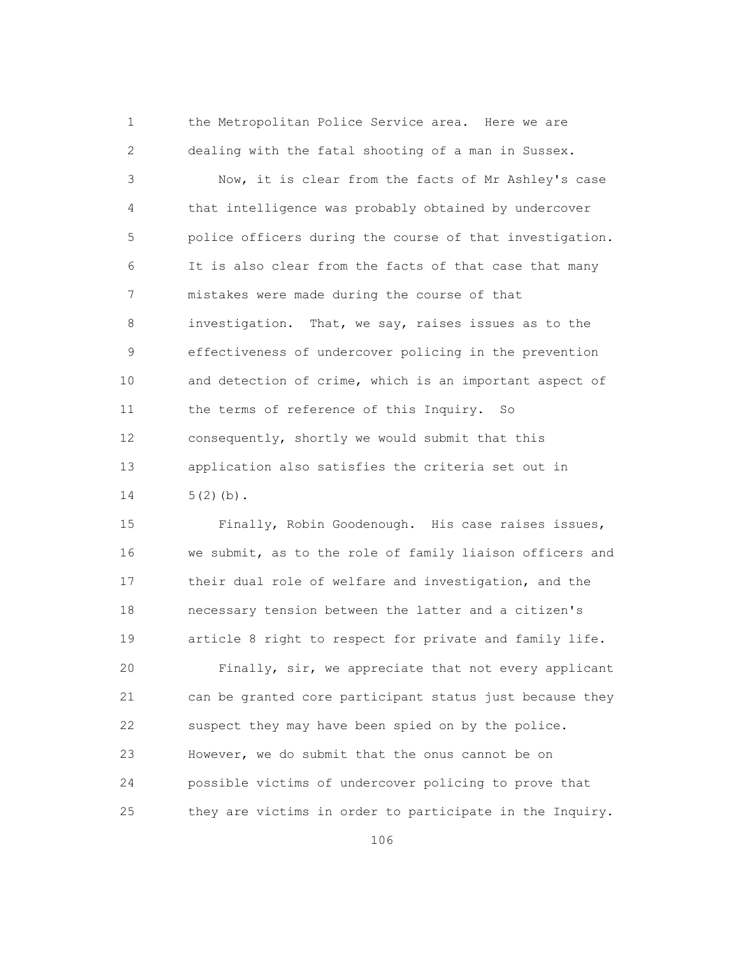1 the Metropolitan Police Service area. Here we are 2 dealing with the fatal shooting of a man in Sussex.

 3 Now, it is clear from the facts of Mr Ashley's case 4 that intelligence was probably obtained by undercover 5 police officers during the course of that investigation. 6 It is also clear from the facts of that case that many 7 mistakes were made during the course of that 8 investigation. That, we say, raises issues as to the 9 effectiveness of undercover policing in the prevention 10 and detection of crime, which is an important aspect of 11 the terms of reference of this Inquiry. So 12 consequently, shortly we would submit that this 13 application also satisfies the criteria set out in  $14$   $5(2)(b)$ .

 15 Finally, Robin Goodenough. His case raises issues, 16 we submit, as to the role of family liaison officers and 17 their dual role of welfare and investigation, and the 18 necessary tension between the latter and a citizen's 19 article 8 right to respect for private and family life.

 20 Finally, sir, we appreciate that not every applicant 21 can be granted core participant status just because they 22 suspect they may have been spied on by the police. 23 However, we do submit that the onus cannot be on 24 possible victims of undercover policing to prove that 25 they are victims in order to participate in the Inquiry.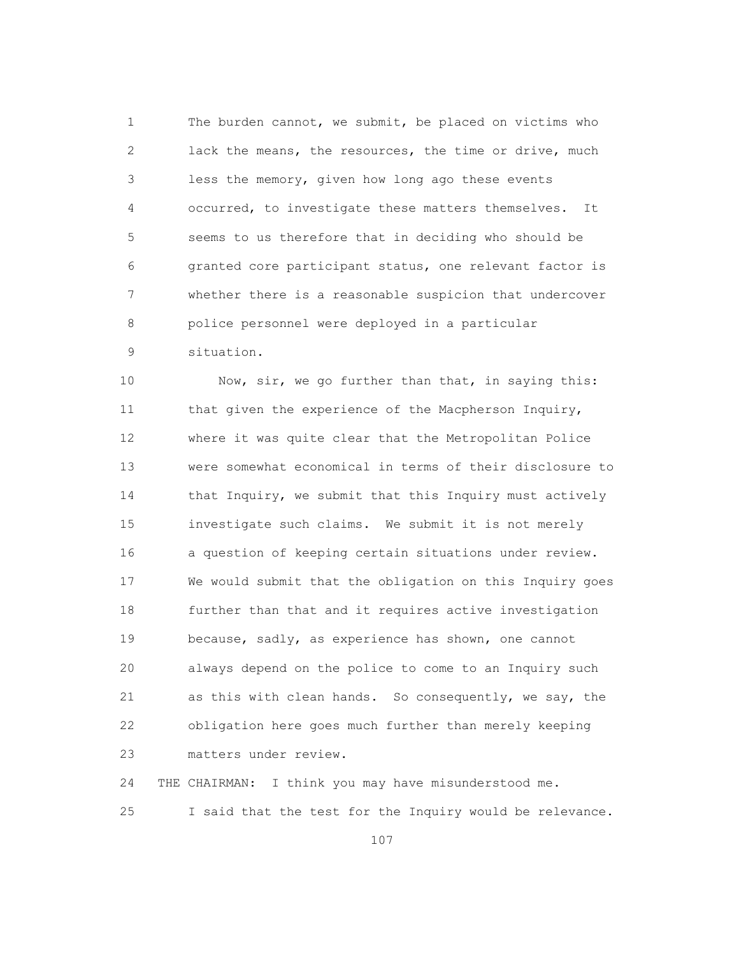1 The burden cannot, we submit, be placed on victims who 2 lack the means, the resources, the time or drive, much 3 less the memory, given how long ago these events 4 occurred, to investigate these matters themselves. It 5 seems to us therefore that in deciding who should be 6 granted core participant status, one relevant factor is 7 whether there is a reasonable suspicion that undercover 8 police personnel were deployed in a particular 9 situation.

10 Now, sir, we go further than that, in saying this: 11 that given the experience of the Macpherson Inquiry, 12 where it was quite clear that the Metropolitan Police 13 were somewhat economical in terms of their disclosure to 14 that Inquiry, we submit that this Inquiry must actively 15 investigate such claims. We submit it is not merely 16 a question of keeping certain situations under review. 17 We would submit that the obligation on this Inquiry goes 18 further than that and it requires active investigation 19 because, sadly, as experience has shown, one cannot 20 always depend on the police to come to an Inquiry such 21 as this with clean hands. So consequently, we say, the 22 obligation here goes much further than merely keeping 23 matters under review.

 24 THE CHAIRMAN: I think you may have misunderstood me. 25 I said that the test for the Inquiry would be relevance.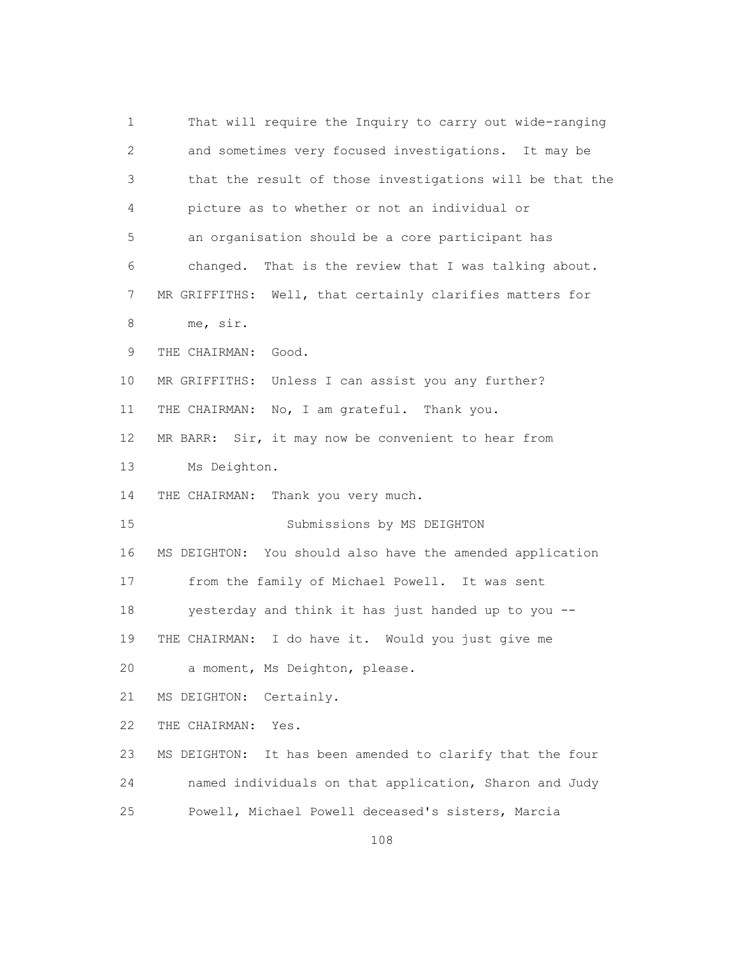| 1            | That will require the Inquiry to carry out wide-ranging      |
|--------------|--------------------------------------------------------------|
| $\mathbf{2}$ | and sometimes very focused investigations. It may be         |
| 3            | that the result of those investigations will be that the     |
| 4            | picture as to whether or not an individual or                |
| 5            | an organisation should be a core participant has             |
| 6            | changed. That is the review that I was talking about.        |
| 7            | MR GRIFFITHS: Well, that certainly clarifies matters for     |
| 8            | me, sir.                                                     |
| $\mathsf 9$  | Good.<br>THE CHAIRMAN:                                       |
| 10           | Unless I can assist you any further?<br>MR GRIFFITHS:        |
| 11           | No, I am grateful. Thank you.<br>THE CHAIRMAN:               |
| 12           | MR BARR: Sir, it may now be convenient to hear from          |
| 13           | Ms Deighton.                                                 |
| 14           | Thank you very much.<br>THE CHAIRMAN:                        |
| 15           | Submissions by MS DEIGHTON                                   |
| 16           | You should also have the amended application<br>MS DEIGHTON: |
| 17           | from the family of Michael Powell. It was sent               |
| 18           | yesterday and think it has just handed up to you --          |
| 19           | I do have it. Would you just give me<br>THE CHAIRMAN:        |
| 20           | a moment, Ms Deighton, please.                               |
| 21           | MS DEIGHTON:<br>Certainly.                                   |
| 22           | THE CHAIRMAN:<br>Yes.                                        |
| 23           | It has been amended to clarify that the four<br>MS DEIGHTON: |
| 24           | named individuals on that application, Sharon and Judy       |
| 25           | Powell, Michael Powell deceased's sisters, Marcia            |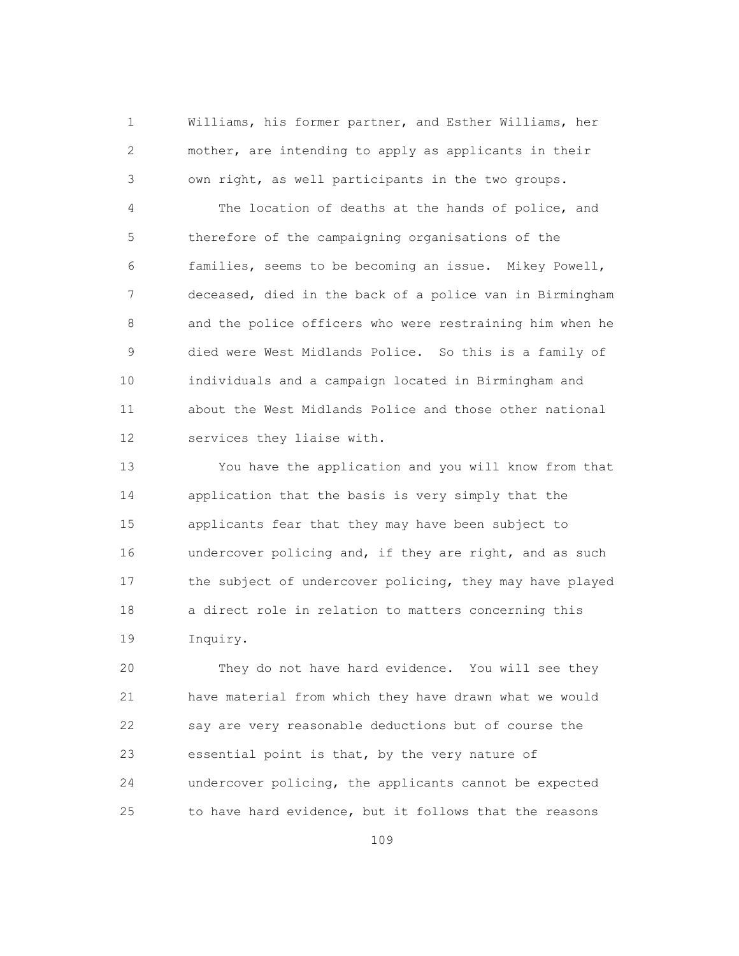1 Williams, his former partner, and Esther Williams, her 2 mother, are intending to apply as applicants in their 3 own right, as well participants in the two groups.

 4 The location of deaths at the hands of police, and 5 therefore of the campaigning organisations of the 6 families, seems to be becoming an issue. Mikey Powell, 7 deceased, died in the back of a police van in Birmingham 8 and the police officers who were restraining him when he 9 died were West Midlands Police. So this is a family of 10 individuals and a campaign located in Birmingham and 11 about the West Midlands Police and those other national 12 services they liaise with.

 13 You have the application and you will know from that 14 application that the basis is very simply that the 15 applicants fear that they may have been subject to 16 undercover policing and, if they are right, and as such 17 the subject of undercover policing, they may have played 18 a direct role in relation to matters concerning this 19 Inquiry.

 20 They do not have hard evidence. You will see they 21 have material from which they have drawn what we would 22 say are very reasonable deductions but of course the 23 essential point is that, by the very nature of 24 undercover policing, the applicants cannot be expected 25 to have hard evidence, but it follows that the reasons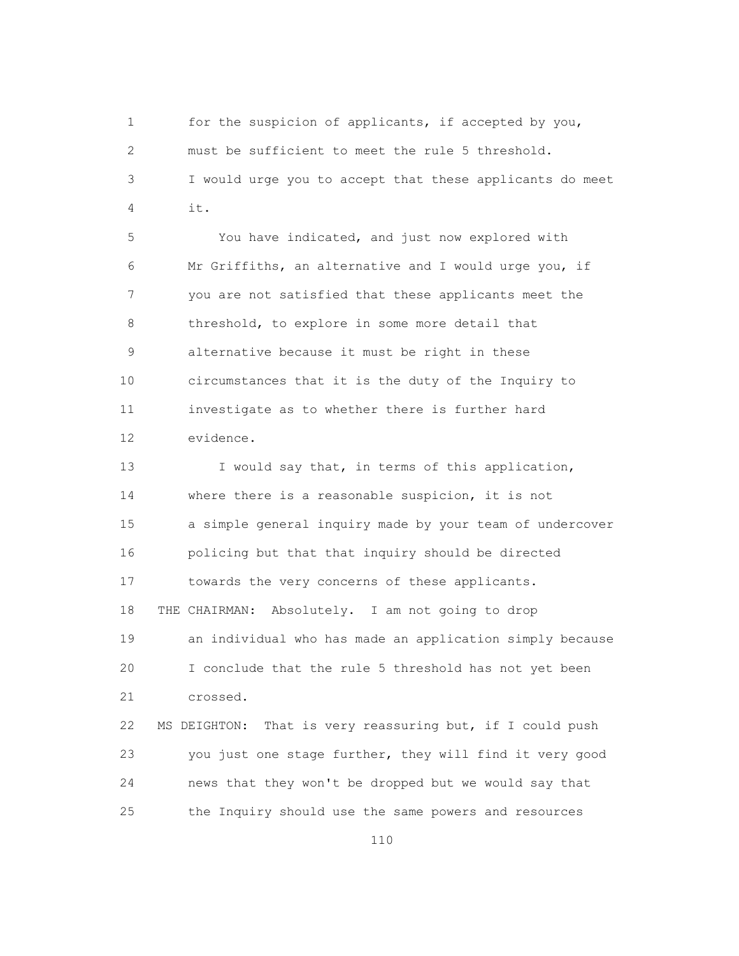1 for the suspicion of applicants, if accepted by you, 2 must be sufficient to meet the rule 5 threshold. 3 I would urge you to accept that these applicants do meet 4 it.

 5 You have indicated, and just now explored with 6 Mr Griffiths, an alternative and I would urge you, if 7 you are not satisfied that these applicants meet the 8 threshold, to explore in some more detail that 9 alternative because it must be right in these 10 circumstances that it is the duty of the Inquiry to 11 investigate as to whether there is further hard 12 evidence.

13 I would say that, in terms of this application, 14 where there is a reasonable suspicion, it is not 15 a simple general inquiry made by your team of undercover 16 policing but that that inquiry should be directed 17 towards the very concerns of these applicants. 18 THE CHAIRMAN: Absolutely. I am not going to drop 19 an individual who has made an application simply because 20 I conclude that the rule 5 threshold has not yet been 21 crossed. 22 MS DEIGHTON: That is very reassuring but, if I could push 23 you just one stage further, they will find it very good 24 news that they won't be dropped but we would say that

25 the Inquiry should use the same powers and resources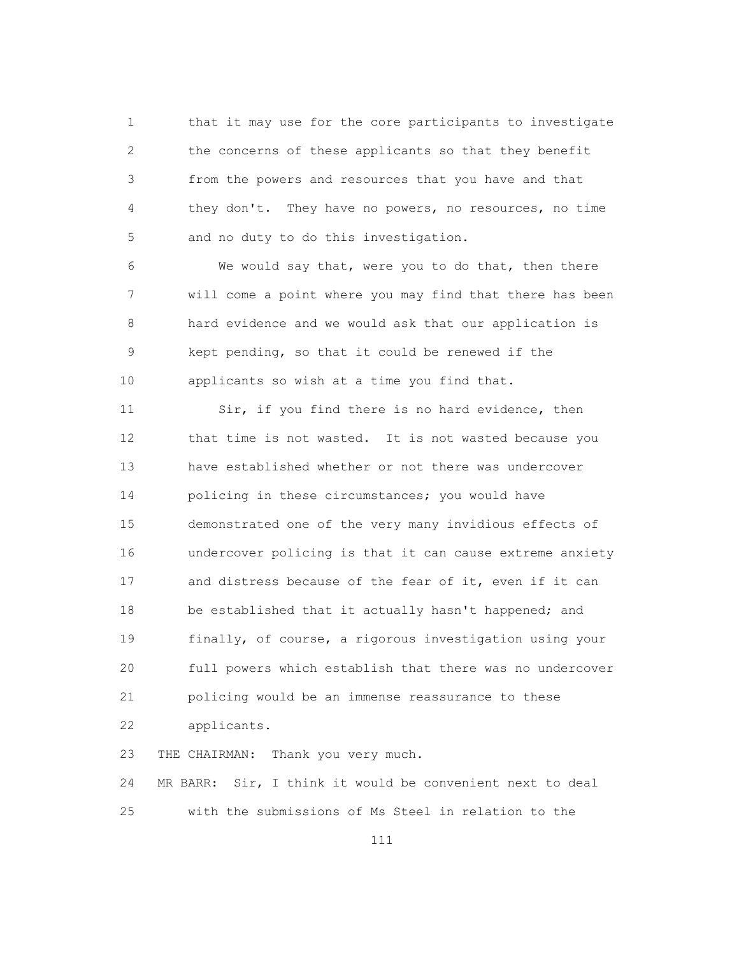1 that it may use for the core participants to investigate 2 the concerns of these applicants so that they benefit 3 from the powers and resources that you have and that 4 they don't. They have no powers, no resources, no time 5 and no duty to do this investigation.

 6 We would say that, were you to do that, then there 7 will come a point where you may find that there has been 8 hard evidence and we would ask that our application is 9 kept pending, so that it could be renewed if the 10 applicants so wish at a time you find that.

 11 Sir, if you find there is no hard evidence, then 12 that time is not wasted. It is not wasted because you 13 have established whether or not there was undercover 14 policing in these circumstances; you would have 15 demonstrated one of the very many invidious effects of 16 undercover policing is that it can cause extreme anxiety 17 and distress because of the fear of it, even if it can 18 be established that it actually hasn't happened; and 19 finally, of course, a rigorous investigation using your 20 full powers which establish that there was no undercover 21 policing would be an immense reassurance to these 22 applicants.

23 THE CHAIRMAN: Thank you very much.

 24 MR BARR: Sir, I think it would be convenient next to deal 25 with the submissions of Ms Steel in relation to the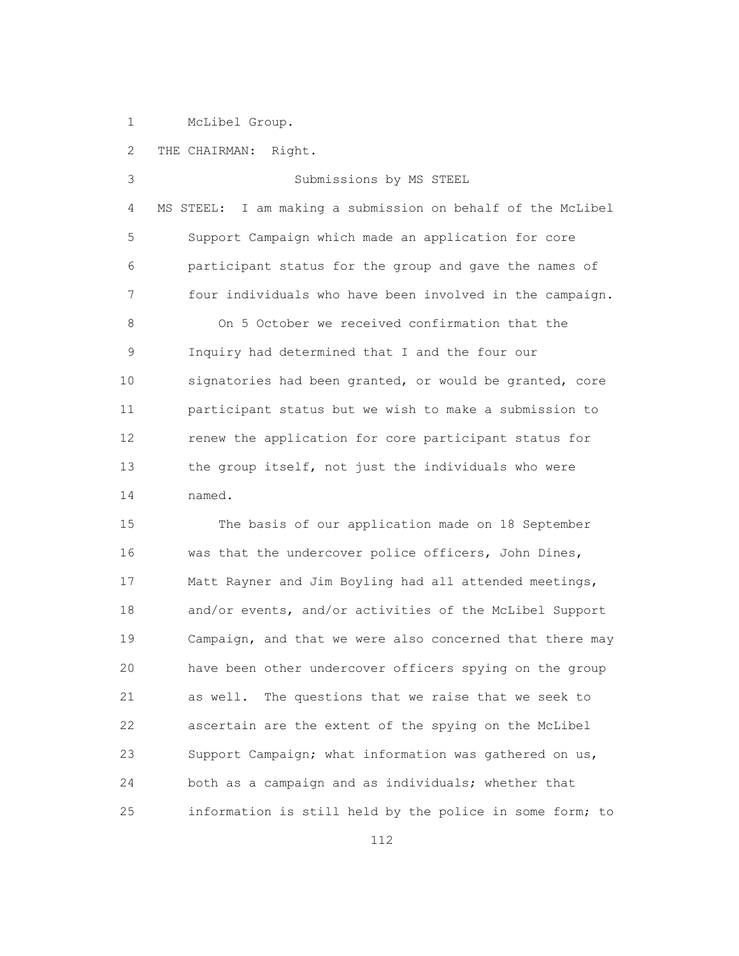1 McLibel Group.

 2 THE CHAIRMAN: Right. 3 Submissions by MS STEEL 4 MS STEEL: I am making a submission on behalf of the McLibel 5 Support Campaign which made an application for core 6 participant status for the group and gave the names of 7 four individuals who have been involved in the campaign. 8 On 5 October we received confirmation that the 9 Inquiry had determined that I and the four our 10 signatories had been granted, or would be granted, core 11 participant status but we wish to make a submission to 12 renew the application for core participant status for 13 the group itself, not just the individuals who were 14 named.

 15 The basis of our application made on 18 September 16 was that the undercover police officers, John Dines, 17 Matt Rayner and Jim Boyling had all attended meetings, 18 and/or events, and/or activities of the McLibel Support 19 Campaign, and that we were also concerned that there may 20 have been other undercover officers spying on the group 21 as well. The questions that we raise that we seek to 22 ascertain are the extent of the spying on the McLibel 23 Support Campaign; what information was gathered on us, 24 both as a campaign and as individuals; whether that 25 information is still held by the police in some form; to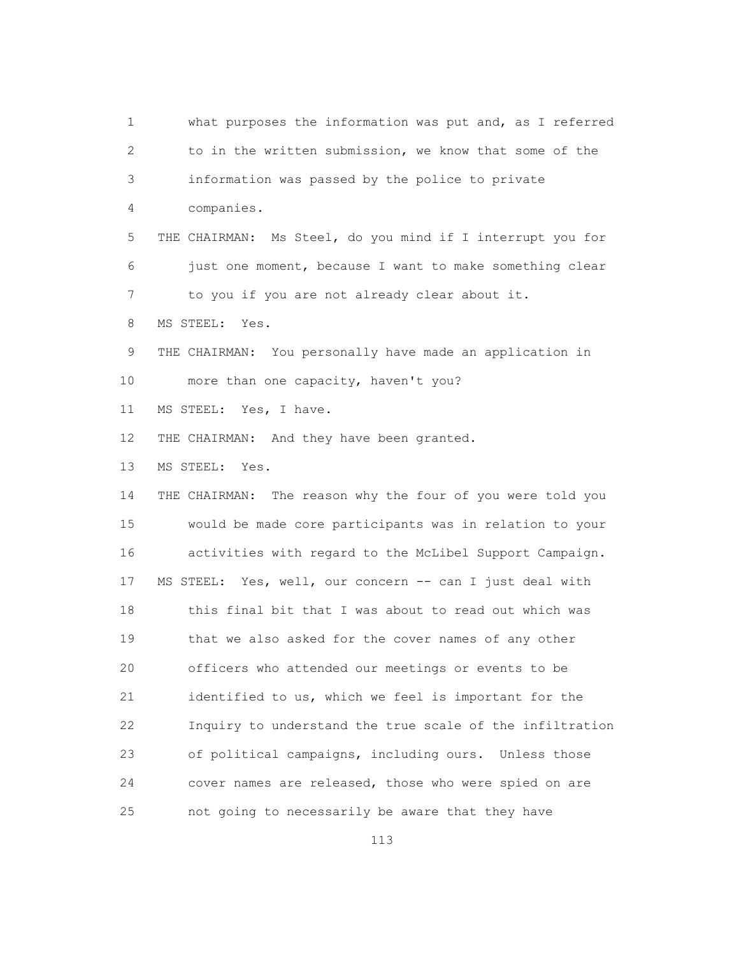1 what purposes the information was put and, as I referred 2 to in the written submission, we know that some of the 3 information was passed by the police to private 4 companies. 5 THE CHAIRMAN: Ms Steel, do you mind if I interrupt you for 6 just one moment, because I want to make something clear 7 to you if you are not already clear about it. 8 MS STEEL: Yes. 9 THE CHAIRMAN: You personally have made an application in 10 more than one capacity, haven't you? 11 MS STEEL: Yes, I have. 12 THE CHAIRMAN: And they have been granted. 13 MS STEEL: Yes. 14 THE CHAIRMAN: The reason why the four of you were told you 15 would be made core participants was in relation to your 16 activities with regard to the McLibel Support Campaign. 17 MS STEEL: Yes, well, our concern -- can I just deal with 18 this final bit that I was about to read out which was 19 that we also asked for the cover names of any other 20 officers who attended our meetings or events to be 21 identified to us, which we feel is important for the 22 Inquiry to understand the true scale of the infiltration 23 of political campaigns, including ours. Unless those 24 cover names are released, those who were spied on are 25 not going to necessarily be aware that they have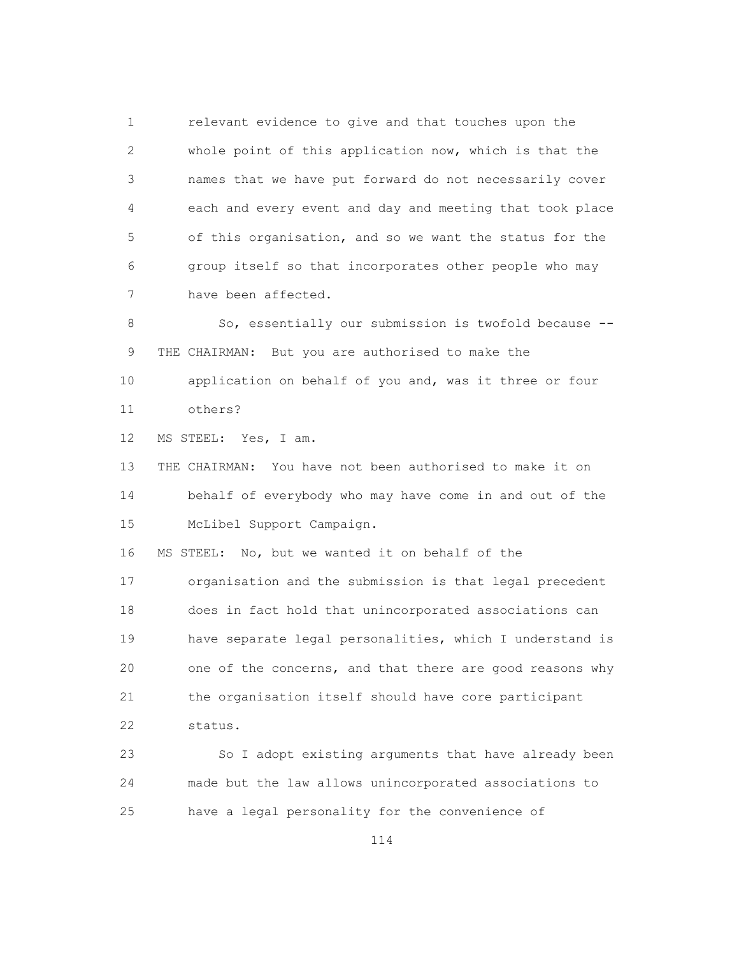1 relevant evidence to give and that touches upon the 2 whole point of this application now, which is that the 3 names that we have put forward do not necessarily cover 4 each and every event and day and meeting that took place 5 of this organisation, and so we want the status for the 6 group itself so that incorporates other people who may 7 have been affected.

 8 So, essentially our submission is twofold because -- 9 THE CHAIRMAN: But you are authorised to make the 10 application on behalf of you and, was it three or four 11 others?

12 MS STEEL: Yes, I am.

 13 THE CHAIRMAN: You have not been authorised to make it on 14 behalf of everybody who may have come in and out of the 15 McLibel Support Campaign.

16 MS STEEL: No, but we wanted it on behalf of the

 17 organisation and the submission is that legal precedent 18 does in fact hold that unincorporated associations can 19 have separate legal personalities, which I understand is 20 one of the concerns, and that there are good reasons why 21 the organisation itself should have core participant 22 status.

 23 So I adopt existing arguments that have already been 24 made but the law allows unincorporated associations to 25 have a legal personality for the convenience of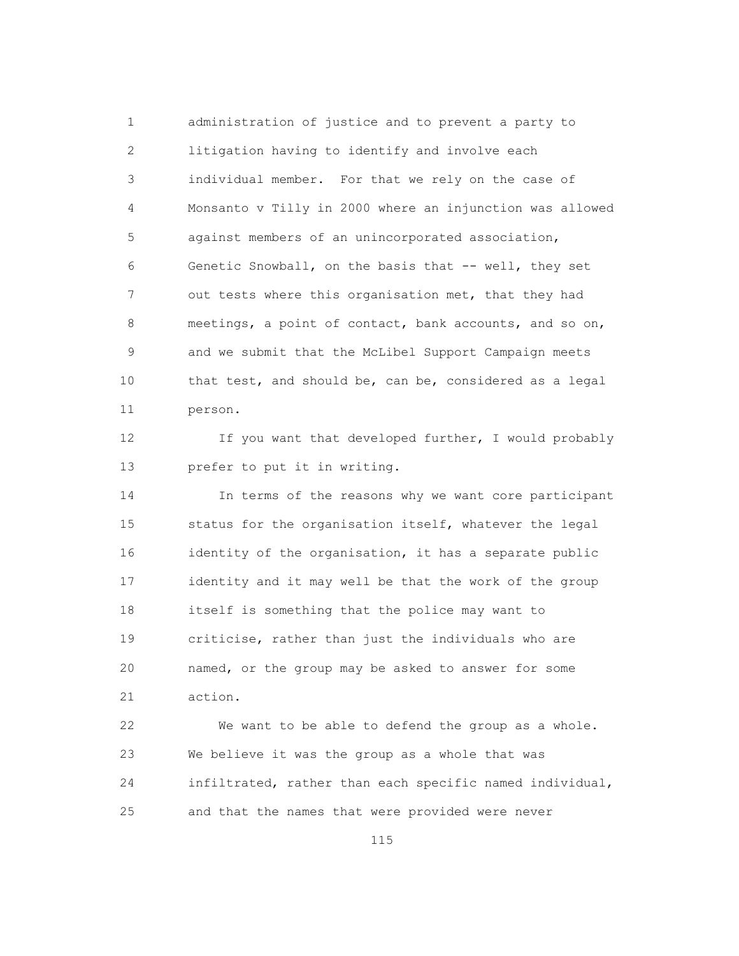1 administration of justice and to prevent a party to 2 litigation having to identify and involve each 3 individual member. For that we rely on the case of 4 Monsanto v Tilly in 2000 where an injunction was allowed 5 against members of an unincorporated association, 6 Genetic Snowball, on the basis that -- well, they set 7 out tests where this organisation met, that they had 8 meetings, a point of contact, bank accounts, and so on, 9 and we submit that the McLibel Support Campaign meets 10 that test, and should be, can be, considered as a legal 11 person.

12 If you want that developed further, I would probably 13 prefer to put it in writing.

 14 In terms of the reasons why we want core participant 15 status for the organisation itself, whatever the legal 16 identity of the organisation, it has a separate public 17 identity and it may well be that the work of the group 18 itself is something that the police may want to 19 criticise, rather than just the individuals who are 20 named, or the group may be asked to answer for some 21 action.

 22 We want to be able to defend the group as a whole. 23 We believe it was the group as a whole that was 24 infiltrated, rather than each specific named individual, 25 and that the names that were provided were never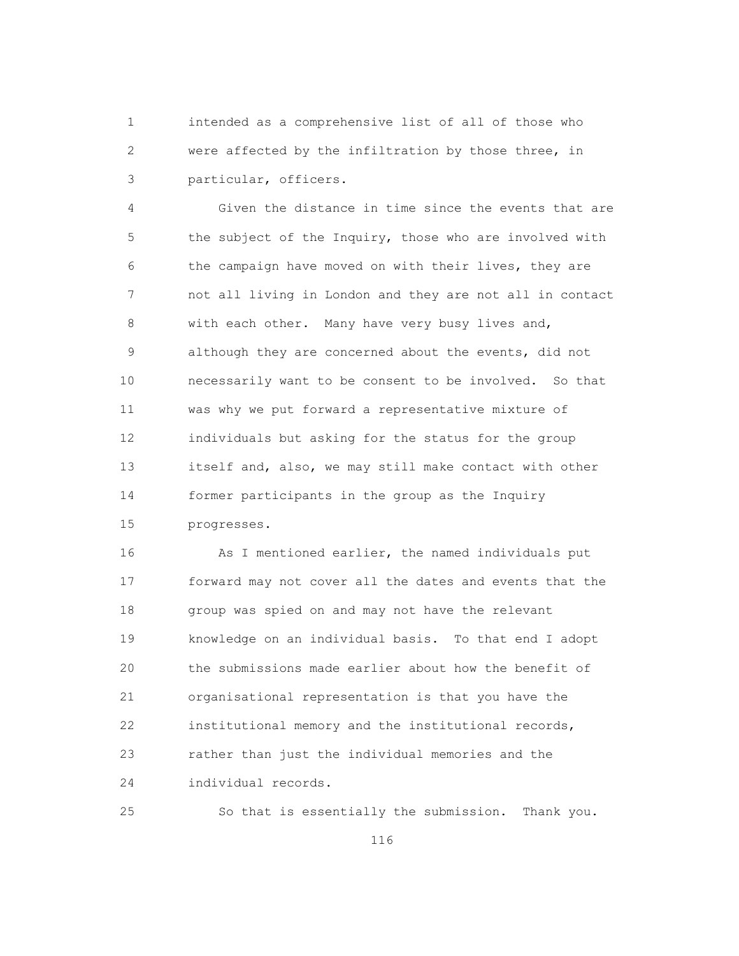1 intended as a comprehensive list of all of those who 2 were affected by the infiltration by those three, in 3 particular, officers.

 4 Given the distance in time since the events that are 5 the subject of the Inquiry, those who are involved with 6 the campaign have moved on with their lives, they are 7 not all living in London and they are not all in contact 8 with each other. Many have very busy lives and, 9 although they are concerned about the events, did not 10 necessarily want to be consent to be involved. So that 11 was why we put forward a representative mixture of 12 individuals but asking for the status for the group 13 itself and, also, we may still make contact with other 14 former participants in the group as the Inquiry 15 progresses.

 16 As I mentioned earlier, the named individuals put 17 forward may not cover all the dates and events that the 18 group was spied on and may not have the relevant 19 knowledge on an individual basis. To that end I adopt 20 the submissions made earlier about how the benefit of 21 organisational representation is that you have the 22 institutional memory and the institutional records, 23 rather than just the individual memories and the 24 individual records.

25 So that is essentially the submission. Thank you.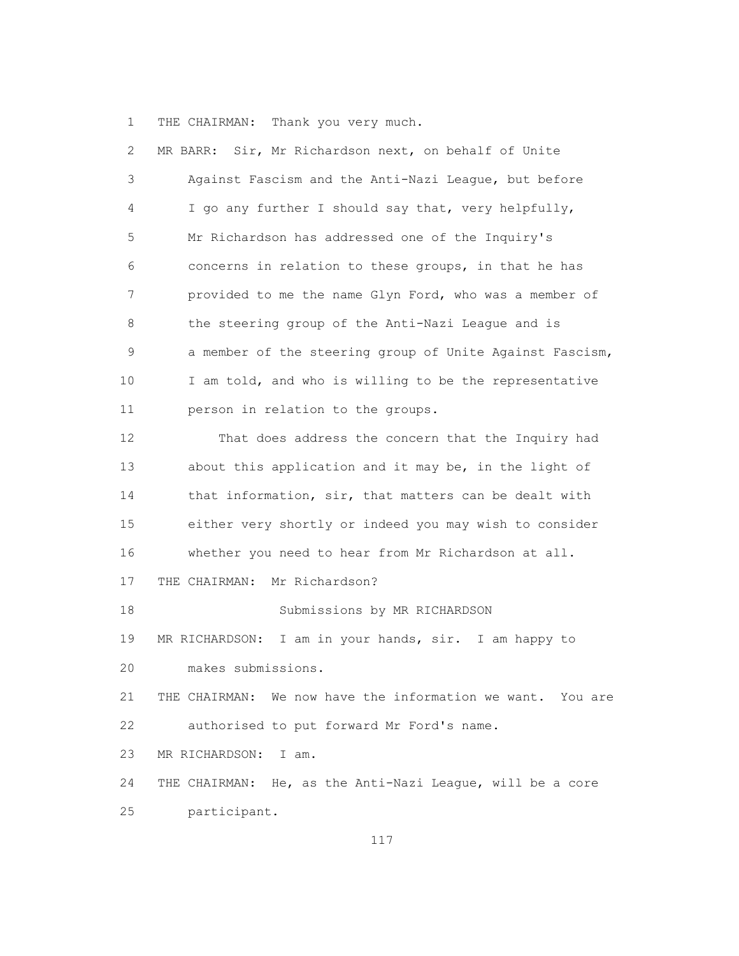1 THE CHAIRMAN: Thank you very much.

| $\mathbf{2}$ | MR BARR: Sir, Mr Richardson next, on behalf of Unite          |
|--------------|---------------------------------------------------------------|
| 3            | Against Fascism and the Anti-Nazi League, but before          |
| 4            | I go any further I should say that, very helpfully,           |
| 5            | Mr Richardson has addressed one of the Inquiry's              |
| 6            | concerns in relation to these groups, in that he has          |
| 7            | provided to me the name Glyn Ford, who was a member of        |
| 8            | the steering group of the Anti-Nazi League and is             |
| 9            | a member of the steering group of Unite Against Fascism,      |
| 10           | I am told, and who is willing to be the representative        |
| 11           | person in relation to the groups.                             |
| 12           | That does address the concern that the Inquiry had            |
| 13           | about this application and it may be, in the light of         |
| 14           | that information, sir, that matters can be dealt with         |
| 15           | either very shortly or indeed you may wish to consider        |
| 16           | whether you need to hear from Mr Richardson at all.           |
| 17           | Mr Richardson?<br>THE CHAIRMAN:                               |
| 18           | Submissions by MR RICHARDSON                                  |
| 19           | I am in your hands, sir. I am happy to<br>MR RICHARDSON:      |
| 20           | makes submissions.                                            |
| 21           | THE CHAIRMAN:<br>We now have the information we want. You are |
| 22           | authorised to put forward Mr Ford's name.                     |
| 23           | MR RICHARDSON:<br>I am.                                       |
| 24           | THE CHAIRMAN: He, as the Anti-Nazi League, will be a core     |
| 25           | participant.                                                  |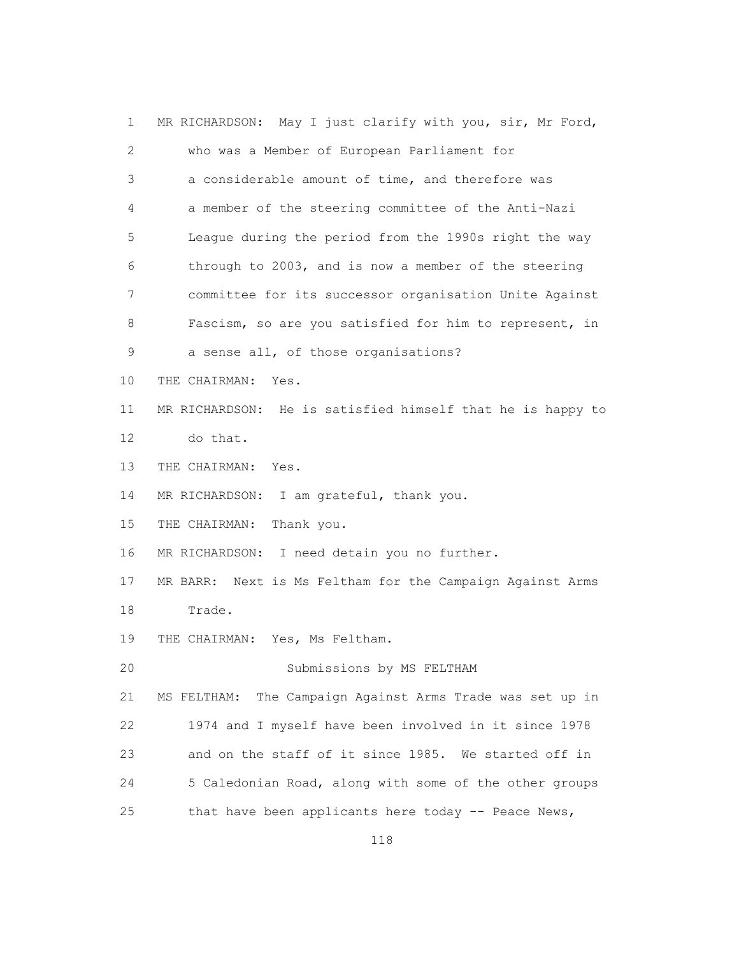| $\mathbf 1$       | MR RICHARDSON: May I just clarify with you, sir, Mr Ford,    |
|-------------------|--------------------------------------------------------------|
| 2                 | who was a Member of European Parliament for                  |
| 3                 | a considerable amount of time, and therefore was             |
| 4                 | a member of the steering committee of the Anti-Nazi          |
| 5                 | League during the period from the 1990s right the way        |
| 6                 | through to 2003, and is now a member of the steering         |
| 7                 | committee for its successor organisation Unite Against       |
| 8                 | Fascism, so are you satisfied for him to represent, in       |
| 9                 | a sense all, of those organisations?                         |
| 10                | THE CHAIRMAN:<br>Yes.                                        |
| 11                | MR RICHARDSON: He is satisfied himself that he is happy to   |
| $12 \overline{ }$ | do that.                                                     |
| 13                | THE CHAIRMAN: Yes.                                           |
| 14                | MR RICHARDSON: I am grateful, thank you.                     |
| 15                | THE CHAIRMAN:<br>Thank you.                                  |
| 16                | MR RICHARDSON: I need detain you no further.                 |
| 17                | MR BARR: Next is Ms Feltham for the Campaign Against Arms    |
| 18                | Trade.                                                       |
| 19                | THE CHAIRMAN: Yes, Ms Feltham.                               |
| 20                | Submissions by MS FELTHAM                                    |
| 21                | The Campaign Against Arms Trade was set up in<br>MS FELTHAM: |
| 22                | 1974 and I myself have been involved in it since 1978        |
| 23                | and on the staff of it since 1985. We started off in         |
| 24                | 5 Caledonian Road, along with some of the other groups       |
| 25                | that have been applicants here today -- Peace News,          |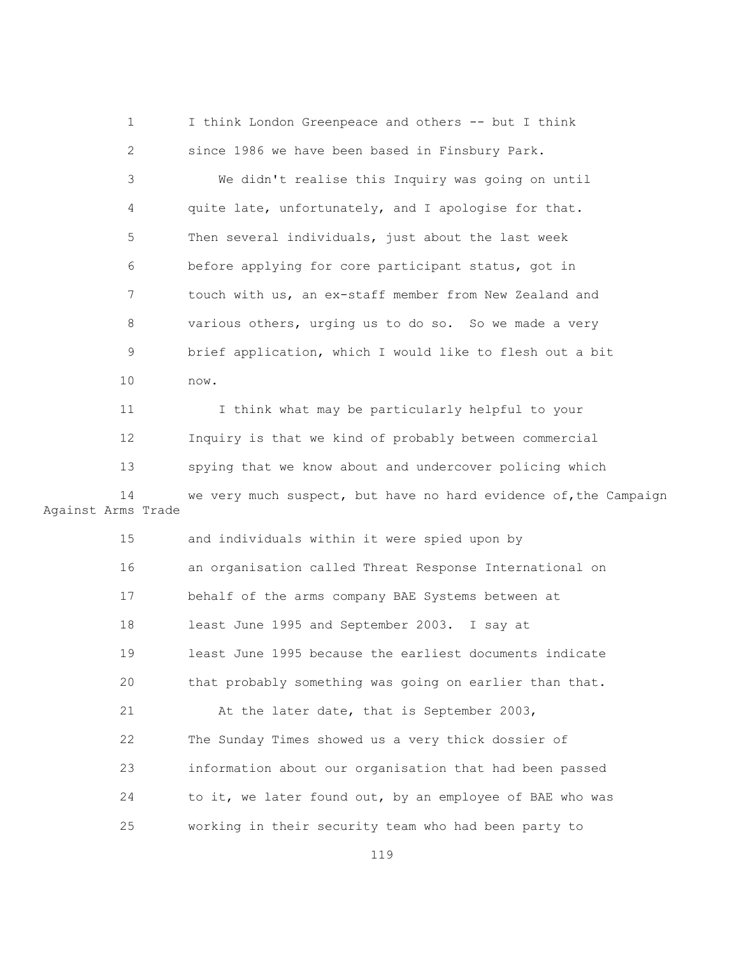1 I think London Greenpeace and others -- but I think 2 since 1986 we have been based in Finsbury Park.

 3 We didn't realise this Inquiry was going on until 4 quite late, unfortunately, and I apologise for that. 5 Then several individuals, just about the last week 6 before applying for core participant status, got in 7 touch with us, an ex-staff member from New Zealand and 8 various others, urging us to do so. So we made a very 9 brief application, which I would like to flesh out a bit 10 now.

 11 I think what may be particularly helpful to your 12 Inquiry is that we kind of probably between commercial 13 spying that we know about and undercover policing which 14 we very much suspect, but have no hard evidence of,the Campaign

Against Arms Trade

| 15 | and individuals within it were spied upon by             |
|----|----------------------------------------------------------|
| 16 | an organisation called Threat Response International on  |
| 17 | behalf of the arms company BAE Systems between at        |
| 18 | least June 1995 and September 2003. I say at             |
| 19 | least June 1995 because the earliest documents indicate  |
| 20 | that probably something was going on earlier than that.  |
| 21 | At the later date, that is September 2003,               |
| 22 | The Sunday Times showed us a very thick dossier of       |
| 23 | information about our organisation that had been passed  |
| 24 | to it, we later found out, by an employee of BAE who was |
| 25 | working in their security team who had been party to     |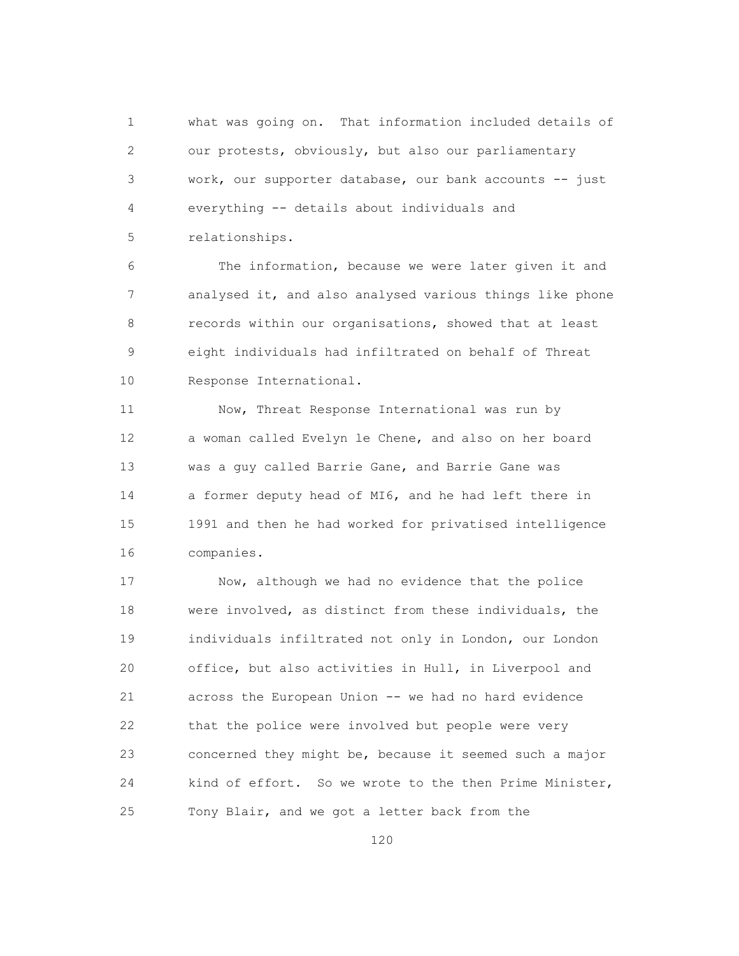1 what was going on. That information included details of 2 our protests, obviously, but also our parliamentary 3 work, our supporter database, our bank accounts -- just 4 everything -- details about individuals and 5 relationships.

 6 The information, because we were later given it and 7 analysed it, and also analysed various things like phone 8 records within our organisations, showed that at least 9 eight individuals had infiltrated on behalf of Threat 10 Response International.

 11 Now, Threat Response International was run by 12 a woman called Evelyn le Chene, and also on her board 13 was a guy called Barrie Gane, and Barrie Gane was 14 a former deputy head of MI6, and he had left there in 15 1991 and then he had worked for privatised intelligence 16 companies.

 17 Now, although we had no evidence that the police 18 were involved, as distinct from these individuals, the 19 individuals infiltrated not only in London, our London 20 office, but also activities in Hull, in Liverpool and 21 across the European Union -- we had no hard evidence 22 that the police were involved but people were very 23 concerned they might be, because it seemed such a major 24 kind of effort. So we wrote to the then Prime Minister, 25 Tony Blair, and we got a letter back from the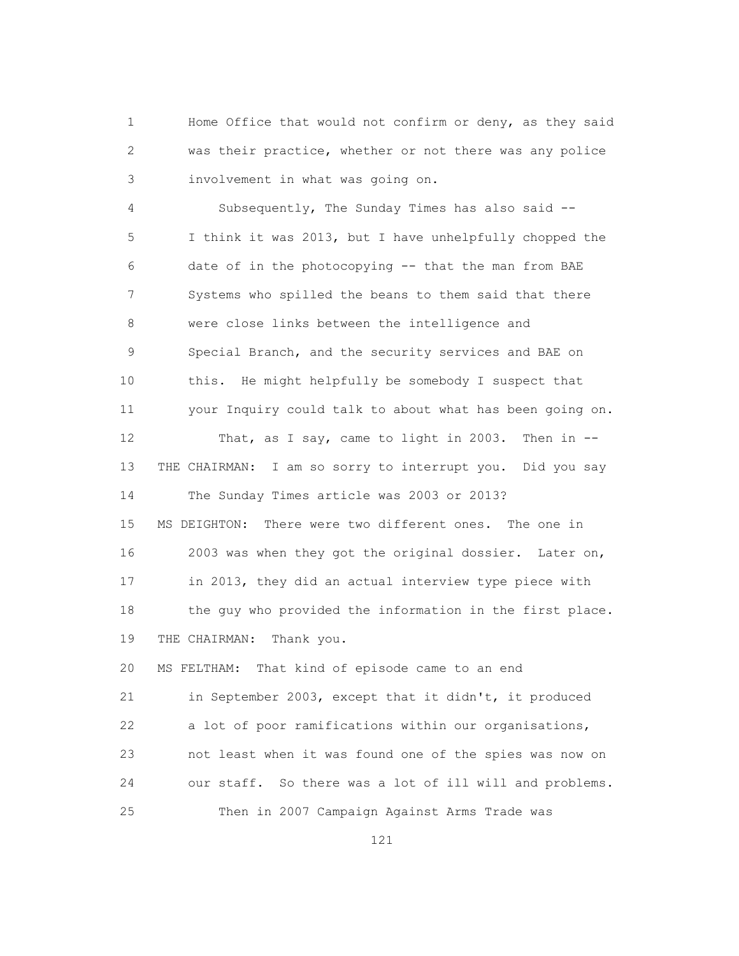1 Home Office that would not confirm or deny, as they said 2 was their practice, whether or not there was any police 3 involvement in what was going on.

 4 Subsequently, The Sunday Times has also said -- 5 I think it was 2013, but I have unhelpfully chopped the 6 date of in the photocopying -- that the man from BAE 7 Systems who spilled the beans to them said that there 8 were close links between the intelligence and 9 Special Branch, and the security services and BAE on 10 this. He might helpfully be somebody I suspect that 11 your Inquiry could talk to about what has been going on. 12 That, as I say, came to light in 2003. Then in -- 13 THE CHAIRMAN: I am so sorry to interrupt you. Did you say 14 The Sunday Times article was 2003 or 2013? 15 MS DEIGHTON: There were two different ones. The one in 16 2003 was when they got the original dossier. Later on, 17 in 2013, they did an actual interview type piece with 18 the guy who provided the information in the first place. 19 THE CHAIRMAN: Thank you. 20 MS FELTHAM: That kind of episode came to an end 21 in September 2003, except that it didn't, it produced

 22 a lot of poor ramifications within our organisations, 23 not least when it was found one of the spies was now on 24 our staff. So there was a lot of ill will and problems. 25 Then in 2007 Campaign Against Arms Trade was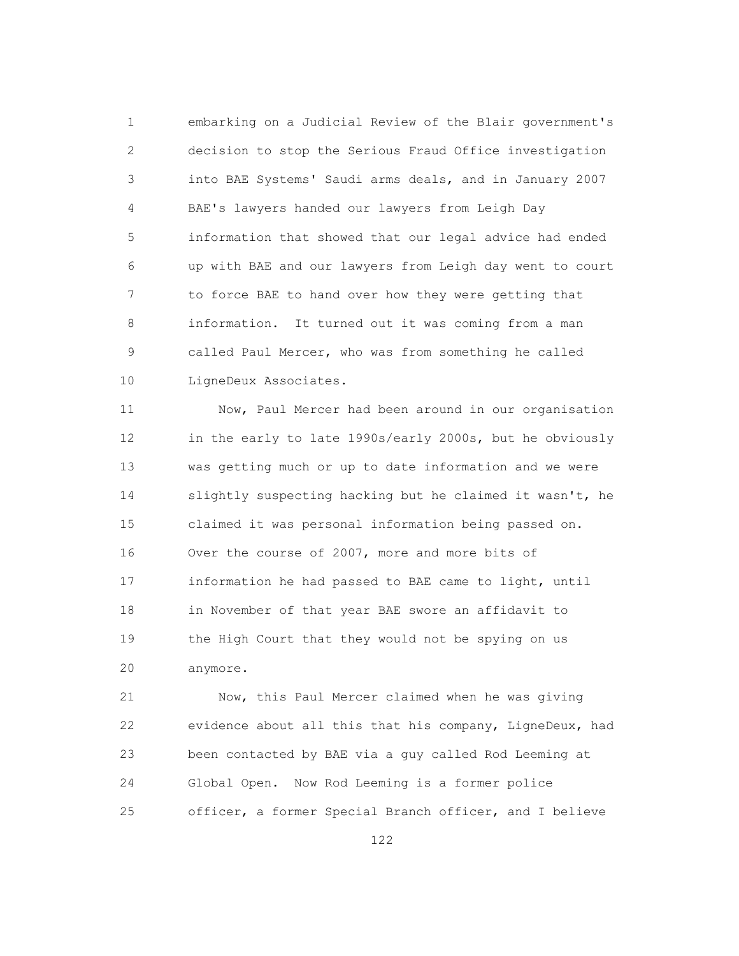1 embarking on a Judicial Review of the Blair government's 2 decision to stop the Serious Fraud Office investigation 3 into BAE Systems' Saudi arms deals, and in January 2007 4 BAE's lawyers handed our lawyers from Leigh Day 5 information that showed that our legal advice had ended 6 up with BAE and our lawyers from Leigh day went to court 7 to force BAE to hand over how they were getting that 8 information. It turned out it was coming from a man 9 called Paul Mercer, who was from something he called 10 LigneDeux Associates.

 11 Now, Paul Mercer had been around in our organisation 12 in the early to late 1990s/early 2000s, but he obviously 13 was getting much or up to date information and we were 14 slightly suspecting hacking but he claimed it wasn't, he 15 claimed it was personal information being passed on. 16 Over the course of 2007, more and more bits of 17 information he had passed to BAE came to light, until 18 in November of that year BAE swore an affidavit to 19 the High Court that they would not be spying on us 20 anymore.

 21 Now, this Paul Mercer claimed when he was giving 22 evidence about all this that his company, LigneDeux, had 23 been contacted by BAE via a guy called Rod Leeming at 24 Global Open. Now Rod Leeming is a former police 25 officer, a former Special Branch officer, and I believe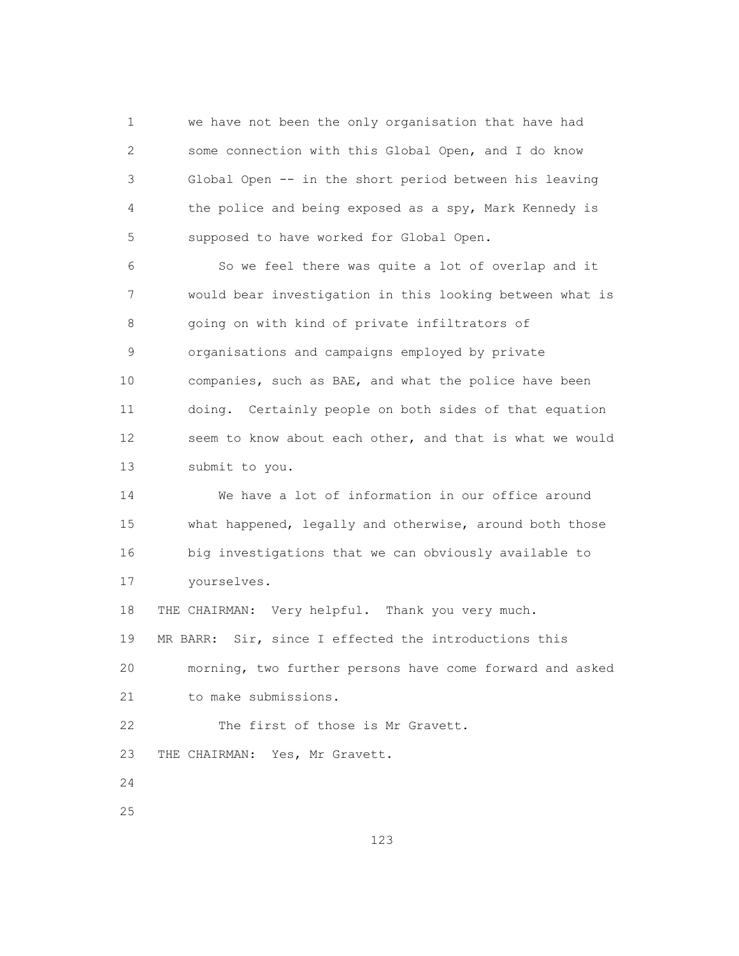1 we have not been the only organisation that have had 2 some connection with this Global Open, and I do know 3 Global Open -- in the short period between his leaving 4 the police and being exposed as a spy, Mark Kennedy is 5 supposed to have worked for Global Open.

 6 So we feel there was quite a lot of overlap and it 7 would bear investigation in this looking between what is 8 going on with kind of private infiltrators of 9 organisations and campaigns employed by private 10 companies, such as BAE, and what the police have been 11 doing. Certainly people on both sides of that equation 12 seem to know about each other, and that is what we would 13 submit to you.

 14 We have a lot of information in our office around 15 what happened, legally and otherwise, around both those 16 big investigations that we can obviously available to 17 yourselves.

 18 THE CHAIRMAN: Very helpful. Thank you very much. 19 MR BARR: Sir, since I effected the introductions this 20 morning, two further persons have come forward and asked 21 to make submissions.

22 The first of those is Mr Gravett.

23 THE CHAIRMAN: Yes, Mr Gravett.

24

25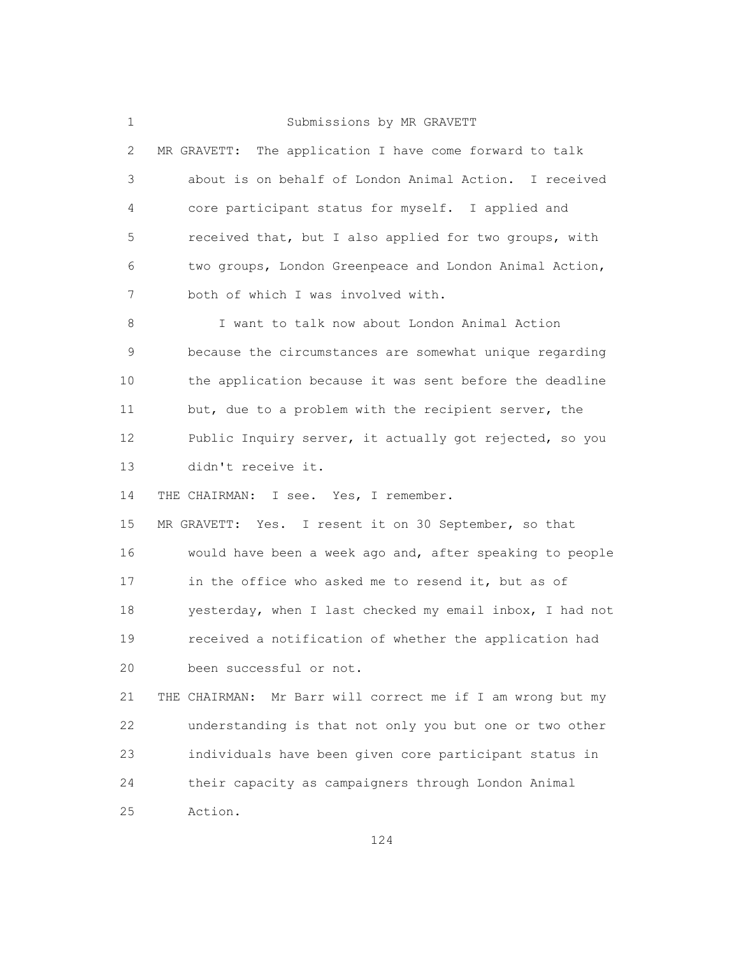## 1 Submissions by MR GRAVETT

| $\mathbf{2}$ | The application I have come forward to talk<br>MR GRAVETT: |
|--------------|------------------------------------------------------------|
| 3            | about is on behalf of London Animal Action. I received     |
| 4            | core participant status for myself. I applied and          |
| 5            | received that, but I also applied for two groups, with     |
| 6            | two groups, London Greenpeace and London Animal Action,    |
| 7            | both of which I was involved with.                         |
| 8            | I want to talk now about London Animal Action              |
| $\mathsf 9$  | because the circumstances are somewhat unique regarding    |
| 10           | the application because it was sent before the deadline    |
| 11           | but, due to a problem with the recipient server, the       |
| 12           | Public Inquiry server, it actually got rejected, so you    |
| 13           | didn't receive it.                                         |
| 14           | THE CHAIRMAN: I see. Yes, I remember.                      |
| 15           | MR GRAVETT: Yes. I resent it on 30 September, so that      |
| 16           | would have been a week ago and, after speaking to people   |
| 17           | in the office who asked me to resend it, but as of         |
| 18           | yesterday, when I last checked my email inbox, I had not   |
| 19           | received a notification of whether the application had     |
| 20           | been successful or not.                                    |
| 21           | THE CHAIRMAN: Mr Barr will correct me if I am wrong but my |
| 22           | understanding is that not only you but one or two other    |
| 23           | individuals have been given core participant status in     |
| 24           | their capacity as campaigners through London Animal        |
| 25           | Action.                                                    |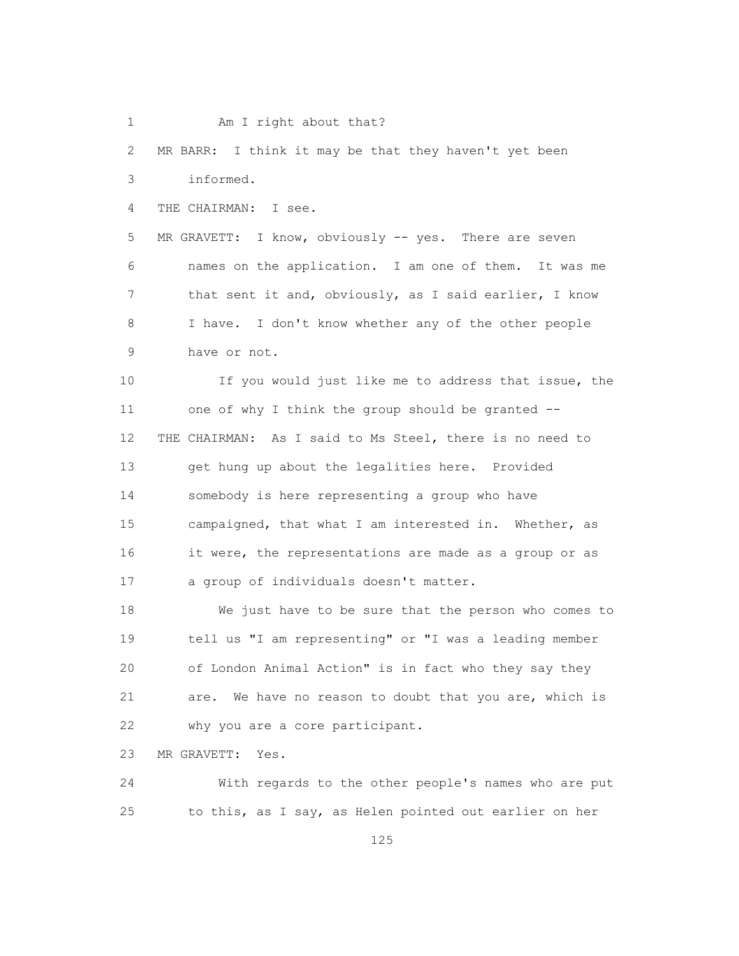1 Am I right about that?

 2 MR BARR: I think it may be that they haven't yet been 3 informed.

4 THE CHAIRMAN: I see.

 5 MR GRAVETT: I know, obviously -- yes. There are seven 6 names on the application. I am one of them. It was me 7 that sent it and, obviously, as I said earlier, I know 8 I have. I don't know whether any of the other people 9 have or not.

 10 If you would just like me to address that issue, the 11 one of why I think the group should be granted -- 12 THE CHAIRMAN: As I said to Ms Steel, there is no need to 13 get hung up about the legalities here. Provided 14 somebody is here representing a group who have 15 campaigned, that what I am interested in. Whether, as 16 it were, the representations are made as a group or as 17 a group of individuals doesn't matter.

 18 We just have to be sure that the person who comes to 19 tell us "I am representing" or "I was a leading member 20 of London Animal Action" is in fact who they say they 21 are. We have no reason to doubt that you are, which is 22 why you are a core participant.

23 MR GRAVETT: Yes.

 24 With regards to the other people's names who are put 25 to this, as I say, as Helen pointed out earlier on her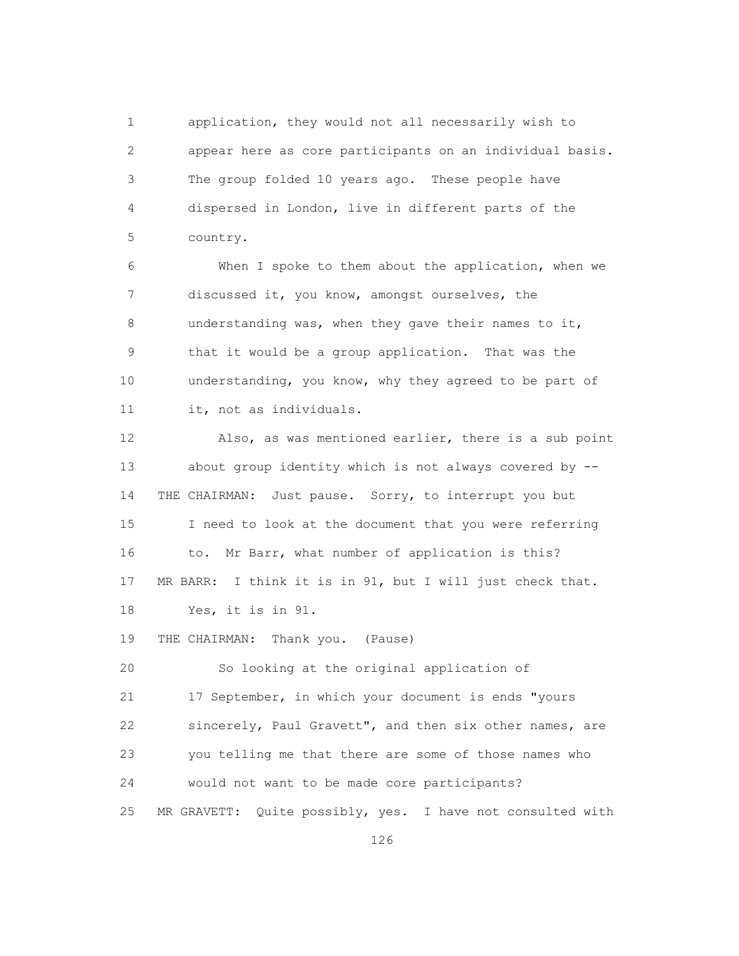1 application, they would not all necessarily wish to 2 appear here as core participants on an individual basis. 3 The group folded 10 years ago. These people have 4 dispersed in London, live in different parts of the 5 country.

 6 When I spoke to them about the application, when we 7 discussed it, you know, amongst ourselves, the 8 understanding was, when they gave their names to it, 9 that it would be a group application. That was the 10 understanding, you know, why they agreed to be part of 11 it, not as individuals.

 12 Also, as was mentioned earlier, there is a sub point 13 about group identity which is not always covered by -- 14 THE CHAIRMAN: Just pause. Sorry, to interrupt you but 15 I need to look at the document that you were referring 16 to. Mr Barr, what number of application is this? 17 MR BARR: I think it is in 91, but I will just check that. 18 Yes, it is in 91.

19 THE CHAIRMAN: Thank you. (Pause)

 20 So looking at the original application of 21 17 September, in which your document is ends "yours 22 sincerely, Paul Gravett", and then six other names, are 23 you telling me that there are some of those names who 24 would not want to be made core participants? 25 MR GRAVETT: Quite possibly, yes. I have not consulted with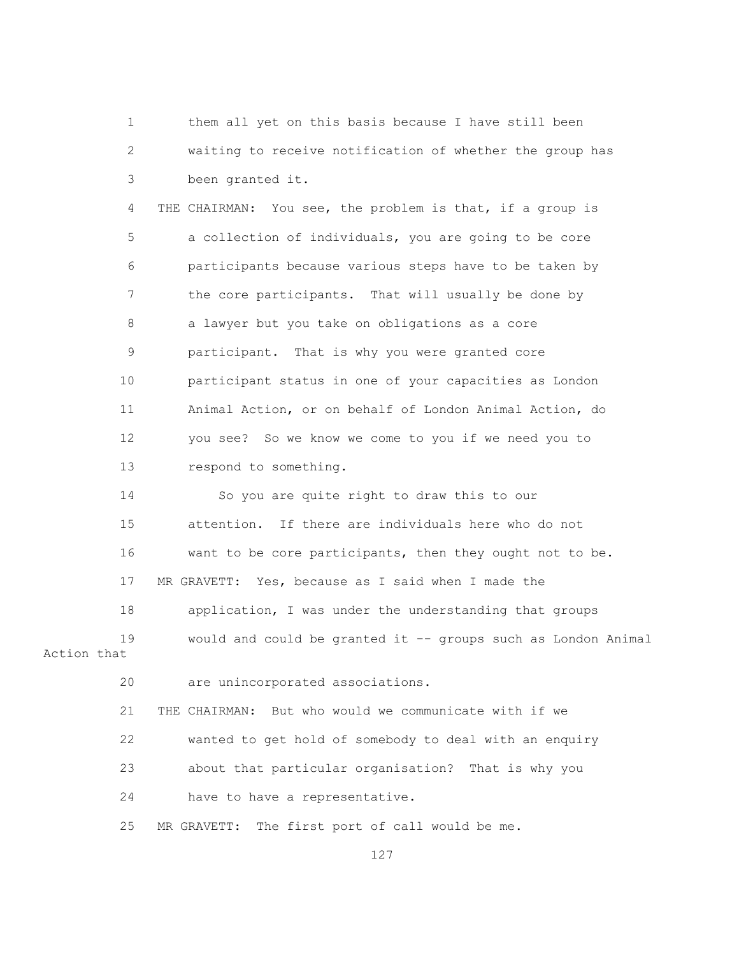1 them all yet on this basis because I have still been 2 waiting to receive notification of whether the group has 3 been granted it. 4 THE CHAIRMAN: You see, the problem is that, if a group is 5 a collection of individuals, you are going to be core 6 participants because various steps have to be taken by 7 the core participants. That will usually be done by 8 a lawyer but you take on obligations as a core 9 participant. That is why you were granted core 10 participant status in one of your capacities as London 11 Animal Action, or on behalf of London Animal Action, do 12 you see? So we know we come to you if we need you to 13 respond to something. 14 So you are quite right to draw this to our 15 attention. If there are individuals here who do not 16 want to be core participants, then they ought not to be. 17 MR GRAVETT: Yes, because as I said when I made the 18 application, I was under the understanding that groups 19 would and could be granted it -- groups such as London Animal Action that 20 are unincorporated associations. 21 THE CHAIRMAN: But who would we communicate with if we 22 wanted to get hold of somebody to deal with an enquiry 23 about that particular organisation? That is why you 24 have to have a representative.

25 MR GRAVETT: The first port of call would be me.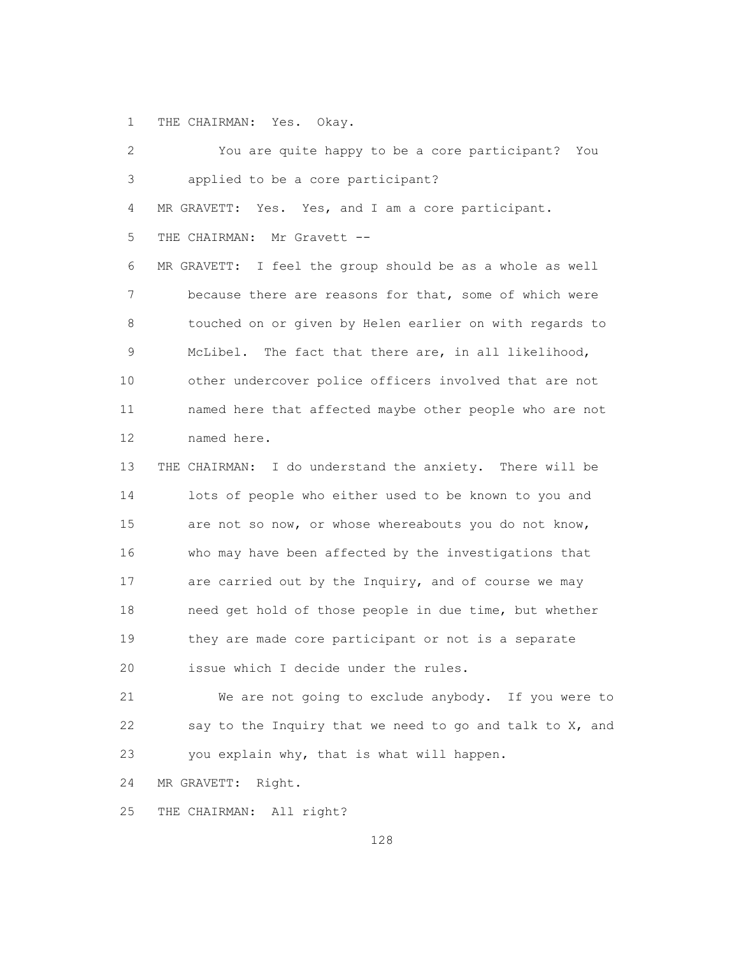1 THE CHAIRMAN: Yes. Okay.

| 2               | You are quite happy to be a core participant? You            |
|-----------------|--------------------------------------------------------------|
| 3               | applied to be a core participant?                            |
| 4               | MR GRAVETT: Yes. Yes, and I am a core participant.           |
| 5               | THE CHAIRMAN: Mr Gravett --                                  |
| 6               | MR GRAVETT:<br>I feel the group should be as a whole as well |
| 7               | because there are reasons for that, some of which were       |
| 8               | touched on or given by Helen earlier on with regards to      |
| 9               | McLibel. The fact that there are, in all likelihood,         |
| 10 <sub>o</sub> | other undercover police officers involved that are not       |
| 11              | named here that affected maybe other people who are not      |
| 12              | named here.                                                  |
| 13              | THE CHAIRMAN: I do understand the anxiety. There will be     |
| 14              | lots of people who either used to be known to you and        |
| 15              | are not so now, or whose whereabouts you do not know,        |
| 16              | who may have been affected by the investigations that        |
| 17              | are carried out by the Inquiry, and of course we may         |
| 18              | need get hold of those people in due time, but whether       |
| 19              | they are made core participant or not is a separate          |
| 20              | issue which I decide under the rules.                        |
| 21              | We are not going to exclude anybody. If you were to          |
| 22              | say to the Inquiry that we need to go and talk to X, and     |
| 23              | you explain why, that is what will happen.                   |

24 MR GRAVETT: Right.

25 THE CHAIRMAN: All right?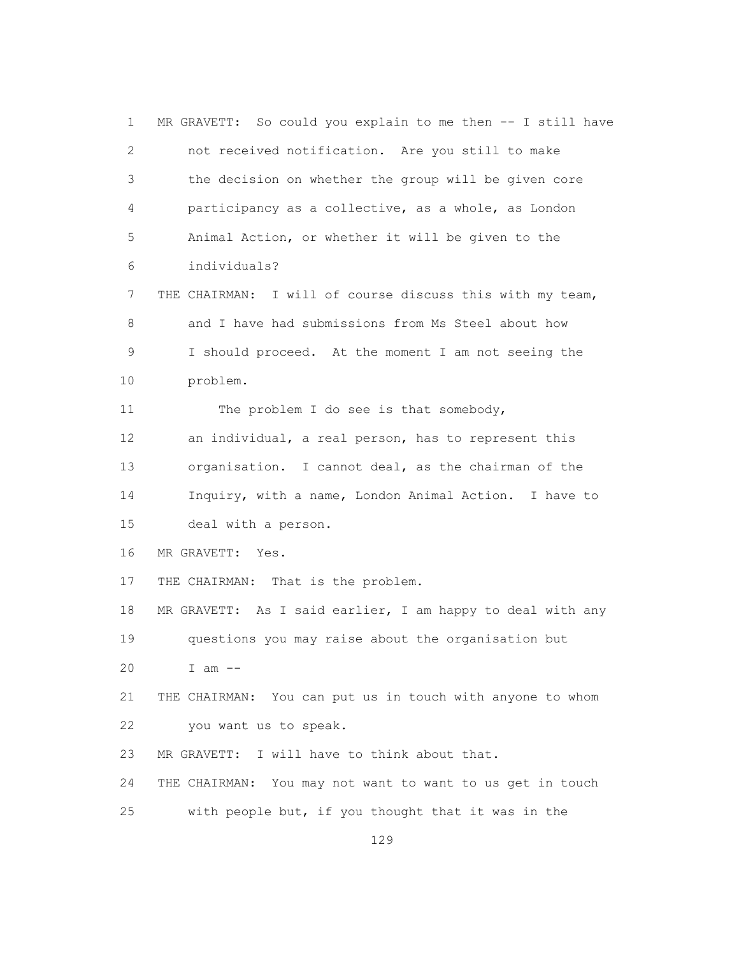1 MR GRAVETT: So could you explain to me then -- I still have 2 not received notification. Are you still to make 3 the decision on whether the group will be given core 4 participancy as a collective, as a whole, as London 5 Animal Action, or whether it will be given to the 6 individuals? 7 THE CHAIRMAN: I will of course discuss this with my team, 8 and I have had submissions from Ms Steel about how 9 I should proceed. At the moment I am not seeing the 10 problem. 11 The problem I do see is that somebody, 12 an individual, a real person, has to represent this 13 organisation. I cannot deal, as the chairman of the 14 Inquiry, with a name, London Animal Action. I have to 15 deal with a person. 16 MR GRAVETT: Yes. 17 THE CHAIRMAN: That is the problem. 18 MR GRAVETT: As I said earlier, I am happy to deal with any 19 questions you may raise about the organisation but 20 I am -- 21 THE CHAIRMAN: You can put us in touch with anyone to whom 22 you want us to speak. 23 MR GRAVETT: I will have to think about that. 24 THE CHAIRMAN: You may not want to want to us get in touch 25 with people but, if you thought that it was in the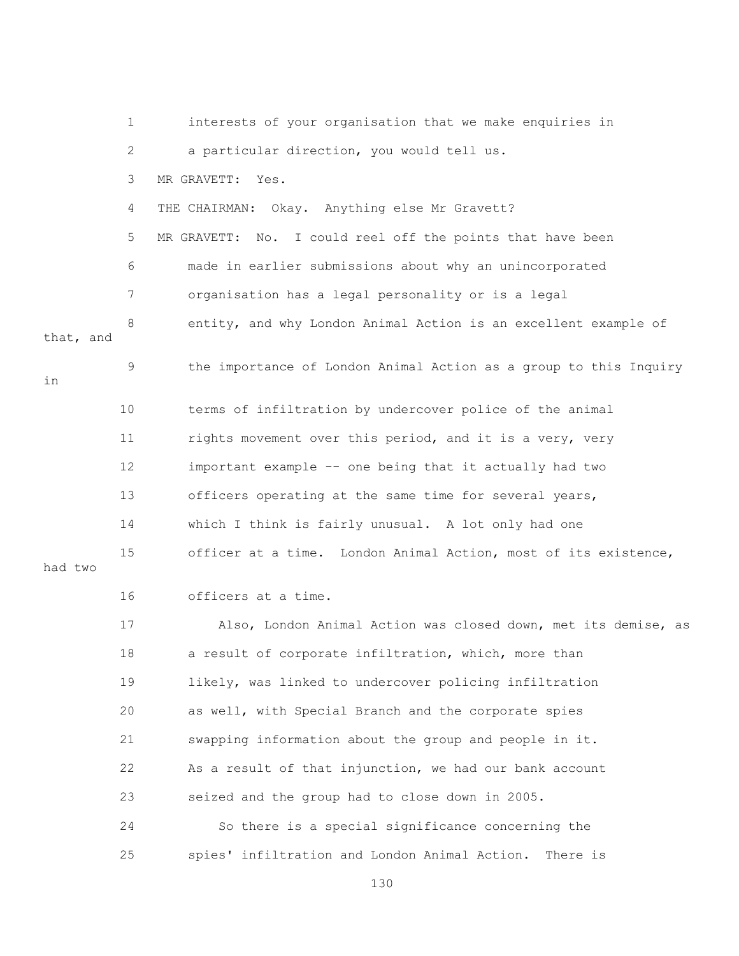|           | $\mathbf 1$  | interests of your organisation that we make enquiries in          |
|-----------|--------------|-------------------------------------------------------------------|
|           | $\mathbf{2}$ | a particular direction, you would tell us.                        |
|           | 3            | MR GRAVETT: Yes.                                                  |
|           | 4            | THE CHAIRMAN: Okay. Anything else Mr Gravett?                     |
|           | 5            | MR GRAVETT: No. I could reel off the points that have been        |
|           | 6            | made in earlier submissions about why an unincorporated           |
|           | 7            | organisation has a legal personality or is a legal                |
| that, and | 8            | entity, and why London Animal Action is an excellent example of   |
| in        | 9            | the importance of London Animal Action as a group to this Inquiry |
|           | 10           | terms of infiltration by undercover police of the animal          |
|           | 11           | rights movement over this period, and it is a very, very          |
|           | 12           | important example -- one being that it actually had two           |
|           | 13           | officers operating at the same time for several years,            |
|           | 14           | which I think is fairly unusual. A lot only had one               |
| had two   | 15           | officer at a time. London Animal Action, most of its existence,   |
|           | 16           | officers at a time.                                               |
|           | 17           | Also, London Animal Action was closed down, met its demise, as    |
|           | 18           | a result of corporate infiltration, which, more than              |
|           | 19           | likely, was linked to undercover policing infiltration            |
|           | 20           | as well, with Special Branch and the corporate spies              |
|           | 21           | swapping information about the group and people in it.            |
|           | 22           | As a result of that injunction, we had our bank account           |
|           | 23           | seized and the group had to close down in 2005.                   |
|           | 24           | So there is a special significance concerning the                 |
|           | 25           | spies' infiltration and London Animal Action.<br>There is         |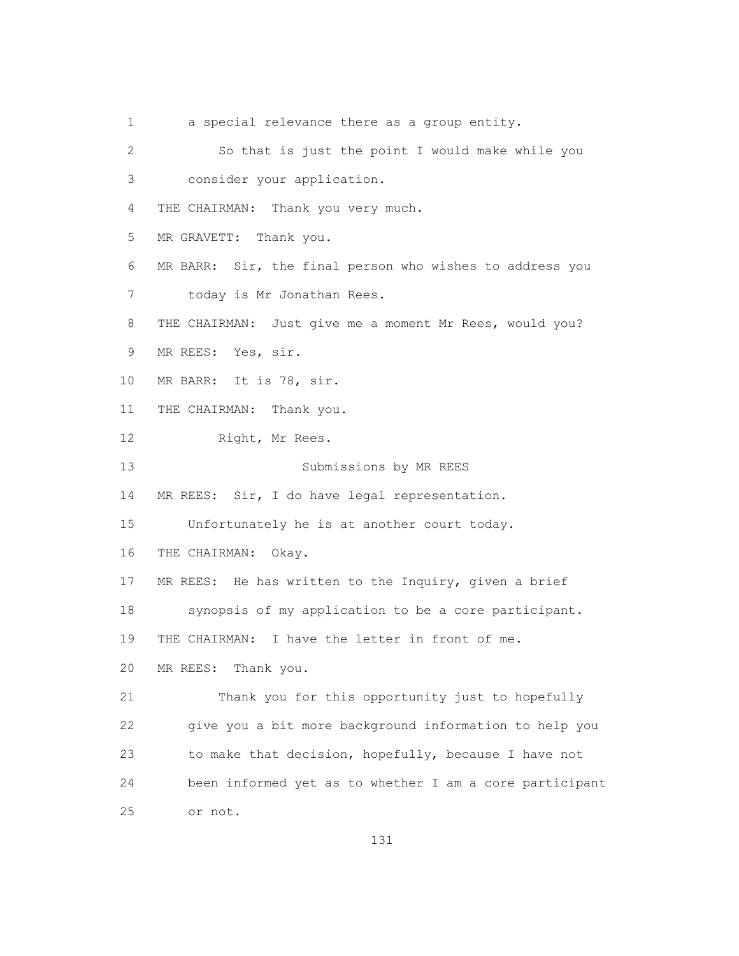1 a special relevance there as a group entity.

 2 So that is just the point I would make while you 3 consider your application. 4 THE CHAIRMAN: Thank you very much. 5 MR GRAVETT: Thank you. 6 MR BARR: Sir, the final person who wishes to address you 7 today is Mr Jonathan Rees. 8 THE CHAIRMAN: Just give me a moment Mr Rees, would you? 9 MR REES: Yes, sir. 10 MR BARR: It is 78, sir. 11 THE CHAIRMAN: Thank you. 12 Right, Mr Rees. 13 Submissions by MR REES 14 MR REES: Sir, I do have legal representation. 15 Unfortunately he is at another court today. 16 THE CHAIRMAN: Okay. 17 MR REES: He has written to the Inquiry, given a brief 18 synopsis of my application to be a core participant. 19 THE CHAIRMAN: I have the letter in front of me. 20 MR REES: Thank you. 21 Thank you for this opportunity just to hopefully 22 give you a bit more background information to help you 23 to make that decision, hopefully, because I have not 24 been informed yet as to whether I am a core participant 25 or not.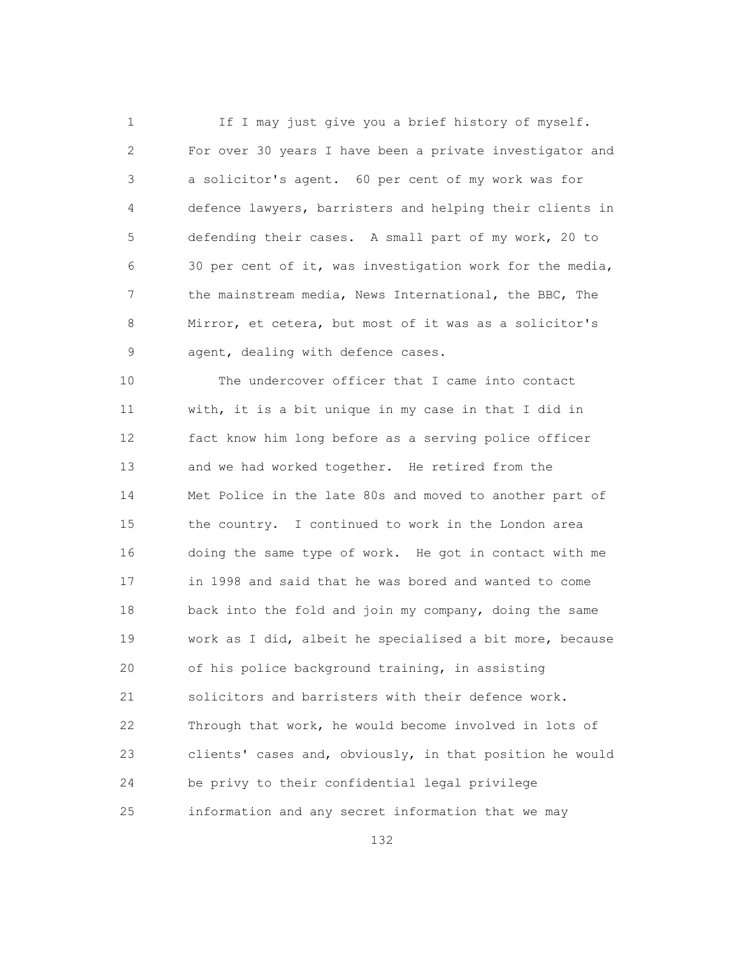1 If I may just give you a brief history of myself. 2 For over 30 years I have been a private investigator and 3 a solicitor's agent. 60 per cent of my work was for 4 defence lawyers, barristers and helping their clients in 5 defending their cases. A small part of my work, 20 to 6 30 per cent of it, was investigation work for the media, 7 the mainstream media, News International, the BBC, The 8 Mirror, et cetera, but most of it was as a solicitor's 9 agent, dealing with defence cases.

 10 The undercover officer that I came into contact 11 with, it is a bit unique in my case in that I did in 12 fact know him long before as a serving police officer 13 and we had worked together. He retired from the 14 Met Police in the late 80s and moved to another part of 15 the country. I continued to work in the London area 16 doing the same type of work. He got in contact with me 17 in 1998 and said that he was bored and wanted to come 18 back into the fold and join my company, doing the same 19 work as I did, albeit he specialised a bit more, because 20 of his police background training, in assisting 21 solicitors and barristers with their defence work. 22 Through that work, he would become involved in lots of 23 clients' cases and, obviously, in that position he would 24 be privy to their confidential legal privilege 25 information and any secret information that we may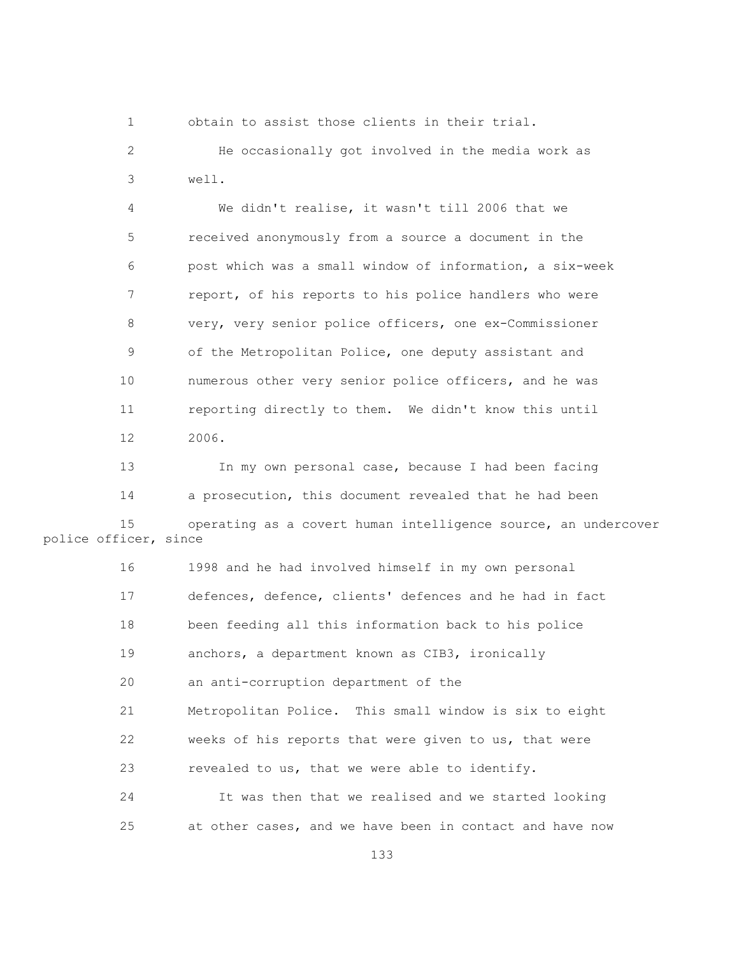1 obtain to assist those clients in their trial.

 2 He occasionally got involved in the media work as 3 well.

 4 We didn't realise, it wasn't till 2006 that we 5 received anonymously from a source a document in the 6 post which was a small window of information, a six-week 7 report, of his reports to his police handlers who were 8 very, very senior police officers, one ex-Commissioner 9 of the Metropolitan Police, one deputy assistant and 10 numerous other very senior police officers, and he was 11 reporting directly to them. We didn't know this until 12 2006.

 13 In my own personal case, because I had been facing 14 a prosecution, this document revealed that he had been 15 operating as a covert human intelligence source, an undercover police officer, since

> 16 1998 and he had involved himself in my own personal 17 defences, defence, clients' defences and he had in fact 18 been feeding all this information back to his police 19 anchors, a department known as CIB3, ironically 20 an anti-corruption department of the 21 Metropolitan Police. This small window is six to eight 22 weeks of his reports that were given to us, that were 23 revealed to us, that we were able to identify. 24 It was then that we realised and we started looking 25 at other cases, and we have been in contact and have now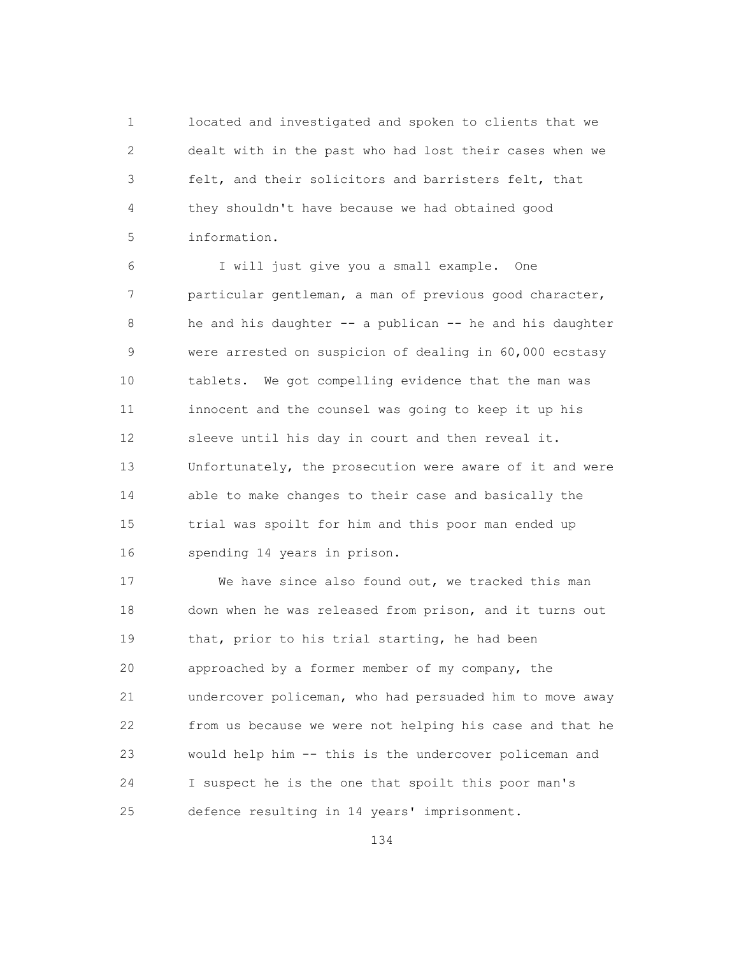1 located and investigated and spoken to clients that we 2 dealt with in the past who had lost their cases when we 3 felt, and their solicitors and barristers felt, that 4 they shouldn't have because we had obtained good 5 information.

 6 I will just give you a small example. One 7 particular gentleman, a man of previous good character, 8 he and his daughter -- a publican -- he and his daughter 9 were arrested on suspicion of dealing in 60,000 ecstasy 10 tablets. We got compelling evidence that the man was 11 innocent and the counsel was going to keep it up his 12 sleeve until his day in court and then reveal it. 13 Unfortunately, the prosecution were aware of it and were 14 able to make changes to their case and basically the 15 trial was spoilt for him and this poor man ended up 16 spending 14 years in prison.

 17 We have since also found out, we tracked this man 18 down when he was released from prison, and it turns out 19 that, prior to his trial starting, he had been 20 approached by a former member of my company, the 21 undercover policeman, who had persuaded him to move away 22 from us because we were not helping his case and that he 23 would help him -- this is the undercover policeman and 24 I suspect he is the one that spoilt this poor man's 25 defence resulting in 14 years' imprisonment.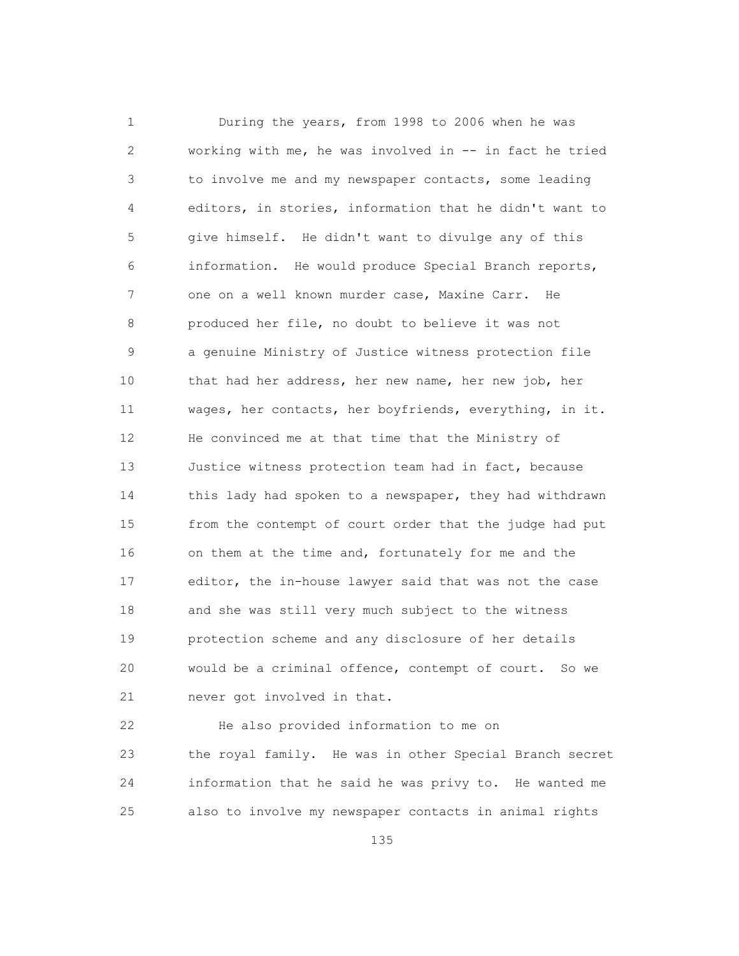1 During the years, from 1998 to 2006 when he was 2 working with me, he was involved in -- in fact he tried 3 to involve me and my newspaper contacts, some leading 4 editors, in stories, information that he didn't want to 5 give himself. He didn't want to divulge any of this 6 information. He would produce Special Branch reports, 7 one on a well known murder case, Maxine Carr. He 8 produced her file, no doubt to believe it was not 9 a genuine Ministry of Justice witness protection file 10 that had her address, her new name, her new job, her 11 wages, her contacts, her boyfriends, everything, in it. 12 He convinced me at that time that the Ministry of 13 Justice witness protection team had in fact, because 14 this lady had spoken to a newspaper, they had withdrawn 15 from the contempt of court order that the judge had put 16 on them at the time and, fortunately for me and the 17 editor, the in-house lawyer said that was not the case 18 and she was still very much subject to the witness 19 protection scheme and any disclosure of her details 20 would be a criminal offence, contempt of court. So we 21 never got involved in that.

 22 He also provided information to me on 23 the royal family. He was in other Special Branch secret 24 information that he said he was privy to. He wanted me 25 also to involve my newspaper contacts in animal rights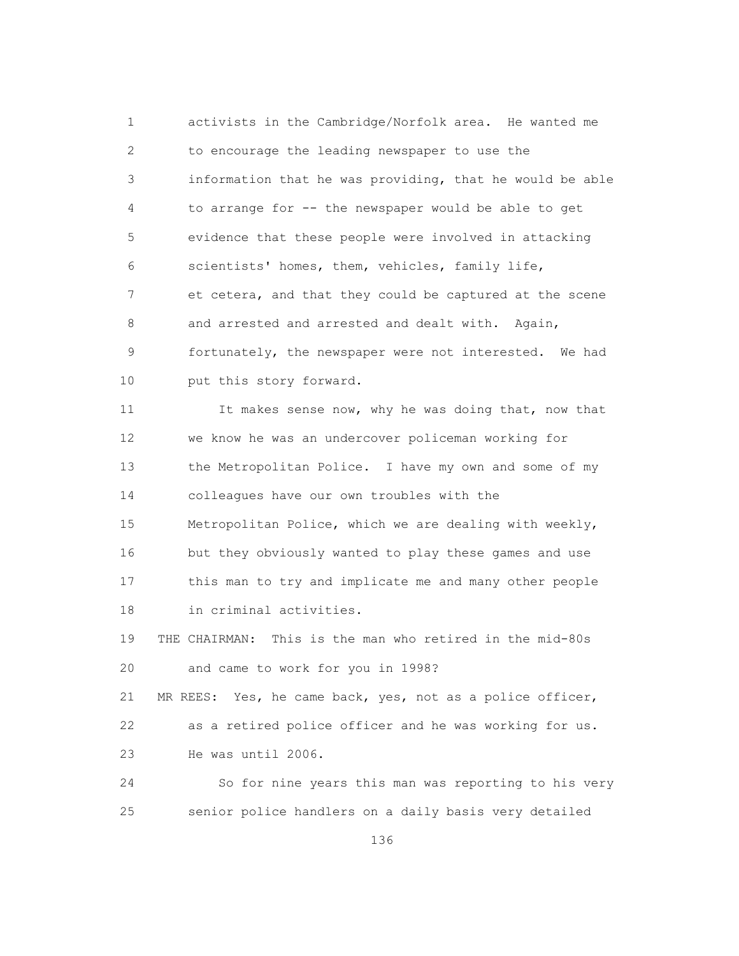1 activists in the Cambridge/Norfolk area. He wanted me 2 to encourage the leading newspaper to use the 3 information that he was providing, that he would be able 4 to arrange for -- the newspaper would be able to get 5 evidence that these people were involved in attacking 6 scientists' homes, them, vehicles, family life, 7 et cetera, and that they could be captured at the scene 8 and arrested and arrested and dealt with. Again, 9 fortunately, the newspaper were not interested. We had 10 put this story forward.

11 It makes sense now, why he was doing that, now that 12 we know he was an undercover policeman working for 13 the Metropolitan Police. I have my own and some of my 14 colleagues have our own troubles with the 15 Metropolitan Police, which we are dealing with weekly, 16 but they obviously wanted to play these games and use 17 this man to try and implicate me and many other people 18 in criminal activities.

 19 THE CHAIRMAN: This is the man who retired in the mid-80s 20 and came to work for you in 1998?

 21 MR REES: Yes, he came back, yes, not as a police officer, 22 as a retired police officer and he was working for us. 23 He was until 2006.

 24 So for nine years this man was reporting to his very 25 senior police handlers on a daily basis very detailed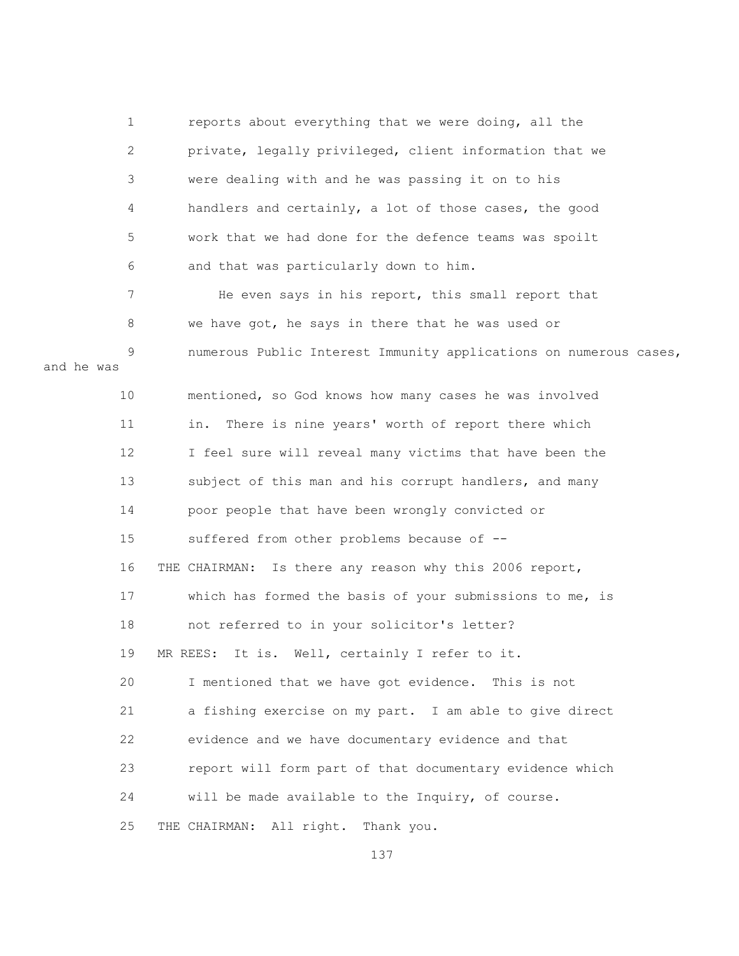| $\mathbf 1$     | reports about everything that we were doing, all the              |
|-----------------|-------------------------------------------------------------------|
| $\mathbf{2}$    | private, legally privileged, client information that we           |
| $\mathfrak{Z}$  | were dealing with and he was passing it on to his                 |
| 4               | handlers and certainly, a lot of those cases, the good            |
| 5               | work that we had done for the defence teams was spoilt            |
| 6               | and that was particularly down to him.                            |
| 7               | He even says in his report, this small report that                |
| 8               | we have got, he says in there that he was used or                 |
| 9<br>and he was | numerous Public Interest Immunity applications on numerous cases, |
| 10              | mentioned, so God knows how many cases he was involved            |
| 11              | There is nine years' worth of report there which<br>in.           |
| 12              | I feel sure will reveal many victims that have been the           |
| 13              | subject of this man and his corrupt handlers, and many            |
| 14              | poor people that have been wrongly convicted or                   |
| 15              | suffered from other problems because of --                        |
| 16              | Is there any reason why this 2006 report,<br>THE CHAIRMAN:        |
| 17              | which has formed the basis of your submissions to me, is          |
| 18              | not referred to in your solicitor's letter?                       |
| 19              | It is. Well, certainly I refer to it.<br>MR REES:                 |
| 20              | I mentioned that we have got evidence. This is not                |
| 21              | a fishing exercise on my part. I am able to give direct           |
| 22              | evidence and we have documentary evidence and that                |
| 23              | report will form part of that documentary evidence which          |
| 24              | will be made available to the Inquiry, of course.                 |
| 25              | THE CHAIRMAN: All right. Thank you.                               |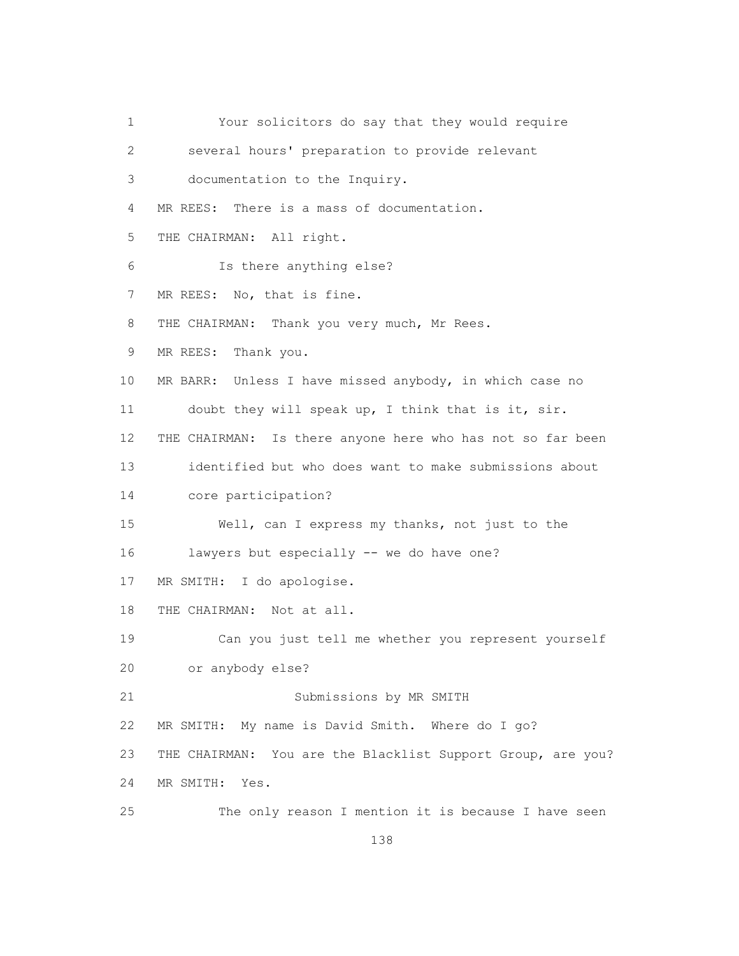1 Your solicitors do say that they would require 2 several hours' preparation to provide relevant 3 documentation to the Inquiry. 4 MR REES: There is a mass of documentation. 5 THE CHAIRMAN: All right. 6 Is there anything else? 7 MR REES: No, that is fine. 8 THE CHAIRMAN: Thank you very much, Mr Rees. 9 MR REES: Thank you. 10 MR BARR: Unless I have missed anybody, in which case no 11 doubt they will speak up, I think that is it, sir. 12 THE CHAIRMAN: Is there anyone here who has not so far been 13 identified but who does want to make submissions about 14 core participation? 15 Well, can I express my thanks, not just to the 16 lawyers but especially -- we do have one? 17 MR SMITH: I do apologise. 18 THE CHAIRMAN: Not at all. 19 Can you just tell me whether you represent yourself 20 or anybody else? 21 Submissions by MR SMITH 22 MR SMITH: My name is David Smith. Where do I go? 23 THE CHAIRMAN: You are the Blacklist Support Group, are you? 24 MR SMITH: Yes. 25 The only reason I mention it is because I have seen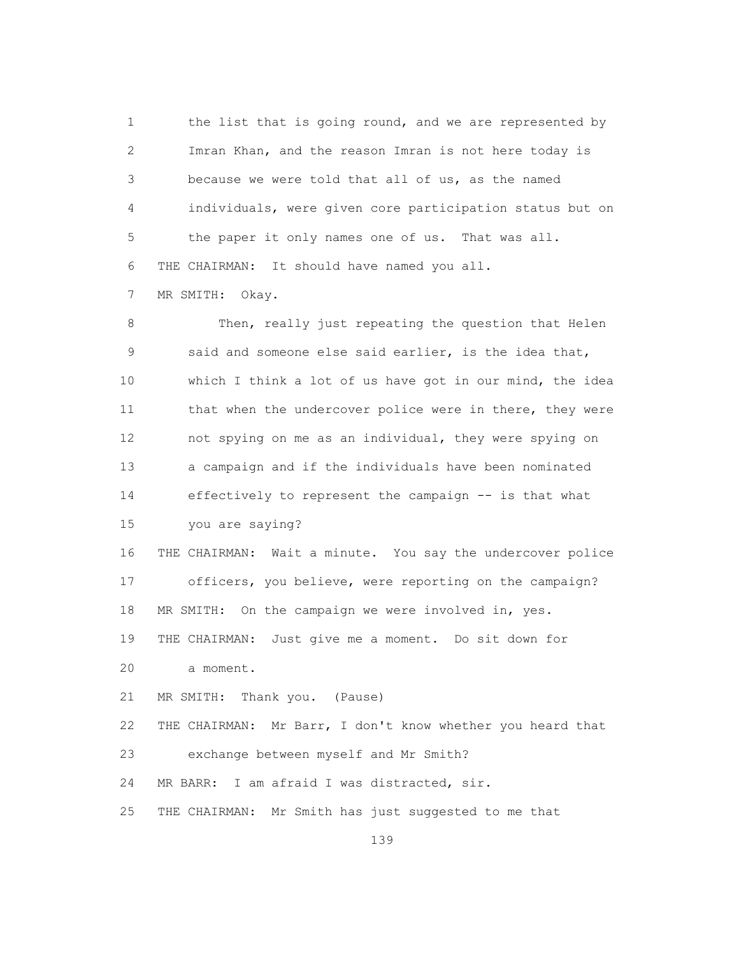1 the list that is going round, and we are represented by 2 Imran Khan, and the reason Imran is not here today is 3 because we were told that all of us, as the named 4 individuals, were given core participation status but on 5 the paper it only names one of us. That was all. 6 THE CHAIRMAN: It should have named you all.

7 MR SMITH: Okay.

 8 Then, really just repeating the question that Helen 9 said and someone else said earlier, is the idea that, 10 which I think a lot of us have got in our mind, the idea 11 that when the undercover police were in there, they were 12 not spying on me as an individual, they were spying on 13 a campaign and if the individuals have been nominated 14 effectively to represent the campaign -- is that what 15 you are saying?

 16 THE CHAIRMAN: Wait a minute. You say the undercover police 17 officers, you believe, were reporting on the campaign? 18 MR SMITH: On the campaign we were involved in, yes. 19 THE CHAIRMAN: Just give me a moment. Do sit down for

20 a moment.

21 MR SMITH: Thank you. (Pause)

22 THE CHAIRMAN: Mr Barr, I don't know whether you heard that

23 exchange between myself and Mr Smith?

24 MR BARR: I am afraid I was distracted, sir.

25 THE CHAIRMAN: Mr Smith has just suggested to me that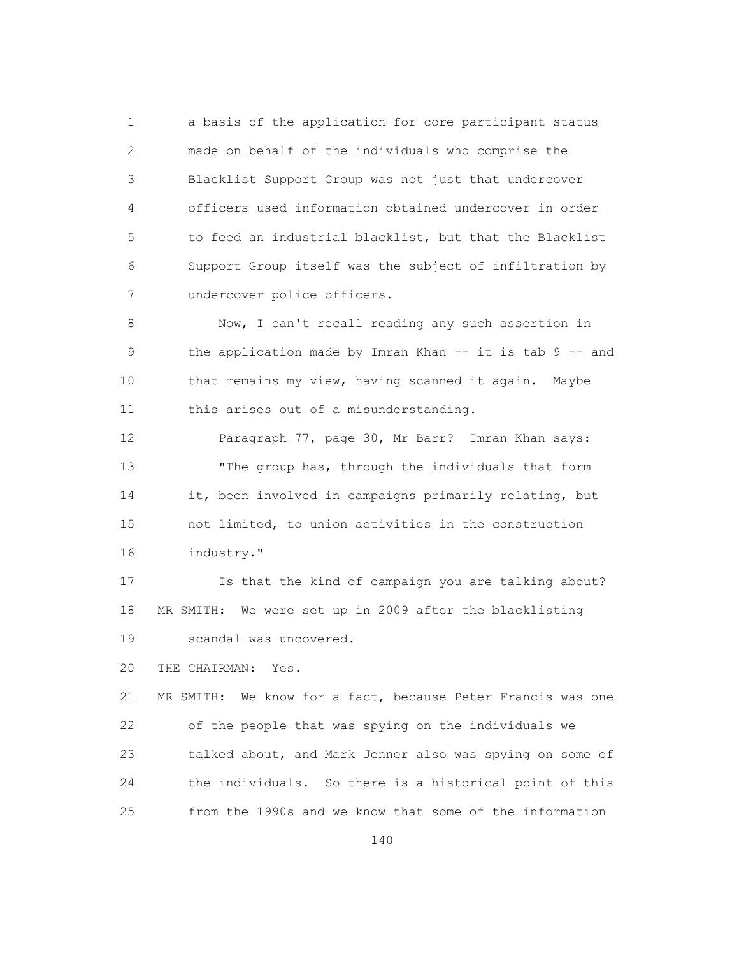1 a basis of the application for core participant status 2 made on behalf of the individuals who comprise the 3 Blacklist Support Group was not just that undercover 4 officers used information obtained undercover in order 5 to feed an industrial blacklist, but that the Blacklist 6 Support Group itself was the subject of infiltration by 7 undercover police officers.

 8 Now, I can't recall reading any such assertion in 9 the application made by Imran Khan -- it is tab 9 -- and 10 that remains my view, having scanned it again. Maybe 11 this arises out of a misunderstanding.

 12 Paragraph 77, page 30, Mr Barr? Imran Khan says: 13 "The group has, through the individuals that form 14 it, been involved in campaigns primarily relating, but 15 not limited, to union activities in the construction 16 industry."

 17 Is that the kind of campaign you are talking about? 18 MR SMITH: We were set up in 2009 after the blacklisting 19 scandal was uncovered.

20 THE CHAIRMAN: Yes.

 21 MR SMITH: We know for a fact, because Peter Francis was one 22 of the people that was spying on the individuals we 23 talked about, and Mark Jenner also was spying on some of 24 the individuals. So there is a historical point of this 25 from the 1990s and we know that some of the information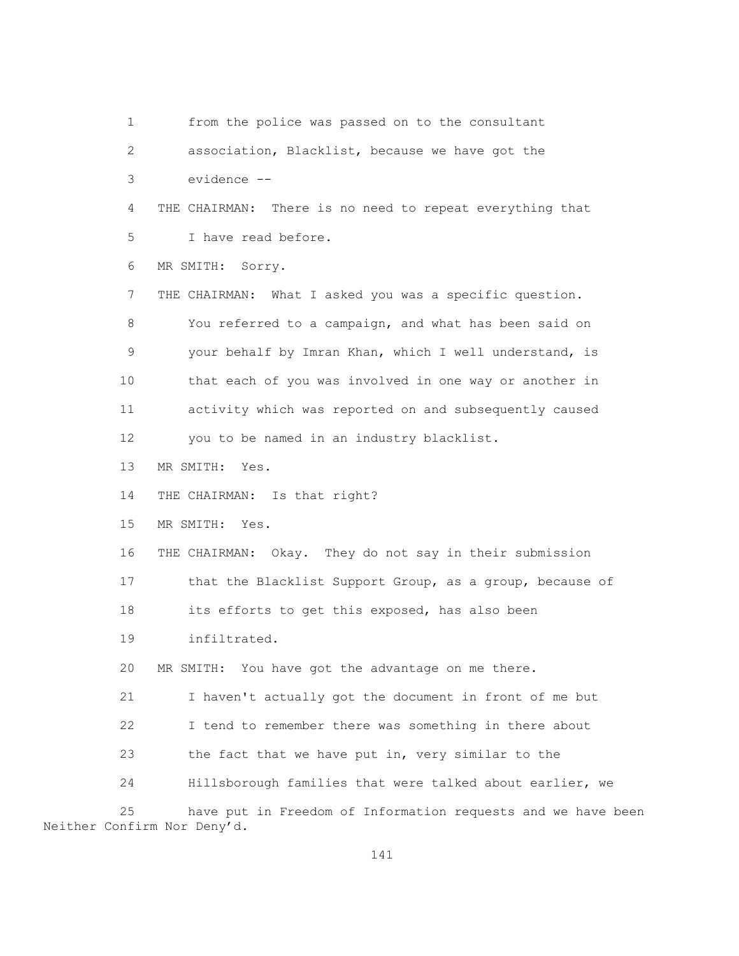1 from the police was passed on to the consultant 2 association, Blacklist, because we have got the 3 evidence -- 4 THE CHAIRMAN: There is no need to repeat everything that 5 I have read before. 6 MR SMITH: Sorry. 7 THE CHAIRMAN: What I asked you was a specific question. 8 You referred to a campaign, and what has been said on 9 your behalf by Imran Khan, which I well understand, is 10 that each of you was involved in one way or another in 11 activity which was reported on and subsequently caused 12 you to be named in an industry blacklist. 13 MR SMITH: Yes. 14 THE CHAIRMAN: Is that right? 15 MR SMITH: Yes. 16 THE CHAIRMAN: Okay. They do not say in their submission 17 that the Blacklist Support Group, as a group, because of 18 its efforts to get this exposed, has also been 19 infiltrated. 20 MR SMITH: You have got the advantage on me there. 21 I haven't actually got the document in front of me but 22 I tend to remember there was something in there about 23 the fact that we have put in, very similar to the 24 Hillsborough families that were talked about earlier, we 25 have put in Freedom of Information requests and we have been Neither Confirm Nor Deny'd.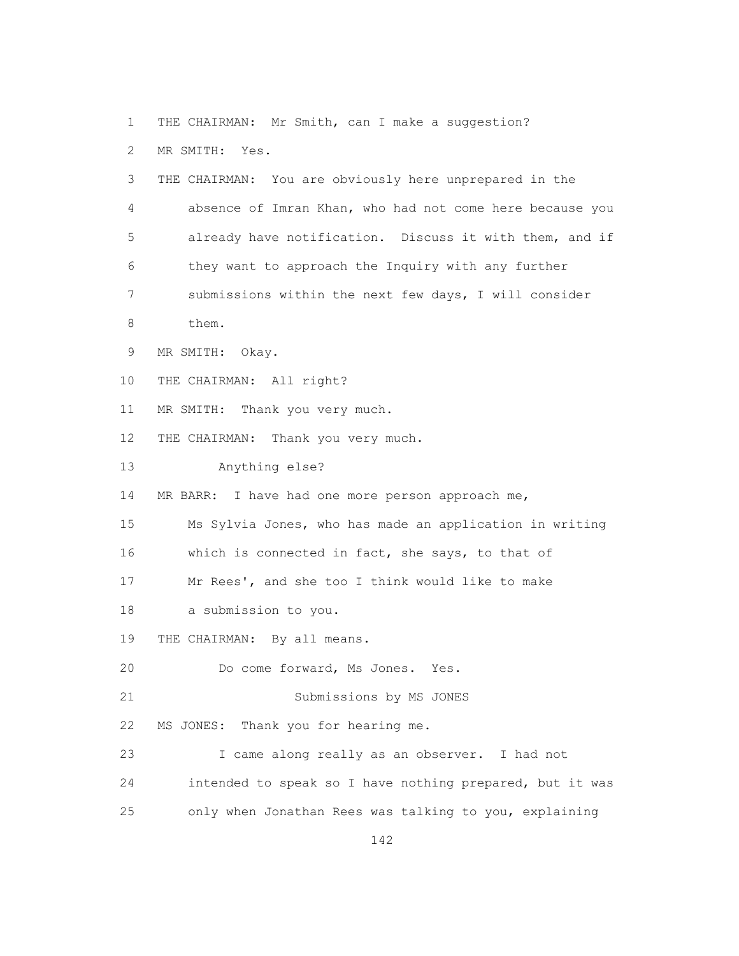1 THE CHAIRMAN: Mr Smith, can I make a suggestion? 2 MR SMITH: Yes. 3 THE CHAIRMAN: You are obviously here unprepared in the 4 absence of Imran Khan, who had not come here because you 5 already have notification. Discuss it with them, and if 6 they want to approach the Inquiry with any further 7 submissions within the next few days, I will consider 8 them. 9 MR SMITH: Okay. 10 THE CHAIRMAN: All right? 11 MR SMITH: Thank you very much. 12 THE CHAIRMAN: Thank you very much. 13 Anything else? 14 MR BARR: I have had one more person approach me, 15 Ms Sylvia Jones, who has made an application in writing 16 which is connected in fact, she says, to that of 17 Mr Rees', and she too I think would like to make 18 a submission to you. 19 THE CHAIRMAN: By all means. 20 Do come forward, Ms Jones. Yes. 21 Submissions by MS JONES 22 MS JONES: Thank you for hearing me. 23 I came along really as an observer. I had not 24 intended to speak so I have nothing prepared, but it was 25 only when Jonathan Rees was talking to you, explaining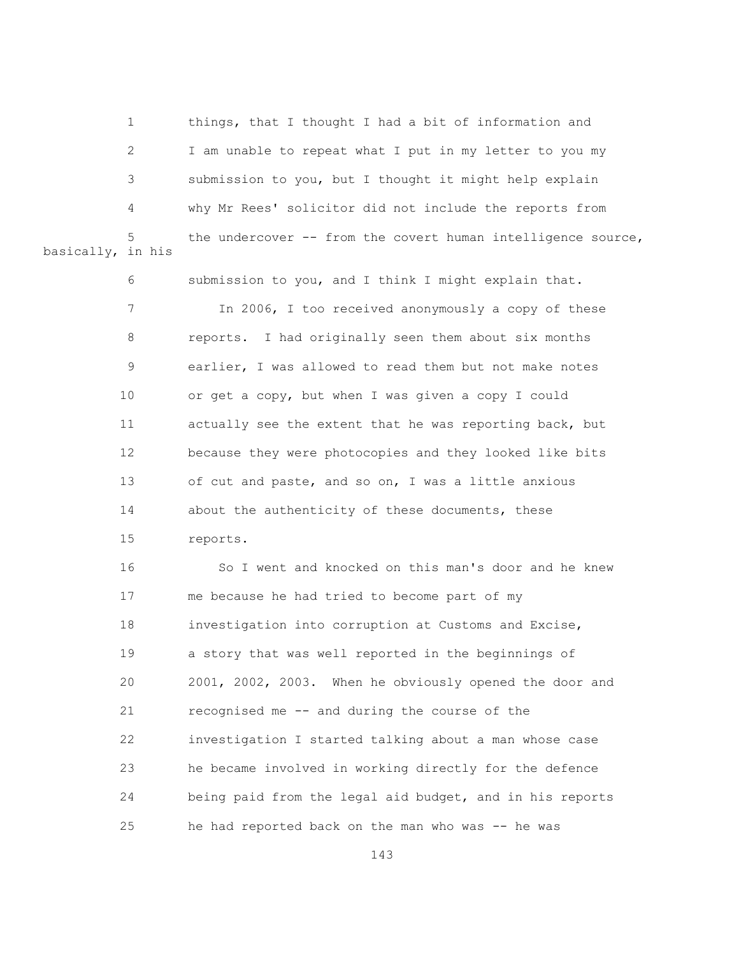1 things, that I thought I had a bit of information and 2 I am unable to repeat what I put in my letter to you my 3 submission to you, but I thought it might help explain 4 why Mr Rees' solicitor did not include the reports from the undercover  $--$  from the covert human intelligence source, basically, in his

> 6 submission to you, and I think I might explain that. 7 In 2006, I too received anonymously a copy of these 8 reports. I had originally seen them about six months 9 earlier, I was allowed to read them but not make notes 10 or get a copy, but when I was given a copy I could 11 actually see the extent that he was reporting back, but 12 because they were photocopies and they looked like bits 13 of cut and paste, and so on, I was a little anxious 14 about the authenticity of these documents, these 15 reports.

 16 So I went and knocked on this man's door and he knew 17 me because he had tried to become part of my 18 investigation into corruption at Customs and Excise, 19 a story that was well reported in the beginnings of 20 2001, 2002, 2003. When he obviously opened the door and 21 recognised me -- and during the course of the 22 investigation I started talking about a man whose case 23 he became involved in working directly for the defence 24 being paid from the legal aid budget, and in his reports 25 he had reported back on the man who was -- he was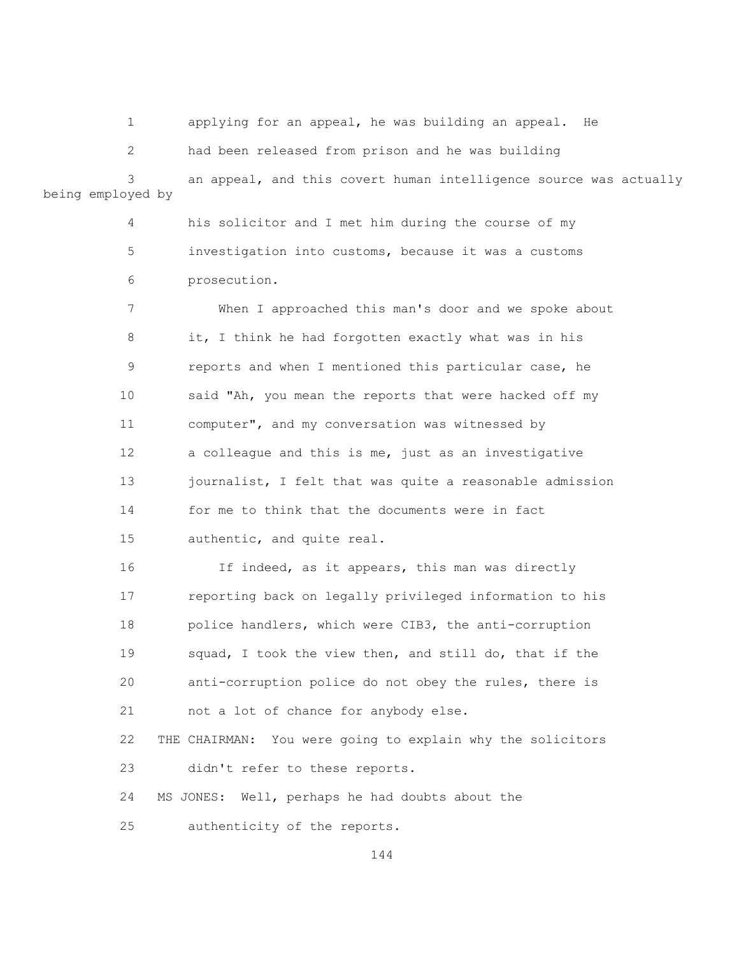1 applying for an appeal, he was building an appeal. He

 2 had been released from prison and he was building 3 an appeal, and this covert human intelligence source was actually being employed by

> 4 his solicitor and I met him during the course of my 5 investigation into customs, because it was a customs 6 prosecution.

 7 When I approached this man's door and we spoke about 8 it, I think he had forgotten exactly what was in his 9 reports and when I mentioned this particular case, he 10 said "Ah, you mean the reports that were hacked off my 11 computer", and my conversation was witnessed by 12 a colleague and this is me, just as an investigative 13 journalist, I felt that was quite a reasonable admission 14 for me to think that the documents were in fact 15 authentic, and quite real.

 16 If indeed, as it appears, this man was directly 17 reporting back on legally privileged information to his 18 police handlers, which were CIB3, the anti-corruption 19 squad, I took the view then, and still do, that if the 20 anti-corruption police do not obey the rules, there is 21 not a lot of chance for anybody else.

 22 THE CHAIRMAN: You were going to explain why the solicitors 23 didn't refer to these reports.

24 MS JONES: Well, perhaps he had doubts about the

25 authenticity of the reports.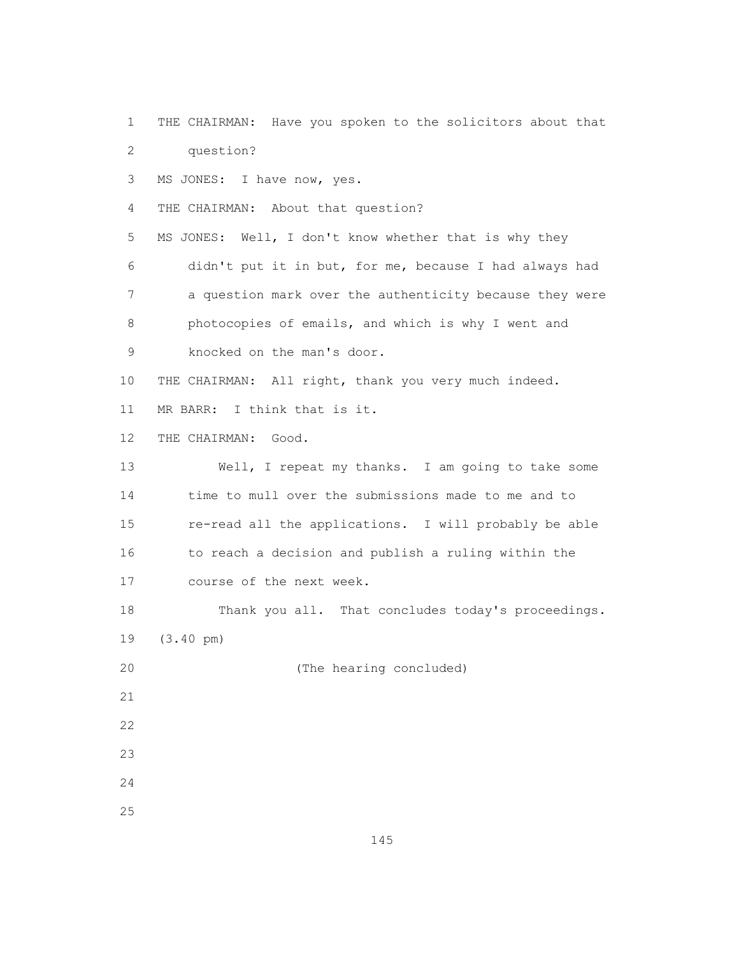1 THE CHAIRMAN: Have you spoken to the solicitors about that 2 question?

3 MS JONES: I have now, yes.

4 THE CHAIRMAN: About that question?

 5 MS JONES: Well, I don't know whether that is why they 6 didn't put it in but, for me, because I had always had 7 a question mark over the authenticity because they were 8 photocopies of emails, and which is why I went and 9 knocked on the man's door.

10 THE CHAIRMAN: All right, thank you very much indeed.

11 MR BARR: I think that is it.

12 THE CHAIRMAN: Good.

 13 Well, I repeat my thanks. I am going to take some 14 time to mull over the submissions made to me and to 15 re-read all the applications. I will probably be able 16 to reach a decision and publish a ruling within the 17 course of the next week.

 18 Thank you all. That concludes today's proceedings. 19 (3.40 pm)

20 (The hearing concluded)

- 21
- 22
- $23$
- 24
- 25

145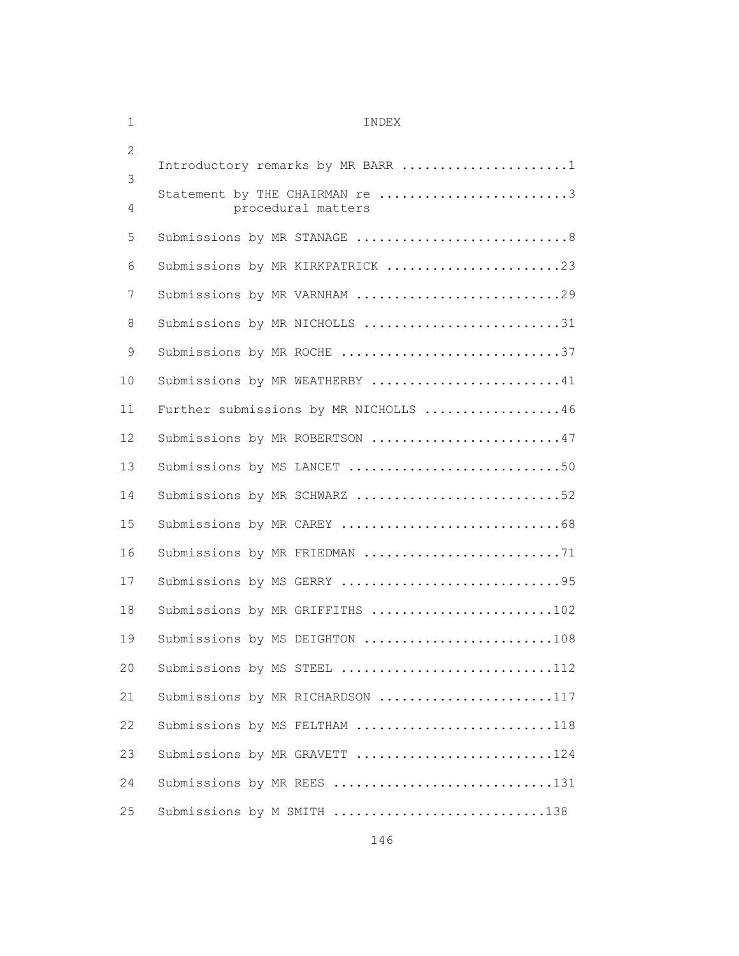| 1              | INDEX                                                |  |  |  |  |  |
|----------------|------------------------------------------------------|--|--|--|--|--|
| $\overline{2}$ | Introductory remarks by MR BARR 1                    |  |  |  |  |  |
| 3              |                                                      |  |  |  |  |  |
| 4              | Statement by THE CHAIRMAN re 3<br>procedural matters |  |  |  |  |  |
| 5              | Submissions by MR STANAGE 8                          |  |  |  |  |  |
| 6              | Submissions by MR KIRKPATRICK 23                     |  |  |  |  |  |
| 7              | Submissions by MR VARNHAM 29                         |  |  |  |  |  |
| 8              | Submissions by MR NICHOLLS 31                        |  |  |  |  |  |
| 9              | Submissions by MR ROCHE 37                           |  |  |  |  |  |
| 10             | Submissions by MR WEATHERBY 41                       |  |  |  |  |  |
| 11             | Further submissions by MR NICHOLLS 46                |  |  |  |  |  |
| 12             | Submissions by MR ROBERTSON 47                       |  |  |  |  |  |
| 13             | Submissions by MS LANCET 50                          |  |  |  |  |  |
| 14             | Submissions by MR SCHWARZ 52                         |  |  |  |  |  |
| 15             |                                                      |  |  |  |  |  |
| 16             | Submissions by MR FRIEDMAN 71                        |  |  |  |  |  |
| 17             | Submissions by MS GERRY 95                           |  |  |  |  |  |
| 18             | Submissions by MR GRIFFITHS 102                      |  |  |  |  |  |
| 19             | Submissions by MS DEIGHTON 108                       |  |  |  |  |  |
| 20             | Submissions by MS STEEL 112                          |  |  |  |  |  |
| 21             | Submissions by MR RICHARDSON 117                     |  |  |  |  |  |
| 22             | Submissions by MS FELTHAM 118                        |  |  |  |  |  |
| 23             | Submissions by MR GRAVETT 124                        |  |  |  |  |  |
| 24             | Submissions by MR REES 131                           |  |  |  |  |  |
| 25             | Submissions by M SMITH 138                           |  |  |  |  |  |